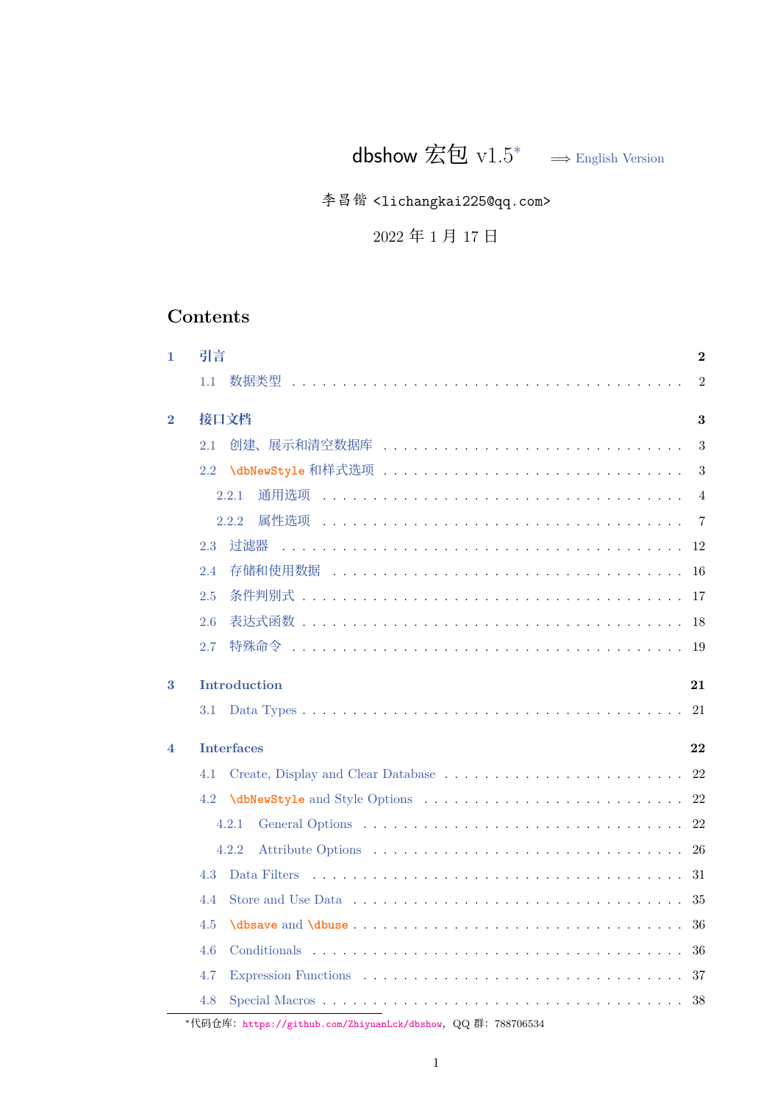dbshow 宏包  $v1.5^*$  → English Version

李昌锴 <lichangkai225@qq[.c](#page-0-0)om>

2022 年 1 月 17 日

# **Contents**

<span id="page-0-0"></span>

| 1        | 引言<br>$\mathbf{2}$                                           |
|----------|--------------------------------------------------------------|
|          | $\overline{2}$<br>1.1                                        |
| $\bf{2}$ | 接口文档<br>3                                                    |
|          | 创建、展示和清空数据库<br>3<br>2.1                                      |
|          | 2.2<br>3                                                     |
|          | 通用选项<br>2.2.1<br>$\overline{4}$                              |
|          | $\overline{7}$<br>2.2.2.                                     |
|          | 讨滤器<br>12<br>2.3                                             |
|          | 2.4<br>16                                                    |
|          | 2.5<br>17                                                    |
|          | 2.6<br>18                                                    |
|          | 2.7<br>19                                                    |
| 3        | <b>Introduction</b><br>21                                    |
|          | 21<br>3.1                                                    |
| 4        | <b>Interfaces</b><br>22                                      |
|          | 22<br>4.1                                                    |
|          | 22<br>4.2                                                    |
|          | 22<br>4.2.1                                                  |
|          | 26<br>4.2.2                                                  |
|          | 31<br>4.3                                                    |
|          | 35<br>4.4                                                    |
|          | 36<br>4.5                                                    |
|          | 4.6<br>36                                                    |
|          | 4.7<br>37                                                    |
|          | 4.8<br>38                                                    |
|          | *代码仓库: https://github.com/ZhiyuanLck/dbshow, QQ 群: 788706534 |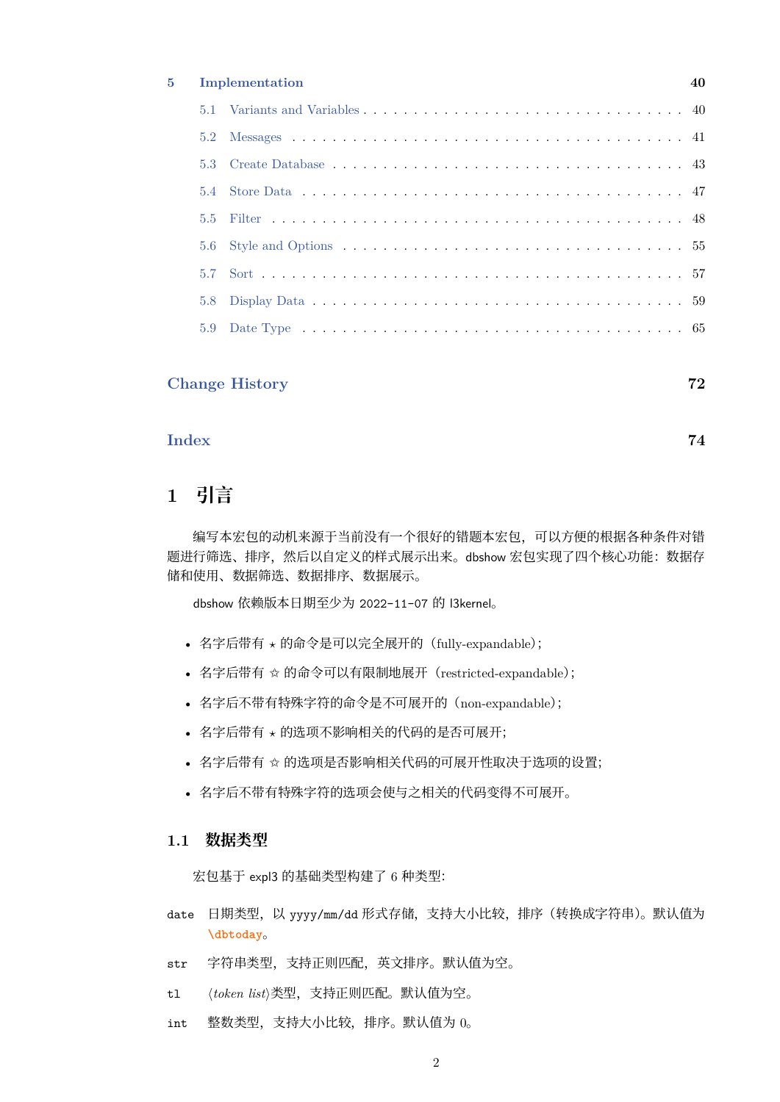#### **5 Implementation 40**

# **Cha[nge History](#page-64-0) 72**

# **[Index](#page-71-0) 74**

# **1 [引](#page-73-0)言**

<span id="page-1-0"></span>编写本宏包的动机来源于当前没有一个很好的错题本宏包,可以方便的根据各种条件对错 题进行筛选、排序,然后以自定义的样式展示出来。dbshow 宏包实现了四个核心功能: 数据存 储和使用、数据筛选、数据排序、数据展示。

dbshow 依赖版本日期至少为 2022-11-07 的 l3kernel。

- 名字后带有 *⋆* 的命令是可以完全展开的(fully-expandable);
- 名字后带有 ✩ 的命令可以有限制地展开(restricted-expandable);
- 名字后不带有特殊字符的命令是不可展开的(non-expandable);
- 名字后带有 *⋆* 的选项不影响相关的代码的是否可展开;
- 名字后带有 ☆ 的选项是否影响相关代码的可展开性取决于选项的设置;
- 名字后不带有特殊字符的选项会使与之相关的代码变得不可展开。

## **1.1 数据类型**

宏包基于 expl3 的基础类型构建了 6 种类型:

- <span id="page-1-1"></span>date 日期类型, 以 yyyy/mm/dd 形式存储, 支持大小比较, 排序 (转换成字符串)。默认值为 **\dbtoday**。
- str 字符串类型,支持正则匹配,英文排序。默认值为空。
- tl *⟨[token list](#page-18-1)⟩*类型,支持正则匹配。默认值为空。
- int 整数类型,支持大小比较,排序。默认值为 0。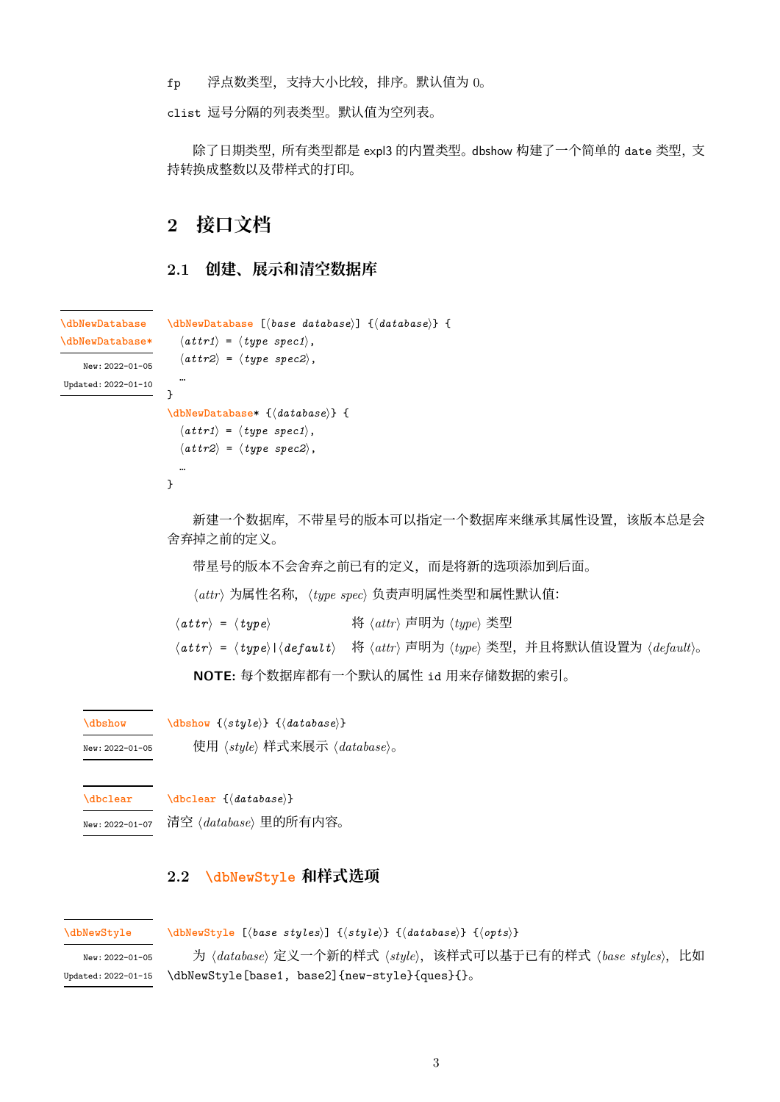fp 浮点数类型,支持大小比较,排序。默认值为 0。

clist 逗号分隔的列表类型。默认值为空列表。

除了日期类型,所有类型都是 expl3 的内置类型。dbshow 构建了一个简单的 date 类型, 支 持转换成整数以及带样式的打印。

# **2 接口文档**

## <span id="page-2-1"></span><span id="page-2-0"></span>**2.1 创建、展示和清空数据库**

```
\dbNewDatabase [⟨base database⟩] {⟨database⟩} {
                     \langle \textit{attr1} \rangle = \langle \textit{type spec1} \rangle,
                     ⟨attr2⟩ = ⟨type spec2⟩,
                     …
                   }
                   \dbNewDatabase* {⟨database⟩} {
                     \langleattr1\rangle = \langletype spec1\rangle,
                     ⟨attr2⟩ = ⟨type spec2⟩,
                     …
                   }
\dbNewDatabase
\dbNewDatabase*
   New: 2022-01-05
Updated: 2022-01-10
                        新建一个数据库,不带星号的版本可以指定一个数据库来继承其属性设置,该版本总是会
                   舍弃掉之前的定义。
```
带星号的版本不会舍弃之前已有的定义,而是将新的选项添加到后面。

*⟨attr⟩* 为属性名称,*⟨type spec⟩* 负责声明属性类型和属性默认值:

*⟨attr⟩* <sup>=</sup> *⟨type⟩* <sup>将</sup> *⟨attr⟩* 声明为 *⟨type⟩* 类型

*⟨attr⟩* <sup>=</sup> *⟨type⟩*|*⟨default⟩* <sup>将</sup> *⟨attr⟩* 声明为 *⟨type⟩* 类型,并且将默认值设置为 *⟨default⟩*。

**NOTE:** 每个数据库都有一个默认的属性 id 用来存储数据的索引。

**\dbshow** {*⟨style⟩*} {*⟨database⟩*} **\dbshow**

使用 *⟨style⟩* 样式来展示 *⟨database⟩*。 New: 2022-01-05

**[\dbclear](#page-21-5)** {*⟨database⟩*} **\dbclear**

清空 *⟨database⟩* 里的所有内容。 New: 2022-01-07

## **[2.2](#page-21-6) \dbNewStyle 和样式选项**

```
\dbNewStyle
```
<span id="page-2-2"></span>**\dbNewStyle** [*⟨[base sty](#page-21-7)les⟩*] {*⟨style⟩*} {*⟨database⟩*} {*⟨opts⟩*}

<sup>为</sup> *⟨database⟩* 定义一个新的样式 *⟨style⟩*,该样式可以基于已有的样式 *⟨base styles⟩*,比如 \dbNewStyle[base1, base2]{new-style}{ques}{}。 New: 2022-01-05 Updated: 2022-01-15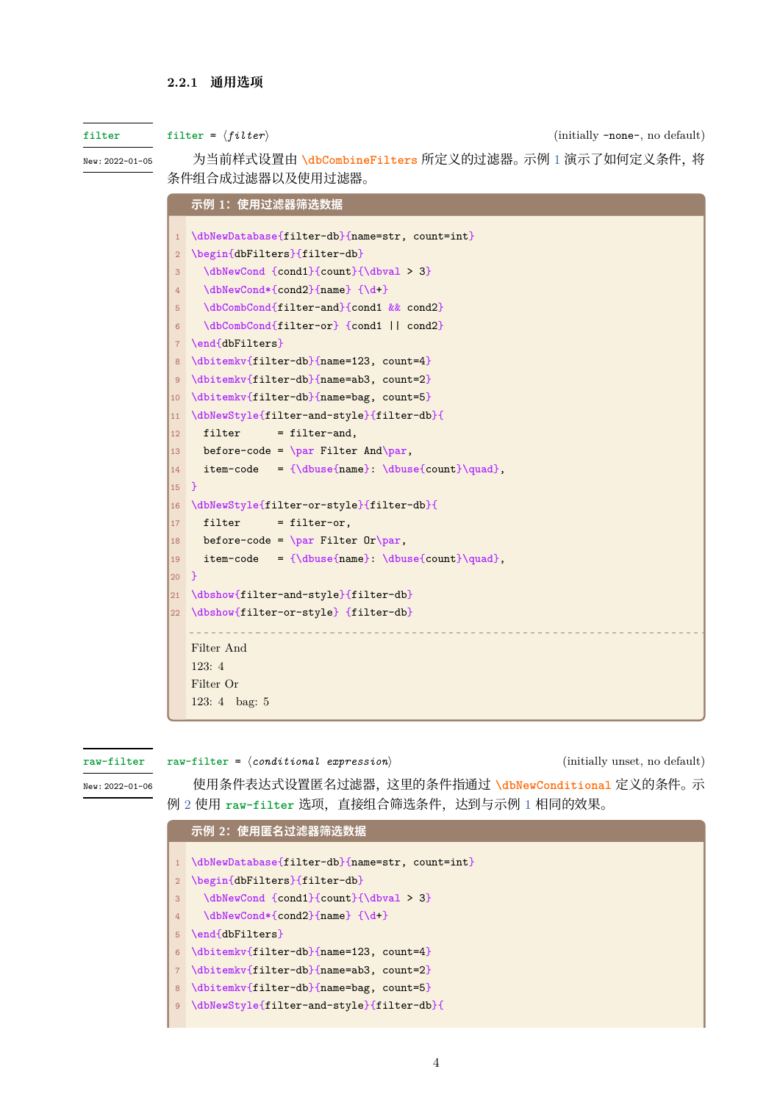#### **2.2.1 通用选项**

#### **filter**

New: 2022-01-05

<span id="page-3-0"></span>为当前样式设置由 **\dbCombineFilters** 所定义的过滤器。示例 1 演示了如何定义条件,将 条件组合成过滤器以及使用过滤器。

|                | 示例 1:使用过滤器筛选数据                                  |
|----------------|-------------------------------------------------|
| $\mathbf{1}$   | \dbNewDatabase{filter-db}{name=str, count=int}  |
| $\overline{2}$ | \begin{dbFilters}{filter-db}                    |
| 3              | \dbNewCond {cond1}{count}{\dbval > 3}           |
| $\overline{4}$ | \dbNewCond*{cond2}{name} {\d+}                  |
| 5              | \dbCombCond{filter-and}{cond1 && cond2}         |
| 6              | \dbCombCond{filter-or} {cond1    cond2}         |
| $\overline{7}$ | \end{dbFilters}                                 |
| 8              | \dbitemkv{filter-db}{name=123, count=4}         |
| 9              | \dbitemkv{filter-db}{name=ab3, count=2}         |
| 10             | \dbitemkv{filter-db}{name=bag, count=5}         |
| 11             | \dbNewStyle{filter-and-style}{filter-db}{       |
| 12             | filter<br>$=$ filter-and,                       |
| 13             | before-code = $\par$ Filter And \par,           |
| 14             | item-code = {\dbuse{name}: \dbuse{count}\quad}, |
| 15             | $\mathbf{F}$                                    |
| 16             | \dbNewStyle{filter-or-style}{filter-db}{        |
| 17             | filter<br>= filter-or,                          |
| 18             | before-code = $\parrow$ Filter Or $\parrow$ .   |
| 19             | item-code = {\dbuse{name} \dbuse{count}\quad},  |
| 20             | $\mathbf{r}$                                    |
| 21             | \dbshow{filter-and-style}{filter-db}            |
| 22             | \dbshow{filter-or-style} {filter-db}            |
|                | Filter And                                      |
|                | 123:4                                           |
|                | Filter Or                                       |
|                | 123: $4 \text{ bag: } 5$                        |

#### **raw-filter**

**raw-filter** = *⟨conditional expression⟩* (initially unset, no default)

New: 2022-01-06

使用条件表达式设置匿名过滤器,这里的条件指通过 **\dbNewConditional** 定义的条件。示 例 2 使用 **raw-filter** 选项,直接组合筛选条件,达到与示例 1 相同的效果。

```
示例 2:使用匿名过滤器筛选数据
1 \dbNewDatabase{filter-db}{name=str, count=int}
2 \begin{dbFilters}{filter-db}
3 \dbNewCond {cond1}{count}{\dbval > 3}
4 \dbNewCond*{cond2}{name} {\d+}
5 \end{dbFilters}
6 \dbitemkv{filter-db}{name=123, count=4}
7 \dbitemkv{filter-db}{name=ab3, count=2}
8 \dbitemkv{filter-db}{name=bag, count=5}
9 \dbNewStyle{filter-and-style}{filter-db}{
```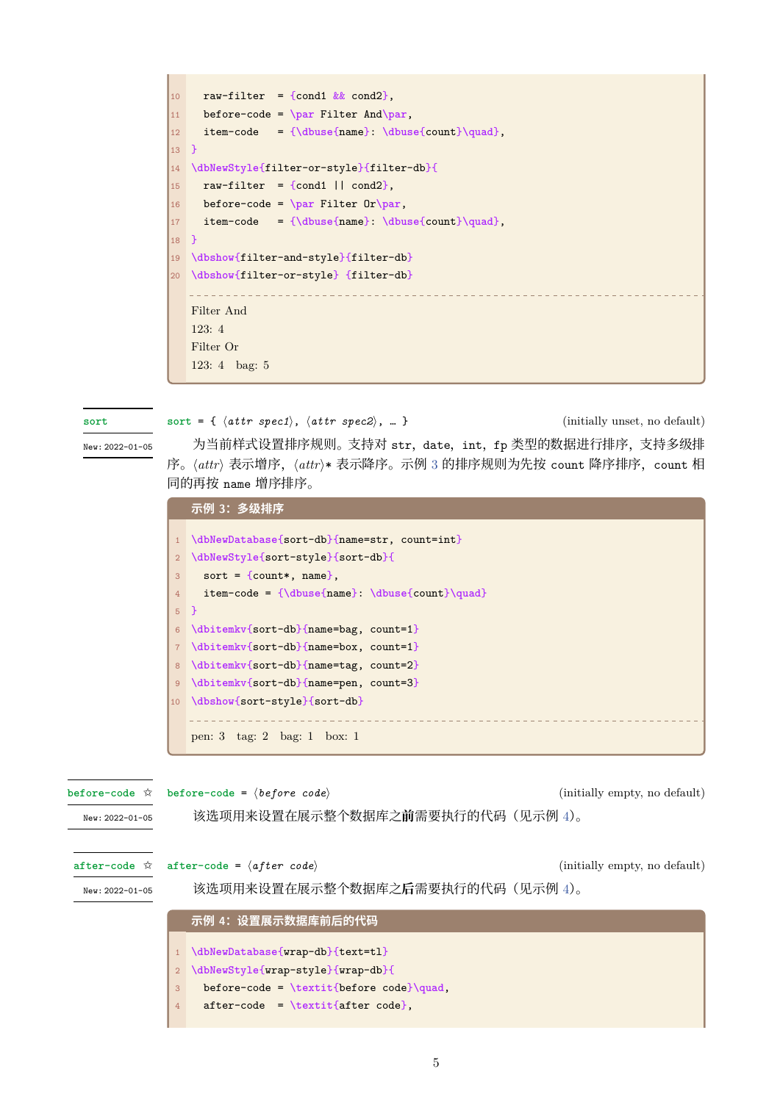```
10 raw-filter = {cond1 \&& cond2},
11 before-code = \par Filter And\par,
12 item-code = {\dbuse{name}: \dbuse{count}\quad},
13 }
14 \dbNewStyle{filter-or-style}{filter-db}{
\vert15 raw-filter = {cond1 || cond2},
16 before-code = \par Filter Or\par,
17 item-code = {\dbuse{name}: \dbuse{count}\quad},
18 }
19 \dbshow{filter-and-style}{filter-db}
20 \dbshow{filter-or-style} {filter-db}
   Filter And
  123: 4
  Filter Or
   123: 4 bag: 5
```
**sort**

New: 2022-01-05

**sort** = { *⟨attr spec1⟩*, *⟨attr spec2⟩*, … } (initially unset, no default) 为当前样式设置排序规则。支持对 str, date, int, fp 类型的数据进行排序, 支持多级排 序。*⟨attr⟩* 表示增序,*⟨attr⟩*\* 表示降序。示例 <sup>3</sup> 的排序规则为先按 count 降序排序,count <sup>相</sup> [同的](#page-23-0)再按 name 增序排序。

<span id="page-4-0"></span>

|                | 示例 3:多级排序                                                |
|----------------|----------------------------------------------------------|
|                |                                                          |
|                | \dbNewDatabase{sort-db}{name=str, count=int}             |
| 2              | \dbNewStyle{sort-style}{sort-db}{                        |
| 3              | sort = {count*, name},                                   |
| $4^{\circ}$    | item-code = ${\dbuse{name}: \dbuse{count}{quad}$         |
|                | $5$ }                                                    |
| 6              | \dbitemkv{sort-db}{name=bag, count=1}                    |
| 7 <sup>7</sup> | \dbitemkv{sort-db}{name=box, count=1}                    |
| 8              | \dbitemkv{sort-db}{name=tag, count=2}                    |
| $\overline{9}$ | \dbitemkv{sort-db}{name=pen, count=3}                    |
| 10             | \dbshow{sort-style}{sort-db}                             |
|                |                                                          |
|                | pen: $3 \text{ tag: } 2 \text{ bag: } 1 \text{ box: } 1$ |

<span id="page-4-1"></span>

|                 |   | before-code $\hat{\varphi}$ before-code = $\langle$ before code $\rangle$         | (initially empty, no default) |
|-----------------|---|-----------------------------------------------------------------------------------|-------------------------------|
| New: 2022-01-05 |   | 该选项用来设置在展示整个数据库之前需要执行的代码(见示例 4)。                                                  |                               |
|                 |   | after-code $\hat{x}$ after-code = $\langle after code \rangle$                    | (initially empty, no default) |
| New: 2022-01-05 |   | 该选项用来设置在展示整个数据库之后需要执行的代码(见示例 4)。                                                  |                               |
|                 |   | 示例 4: 设置展示数据库前后的代码                                                                |                               |
|                 |   | \dbNewDatabase{wrap-db}{text=tl}<br>\dbNewStyle{wrap-style}{wrap-db}{             |                               |
|                 | 3 | before-code = $\textit{before code}\quad,$<br>$after-code = \textit{after code}.$ |                               |
|                 | 4 |                                                                                   |                               |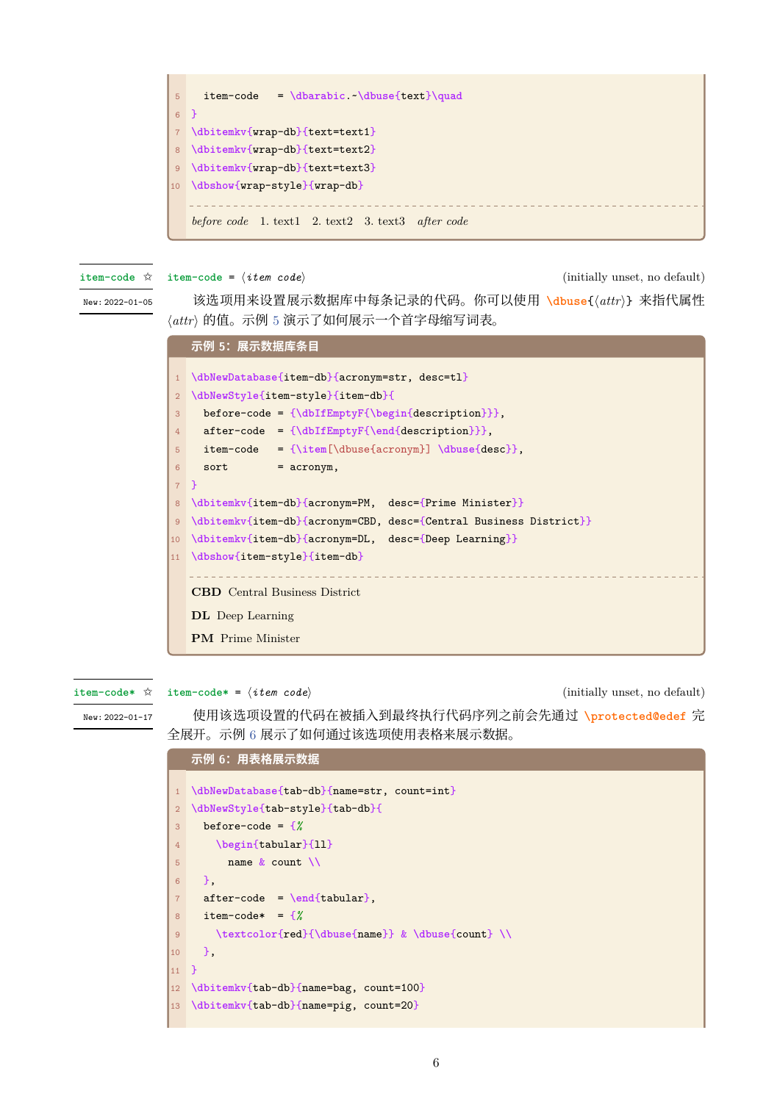

**item-code** ✩

**item-code** = *⟨item code⟩* (initially unset, no default)

New: 2022-01-05

该选项用来设置展示数据库中每条记录的代码。你可以使用 **\dbuse**{*⟨attr⟩*} 来指代属性 *⟨attr⟩* 的值。示例 <sup>5</sup> 演示了如何展示一个首字母缩写词表。

```
示例 5:展示数据库条目
1 \dbNewDatabase{item-db}{acronym=str, desc=tl}
2 \dbNewStyle{item-style}{item-db}{
3 before-code = {\dbIfEmptyF{\begin{description}}},
4 after-code = {\dbIfEmptyF{\end{description}}},
5 item-code = {\item[\dbuse{acronym}] \dbuse{desc}},
6 sort = \text{acronym},
7 }
8 \dbitemkv{item-db}{acronym=PM, desc={Prime Minister}}
9 \dbitemkv{item-db}{acronym=CBD, desc={Central Business District}}
10 \dbitemkv{item-db}{acronym=DL, desc={Deep Learning}}
11 \dbshow{item-style}{item-db}
   CBD Central Business District
  DL Deep Learning
   PM Prime Minister
```
**item-code\*** ✩

**item-code\*** = *⟨item code⟩* (initially unset, no default)

New: 2022-01-17

使用该选项设置的代码在被插入到最终执行代码序列之前会先通过 **\protected@edef** 完 全展开。示例 6 展示了如何通过该选项使用表格来展示数据。

## **[示例](#page-24-1) 6:用表格展示数据**

<span id="page-5-1"></span>

| $\mathbf{1}$   | \dbNewDatabase{tab-db}{name=str, count=int}      |
|----------------|--------------------------------------------------|
| $\overline{2}$ | \dbNewStyle{tab-style}{tab-db}{                  |
| 3              | before-code = $\frac{1}{6}$                      |
| $\overline{4}$ | \begin{tabular}{11}                              |
| 5              | name $k$ count $\setminus$                       |
| 6              | Η.                                               |
| $\overline{7}$ | $after-code = \end{tabular}$ ,                   |
| 8              | item-code* = $\frac{9}{6}$                       |
| 9              | \textcolor{red}{\dbuse{name}} & \dbuse{count} \\ |
| 10             | Η.                                               |
| 11             | <b>P</b>                                         |
| 12             | \dbitemkv{tab-db}{name=bag, count=100}           |
|                | 13 \dbitemkv{tab-db}{name=pig, count=20}         |
|                |                                                  |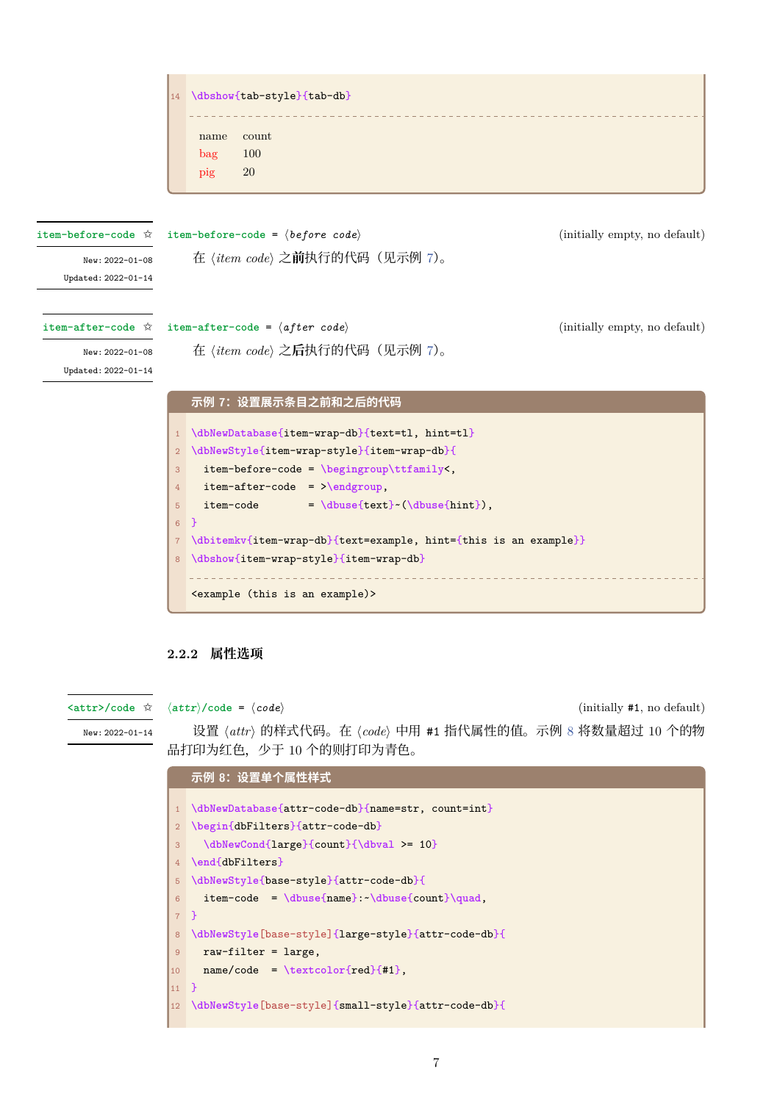

### **2.2.2 属性选项**

**<attr>/code** ✩

<span id="page-6-0"></span>*⟨attr⟩***/code** = *⟨code⟩* (initially #1, no default)

设置 *⟨attr⟩* 的样式代码。在 *⟨code⟩* 中用 #1 指代属性的值。示例 <sup>8</sup> 将数量超过 <sup>10</sup> 个的物 品打印为红色,少于 10 个的则打印为青色。 New: 2022-01-14

> **示例 8:设置单个属性样式 \dbNewDatabase**{attr-code-db}{name=str, count=int} **\begin**{dbFilters}{attr-code-db} **\dbNewCond**{large}{count}{**\dbval** >= 10} **\end**{dbFilters} **\dbNewStyle**{base-style}{attr-code-db}{ item-code = **\dbuse**{name}:~**\dbuse**{count}**\quad**, 7 } **\dbNewStyle**[base-style]{large-style}{attr-code-db}{ raw-filter = large, name/code = **\textcolor**{red}{#1}, 11 } **\dbNewStyle**[base-style]{small-style}{attr-code-db}{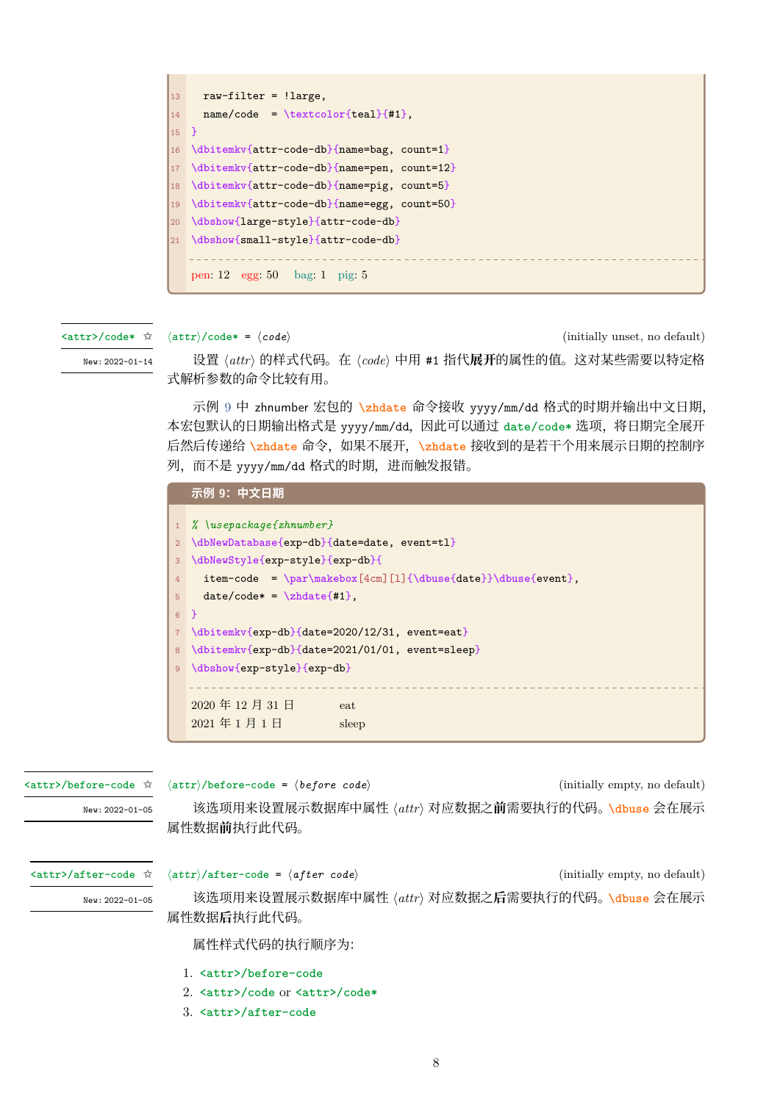

**<attr>/code\*** ✩

*⟨attr⟩***/code\*** = *⟨code⟩* (initially unset, no default)

New: 2022-01-14

设置 *⟨attr⟩* 的样式代码。在 *⟨code⟩* 中用 #1 指代**展开**的属性的值。这对某些需要以特定格 式解析参数的命令比较有用。

示例 9 中 zhnumber 宏包的 **\zhdate** 命令接收 yyyy/mm/dd 格式的时期并输出中文日期, 本宏包默认的日期输出格式是 yyyy/mm/dd,因此可以通过 **date/code\*** 选项,将日期完全展开 后然后传递给 **\zhdate** 命令,如果不展开,**\zhdate** 接收到的是若干个用来展示日期的控制序 列,而不[是](#page-7-0) yyyy/mm/dd 格式的时期,进而触发报错。

<span id="page-7-0"></span>

|                | 示例 9:中文日期                                                       |
|----------------|-----------------------------------------------------------------|
| 1              | $%$ \usepackage{zhnumber}                                       |
| 2 <sup>1</sup> | \dbNewDatabase{exp-db}{date=date, event=tl}                     |
|                |                                                                 |
| 3 <sup>1</sup> | \dbNewStyle{exp-style}{exp-db}{                                 |
| $4^{\circ}$    | $item-code = \par\makebox[4cm][1]{\dbuse\date}\\\dbuse\event},$ |
| 5 <sup>1</sup> | $date/code* = \zeta* = \zeta*1.$                                |
|                | $6 \rightarrow$                                                 |
| 7 <sup>1</sup> | \dbitemkv{exp-db}{date=2020/12/31, event=eat}                   |
| 8              | \dbitemkv{exp-db}{date=2021/01/01, event=sleep}                 |
| 9              | \dbshow{exp-style}{exp-db}                                      |
|                |                                                                 |
|                | 2020年12月31日<br>eat                                              |
|                | 2021年1月1日<br>sleep                                              |
|                |                                                                 |

**<attr>/before-code** ✩

*⟨attr⟩***/before-code** = *⟨before code⟩* (initially empty, no default)

New: 2022-01-05

该选项用来设置展示数据库中属性 *⟨attr⟩* 对应数据之**前**需要执行的代码。**\dbuse** 会在展示 属性数据**前**执行此代码。

**<attr>/after-code** ✩

*⟨attr⟩***/after-code** = *⟨after code⟩* (initially [empty, n](#page-35-2)o default)

 $N_{\text{eV}}$  . 2022-01-05

该选项用来设置展示数据库中属性 *⟨attr⟩* 对应数据之**后**需要执行的代码。**\dbuse** 会在展示 属性数据**后**执行此代码。

属性样式代码的执行顺序为:

- 1. **<attr>/before-code**
- 2. **<attr>/code** or **<attr>/code\***
- 3. **<attr>/after-code**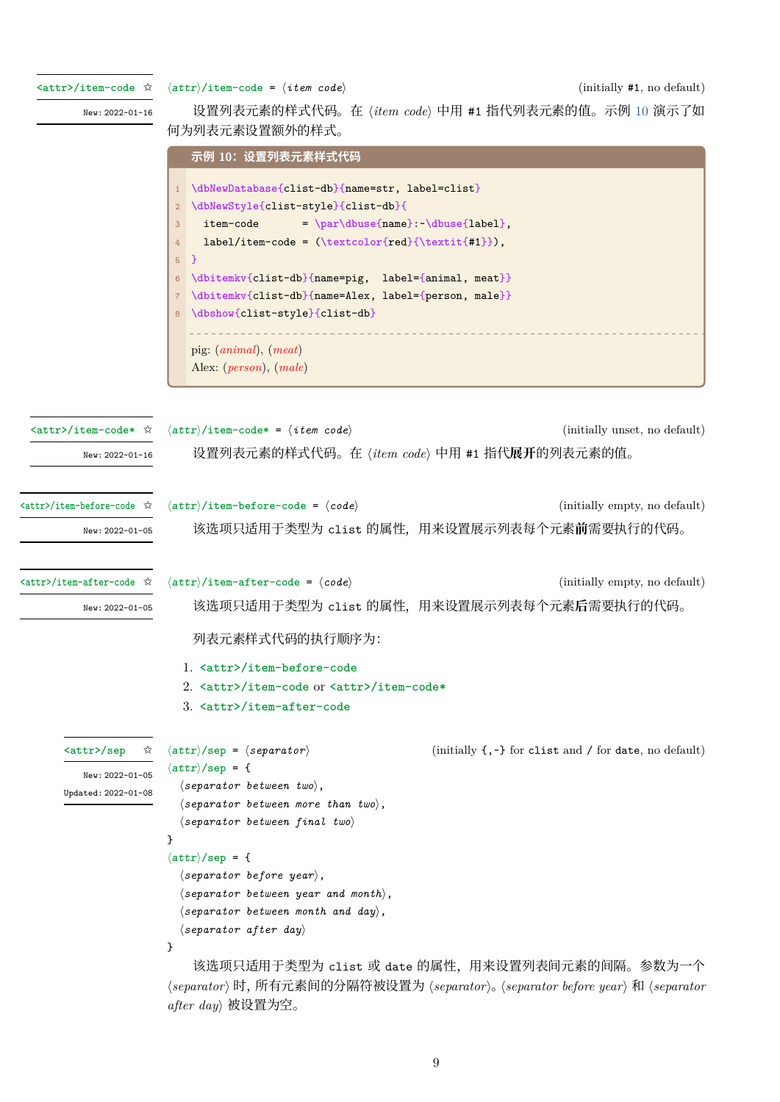**<attr>/item-code** ✩

*⟨attr⟩***/item-code** = *⟨item code⟩* (initially #1, no default)

*after day⟩* 被设置为空。

New: 2022-01-16

设置列表元素的样式代码。在 *⟨item code⟩* 中用 #1 指代列表元素的值。示例 <sup>10</sup> 演示了如 何为列表元素设置额外的样式。

```
示例 10:设置列表元素样式代码
                     1 \dbNewDatabase{clist-db}{name=str, label=clist}
                     2 \dbNewStyle{clist-style}{clist-db}{
                         3 item-code = \par\dbuse{name}:~\dbuse{label},
                     4 label/item-code = (\textcolor{red}{\textit{#1}}),
                     5 }
                     6 \dbitemkv{clist-db}{name=pig, label={animal, meat}}
                       7 \dbitemkv{clist-db}{name=Alex, label={person, male}}
                       8 \dbshow{clist-style}{clist-db}
                        pig: (animal), (meat)
                       Alex: (person), (male)
                    ⟨attr⟩/item-code* = ⟨item code⟩ (initially unset, no default)
                        设置列表元素的样式代码。在 ⟨item code⟩ 中用 #1 指代展开的列表元素的值。
 <attr>/item-code* ✩
        New: 2022-01-16
                    ⟨attr⟩/item-before-code = ⟨code⟩ (initially empty, no default)
                        该选项只适用于类型为 clist 的属性,用来设置展示列表每个元素前需要执行的代码。
<attr>/item-before-code ✩
        New: 2022-01-05
                    ⟨attr⟩/item-after-code = ⟨code⟩ (initially empty, no default)
                        该选项只适用于类型为 clist 的属性,用来设置展示列表每个元素后需要执行的代码。
<attr>/item-after-code ✩
        New: 2022-01-05
                        列表元素样式代码的执行顺序为:
                      1. <attr>/item-before-code
                      2. <attr>/item-code or <attr>/item-code*
                      3. <attr>/item-after-code
                    ⟨attr⟩/sep = ⟨separator⟩ (initially {,~} for clist and / for date, no default)
                    ⟨attr⟩/sep = {
                      ⟨separator between two⟩,
                      ⟨separator between more than two⟩,
                      ⟨separator between final two⟩
                    }
                    ⟨attr⟩/sep = {
                      ⟨separator before year⟩,
                      ⟨separator between year and month⟩,
                      ⟨separator between month and day⟩,
                      ⟨separator after day⟩
                    }
                        该选项只适用于类型为 clist 或 date 的属性, 用来设置列表间元素的间隔。参数为一个
                    ⟨separator⟩ 时,所有元素间的分隔符被设置为 ⟨separator⟩。⟨separator before year⟩ 和 ⟨separator
      <attr>/sep ✩
        New: 2022-01-05
      Updated: 2022-01-08
```
9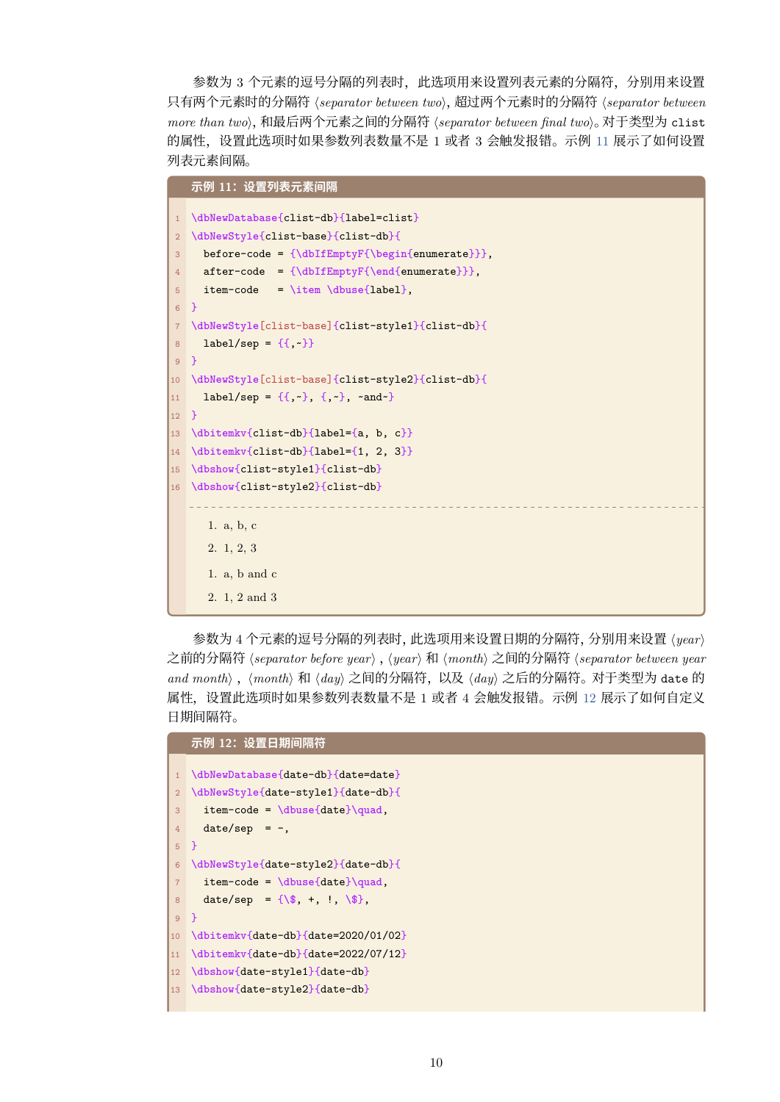参数为 3 个元素的逗号分隔的列表时,此选项用来设置列表元素的分隔符,分别用来设置 只有两个元素时的分隔符 *⟨separator between two⟩*,超过两个元素时的分隔符 *⟨separator between more than two⟩*,和最后两个元素之间的分隔符 *⟨separator between final two⟩*。对于类型为 clist 的属性,设置此选项时如果参数列表数量不是 1 或者 3 会触发报错。示例 11 展示了如何设置 列表元素间隔。

```
示例 11:设置列表元素间隔
1 \dbNewDatabase{clist-db}{label=clist}
2 \dbNewStyle{clist-base}{clist-db}{
3 before-code = {\dbIfEmptyF{\begin{enumerate}}},
4 after-code = {\dbIfEmptyF{\end{enumerate}}},
5 item-code = \item \dbuse{label},
6 }
  7 \dbNewStyle[clist-base]{clist-style1}{clist-db}{
8 label/sep = {{,~}}
9 }
10 \dbNewStyle[clist-base]{clist-style2}{clist-db}{
11 label/sep = \{\{\cdot,\cdot\},\{\cdot,\cdot\},\cdot\} and \cdot\}12 \, h13 \dbitemkv{clist-db}{label={a, b, c}}
14 \dbitemkv{clist-db}{label={1, 2, 3}}
15 \dbshow{clist-style1}{clist-db}
16 \dbshow{clist-style2}{clist-db}
                                   ________________
     1. a, b, c
      2. 1, 2, 3
     1. a, b and c
      2. 1, 2 and 3
```
参数为 <sup>4</sup> 个元素的逗号分隔的列表时,此选项用来设置日期的分隔符,分别用来设置 *⟨year⟩* 之前的分隔符 *⟨separator before year⟩* ,*⟨year⟩* <sup>和</sup> *⟨month⟩* 之间的分隔符 *⟨separator between year and month⟩* ,*⟨month⟩* <sup>和</sup> *⟨day⟩* 之间的分隔符,以及 *⟨day⟩* 之后的分隔符。对于类型为 date <sup>的</sup> 属性,设置此选项时如果参数列表数量不是 1 或者 4 会触发报错。示例 12 展示了如何自定义 日期间隔符。

|                | 示例 12: 设置日期间隔符                           |
|----------------|------------------------------------------|
|                |                                          |
| 1              | \dbNewDatabase{date-db}{date=date}       |
| 2 <sup>1</sup> | \dbNewStyle{date-style1}{date-db}{       |
| 3              | $item-code = \dbuse\data\qquad$          |
| $4^{\circ}$    | $date/sep = -$ ,                         |
| $5 \}$         |                                          |
| 6 <sup>1</sup> | \dbNewStyle{date-style2}{date-db}{       |
| 7 <sup>1</sup> | $item-code = \dbuse\data\qquad$          |
| 8              | date/sep = $\{\$\, +\, ,\, +\, \$\,\$\,$ |
| $9$ }          |                                          |
|                | 10 \dbitemkv{date-db}{date=2020/01/02}   |
|                | 11 \dbitemkv{date-db}{date=2022/07/12}   |
|                | 12 \dbshow{date-style1}{date-db}         |
|                | 13 \dbshow{date-style2}{date-db}         |
|                |                                          |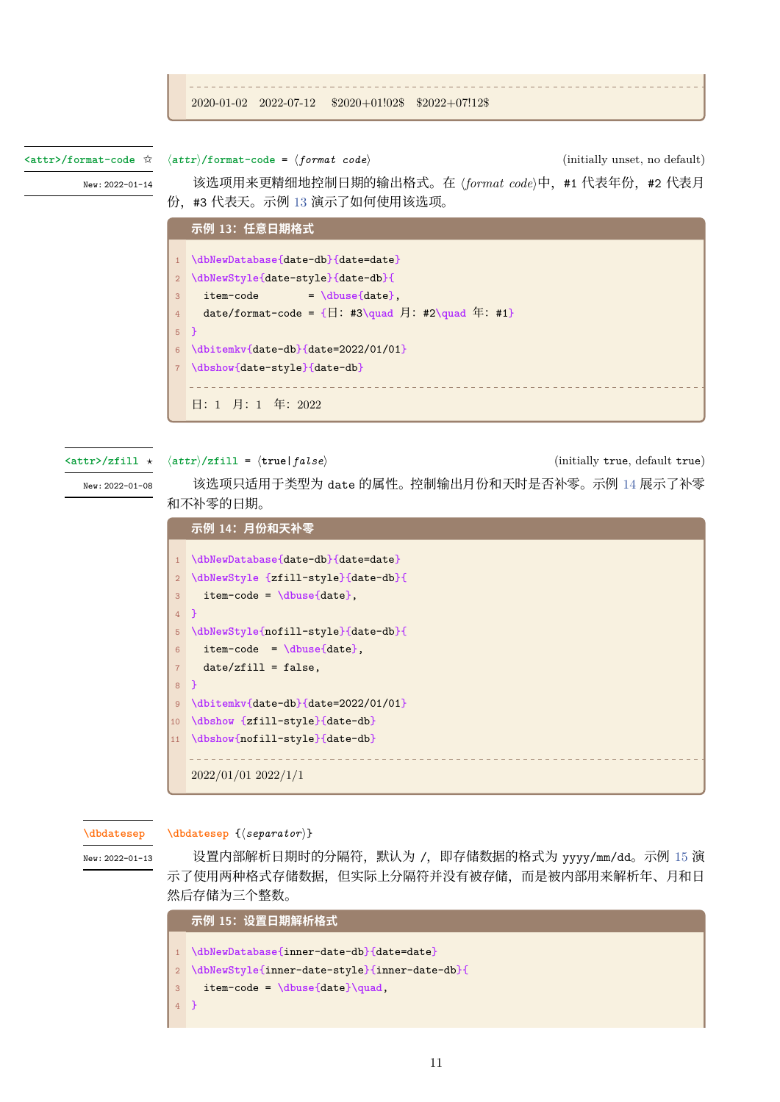```
2020-01-02 2022-07-12 $2020+01!02$ $2022+07!12$
```
*⟨attr⟩***/format-code** = *⟨format code⟩* (initially unset, no default) **<attr>/format-code** ✩

New: 2022-01-14

该选项用来更精细地控制日期的输出格式。在 (format code)中, #1 代表年份, #2 代表月 份,#3 代表天。示例 13 演示了如何使用该选项。

<span id="page-10-0"></span>

|                | 示例 13: 任意日期格式                                               |
|----------------|-------------------------------------------------------------|
|                |                                                             |
|                | \dbNewDatabase{date-db}{date=date}                          |
| $\overline{2}$ | \dbNewStyle{date-style}{date-db}{                           |
| 3              | $= \dbuse\{date\}$ ,<br>item-code                           |
| $\overline{4}$ | date/format-code = $\{\Box: #3\quadq$ uad 月: #2\quad 年: #1} |
| $5-1$          | - 1                                                         |
| 6              | \dbitemkv{date-db}{date=2022/01/01}                         |
|                | \dbshow{date-style}{date-db}                                |
|                |                                                             |
|                | 日: 1 月: 1 年: 2022                                           |

**<attr>/zfill** *⋆*

*⟨attr⟩***/zfill** = *⟨***true**|*false⟩* (initially true, default true)

New: 2022-01-08

该选项只适用于类型为 date 的属性。控制输出月份和天时是否补零。示例 14 展示了补零 和不补零的日期。

|                 | 示例 14: 月份和天补零                       |
|-----------------|-------------------------------------|
|                 |                                     |
| $\mathbf{1}$    | \dbNewDatabase{date-db}{date=date}  |
| $\overline{2}$  | \dbNewStyle {zfill-style}{date-db}{ |
| 3               | $item-code = \dbuse\date\}$ ,       |
| $\overline{4}$  | <sup>1</sup>                        |
| 5               | \dbNewStyle{nofill-style}{date-db}{ |
| 6               | $item-code = \dbuse\date}.$         |
| $\overline{7}$  | $date/zfill = false,$               |
| 8               | <sup>}</sup>                        |
| 9               | \dbitemkv{date-db}{date=2022/01/01} |
| 10              | \dbshow {zfill-style}{date-db}      |
| 11 <sup>7</sup> | \dbshow{nofill-style}{date-db}      |
|                 |                                     |
|                 | $2022/01/01$ $2022/1/1$             |

**\dbdatesep**

New: 2022-01-13

**\dbdatesep** {*⟨separator⟩*}

设置内部解析日期时的分隔符,默认为 /, 即存储数据的格式为 yyyy/mm/dd。示例 15 演 示了使用两种格式存储数据,但实际上分隔符并没有被存储,而是被内部用来解析年、月和日 [然后存储为](#page-29-0)三个整数。

|                | 示例 15:设置日期解析格式                                  |
|----------------|-------------------------------------------------|
|                |                                                 |
|                | 1 \dbNewDatabase{inner-date-db}{date=date}      |
|                | 2 \dbNewStyle{inner-date-style}{inner-date-db}{ |
| 3 <sup>1</sup> | $item-code = \dbuse\data\} \quad,$              |
| $4$ }          |                                                 |
|                |                                                 |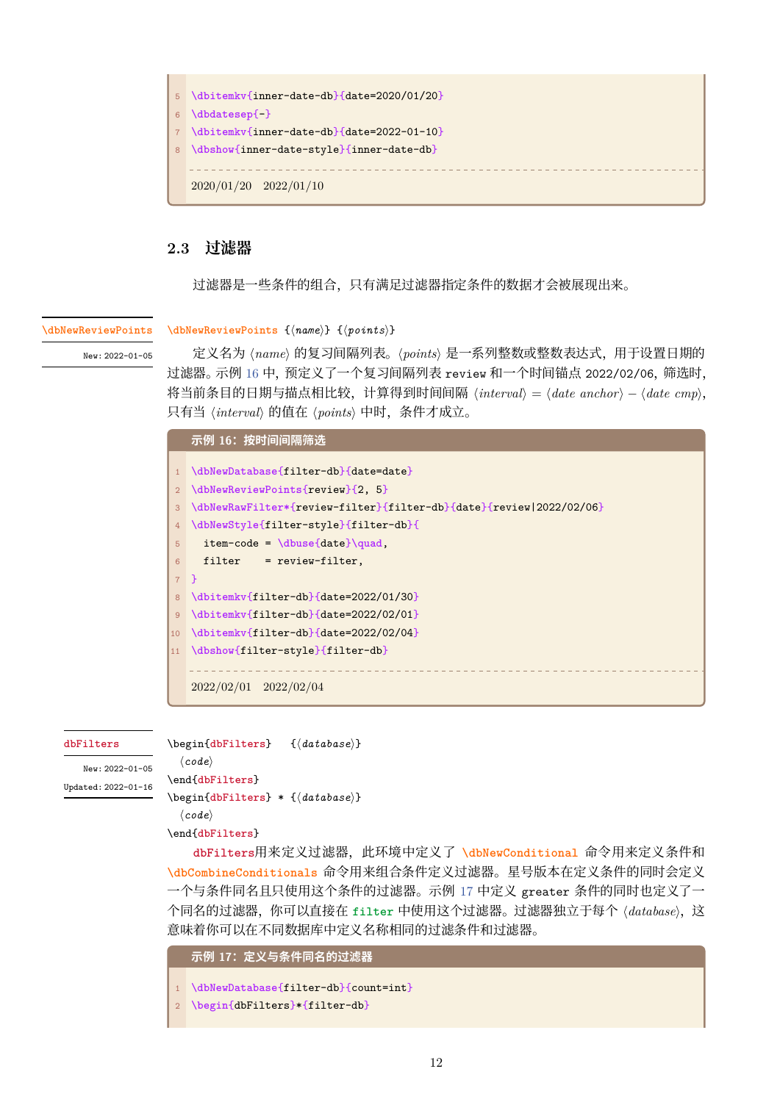

# **2.3 过滤器**

<span id="page-11-0"></span>过滤器是一些条件的组合,只有满足过滤器指定条件的数据才会被展现出来。

#### **\dbNewReviewPoints**

New: 2022-01-05

**\dbNewReviewPoints** {*⟨name⟩*} {*⟨points⟩*}

定义名为 *⟨name⟩* 的复习间隔列表。*⟨points⟩* 是一系列整数或整数表达式,用于设置日期的 过滤器。示例 16 中,预定义了一个复习间隔列表 review 和一个时间锚点 2022/02/06,筛选时, [将当前条目的日期与](#page-30-1)描点相比较,计算得到时间间隔 *⟨interval⟩* <sup>=</sup> *⟨date anchor⟩ − ⟨date cmp⟩*, 只有当 *⟨interval⟩* 的值在 *⟨points⟩* 中时,条件才成立。

<span id="page-11-1"></span>

|                  | 示例 16: 按时间间隔筛选                                                      |
|------------------|---------------------------------------------------------------------|
|                  | \dbNewDatabase{filter-db}{date=date}                                |
| 2 <sup>1</sup>   | \dbNewReviewPoints{review}{2, 5}                                    |
| 3                | \dbNewRawFilter*{review-filter}{filter-db}{date}{review 2022/02/06} |
| $4^{\circ}$      | \dbNewStyle{filter-style}{filter-db}{                               |
| 5                | $item-code = \dbuse\data\qquad\quad$                                |
| $6 \overline{6}$ | $filter = review-filter,$                                           |
|                  | $7$ }                                                               |
| 8                | \dbitemkv{filter-db}{date=2022/01/30}                               |
| $9^{\circ}$      | \dbitemkv{filter-db}{date=2022/02/01}                               |
| 10               | \dbitemkv{filter-db}{date=2022/02/04}                               |
| 11               | \dbshow{filter-style}{filter-db}                                    |
|                  |                                                                     |
|                  | $2022/02/01$ $2022/02/04$                                           |
|                  |                                                                     |

#### **dbFilters**

\begin{**dbFilters**} {*⟨database⟩*}

```
New: 2022-01-05
Updated: 2022-01-16
```
*⟨code⟩* \end{**dbFilters**} \begin{**[dbFilters](#page-30-2)**} \* {*⟨database⟩*} *⟨code⟩* \end{**dbFilters**}

**[dbFilters](#page-30-2)**用来定义过滤器,此环境中定义了 **\dbNewConditional** 命令用来定义条件和 **\dbCombineConditionals** 命令用来组合条件定义过滤器。星号版本在定义条件的同时会定义 一个[与条件同名](#page-30-2)且只使用这个条件的过滤器。示例 17 中定义 greater 条件的同时也定义了一 个[同名的过滤器](#page-30-2),你可以直接在 **filter** 中使用这[个过滤器。过滤器独立](#page-31-0)于每个 *⟨database⟩*,这 [意味着你可以在不同数据库](#page-34-1)中定义名称相同的过滤条件和过滤器。

**示例 17:定义与条件同名的过滤器**

```
1 \dbNewDatabase{filter-db}{count=int}
```

```
2 \begin{dbFilters}*{filter-db}
```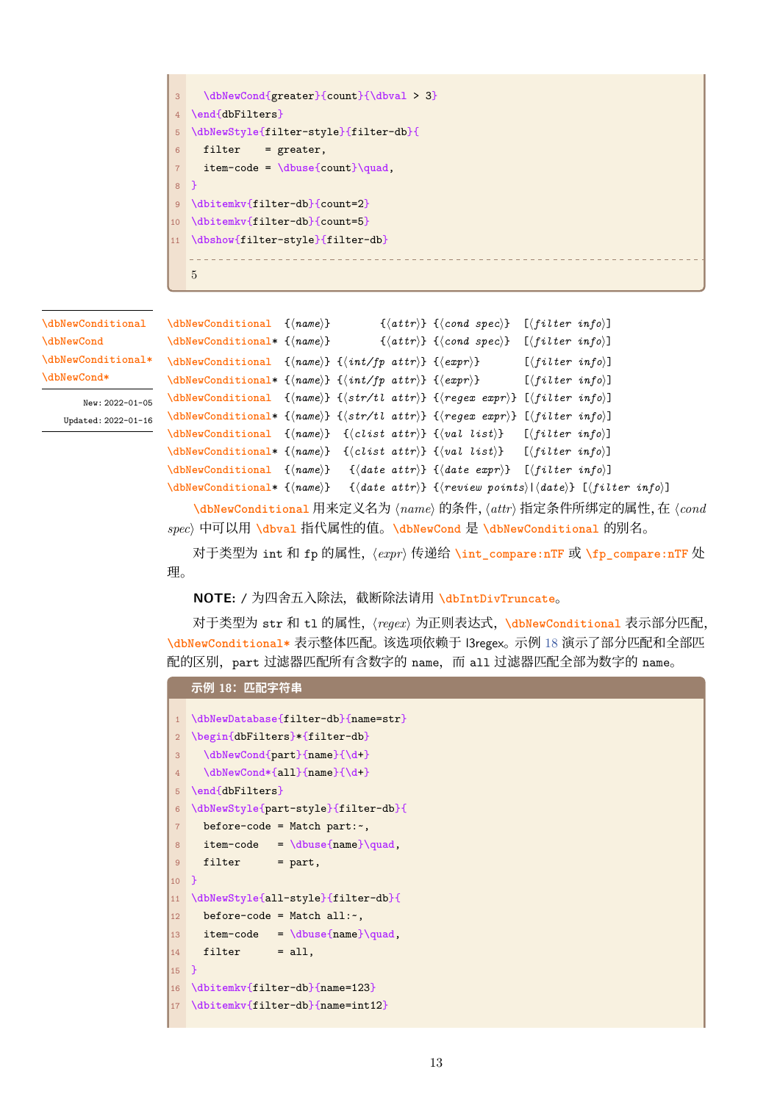```
3 \dbNewCond{greater}{count}{\dbval > 3}
4 \end{dbFilters}
5 \dbNewStyle{filter-style}{filter-db}{
6 filter = greater,
     7 item-code = \dbuse{count}\quad,
8 }
9 \dbitemkv{filter-db}{count=2}
10 \dbitemkv{filter-db}{count=5}
11 \dbshow{filter-style}{filter-db}
  5
```
**\dbNewConditional \dbNewCond \dbNewConditional\* \dbNewCond\***

> New: 2022-01-05 Updated: 2022-01-16

```
\dbNewConditional {⟨name⟩} {⟨attr⟩} {⟨cond spec⟩} [⟨filter info⟩]
\dbNewConditional* {⟨name⟩} {⟨attr⟩} {⟨cond spec⟩} [⟨filter info⟩]
\dbNewConditional {⟨name⟩} {⟨int/fp attr⟩} {⟨expr⟩} [⟨filter info⟩]
\dbNewConditional* {⟨name⟩} {⟨int/fp attr⟩} {⟨expr⟩} [⟨filter info⟩]
\dbNewConditional {⟨name⟩} {⟨str/tl attr⟩} {⟨regex expr⟩} [⟨filter info⟩]
\dbNewConditional* {⟨name⟩} {⟨str/tl attr⟩} {⟨regex expr⟩} [⟨filter info⟩]
\dbNewConditional {⟨name⟩} {⟨clist attr⟩} {⟨val list⟩} [⟨filter info⟩]
\dbNewConditional* {⟨name⟩} {⟨clist attr⟩} {⟨val list⟩} [⟨filter info⟩]
\dbNewConditional {⟨name⟩} {⟨date attr⟩} {⟨date expr⟩} [⟨filter info⟩]
\dbNewConditional* {⟨name⟩} {⟨date attr⟩} {⟨review points⟩|⟨date⟩} [⟨filter info⟩]
```
**[\dbNewCondit](#page-31-0)ional** 用来定义名为 *⟨name⟩* 的条件,*⟨attr⟩* 指定条件所绑定的属性,在 *⟨cond spec⟩* [中可以用](#page-31-0) **\dbval** 指代属性的值。**\dbNewCond** <sup>是</sup> **\dbNewConditional** 的别名。

[对于类型为](#page-31-0) int <sup>和</sup> fp 的属性,*⟨expr⟩* 传递给 **\int\_compare:nTF** <sup>或</sup> **\fp\_compare:nTF** <sup>处</sup> 理[。](#page-31-0)

### **NOTE:** / [为四舍五](#page-37-0)入除法,截断[除法请用](#page-31-0) **\dbInt[DivTruncate](#page-31-0)**。

对于类型为 str <sup>和</sup> tl 的属性,*⟨regex⟩* 为正则表达式,**\dbNewConditional** 表示部分匹配, **\dbNewConditional\*** 表示整体匹配。该选项依赖于 l3regex。示例 18 演示了部分匹配和全部匹 配的区别,part [过滤器匹配](#page-36-1)所有含数字的 name,而 all 过滤器匹配全部为数字的 name。

```
示例 18:匹配字符串
1 \dbNewDatabase{filter-db}{name=str}
2 \begin{dbFilters}*{filter-db}
3 \dbNewCond{part}{name}{\d+}
4 \dbNewCond*{all}{name}{\d+}
5 \end{dbFilters}
6 \dbNewStyle{part-style}{filter-db}{
7 before-code = Match part:~,
8 item-code = \dbuse{name}\quad,
9 filter = part,
10 }
11 \dbNewStyle{all-style}{filter-db}{
12 before-code = Match all:-,
13 item-code = \dbuse{name}\quad,
14 filter = all,
15 }
16 \dbitemkv{filter-db}{name=123}
17 \dbitemkv{filter-db}{name=int12}
```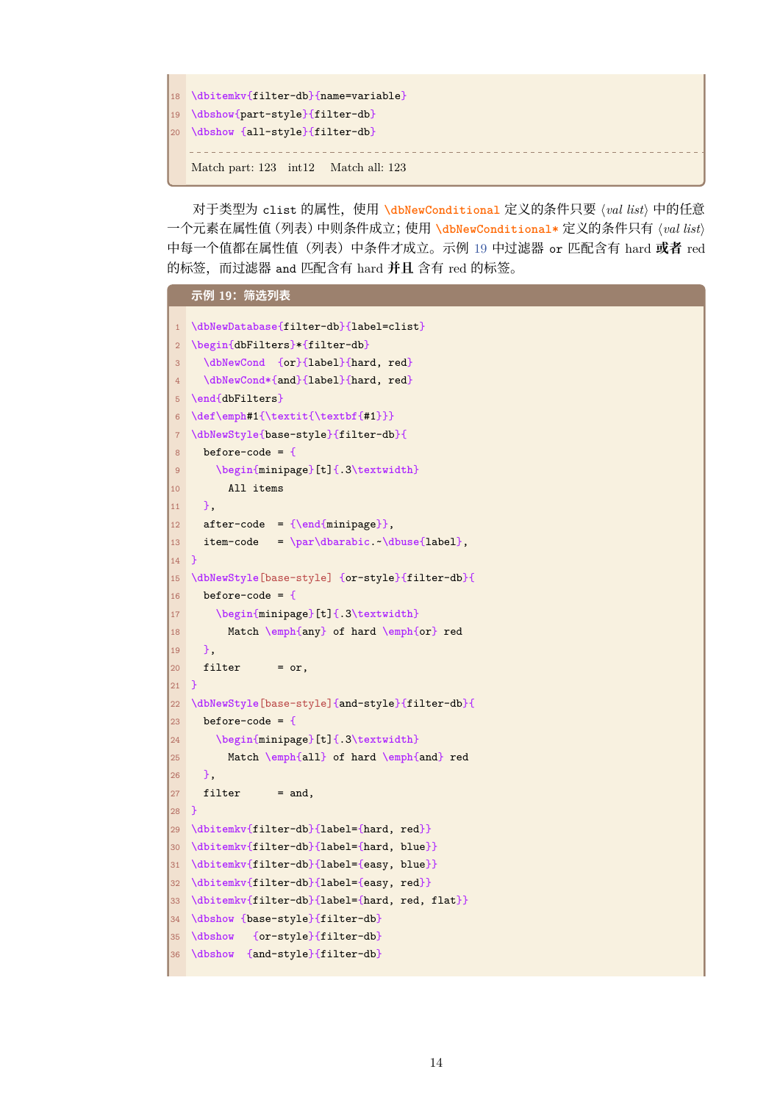```
18 \dbitemkv{filter-db}{name=variable}
19 \dbshow{part-style}{filter-db}
20 \dbshow {all-style}{filter-db}
   Match part: 123 int12 Match all: 123
```
对于类型为 clist 的属性,使用 **\dbNewConditional** 定义的条件只要 *⟨val list⟩* 中的任意 一个元素在属性值(列表)中则条件成立;使用 **\dbNewConditional\*** 定义的条件只有 *⟨val list⟩* 中每一个值都在属性值(列表)中条件才成立。示例 19 中过滤器 or 匹配含有 hard **或者** red 的标签,而过滤器 and 匹配含有 hard **并且** 含有 red [的标签](#page-31-0)。

```
示例 19:筛选列表
1 \dbNewDatabase{filter-db}{label=clist}
2 \begin{dbFilters}*{filter-db}
3 \dbNewCond {or}{label}{hard, red}
4 \dbNewCond*{and}{label}{hard, red}
5 \end{dbFilters}
6 \def\emph#1{\textit{\textbf{#1}}}
7 \dbNewStyle{base-style}{filter-db}{
8 before-code = {
9 \begin{minipage}[t]{.3\textwidth}
10 All items
11 \quad \frac{1}{2},
12 after-code = {\end{minipage}},
13 item-code = \par\dbarabic.~\dbuse{label},
14 }
15 \dbNewStyle[base-style] {or-style}{filter-db}{
16 before-code = {
17 \begin{minipage}[t]{.3\textwidth}
18 Match \emph{any} of hard \emph{or} red
19 },
20 filter = or,
21 \text{ } }
22 \dbNewStyle[base-style]{and-style}{filter-db}{
23 before-code = {
24 \begin{minipage}[t]{.3\textwidth}
25 Match \emph{all} of hard \emph{and} red
26 },
27 filter = and,
28 }
29 \dbitemkv{filter-db}{label={hard, red}}
30 \dbitemkv{filter-db}{label={hard, blue}}
31 \dbitemkv{filter-db}{label={easy, blue}}
32 \dbitemkv{filter-db}{label={easy, red}}
33 \dbitemkv{filter-db}{label={hard, red, flat}}
34 \dbshow {base-style}{filter-db}
35 \dbshow {or-style}{filter-db}
36 \dbshow {and-style}{filter-db}
```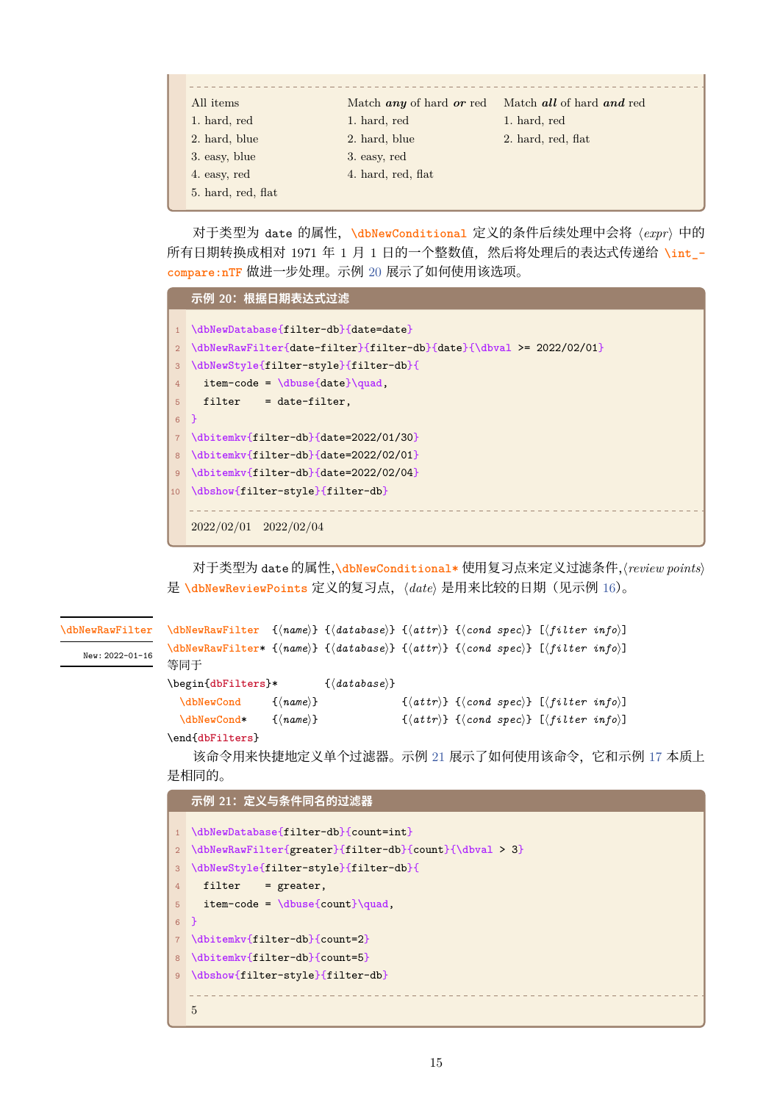| All <i>items</i>   | Match <i>any</i> of hard <i>or</i> red | Match all of hard and red |
|--------------------|----------------------------------------|---------------------------|
| 1. hard, red       | 1. hard, red                           | 1. hard, red              |
| 2. hard, blue      | 2. hard, blue                          | 2. hard, red, flat        |
| 3. easy, blue      | 3. easy, red                           |                           |
| 4. easy, red       | 4. hard, red, flat                     |                           |
| 5. hard, red, flat |                                        |                           |
|                    |                                        |                           |

对于类型为 date 的属性,**\dbNewConditional** 定义的条件后续处理中会将 *⟨expr⟩* 中的 所有日期转换成相对 1971 年 1 月 1 日的一个整数值, 然后将处理后的表达式传递给 \int\_**compare:nTF** 做进一步处理。示例 20 展示了如何使用该选项。

<span id="page-14-0"></span>

|                | 示例 20: 根据日期表达式过滤                                                    |
|----------------|---------------------------------------------------------------------|
|                |                                                                     |
|                | \dbNewDatabase{filter-db}{date=date}                                |
| 2 <sup>1</sup> | \dbNewRawFilter{date-filter}{filter-db}{date}{\dbval >= 2022/02/01} |
| 3              | \dbNewStyle{filter-style}{filter-db}{                               |
| $\overline{4}$ | $item-code = \dbuse\data\qquad$                                     |
| 5              | $filter = date-filter,$                                             |
| 6 <sup>1</sup> | <b>P</b>                                                            |
| 7 <sup>7</sup> | \dbitemkv{filter-db}{date=2022/01/30}                               |
| 8              | \dbitemkv{filter-db}{date=2022/02/01}                               |
| 9              | \dbitemky{filter-db}{date=2022/02/04}                               |
| $10-1$         | \dbshow{filter-style}{filter-db}                                    |
|                |                                                                     |
|                | $2022/02/01$ $2022/02/04$                                           |

对于类型为 date 的属性,**\dbNewConditional\*** 使用复习点来定义过滤条件,*⟨review points⟩* <sup>是</sup> **\dbNewReviewPoints** 定义的复习点,*⟨date⟩* 是用来比较的日期(见示例 <sup>16</sup>)。

```
\dbNewRawFilter {⟨name⟩} {⟨database⟩} {⟨attr⟩} {⟨cond spec⟩} [⟨filter info⟩]
              \dbNewRawFilter* {⟨name⟩} {⟨database⟩} {⟨attr⟩} {⟨cond spec⟩} [⟨filter info⟩]
              等同于
              \begin{dbFilters}* {⟨database⟩}
                \dbNewCond {⟨name⟩} {⟨attr⟩} {⟨cond spec⟩} [⟨filter info⟩]
                \dbNewCond* {⟨name⟩} {⟨attr⟩} {⟨cond spec⟩} [⟨filter info⟩]
              \end{dbFilters}
                  命令用来快捷地定义单个过滤器。示例 21 展示了如何使用该命令, 它和示例 17 本质上
\dbNewRawFilter
  New: 2022-01-16
```
[是相同的。](#page-31-0)

```
示例 21:定义与条件同名的过滤器
```

```
1 \dbNewDatabase{filter-db}{count=int}
2 \dbNewRawFilter{greater}{filter-db}{count}{\dbval > 3}
3 \dbNewStyle{filter-style}{filter-db}{
4 filter = greater,
5 item-code = \dbuse{count}\quad,
6 }
7 \dbitemkv{filter-db}{count=2}
8 \dbitemkv{filter-db}{count=5}
9 \dbshow{filter-style}{filter-db}
  5
```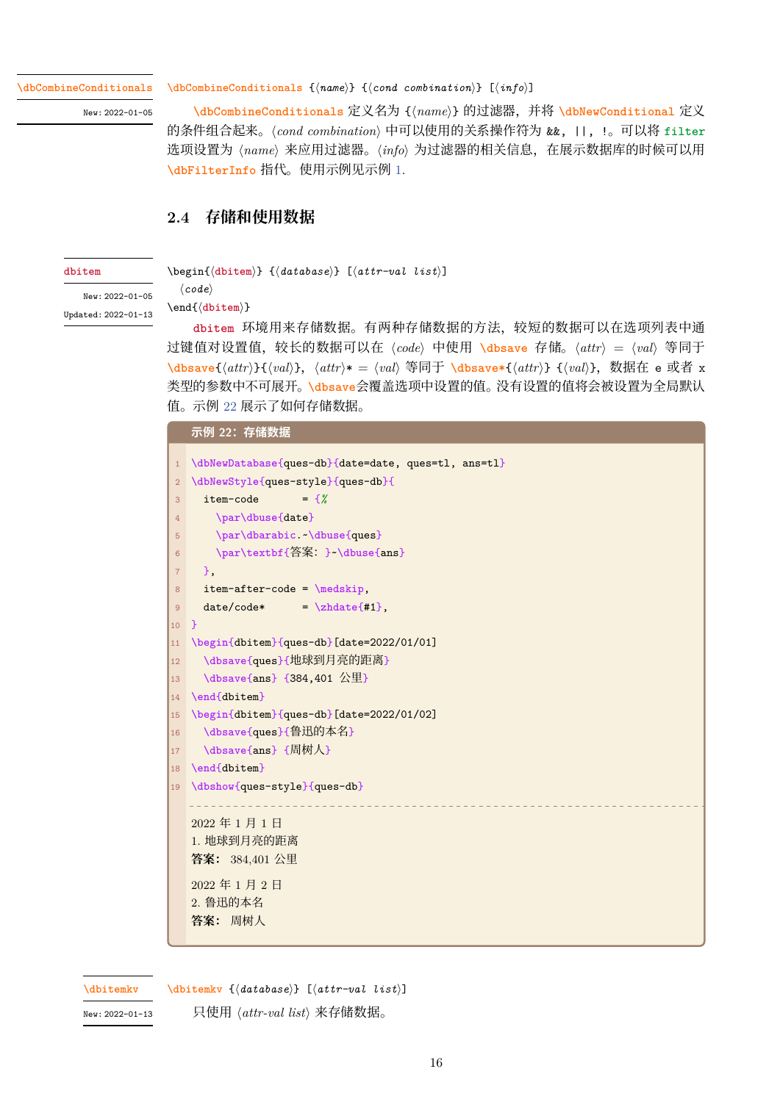**\dbCombineConditionals**

New: 2022-01-05

**\dbCombineConditionals** {*⟨name⟩*} {*⟨cond combination⟩*} [*⟨info⟩*]

**\dbCombineConditionals** 定义名为 {*⟨name⟩*} 的过滤器,并将 **\dbNewConditional** 定义 的条件组合起来。*⟨cond combination⟩* 中可以使用的关系操作符为 &&, ||, !。可以将 **filter** [选项设置为](#page-34-1) *⟨name⟩* 来应用过滤器。*⟨info⟩* 为过滤器的相关信息,在展示数据库的时候可以用 **\dbFilterInfo** [指代。使用示例](#page-34-1)见示例 1.

# **2.4 存储和使用数据**

#### **dbitem**

<span id="page-15-0"></span>\begin{*⟨***dbitem***⟩*} {*⟨database⟩*} [*⟨attr-val list⟩*]

New: 2022-01-05 Updated: 2022-01-13

\end{*⟨***dbitem***⟩*}

*⟨code⟩*

**dbi[tem](#page-34-2)** 环境用来存储数据。有两种存储数据的方法,较短的数据可以在选项列表中通 过键值对设置值,较长的数据可以在 *⟨code⟩* 中使用 **\dbsave** 存储。*⟨attr⟩* <sup>=</sup> *⟨val⟩* 等同于 \dbsave{\[att](#page-34-2)r\}{\text{val}}, \attr\\* = \val} 等同于 \dbsave\*{\attr\} {\val}}, 数据在 e 或者 x 类[型的参数中](#page-34-2)不可展开。**\dbsave**会覆盖选项中设置的值。没有设置的值将会被设置为全局默认 值。示例 22 展示了如何存储数据。

## **[示例](#page-35-3) 22:存储数据**

```
1 \dbNewDatabase{ques-db}{date=date, ques=tl, ans=tl}
2 \dbNewStyle{ques-style}{ques-db}{
3 item-code = {%
4 \par\dbuse{date}
5 \par\dbarabic.~\dbuse{ques}
6 \par\textbf{答案:}~\dbuse{ans}
7 },
8 item-after-code = \medskip,
9 date/code* = \zhdate{#1},
10 }
11 \begin{dbitem}{ques-db}[date=2022/01/01]
12 \dbsave{ques}{地球到月亮的距离}
13 \dbsave{ans} {384,401 公里}
14 \end{dbitem}
15 \begin{dbitem}{ques-db}[date=2022/01/02]
16 \dbsave{ques}{鲁迅的本名}
17 \dbsave{ans} {周树人}
18 \end{dbitem}
19 \dbshow{ques-style}{ques-db}
  2022 年 1 月 1 日
  1. 地球到月亮的距离
  答案: 384,401 公里
  2022 年 1 月 2 日
  2. 鲁迅的本名
  答案: 周树人
```
**\dbitemkv**

**\dbitemkv** {*⟨database⟩*} [*⟨attr-val list⟩*]

New: 2022-01-13

只使用 *⟨attr-val list⟩* 来存储数据。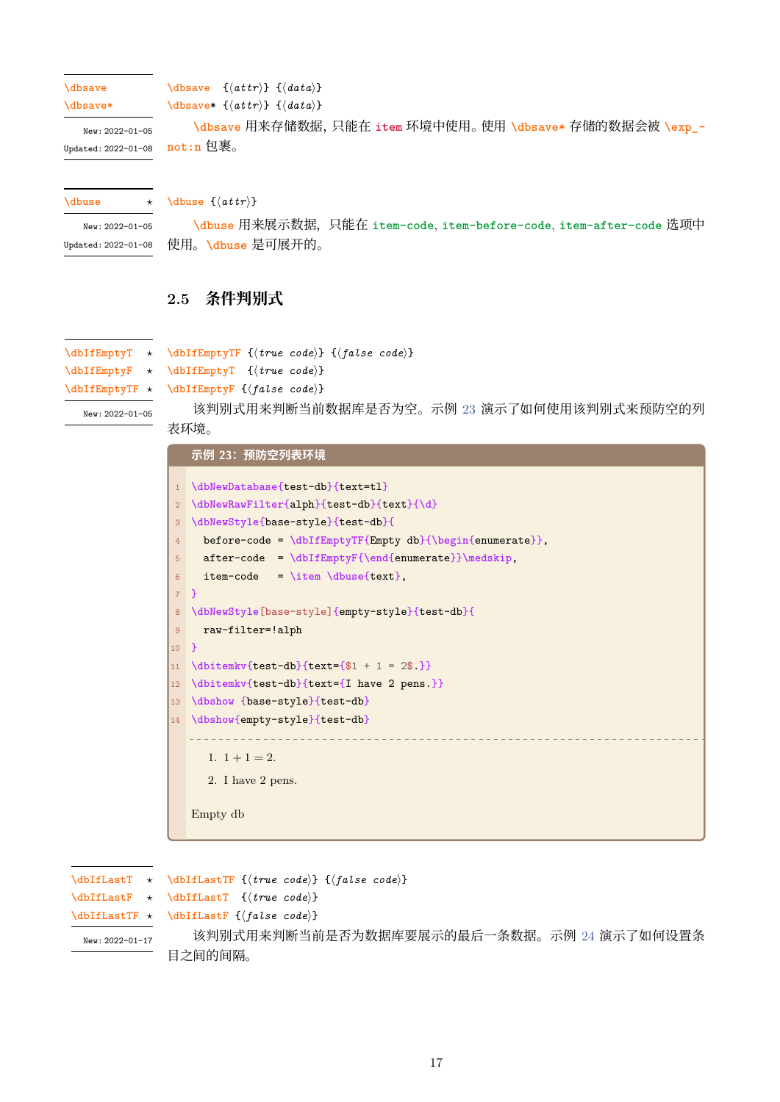**\dbsave**

```
\dbsave {⟨attr⟩} {⟨data⟩}
```
**\dbsave\***

**\dbsave**\* {*⟨attr⟩*} {*⟨data⟩*}

**\dbsave** 用来存储数据,只能在 **item** 环境中使用。使用 **\dbsave\*** 存储的数据会被 **\exp\_ [not:n](#page-35-3)** 包裹。 New: 2022-01-05 Updated: 2022-01-08

**\dbuse** *⋆*

**\dbuse** {*⟨[attr](#page-35-3)⟩*}

**\dbuse** 用来展示数据,只能在 **item-code**, **item-before-code**, **item-after-code** 选项中 使用。**\dbuse** 是可展开的。 New: 2022-01-05 Updated: 2022-01-08

# <span id="page-16-0"></span>**2.5 [条件判](#page-35-2)别式**

**\dbIfEmptyTF** {*⟨true code⟩*} {*⟨false code⟩*} **\dbIfEmptyT** *⋆*

**\dbIfEmptyT** {*⟨true code⟩*} **\dbIfEmptyF** *⋆* **\dbIfEmptyTF** *⋆*

```
\dbIfEmptyF {⟨false code⟩}
```
New: 2022-01-05

[该判别式](#page-35-4)用来判断当前数据库是否为空。示例 23 演示了如何使用该判别式来预防空的列 [表环境。](#page-35-4)

|                 | 示例 23:预防空列表环境                                            |
|-----------------|----------------------------------------------------------|
| $\mathbf{1}$    | \dbNewDatabase{test-db}{text=tl}                         |
| $\overline{2}$  | \dbNewRawFilter{alph}{test-db}{text}{\d}                 |
| 3               | \dbNewStyle{base-style}{test-db}{                        |
| $\overline{4}$  | before-code = \dbIfEmptyTF{Empty db}{\begin{enumerate}}, |
| 5               | $after-code = \dbIfEmptyF{\end{enumerate}}\medskip;$     |
| 6               | item-code = \item \dbuse{text},                          |
| 7 <sup>1</sup>  | $\rightarrow$                                            |
| $\bf 8$         | \dbNewStyle[base-style]{empty-style}{test-db}{           |
| 9               | raw-filter=!alph                                         |
| $\overline{10}$ | $\mathcal{F}$                                            |
| 11              | $\dbitemkv{test-db}{text={$1 + 1 = 2$}}$                 |
| 12              | \dbitemkv{test-db}{text={I have 2 pens }}                |
| $\vert$ 13      | \dbshow {base-style}{test-db}                            |
|                 | 14 \dbshow{empty-style}{test-db}                         |
|                 |                                                          |
|                 | 1. $1+1=2$ .                                             |
|                 | 2. I have 2 pens.                                        |
|                 | Empty db                                                 |

**\dbIfLastTF** {*⟨true code⟩*} {*⟨false code⟩*} **\dbIfLastT** {*⟨true code⟩*} **\dbIfLastF** {*⟨false code⟩*} 该判别式用来判断当前是否为数据库要展示的最后一条数据。示例 24 演示了如何设置条 [目之间的间隔](#page-35-5)。 **\dbIfLastT** *⋆* **\dbIfLastF** *⋆* **\dbIfLastTF** *⋆* New: 2022-01-17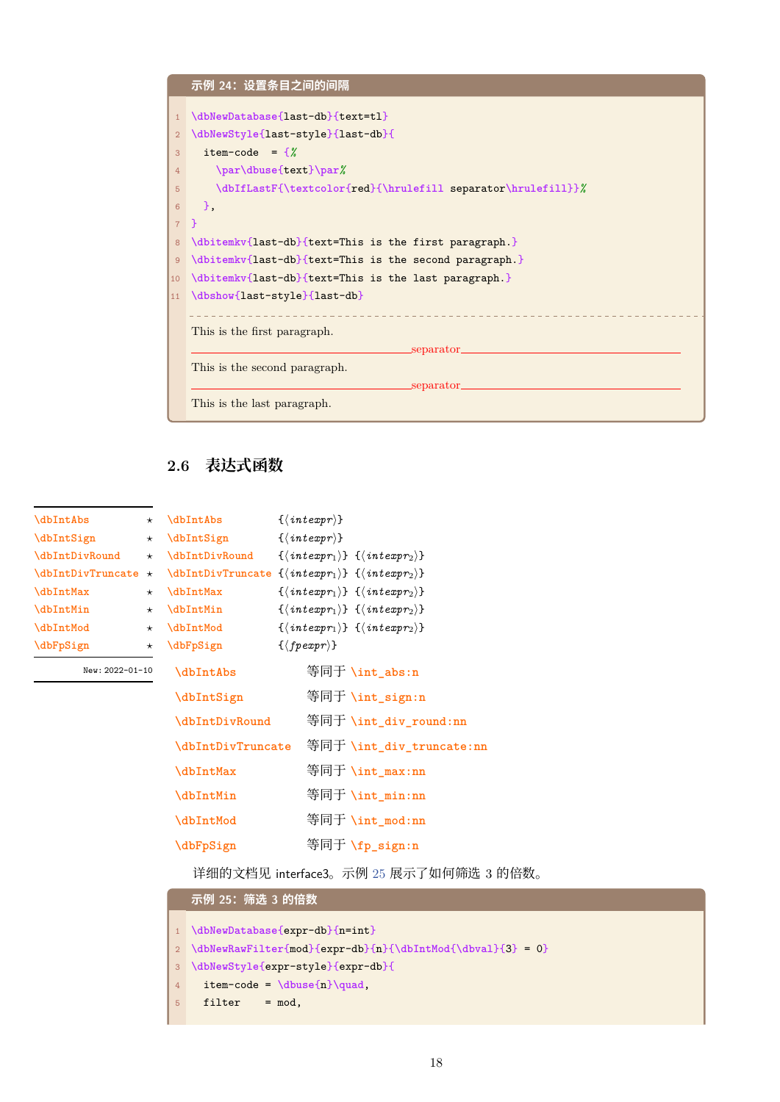

# **2.6 表达式函数**

| <b>\dbIntAbs</b>  | $^\star$ |
|-------------------|----------|
| \dbIntSign        | $^\star$ |
| \dbIntDivRound    | $^\star$ |
| \dbIntDivTruncate | $^\star$ |
| \dbIntMax         | $^\star$ |
| <b>\dbIntMin</b>  | $^\star$ |
| \dbIntMod         | $^\star$ |
| \dbFpSign         |          |
|                   |          |

New: 2022-01-10

<span id="page-17-0"></span>

| \dbIntAbs         | $\{\langle\mathit{intexpr}\rangle\}$                                                  |
|-------------------|---------------------------------------------------------------------------------------|
| \dbIntSign        | $\{\langle\mathit{intexpr}\rangle\}$                                                  |
| \dbIntDivRound    | $\{\langle\,interp r_1\rangle\} \ \ \{\langle\,interp r_2\rangle\}$                   |
| \dbIntDivTruncate | $\{\langle \text{intexpr}_1 \rangle\} \ \{\langle \text{intexpr}_2 \rangle\}$         |
| \dbIntMax         | $\{\langle \text{intexpr}_1 \rangle\} \ \{\langle \text{intexpr}_2 \rangle\}$         |
| \dbIntMin         | $\{\langle \text{intexpr}_1 \rangle\} \ \{\langle \text{intexpr}_2 \rangle\}$         |
| \dbIntMod         | $\{\langle\, \mathit{intexpr}_1 \rangle\} \; \{ \langle \mathit{intexpr}_2 \rangle\}$ |
| \dbFpSign         | $\{\langle \text{fpear}\rangle\}$                                                     |
| \dbIntAbs         | 等同于 \int_abs:n                                                                        |
| \dbIntSign        | 等同于 \int_sign:n                                                                       |
| \dbIntDivRound    | 等同于 \int_div_round:nn                                                                 |
| \dbIntDivTruncate | 等同于 \int_div_truncate:nn                                                              |
| \dbIntMax         | 等同于 \int_max:nn                                                                       |
| <b>\dbIntMin</b>  | 等同于 \int_min:nn                                                                       |
| \dbIntMod         | 等同于 \int_mod:nn                                                                       |
| \dbFpSign         | 等同于 \fp_sign:n                                                                        |

[详细的文](#page-36-1)档见 interface3。示例 25 展示了如何筛选 3 的倍数。

# **[示例](#page-36-1) 25:筛选 3 的倍数**

```
1 \dbNewDatabase{expr-db}{n=int}
2 \dbNewRawFilter{mod}{expr-db}{n}{\dbIntMod{\dbval}{3} = 0}
3 \dbNewStyle{expr-style}{expr-db}{
4 item-code = \dbuse{n}\quad,
```

```
5 filter = mod,
```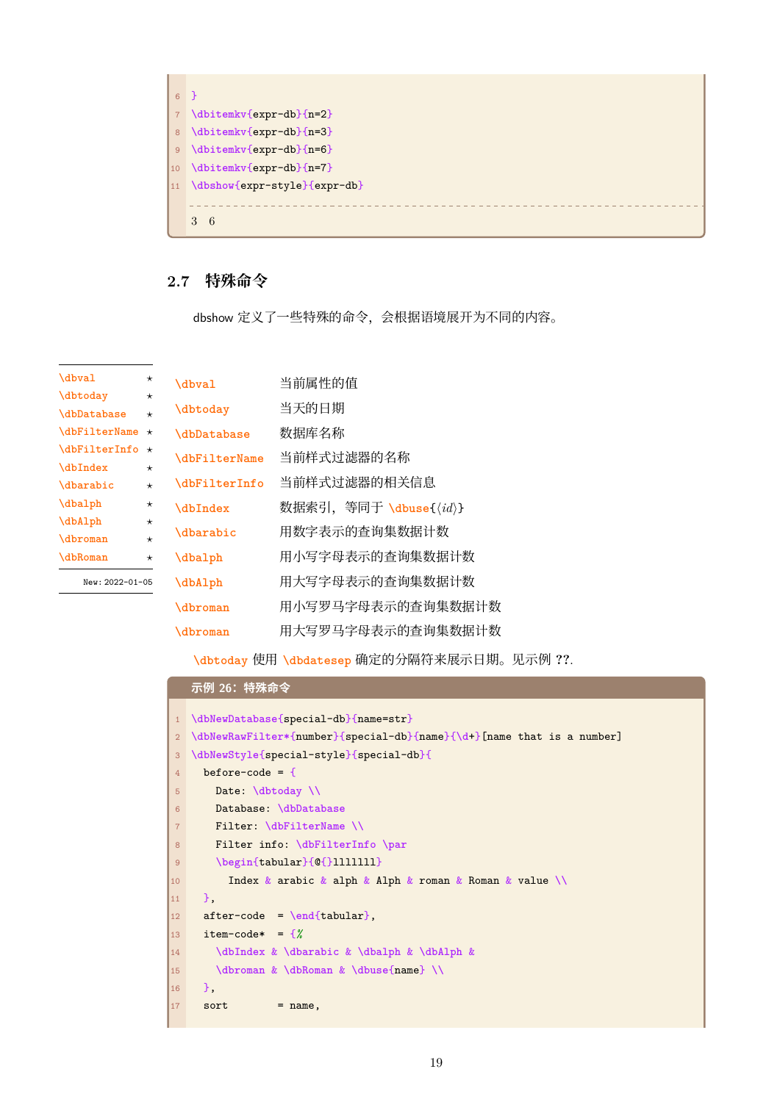

# **2.7 特殊命令**

<span id="page-18-0"></span>dbshow 定义了一些特殊的命令,会根据语境展开为不同的内容。

<span id="page-18-1"></span>

| \dbval                        | $^{\star}$ | <b>\dbval</b>             | 当前属性的值                                  |
|-------------------------------|------------|---------------------------|-----------------------------------------|
| <b>\dbtoday</b>               | $\star$    |                           |                                         |
| <i><b>\dbDatabase</b></i>     | $\star$    | <b>\dbtoday</b>           | 当天的日期                                   |
| <b>\dbFilterName</b>          | $\star$    | <i><b>\dbDatabase</b></i> | 数据库名称                                   |
| <b>\dbFilterInfo</b>          | $\star$    | \dbFilterName             | 当前样式过滤器的名称                              |
| <b>\dbIndex</b>               | $\star$    |                           |                                         |
| <i><u><b>Abarabic</b></u></i> | $\star$    | \dbFilterInfo             | 当前样式过滤器的相关信息                            |
| \dbalph                       | $^\star$   | \dbIndex                  | 数据索引,等同于 \dbuse{ $\langle id \rangle$ } |
| \dbAlph                       | $^\star$   |                           |                                         |
| <b>\dbroman</b>               | $\star$    | <b>\dbarabic</b>          | 用数字表示的查询集数据计数                           |
| <b>\dbRoman</b>               | $^\star$   | \dbalph                   | 用小写字母表示的杳询集数据计数                         |
| New: 2022-01-05               |            | \dbAlph                   | 用大写字母表示的查询集数据计数                         |
|                               |            | <b>\dbroman</b>           | 用小写罗马字母表示的查询集数据计数                       |
|                               |            | <b>\dbroman</b>           | 用大写罗马字母表示的查询集数据计数                       |

**[示例](#page-37-0) 26:特殊命令**

**[\dbtod](#page-37-0)ay** 使用 **\dbdatesep** 确定的分隔符来展示日期。见示例 **??**.

|                 | 亦例 20. 特殊审令                                                            |
|-----------------|------------------------------------------------------------------------|
| 1               | \dbNewDatabase{special-db}{name=str}                                   |
| $\overline{2}$  | \dbNewRawFilter*{number}{special-db}{name}{\d+}[name that is a number] |
| 3               | \dbNewStyle{special-style}{special-db}{                                |
| $\overline{4}$  | before-code = $\{$                                                     |
| 5               | Date: $\delta$ / $\delta$                                              |
| 6               | Database: \dbDatabase                                                  |
| $\overline{7}$  | Filter: \dbFilterName \\                                               |
| 8               | Filter info: \dbFilterInfo \par                                        |
| $\overline{9}$  | $\begin{bmatrix} \tabular \end{bmatrix} @ {\color{red}1111111}$        |
| 10              | Index & arabic & alph & Alph & roman & Roman & value $\setminus$       |
| 11              | },                                                                     |
| 12 <sup>°</sup> | $after-code = \end{tabular}$ ,                                         |
| 13              | item-code* = $\frac{8}{8}$                                             |
| 14              | \dbIndex & \dbarabic & \dbalph & \dbAlph &                             |
| 15              | \dbroman & \dbRoman & \dbuse{name} \\                                  |
| 16              | },                                                                     |
| 17              | sort<br>$=$ name,                                                      |
|                 |                                                                        |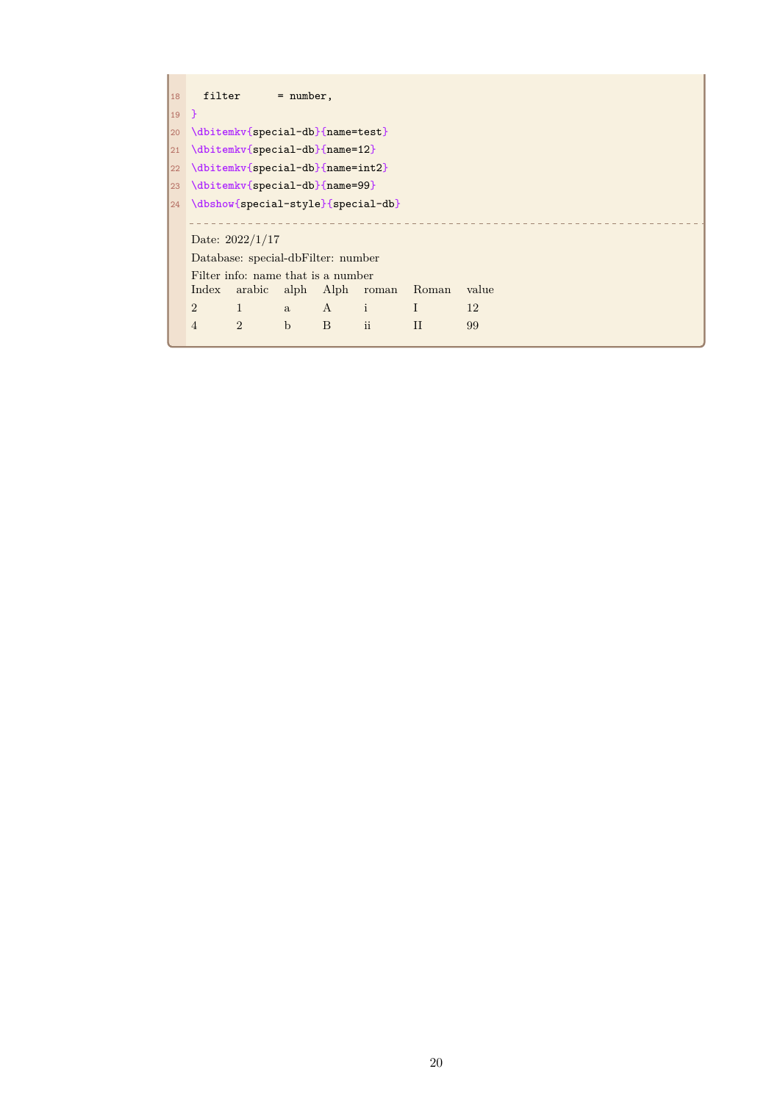| 18                                                                       |                                       | $filter = number,$ |              |           |              |       |  |  |  |  |  |
|--------------------------------------------------------------------------|---------------------------------------|--------------------|--------------|-----------|--------------|-------|--|--|--|--|--|
| $\begin{array}{ccc} \n\begin{array}{ccc} 19 & \end{array} \n\end{array}$ |                                       |                    |              |           |              |       |  |  |  |  |  |
|                                                                          | 20 \dbitemkv{special-db}{name=test}   |                    |              |           |              |       |  |  |  |  |  |
|                                                                          | 21 \dbitemkv{special-db}{name=12}     |                    |              |           |              |       |  |  |  |  |  |
|                                                                          | 22 \dbitemkv{special-db}{name=int2}   |                    |              |           |              |       |  |  |  |  |  |
|                                                                          | 23 \dbitemkv{special-db}{name=99}     |                    |              |           |              |       |  |  |  |  |  |
|                                                                          | 24 \dbshow{special-style}{special-db} |                    |              |           |              |       |  |  |  |  |  |
|                                                                          |                                       |                    |              |           |              |       |  |  |  |  |  |
|                                                                          | Date: $2022/1/17$                     |                    |              |           |              |       |  |  |  |  |  |
|                                                                          | Database: special-dbFilter: number    |                    |              |           |              |       |  |  |  |  |  |
|                                                                          | Filter info: name that is a number    |                    |              |           |              |       |  |  |  |  |  |
|                                                                          | Index                                 | arabic alph Alph   |              | roman     | Roman        | value |  |  |  |  |  |
|                                                                          | $\overline{2}$<br>$\mathbf{1}$        | a                  | A i          |           | $\mathbf{I}$ | 12    |  |  |  |  |  |
|                                                                          | $\overline{2}$<br>$\overline{4}$      | $\mathbf b$        | <sub>B</sub> | <i>ii</i> | II           | 99    |  |  |  |  |  |
|                                                                          |                                       |                    |              |           |              |       |  |  |  |  |  |

 $\mathbf{r}$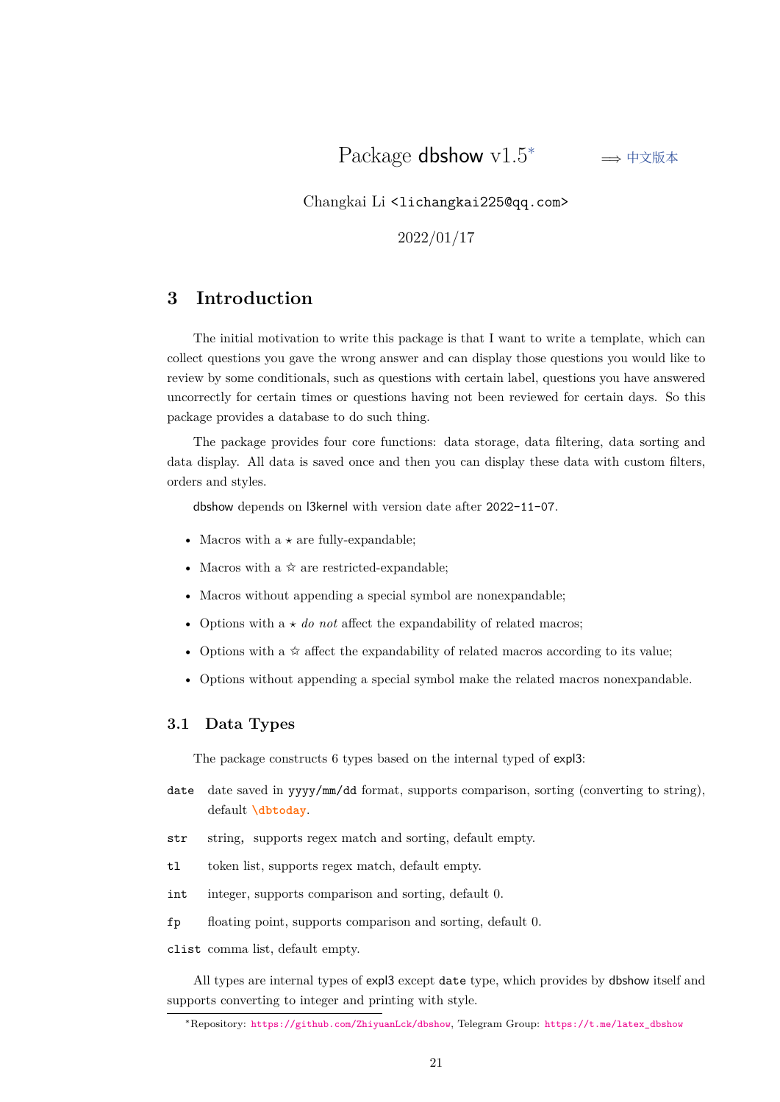Changkai Li <lichangkai225@q[q.](#page-20-2)com>

2022/01/17

# **3 Introduction**

<span id="page-20-0"></span>The initial motivation to write this package is that I want to write a template, which can collect questions you gave the wrong answer and can display those questions you would like to review by some conditionals, such as questions with certain label, questions you have answered uncorrectly for certain times or questions having not been reviewed for certain days. So this package provides a database to do such thing.

The package provides four core functions: data storage, data filtering, data sorting and data display. All data is saved once and then you can display these data with custom filters, orders and styles.

dbshow depends on l3kernel with version date after 2022-11-07.

- Macros with a  $\star$  are fully-expandable;
- Macros with a  $\hat{\varphi}$  are restricted-expandable;
- Macros without appending a special symbol are nonexpandable;
- Options with  $a \star do$  *not* affect the expandability of related macros;
- Options with a  $\hat{\varphi}$  affect the expandability of related macros according to its value;
- Options without appending a special symbol make the related macros nonexpandable.

## **3.1 Data Types**

The package constructs 6 types based on the internal typed of expl3:

- <span id="page-20-1"></span>date date saved in yyyy/mm/dd format, supports comparison, sorting (converting to string), default **\dbtoday**.
- str string, supports regex match and sorting, default empty.
- tl token li[st, suppor](#page-18-1)ts regex match, default empty.
- int integer, supports comparison and sorting, default 0.
- fp floating point, supports comparison and sorting, default 0.
- clist comma list, default empty.

All types are internal types of expl3 except date type, which provides by dbshow itself and supports converting to integer and printing with style.

<span id="page-20-2"></span><sup>∗</sup>Repository: https://github.com/ZhiyuanLck/dbshow, Telegram Group: https://t.me/latex\_dbshow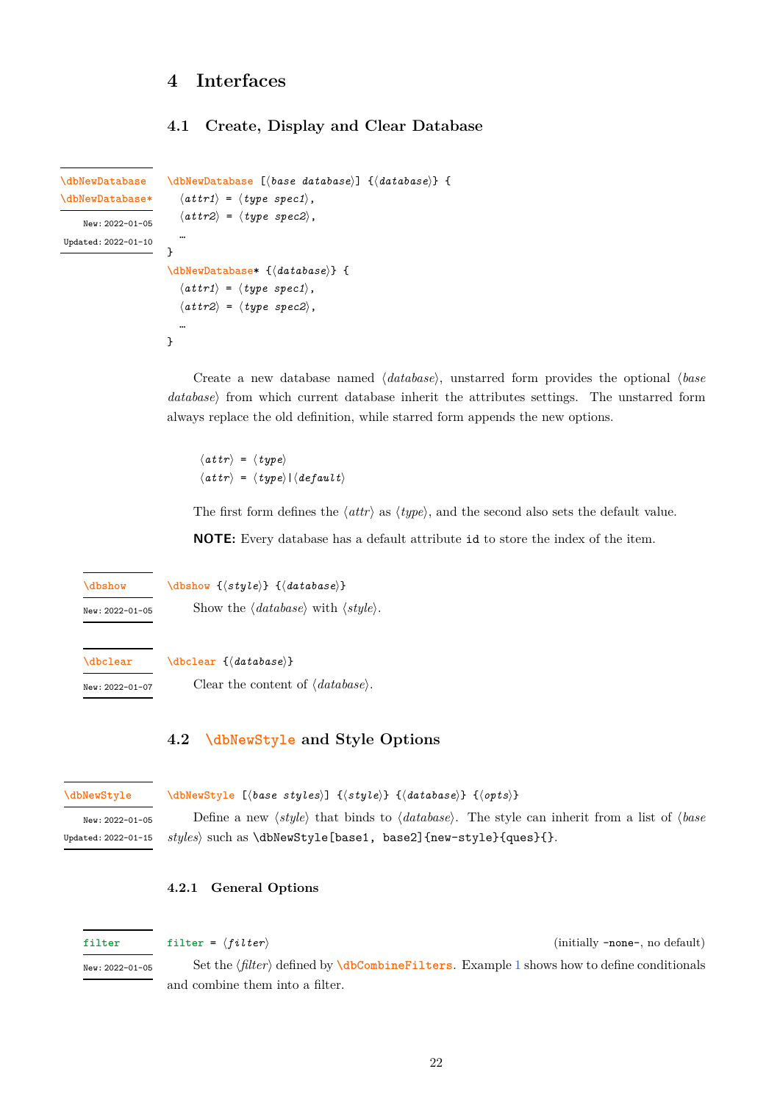# **4 Interfaces**

## <span id="page-21-1"></span><span id="page-21-0"></span>**4.1 Create, Display and Clear Database**

```
\dbNewDatabase [⟨base database⟩] {⟨database⟩} {
                         \langleattr1\rangle = \langletype spec1\rangle,
                         ⟨attr2⟩ = ⟨type spec2⟩,
                         …
                      }
                      \dbNewDatabase* {⟨database⟩} {
                         \langleattr1\rangle = \langletype spec1\rangle,
                         ⟨attr2⟩ = ⟨type spec2⟩,
                         …
                      }
\dbNewDatabase
\dbNewDatabase*
    New: 2022-01-05
Updated: 2022-01-10
```
Create a new database named *⟨database⟩*, unstarred form provides the optional *⟨base database⟩* from which current database inherit the attributes settings. The unstarred form always replace the old definition, while starred form appends the new options.

*⟨attr⟩* = *⟨type⟩ ⟨attr⟩* = *⟨type⟩*|*⟨default⟩*

The first form defines the *⟨attr⟩* as *⟨type⟩*, and the second also sets the default value.

**NOTE:** Every database has a default attribute id to store the index of the item.

**\dbshow** {*⟨style⟩*} {*⟨database⟩*} **\dbshow**

<span id="page-21-5"></span>New: 2022-01-05

Show the *⟨database⟩* with *⟨style⟩*.

**\dbclear**

<span id="page-21-6"></span>New: 2022-01-07

Clear the content of *⟨database⟩*.

**[\dbclear](#page-21-5)** {*⟨database⟩*}

### **[4.2](#page-21-6) \dbNewStyle and Style Options**

#### **\dbNewStyle**

### <span id="page-21-2"></span>**\dbNewStyle** [*⟨[base sty](#page-21-7)les⟩*] {*⟨style⟩*} {*⟨database⟩*} {*⟨opts⟩*}

<span id="page-21-7"></span>New: 2022-01-05 Updated: 2022-01-15

Define a new *⟨style⟩* that binds to *⟨database⟩*. The style can inherit from a list of *⟨base styles⟩* such as \dbNewStyle[base1, base2]{new-style}{ques}{}.

#### <span id="page-21-3"></span>**4.2.1 General Options**

<span id="page-21-8"></span>

| filter          | filter = $\langle filter \rangle$ | (initially -none-, no default)                                                                        |
|-----------------|-----------------------------------|-------------------------------------------------------------------------------------------------------|
| New: 2022-01-05 |                                   | Set the $\{filter\}$ defined by <b>\dbCombineFilters</b> . Example 1 shows how to define conditionals |
|                 | and combine them into a filter.   |                                                                                                       |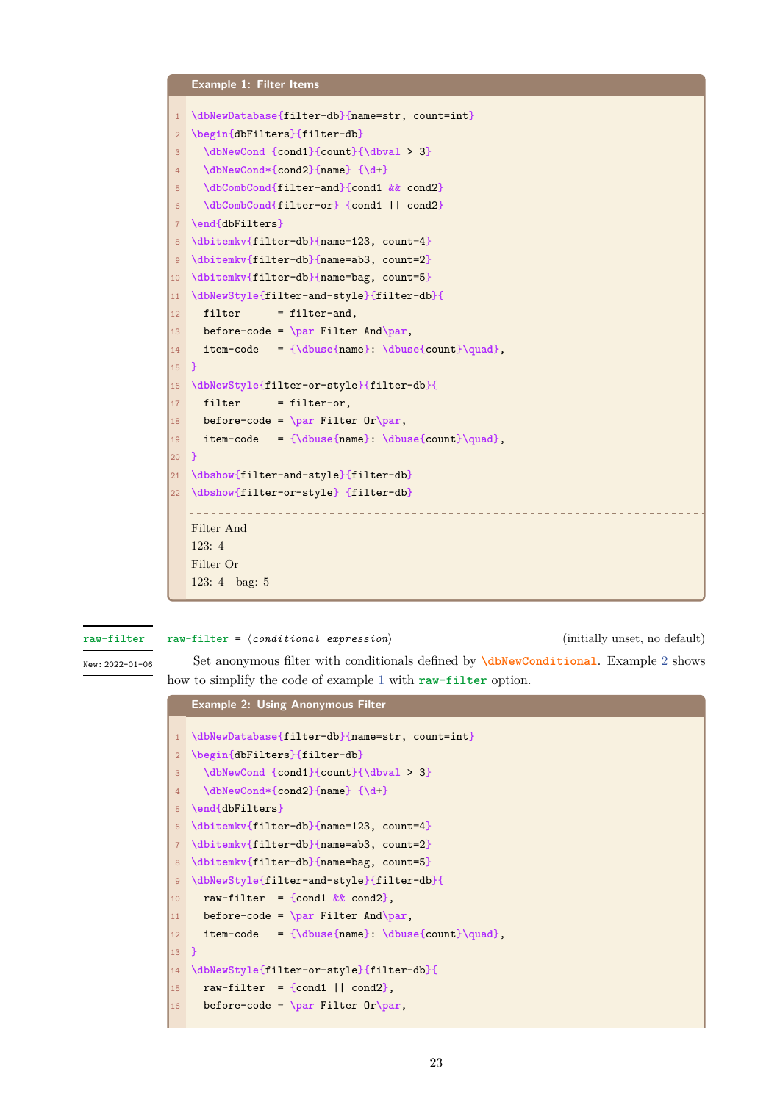<span id="page-22-1"></span>

#### **raw-filter**

**raw-filter** = *⟨conditional expression⟩* (initially unset, no default)

**[Exampl](#page-22-0)e 2: Using Anonymous Filter**

<span id="page-22-0"></span>New: 2022-01-06

Set anonymous filter with conditionals defined by **\dbNewConditional**. Example 2 shows how to simplify the code of example 1 with **raw-filter** option.

|                | <b>Example 2: Using Anonymous Filter</b>         |
|----------------|--------------------------------------------------|
| $\mathbf{1}$   | \dbNewDatabase{filter-db}{name=str, count=int}   |
| $\overline{2}$ | \begin{dbFilters}{filter-db}                     |
| 3              | \dbNewCond {cond1}{count}{\dbval > 3}            |
| 4              | \dbNewCond*{cond2}{name} {\d+}                   |
| 5              | \end{dbFilters}                                  |
| 6              | \dbitemkv{filter-db}{name=123, count=4}          |
| $\overline{7}$ | \dbitemkv{filter-db}{name=ab3, count=2}          |
| 8              | \dbitemkv{filter-db}{name=bag, count=5}          |
| $\overline{9}$ | \dbNewStyle{filter-and-style}{filter-db}{        |
| 10             | raw-filter = {cond1 $\&&$ cond2},                |
| 11             | before-code = $\parrow$ Filter And \par,         |
| 12             | $item-code = {\dbuse(name): \dbuse{count}\quad}$ |
| $13$ }         |                                                  |
| 14             | \dbNewStyle{filter-or-style}{filter-db}{         |
| 15             | raw-filter = {cond1   $\text{cond2}$ },          |
| 16             | before-code = $\par$ Filter Or $\par$ ,          |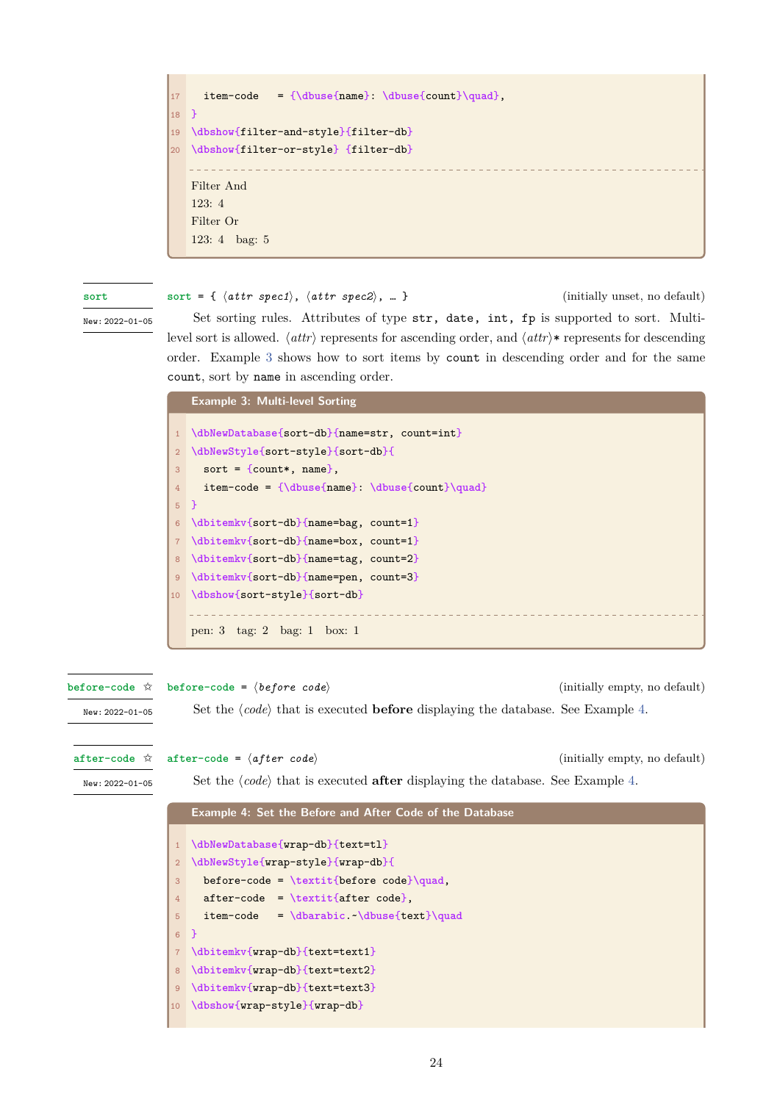```
17 item-code = {\dbuse{name}: \dbuse{count}\quad},
18 }
19 \dbshow{filter-and-style}{filter-db}
20 \dbshow{filter-or-style} {filter-db}
   Filter And
   123: 4
   Filter Or
   123: 4 bag: 5
```
**sort**

<span id="page-23-0"></span>New: 2022-01-05

**sort** = { *⟨attr spec1⟩*, *⟨attr spec2⟩*, … } (initially unset, no default)

Set sorting rules. Attributes of type str, date, int, fp is supported to sort. Multilevel sort is allowed. *⟨attr⟩* represents for ascending order, and *⟨attr⟩*\* represents for descending [orde](#page-23-0)r. Example 3 shows how to sort items by count in descending order and for the same count, sort by name in ascending order.

**Example 3: Multi-level Sorting** 1 **\dbNewDataba[se](#page-23-3)**{sort-db}{name=str, count=int}

```
2 \dbNewStyle{sort-style}{sort-db}{
3 sort = {count*, name},
4 item-code = {\dbuse{name}: \dbuse{count}\quad}
5 }
6 \dbitemkv{sort-db}{name=bag, count=1}
  7 \dbitemkv{sort-db}{name=box, count=1}
8 \dbitemkv{sort-db}{name=tag, count=2}
9 \dbitemkv{sort-db}{name=pen, count=3}
10 \dbshow{sort-style}{sort-db}
   pen: 3 tag: 2 bag: 1 box: 1
```
**before-code** = *⟨before code⟩* (initially empty, no default) Set the  $\langle code \rangle$  that is executed **before** displaying the database. See Example 4. **before-code** ✩ New: 2022-01-05

<span id="page-23-1"></span>**after-code** ✩

**[after-code](#page-23-1)** =  $\langle after code \rangle$  (initially empty, no default)

<span id="page-23-2"></span>New: 2022-01-05

Set the  $\langle code \rangle$  that is executed **after** displaying the database[.](#page-23-4) See Example 4.

### **[Exampl](#page-23-2)e 4: Set the Before and After Code of the Database**

```
1 \dbNewDatabase{wrap-db}{text=tl}
2 \dbNewStyle{wrap-style}{wrap-db}{
3 before-code = \textit{before code}\quad,
4 after-code = \textit{after code},
5 item-code = \dbarabic.~\dbuse{text}\quad
6 }
7 \dbitemkv{wrap-db}{text=text1}
8 \dbitemkv{wrap-db}{text=text2}
9 \dbitemkv{wrap-db}{text=text3}
10 \dbshow{wrap-style}{wrap-db}
```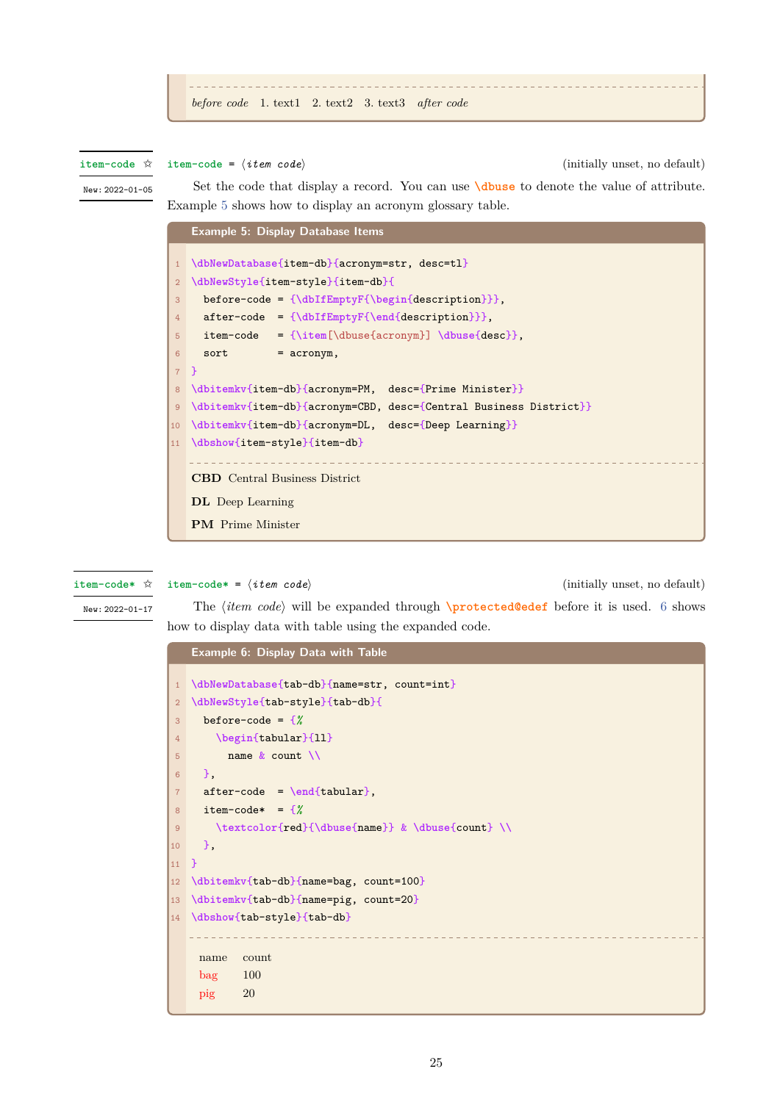**item-code** ✩

<span id="page-24-0"></span>New: 2022-01-05

**item-code** = *⟨item code⟩* (initially unset, no default) Set the code that display a record. You can use **\dbuse** to denote the value of attribute. Example 5 shows how to display an acronym glossary table.

<span id="page-24-2"></span>**[Examp](#page-24-0)le 5: Display Database Items \dbN[ew](#page-24-2)Database**{item-db}{acronym=str, desc=tl} **\dbNewStyle**{item-style}{item-db}{ before-code = {**\dbIfEmptyF**{**\begin**{description}}}, after-code = {**\dbIfEmptyF**{**\end**{description}}}, item-code = {**\item**[\dbuse{acronym}] **\dbuse**{desc}}, sort =  $\text{acronym}$ , 7 } **\dbitemkv**{item-db}{acronym=PM, desc={Prime Minister}} **\dbitemkv**{item-db}{acronym=CBD, desc={Central Business District}} **\dbitemkv**{item-db}{acronym=DL, desc={Deep Learning}} **\dbshow**{item-style}{item-db} **CBD** Central Business District **DL** Deep Learning **PM** Prime Minister

**item-code\*** ✩

<span id="page-24-1"></span>New: 2022-01-17

**item-code\*** = *⟨item code⟩* (initially unset, no default)

The *⟨item code⟩* will be expanded through **\protected@edef** before it is used. 6 shows how to display data with table using the expanded code.

|                | <b>Example 6: Display Data with Table</b>        |
|----------------|--------------------------------------------------|
|                |                                                  |
| $\mathbf{1}$   | \dbNewDatabase{tab-db}{name=str, count=int}      |
| $\overline{2}$ | \dbNewStyle{tab-style}{tab-db}{                  |
| 3              | before-code = $\frac{8}{8}$                      |
| 4              | \begin{tabular}{11}                              |
| 5              | name $&$ count $\\$                              |
| 6              | −.                                               |
| $\overline{7}$ | $after-code = \end{tabular}$ ,                   |
| 8              | item-code* = $\frac{1}{6}$                       |
| 9              | \textcolor{red}{\dbuse{name}} & \dbuse{count} \\ |
| 10             | Ъ,                                               |
| 11             | <b>P</b>                                         |
| 12             | \dbitemkv{tab-db}{name=bag, count=100}           |
| 13             | \dbitemkv{tab-db}{name=pig, count=20}            |
| 14             | \dbshow{tab-style}{tab-db}                       |
|                |                                                  |
|                | count<br>name                                    |
|                | $bag$ 100                                        |
|                |                                                  |
|                | 20<br>pig                                        |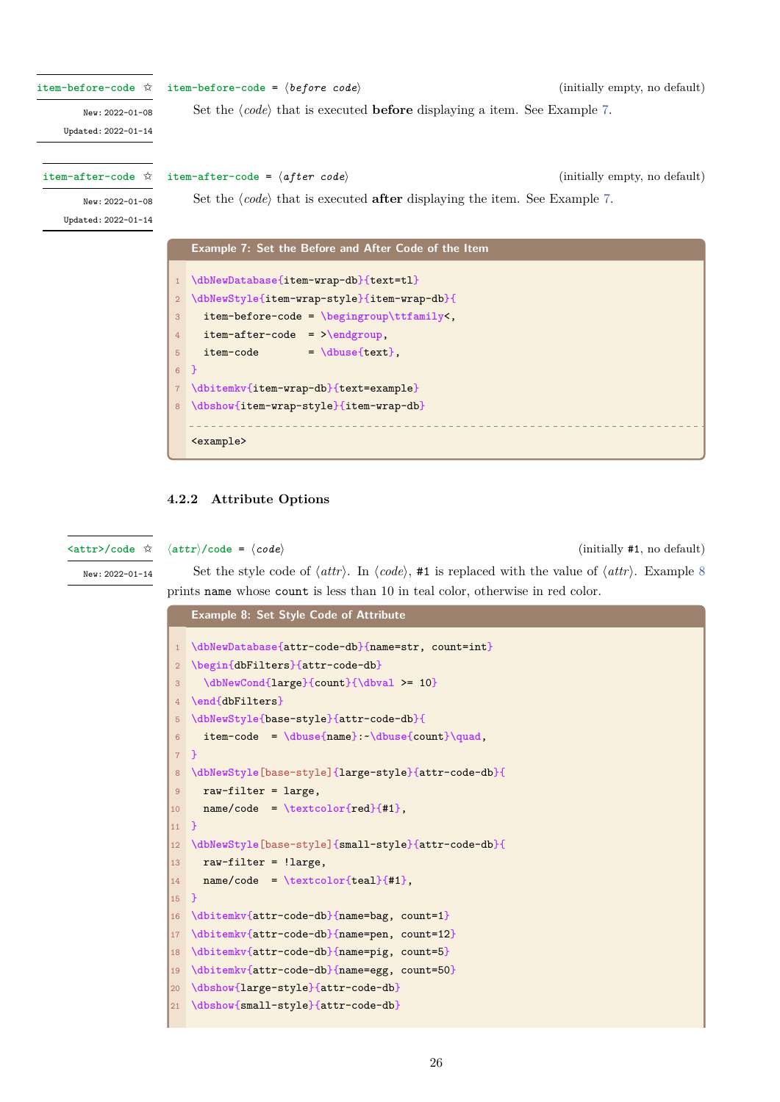```
item-before-code = ⟨before code⟩ (initially empty, no default)
                         Set the \langle code \rangle that is executed before displaying a item. See Example 7.
item-before-code ✩
       New: 2022-01-08
    Updated: 2022-01-14
                    item-after-code = ⟨after code⟩ (initially empty, no default)
                         Set the \langle code \rangle that is executed after displaying the item. See Example 7.
item-after-code ✩
       New: 2022-01-08
    Updated: 2022-01-14
                        Example 7: Set the Before and After Code of the Item
                      1 \dbNewDatabase{item-wrap-db}{text=tl}
                      2 \dbNewStyle{item-wrap-style}{item-wrap-db}{
                      3 item-before-code = \begingroup\ttfamily<,
                      4 item-after-code = >\endgroup,
                      5 item-code = \dagger = \dagger6 }
                      7 \dbitemkv{item-wrap-db}{text=example}
                      8 \dbshow{item-wrap-style}{item-wrap-db}
                        <example>
```
#### <span id="page-25-2"></span>**4.2.2 Attribute Options**

**Example 8: Set Style Code of Attribute**

**<attr>/code** ✩

<span id="page-25-0"></span>*⟨attr⟩***/code** = *⟨code⟩* (initially #1, no default)

<span id="page-25-3"></span>New: 2022-01-14

Set the style code of  $\langle \text{attr} \rangle$ . In  $\langle \text{code} \rangle$ , #1 is replaced with the value of  $\langle \text{attr} \rangle$ . Example 8 prints name whose count is less than 10 in teal color, otherwise in red color.

| $\mathbf{1}$     | \dbNewDatabase{attr-code-db}{name=str, count=int}   |
|------------------|-----------------------------------------------------|
| $\overline{2}$   | \begin{dbFilters}{attr-code-db}                     |
| 3                | \dbNewCond{large}{count}{\dbval >= 10}              |
| $\overline{4}$   | \end{dbFilters}                                     |
| 5                | \dbNewStyle{base-style}{attr-code-db}{              |
| $6\overline{6}$  | $item-code = \dbuse(name): - \dbuse{count}\quad,$   |
| 7 <sup>7</sup>   | $\mathcal{F}$                                       |
| $\boldsymbol{8}$ | \dbNewStyle[base-style]{large-style}{attr-code-db}{ |
| 9                | $raw-filter = large,$                               |
| 10               | $name/code = \text{textcolor{rel}+1},$              |
| 11               | $\mathcal{F}$                                       |
| 12               | \dbNewStyle[base-style]{small-style}{attr-code-db}{ |
| 13               | $raw-filter = !large,$                              |
| 14               | $name/code = \text{textcolor{-}{#1}},$              |
| 15               | <sup>T</sup>                                        |
| 16               | \dbitemkv{attr-code-db}{name=bag, count=1}          |
| 17               | \dbitemkv{attr-code-db}{name=pen, count=12}         |
| 18               | \dbitemkv{attr-code-db}{name=pig, count=5}          |
| 19               | \dbitemkv{attr-code-db}{name=egg, count=50}         |
| 20               | \dbshow{large-style}{attr-code-db}                  |
| 21               | \dbshow{small-style}{attr-code-db}                  |
|                  |                                                     |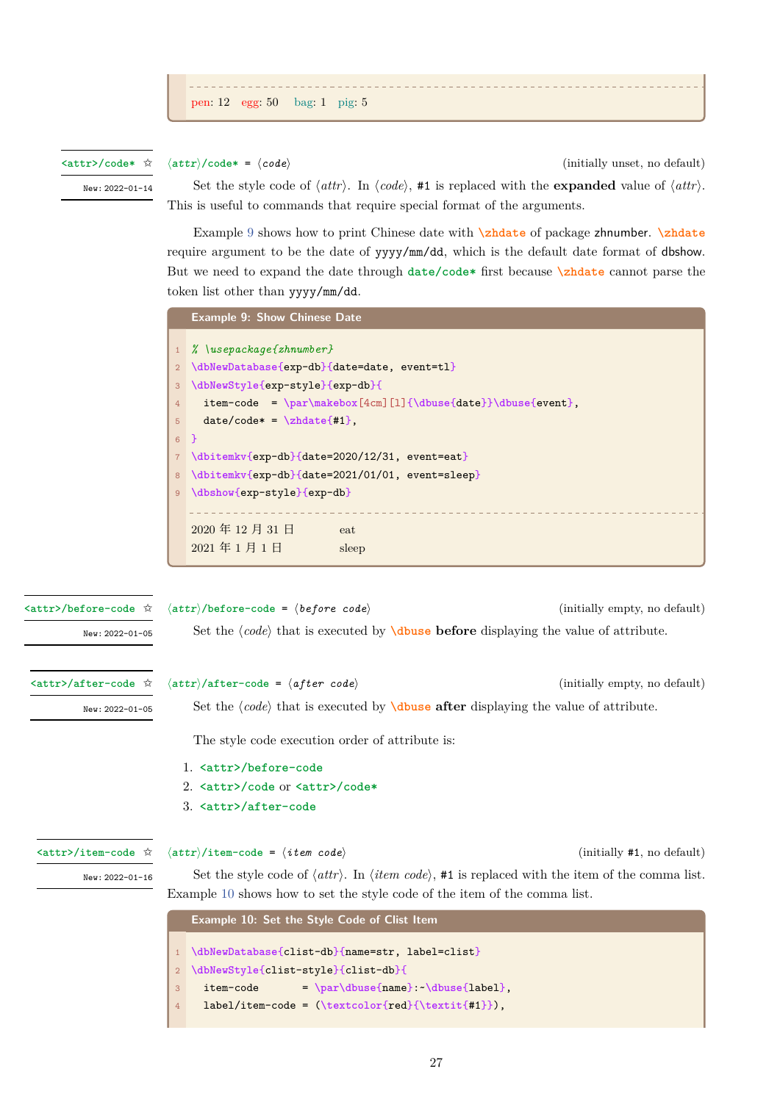

#### **<attr>/code\*** ✩

<span id="page-26-2"></span>New: 2022-01-14

*⟨attr⟩***/code\*** = *⟨code⟩* (initially unset, no default) Set the style code of  $\langle \text{attr} \rangle$ . In  $\langle \text{code} \rangle$ , #1 is replaced with the **expanded** value of  $\langle \text{attr} \rangle$ .

This is useful to commands that require special format of the arguments. Example 9 shows how to print Chinese date with **\zhdate** of package zhnumber. **\zhdate**

require argument to be the date of yyyy/mm/dd, which is the default date format of dbshow. But we need to expand the date through **date/code\*** first because **\zhdate** cannot parse the token list oth[er](#page-26-1) than yyyy/mm/dd.

<span id="page-26-1"></span>

| $%$ \usepackage{zhnumber}<br>1                                                                                     |  |  |
|--------------------------------------------------------------------------------------------------------------------|--|--|
| \dbNewDatabase{exp-db}{date=date, event=tl}                                                                        |  |  |
| \dbNewStyle{exp-style}{exp-db}{                                                                                    |  |  |
| item-code = $\par\makebox[4cm][1]{\dbuse\data}}\dbuse\event\},$                                                    |  |  |
| $date/code* = \zeta + 1.$                                                                                          |  |  |
| $\rightarrow$<br>$6-$                                                                                              |  |  |
| \dbitemkv{exp-db}{date=2020/12/31, event=eat}                                                                      |  |  |
| \dbitemkv{exp-db}{date=2021/01/01, event=sleep}                                                                    |  |  |
| \dbshow{exp-style}{exp-db}                                                                                         |  |  |
|                                                                                                                    |  |  |
| 2020年12月31日<br>eat                                                                                                 |  |  |
| 2021年1月1日<br>sleep                                                                                                 |  |  |
|                                                                                                                    |  |  |
|                                                                                                                    |  |  |
|                                                                                                                    |  |  |
| $\langle \text{attr} \rangle$ /before-code = $\langle \text{before code} \rangle$<br>(initially empty, no default) |  |  |
|                                                                                                                    |  |  |

New: 2022-01-05

Set the *⟨code⟩* that is executed by **\dbuse before** displaying the value of attribute.

#### <span id="page-26-3"></span>**<attr>/after-code** ✩

**<attr>/before-code** ✩

New: 2022-01-05

*⟨attr⟩***/after-code** = *⟨after code⟩* (initially empty, no default)

Set the *⟨code⟩* that is executed by **[\dbuse](#page-35-2) after** displaying the value of attribute.

The style code execution order of attribute is:

- 1. **<attr>/before-code**
- 2. **<attr>/code** or **<attr>/code\***
- 3. **<attr>/after-code**

#### <span id="page-26-0"></span>**<attr>/item-code** ✩

*⟨attr⟩***[/item-code](#page-25-3)** = *⟨i[tem code](#page-26-2)⟩* (initially #1, no default)

New: 2022-01-16

[Set the style code of](#page-26-3) *⟨attr⟩*. In *⟨item code⟩*, #1 is replaced with the item of the comma list. Example 10 shows how to set the style code of the item of the comma list.

**Example 10: Set the Style Code of Clist Item**

<span id="page-26-4"></span>

|                | 1 \dbNewDatabase{clist-db}{name=str, label=clist}    |
|----------------|------------------------------------------------------|
|                | 2 \dbNewStyle{clist-style}{clist-db}{                |
| 3 <sup>1</sup> | $= \parld{name}: \dbuse{1abel},$<br>item-code        |
| $\overline{4}$ | $label/item-code = (\textcolor{red}{\text{test}})$ , |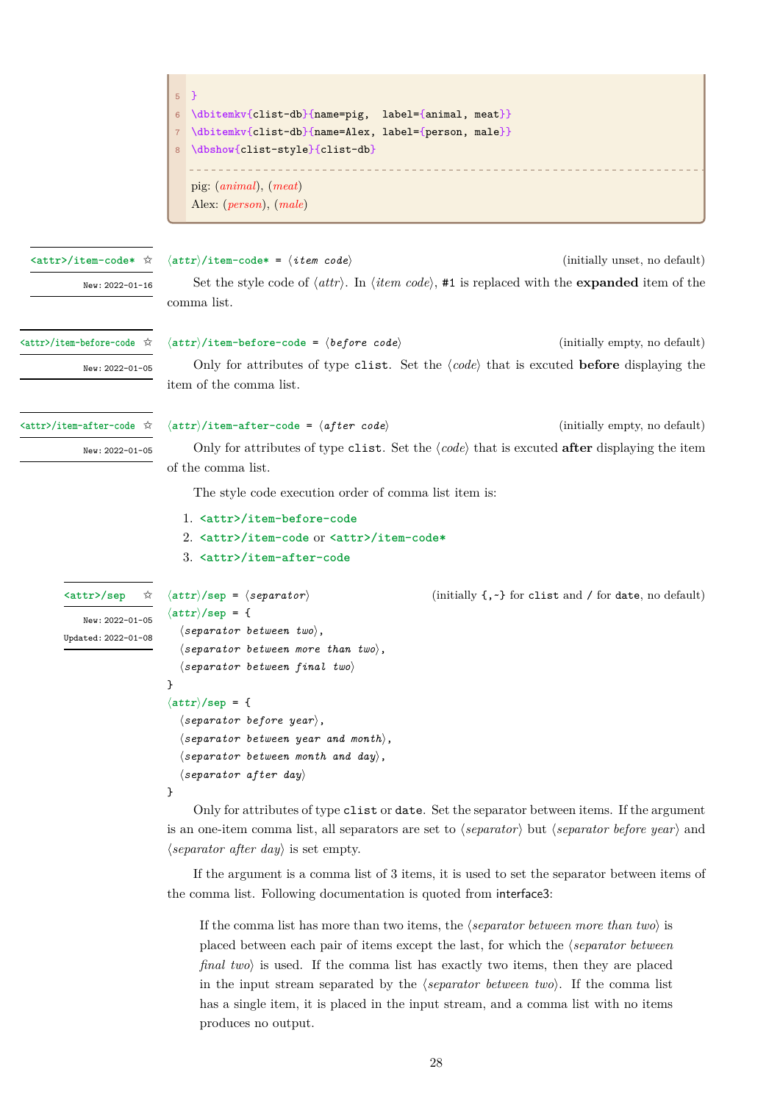<span id="page-27-2"></span><span id="page-27-1"></span><span id="page-27-0"></span>

|                                                               | $\rightarrow$<br>5 <sup>5</sup><br>\dbitemkv{clist-db}{name=pig,<br>$label={\{animal,\, meat\}}$<br>$6\phantom{1}$<br>\dbitemkv{clist-db}{name=Alex, label={person, male}}<br>$\overline{7}$<br>\dbshow{clist-style}{clist-db}<br>pig: $(animal)$ , $(meat)$<br>Alex: (person), (male)                                                                                                                                                                                                                                                                                                                                                                                                                                                                                                                                               |                                                                  |
|---------------------------------------------------------------|--------------------------------------------------------------------------------------------------------------------------------------------------------------------------------------------------------------------------------------------------------------------------------------------------------------------------------------------------------------------------------------------------------------------------------------------------------------------------------------------------------------------------------------------------------------------------------------------------------------------------------------------------------------------------------------------------------------------------------------------------------------------------------------------------------------------------------------|------------------------------------------------------------------|
| <attr>/item-code* ☆<br/>New: 2022-01-16</attr>                | $\langle \text{attr} \rangle / \text{item-code*} = \langle \text{item code} \rangle$<br>Set the style code of $\langle \text{attr} \rangle$ . In $\langle \text{item code} \rangle$ , #1 is replaced with the <b>expanded</b> item of the<br>comma list.                                                                                                                                                                                                                                                                                                                                                                                                                                                                                                                                                                             | (initially unset, no default)                                    |
| <attr>/item-before-code ☆<br/>New: 2022-01-05</attr>          | $\langle \text{attr} \rangle$ /item-before-code = $\langle \text{before code} \rangle$<br>Only for attributes of type clist. Set the $\langle code \rangle$ that is excuted <b>before</b> displaying the<br>item of the comma list.                                                                                                                                                                                                                                                                                                                                                                                                                                                                                                                                                                                                  | (initially empty, no default)                                    |
| <attr>/item-after-code ☆<br/>New: 2022-01-05</attr>           | $\langle \text{attr} \rangle / \text{item–after-code} = \langle \text{after code} \rangle$<br>Only for attributes of type clist. Set the $\langle code \rangle$ that is excuted after displaying the item<br>of the comma list.<br>The style code execution order of comma list item is:<br>1. <attr>/item-before-code<br/>2. <attr>/item-code or <attr>/item-code*<br/>3. <attr>/item-after-code</attr></attr></attr></attr>                                                                                                                                                                                                                                                                                                                                                                                                        | (initially empty, no default)                                    |
| <attr>/sep<br/>New: 2022-01-05<br/>Updated: 2022-01-08</attr> | $\langle \text{attr} \rangle$ /sep = $\langle \text{separation} \rangle$<br>$\langle \text{attr} \rangle$ /sep = {<br>$\langle separation\; between\; two\rangle,$<br>$\langle separation\; between\; more\; than\; two\rangle$ ,<br>$\langle separation\,\,\, between\,\,\, final\,\,\, two \rangle$<br>}<br>$\langle \text{attr} \rangle / \text{sep} = \{$<br>$\langle separator\ before\ year\rangle,$<br>$\langle separation\; between\; year\; and\; month\rangle$ ,<br>$\langle separation\; between\; month\; and\; day\rangle$ ,<br>$\langle separator\ after\ day\rangle$<br>}<br>Only for attributes of type clist or date. Set the separator between items. If the argument<br>is an one-item comma list, all separators are set to $\langle separator \rangle$ but $\langle separator \text{ before } year \rangle$ and | (initially $\{ , \cdot \}$ for clist and / for date, no default) |

T

*⟨separator after day⟩* is set empty.

T.

If the argument is a comma list of 3 items, it is used to set the separator between items of the comma list. Following documentation is quoted from interface3:

If the comma list has more than two items, the *⟨separator between more than two⟩* is placed between each pair of items except the last, for which the *⟨separator between final two>* is used. If the comma list has exactly two items, then they are placed in the input stream separated by the *⟨separator between two⟩*. If the comma list has a single item, it is placed in the input stream, and a comma list with no items produces no output.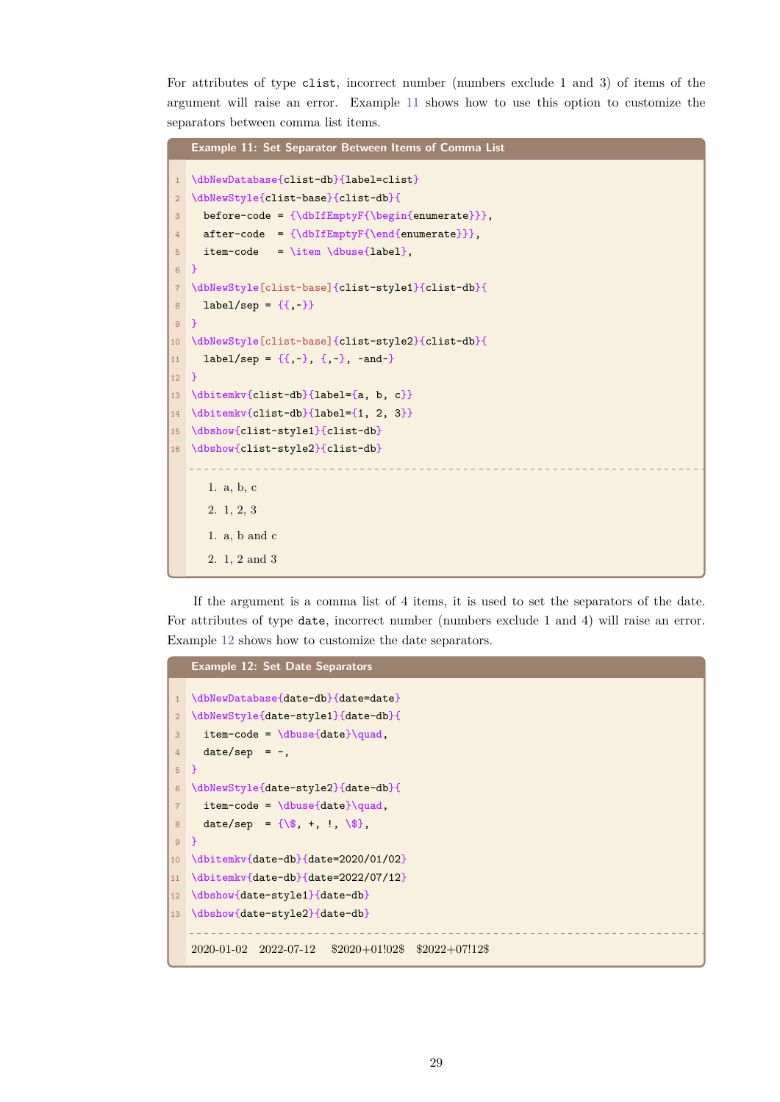For attributes of type clist, incorrect number (numbers exclude 1 and 3) of items of the argument will raise an error. Example 11 shows how to use this option to customize the separators between comma list items.

```
Example 11: Set Separator Between Items of Comma List
1 \dbNewDatabase{clist-db}{label=clist}
2 \dbNewStyle{clist-base}{clist-db}{
3 before-code = {\dbIfEmptyF{\begin{enumerate}}},
4 after-code = {\dbIfEmptyF{\end{enumerate}}},
     5 item-code = \item \dbuse{label},
6 }
7 \dbNewStyle[clist-base]{clist-style1}{clist-db}{
8 label/sep = \{\{\, , \, \cdot\}\}9 }
10 \dbNewStyle[clist-base]{clist-style2}{clist-db}{
11 label/sep = \{ \{ , - \}, \{ , - \}, \text{ and } - \}12 }
13 \dbitemkv{clist-db}{label={a, b, c}}
14 \dbitemkv{clist-db}{label={1, 2, 3}}
15 \dbshow{clist-style1}{clist-db}
16 \dbshow{clist-style2}{clist-db}
                                     _______________
      1. a, b, c
      2. 1, 2, 3
      1. a, b and c
      2. 1, 2 and 3
```
If the argument is a comma list of 4 items, it is used to set the separators of the date. For attributes of type date, incorrect number (numbers exclude 1 and 4) will raise an error. Example 12 shows how to customize the date separators.

```
Example 12: Set Date Separators
1 \dbNewDatabase{date-db}{date=date}
2 \dbNewStyle{date-style1}{date-db}{
3 item-code = \dbuse{date}\quad,
4 date/sep = -,
5 }
6 \dbNewStyle{date-style2}{date-db}{
7 item-code = \dbuse{date}\quad,
8 date/sep = {\$, +, !, \$},
9 }
10 \dbitemkv{date-db}{date=2020/01/02}
11 \dbitemkv{date-db}{date=2022/07/12}
12 \dbshow{date-style1}{date-db}
13 \dbshow{date-style2}{date-db}
   2020-01-02 2022-07-12 $2020+01!02$ $2022+07!12$
```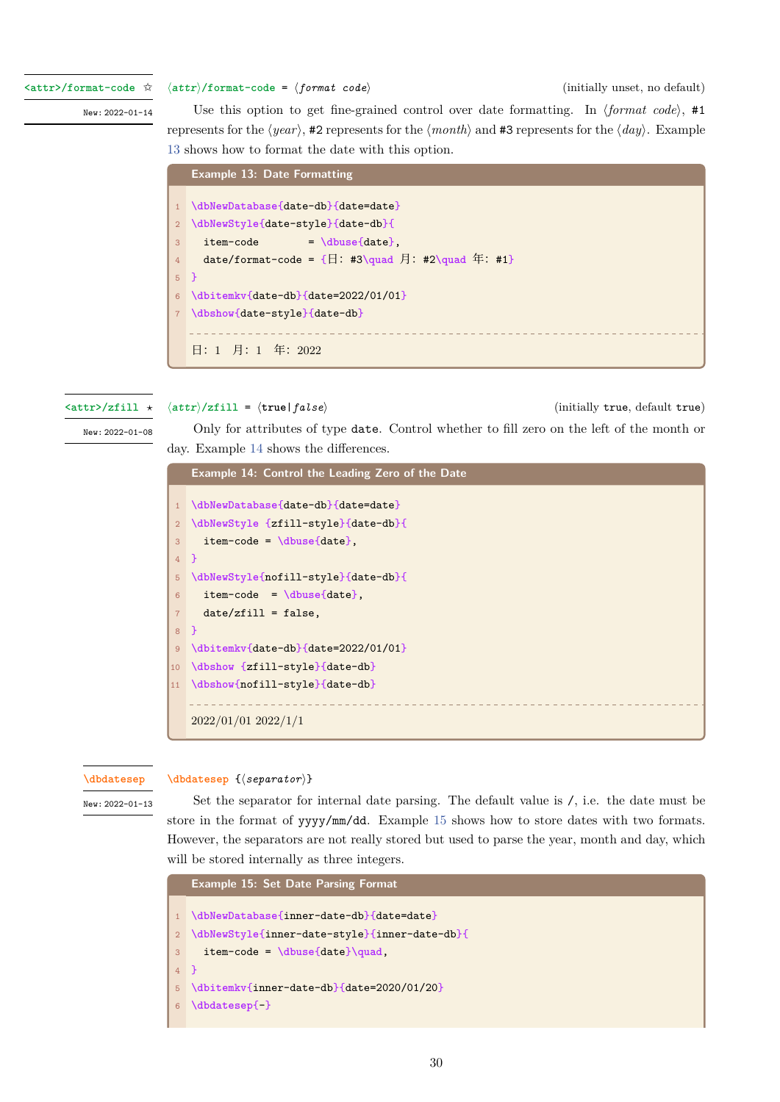**<attr>/format-code** ✩

New: 2022-01-14

*⟨attr⟩***/format-code** = *⟨format code⟩* (initially unset, no default)

Use this option to get fine-grained control over date formatting. In  $\langle format code \rangle$ , #1 represents for the *⟨year⟩*, #2 represents for the *⟨month⟩* and #3 represents for the *⟨day⟩*. Example 13 shows how to format the date with this option.

<span id="page-29-1"></span>

|                 | <b>Example 13: Date Formatting</b>                                        |
|-----------------|---------------------------------------------------------------------------|
|                 |                                                                           |
|                 | 1 \dbNewDatabase{date-db}{date=date}                                      |
|                 | 2 \dbNewStyle{date-style}{date-db}{                                       |
| 3               | $item-code = \dbuse\date\}.$                                              |
| 4               | date/format-code = $\{\Box: #3\quad\Box\}$ : #2\quad $\overline{4}: #1\}$ |
| $5 \frac{1}{2}$ |                                                                           |
|                 | $6 \text{dbitemkv}^{date-db}$ {date=2022/01/01}                           |
|                 | 7 \dbshow{date-style}{date-db}                                            |
|                 |                                                                           |
|                 | 日: 1 月: 1 年: 2022                                                         |

#### **<attr>/zfill** *⋆*

*⟨attr⟩***/zfill** = *⟨***true**|*false⟩* (initially true, default true)

New: 2022-01-08

Only for attributes of type date. Control whether to fill zero on the left of the month or day. Example 14 shows the differences.

<span id="page-29-2"></span>

|                | <b>Example 14: Control the Leading Zero of the Date</b> |
|----------------|---------------------------------------------------------|
| $\mathbf{1}$   | \dbNewDatabase{date-db}{date=date}                      |
| $\overline{2}$ | \dbNewStyle {zfill-style}{date-db}{                     |
| 3              | $item-code = \dbuse\data\}$ .                           |
| $\overline{4}$ | - 7                                                     |
| 5              | \dbNewStyle{nofill-style}{date-db}{                     |
| 6              | $item-code = \dbuse\date\}$ ,                           |
| $\overline{7}$ | $date/zfill = false,$                                   |
| 8              | ↑                                                       |
| $\overline{9}$ | \dbitemkv{date-db}{date=2022/01/01}                     |
| 10             | \dbshow {zfill-style}{date-db}                          |
| 11             | \dbshow{nofill-style}{date-db}                          |
|                |                                                         |
|                | $2022/01/01$ $2022/1/1$                                 |

#### **\dbdatesep**

**\dbdatesep** {*⟨separator⟩*}

<span id="page-29-0"></span>New: 2022-01-13

Set the separator for internal date parsing. The default value is /, i.e. the date must be store in the format of yyyy/mm/dd. Example 15 shows how to store dates with two formats. [However, th](#page-29-0)e separators are not really stored but used to parse the year, month and day, which will be stored internally as three integers.

|                | <b>Example 15: Set Date Parsing Format</b>    |
|----------------|-----------------------------------------------|
|                |                                               |
|                | 1 \dbNewDatabase{inner-date-db}{date=date}    |
| $\overline{2}$ | \dbNewStyle{inner-date-style}{inner-date-db}{ |
| 3 <sup>1</sup> | $item-code = \dbuse\data\}=$                  |
| $4$ }          |                                               |
| 5              | \dbitemkv{inner-date-db}{date=2020/01/20}     |
| 6              | $\delta$                                      |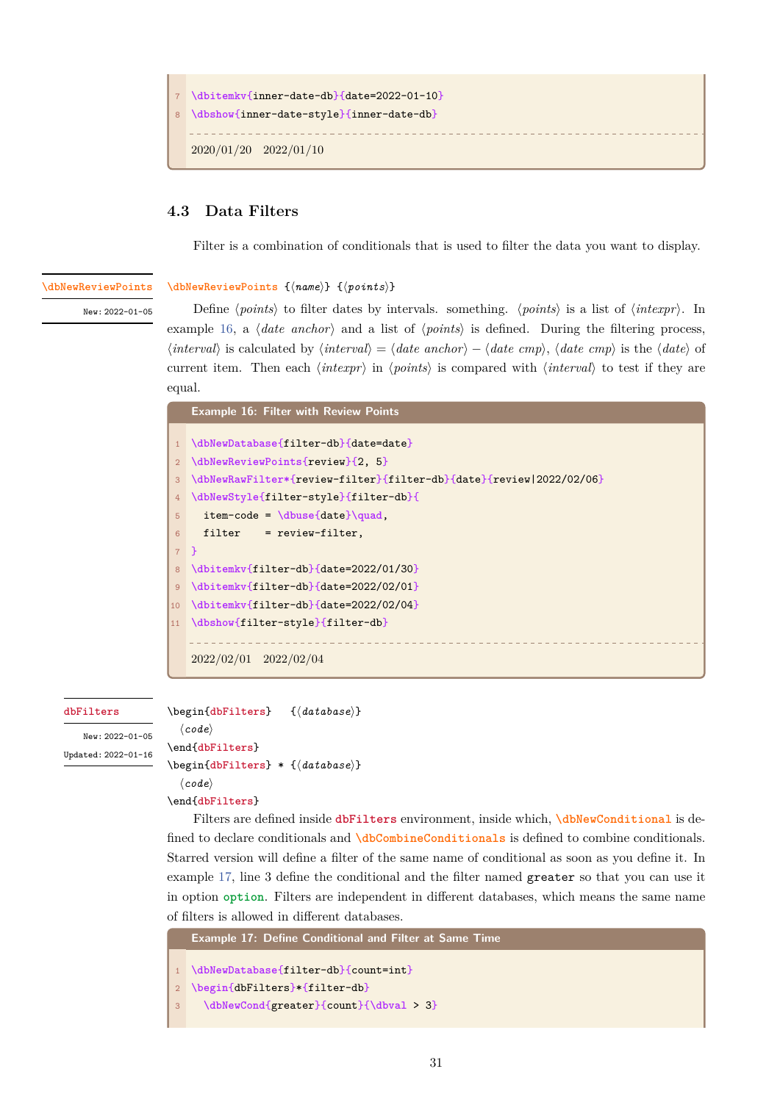```
\dbitemkv{inner-date-db}{date=2022-01-10}
8 \dbshow{inner-date-style}{inner-date-db}
  2020/01/20 2022/01/10
```
## **4.3 Data Filters**

<span id="page-30-0"></span>Filter is a combination of conditionals that is used to filter the data you want to display.

<span id="page-30-1"></span>**\dbNewReviewPoints**

**\dbNewReviewPoints** {*⟨name⟩*} {*⟨points⟩*}

New: 2022-01-05

Define *⟨points⟩* to filter dates by intervals. something. *⟨points⟩* is a list of *⟨intexpr⟩*. In example 16, a *⟨date anchor⟩* and a list of *⟨points⟩* is defined. During the filtering process, *⟨interval⟩* [is calcula](#page-30-1)ted by *⟨interval⟩* = *⟨date anchor⟩ − ⟨date cmp⟩*, *⟨date cmp⟩* is the *⟨date⟩* of current item. Then each *⟨intexpr⟩* in *⟨points⟩* is compared with *⟨interval⟩* to test if they are equal.

<span id="page-30-4"></span>

|                 | <b>Example 16: Filter with Review Points</b>                        |
|-----------------|---------------------------------------------------------------------|
|                 |                                                                     |
|                 | \dbNewDatabase{filter-db}{date=date}                                |
| 2 <sup>1</sup>  | \dbNewReviewPoints{review}{2, 5}                                    |
| $\mathbf{3}$    | \dbNewRawFilter*{review-filter}{filter-db}{date}{review 2022/02/06} |
| 4               | \dbNewStyle{filter-style}{filter-db}{                               |
| 5               | $item-code = \dbuse\data\qquad$                                     |
| 6               | $filter = review-filter,$                                           |
|                 | $7 \}$                                                              |
| 8               | \dbitemkv{filter-db}{date=2022/01/30}                               |
| 9 <sup>°</sup>  | \dbitemkv{filter-db}{date=2022/02/01}                               |
| 10 <sup>°</sup> | \dbitemkv{filter-db}{date=2022/02/04}                               |
| 11              | \dbshow{filter-style}{filter-db}                                    |
|                 |                                                                     |
|                 | $2022/02/01$ $2022/02/04$                                           |

#### **dbFilters**

<span id="page-30-2"></span>New: 2022-01-05 Updated: 2022-01-16 \begin{**dbFilters**} {*⟨database⟩*} *⟨code⟩* \end{**dbFilters**} \begin{**[dbFilters](#page-30-2)**} \* {*⟨database⟩*} *⟨code⟩*

```
\end{dbFilters}
```
[Filters are](#page-30-2) defined inside **dbFilters** environment, inside which, **\dbNewConditional** is defined to [declare co](#page-30-2)nditionals and **\dbCombineConditionals** is defined to combine conditionals. Starr[ed version](#page-30-2) will define a filter of the same name of conditional as soon as you define it. In example 17, line 3 define the [conditional](#page-30-2) and the filter named greater [so that you can](#page-31-0) use it in option **option**. Filters are in[dependent in different datab](#page-34-1)ases, which means the same name of filters is allowed in different databases.

```
Example 17: Define Conditional and Filter at Same Time
1 \dbNewDatabase{filter-db}{count=int}
```

```
2 \begin{dbFilters}*{filter-db}
```

```
3 \dbNewCond{greater}{count}{\dbval > 3}
```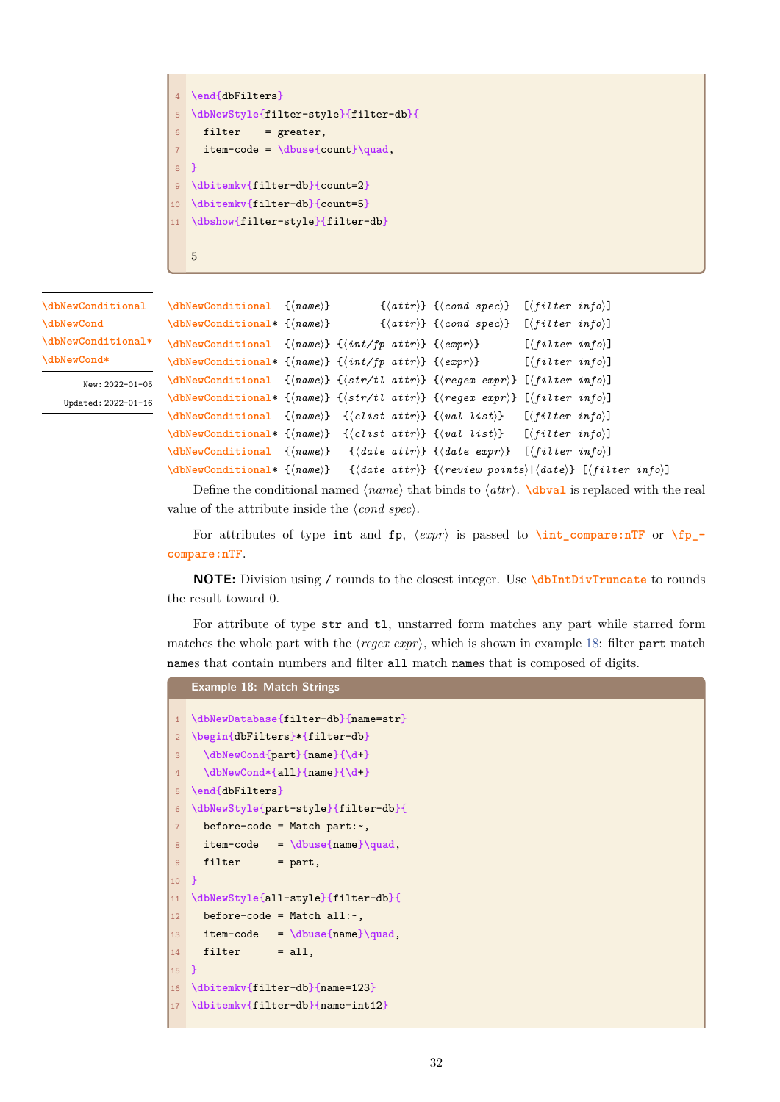```
4 \end{dbFilters}
5 \dbNewStyle{filter-style}{filter-db}{
6 filter = greater,
7 item-code = \dbuse{count}\quad,
8 }
9 \dbitemkv{filter-db}{count=2}
10 \dbitemkv{filter-db}{count=5}
11 \dbshow{filter-style}{filter-db}
   5
```
**\dbNewConditional \dbNewCond \dbNewConditional\* \dbNewCond\***

> <span id="page-31-0"></span>New: 2022-01-05 Updated: 2022-01-16

```
\dbNewConditional {⟨name⟩} {⟨attr⟩} {⟨cond spec⟩} [⟨filter info⟩]
\dbNewConditional* {⟨name⟩} {⟨attr⟩} {⟨cond spec⟩} [⟨filter info⟩]
\dbNewConditional {⟨name⟩} {⟨int/fp attr⟩} {⟨expr⟩} [⟨filter info⟩]
\dbNewConditional* {⟨name⟩} {⟨int/fp attr⟩} {⟨expr⟩} [⟨filter info⟩]
\dbNewConditional {⟨name⟩} {⟨str/tl attr⟩} {⟨regex expr⟩} [⟨filter info⟩]
\dbNewConditional* {⟨name⟩} {⟨str/tl attr⟩} {⟨regex expr⟩} [⟨filter info⟩]
\dbNewConditional {⟨name⟩} {⟨clist attr⟩} {⟨val list⟩} [⟨filter info⟩]
\dbNewConditional* {⟨name⟩} {⟨clist attr⟩} {⟨val list⟩} [⟨filter info⟩]
\dbNewConditional {⟨name⟩} {⟨date attr⟩} {⟨date expr⟩} [⟨filter info⟩]
\dbNewConditional* {⟨name⟩} {⟨date attr⟩} {⟨review points⟩|⟨date⟩} [⟨filter info⟩]
```
[Define the con](#page-31-0)ditional named *⟨name⟩* that binds to *⟨attr⟩*. **\dbval** is replaced with the real [value of the attribu](#page-31-0)te inside the *⟨cond spec⟩*.

[For attributes](#page-31-0) of type int and fp, *⟨expr⟩* is passed to **\int\_compare:nTF** or **\fp\_ compare:nTF**.

**NOTE:** Division using / rounds to the closest integer. Use **\dbIntDivTruncate** to rounds the result toward 0.

For attribute of type str and tl, unstarred form matches any part while starred form matches the whole part with the  $\langle regex \exp r \rangle$ , which is shown i[n example](#page-36-1) 18: filter part match names that contain numbers and filter all match names that is composed of digits.

```
Example 18: Match Strings
1 \dbNewDatabase{filter-db}{name=str}
2 \begin{dbFilters}*{filter-db}
3 \dbNewCond{part}{name}{\d+}
4 \dbNewCond*{all}{name}{\d+}
5 \end{dbFilters}
6 \dbNewStyle{part-style}{filter-db}{
7 before-code = Match part:~,
8 item-code = \dbuse{name}\quad,
9 filter = part,
10 }
11 \dbNewStyle{all-style}{filter-db}{
12 before-code = Match all:-,
13 item-code = \dbuse{name}\quad,
14 filter = all,
15 }
16 \dbitemkv{filter-db}{name=123}
17 \dbitemkv{filter-db}{name=int12}
```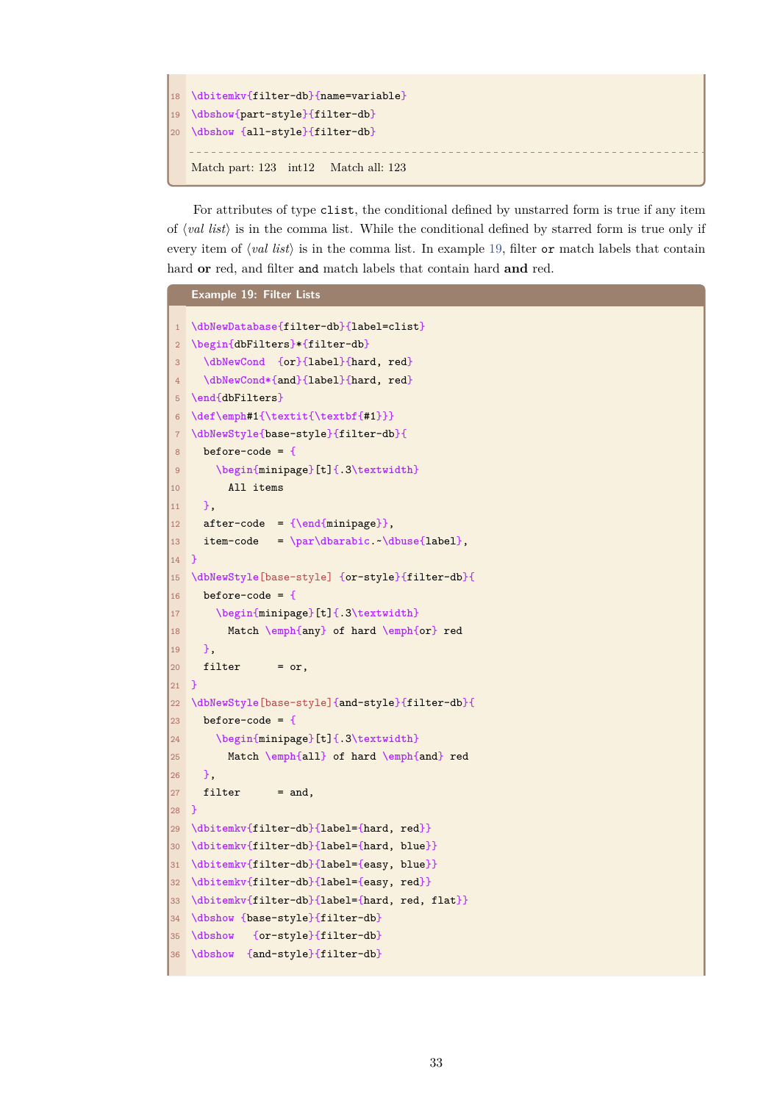```
18 \dbitemkv{filter-db}{name=variable}
19 \dbshow{part-style}{filter-db}
20 \dbshow {all-style}{filter-db}
   Match part: 123 int12 Match all: 123
```
For attributes of type clist, the conditional defined by unstarred form is true if any item of *⟨val list⟩* is in the comma list. While the conditional defined by starred form is true only if every item of *⟨val list⟩* is in the comma list. In example 19, filter or match labels that contain hard **or** red, and filter and match labels that contain hard **and** red.

```
Example 19: Filter Lists
1 \dbNewDatabase{filter-db}{label=clist}
2 \begin{dbFilters}*{filter-db}
3 \dbNewCond {or}{label}{hard, red}
4 \dbNewCond*{and}{label}{hard, red}
5 \end{dbFilters}
6 \def\emph#1{\textit{\textbf{#1}}}
7 \dbNewStyle{base-style}{filter-db}{
8 before-code = {
9 \begin{minipage}[t]{.3\textwidth}
10 All items
11 },
12 after-code = {\end{minipage}},
13 item-code = \par\dbarabic.~\dbuse{label},
14 }
15 \dbNewStyle[base-style] {or-style}{filter-db}{
16 before-code = {
17 \begin{minipage}[t]{.3\textwidth}
18 Match \emph{any} of hard \emph{or} red
19 },
20 filter = or,
21 }
22 \dbNewStyle[base-style]{and-style}{filter-db}{
23 before-code = \{24 \begin{minipage}[t]{.3\textwidth}
25 Match \emph{all} of hard \emph{and} red
26 },
27 filter = and,
28 }
29 \dbitemkv{filter-db}{label={hard, red}}
30 \dbitemkv{filter-db}{label={hard, blue}}
31 \dbitemkv{filter-db}{label={easy, blue}}
32 \dbitemkv{filter-db}{label={easy, red}}
33 \dbitemkv{filter-db}{label={hard, red, flat}}
34 \dbshow {base-style}{filter-db}
35 \dbshow {or-style}{filter-db}
36 \dbshow {and-style}{filter-db}
```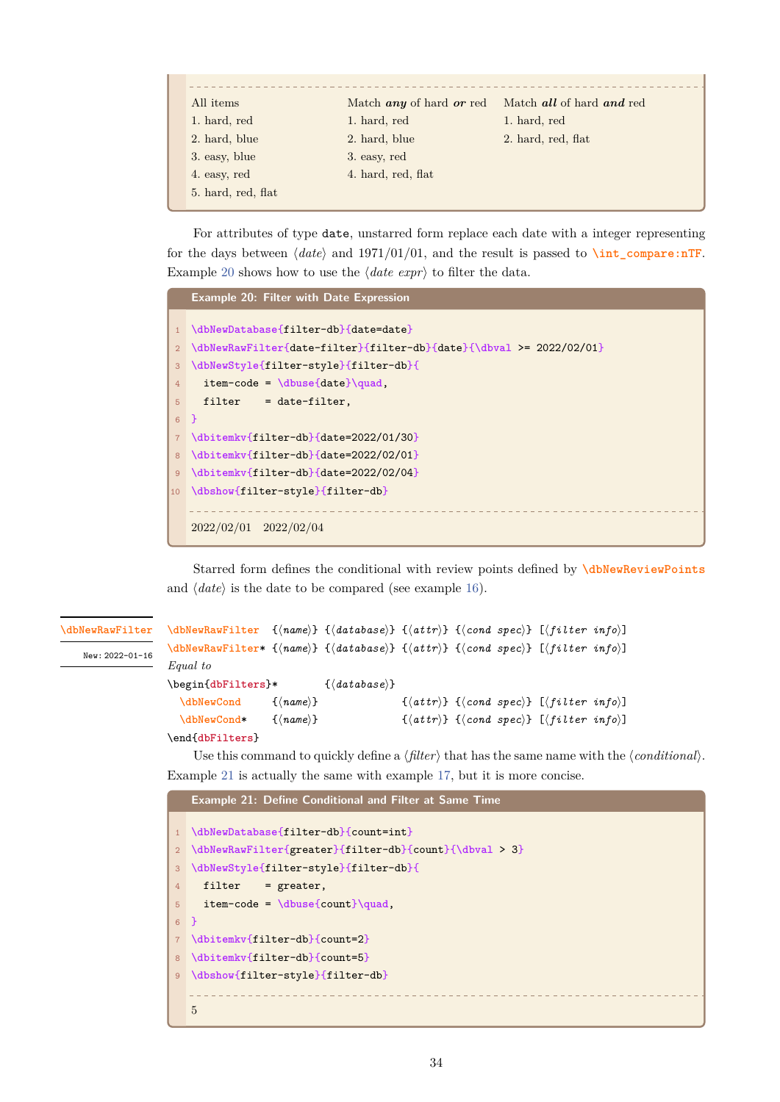| All <i>items</i>   | Match <i>any</i> of hard <i>or</i> red | Match all of hard and red |
|--------------------|----------------------------------------|---------------------------|
| 1. hard, red       | 1. hard, red                           | 1. hard, red              |
| 2. hard, blue      | 2. hard, blue                          | 2. hard, red, flat        |
| 3. easy, blue      | 3. easy, red                           |                           |
| 4. easy, red       | 4. hard, red, flat                     |                           |
| 5. hard, red, flat |                                        |                           |
|                    |                                        |                           |

For attributes of type date, unstarred form replace each date with a integer representing for the days between *⟨date⟩* and 1971/01/01, and the result is passed to **\int\_compare:nTF**. Example 20 shows how to use the *⟨date expr⟩* to filter the data.

<span id="page-33-1"></span>

|                | <b>Example 20: Filter with Date Expression</b>                      |
|----------------|---------------------------------------------------------------------|
|                |                                                                     |
|                | \dbNewDatabase{filter-db}{date=date}                                |
| 2 <sup>1</sup> | \dbNewRawFilter{date-filter}{filter-db}{date}{\dbval >= 2022/02/01} |
| 3 <sup>1</sup> | \dbNewStyle{filter-style}{filter-db}{                               |
| $4^{\circ}$    | $item-code = \dbuse\data\qquad\quad$                                |
| 5 <sup>1</sup> | $filter = date-filter,$                                             |
| 6 <sup>1</sup> | - 7                                                                 |
| 7 <sup>1</sup> | \dbitemkv{filter-db}{date=2022/01/30}                               |
| 8              | \dbitemkv{filter-db}{date=2022/02/01}                               |
| 9 <sup>°</sup> | \dbitemky{filter-db}{date=2022/02/04}                               |
|                | 10 \dbshow{filter-style}{filter-db}                                 |
|                |                                                                     |
|                | $2022/02/01$ $2022/02/04$                                           |

Starred form defines the conditional with review points defined by **\dbNewReviewPoints** and *⟨date⟩* is the date to be compared (see example 16).

#### **\dbNewRawFilter**

<span id="page-33-0"></span>New: 2022-01-16

```
\dbNewRawFilter {⟨name⟩} {⟨database⟩} {⟨attr⟩} {⟨cond spec⟩} [⟨filter info⟩]
\dbNewRawFilter* {⟨name⟩} {⟨database⟩} {⟨attr⟩} {⟨cond spec⟩} [⟨filter info⟩]
Equal to
\begin{dbFilters}* {⟨database⟩}
 \dbNewCond {⟨name⟩} {⟨attr⟩} {⟨cond spec⟩} [⟨filter info⟩]
 \dbNewCond* {⟨name⟩} {⟨attr⟩} {⟨cond spec⟩} [⟨filter info⟩]
\end{dbFilters}
```
Us[e this comm](#page-30-2)and to quickly define a *⟨filter⟩* that has the same name with the *⟨conditional⟩*. E[xample](#page-31-0) 21 is actually the same with example 17, but it is more concise.

```
Example 21: Define Conditional and Filter at Same Time
1 \dbNewDatabase{filter-db}{count=int}
2 \dbNewRawFilter{greater}{filter-db}{count}{\dbval > 3}
3 \dbNewStyle{filter-style}{filter-db}{
4 filter = greater,
5 item-code = \dbuse{count}\quad,
6 }
7 \dbitemkv{filter-db}{count=2}
8 \dbitemkv{filter-db}{count=5}
9 \dbshow{filter-style}{filter-db}
  5
```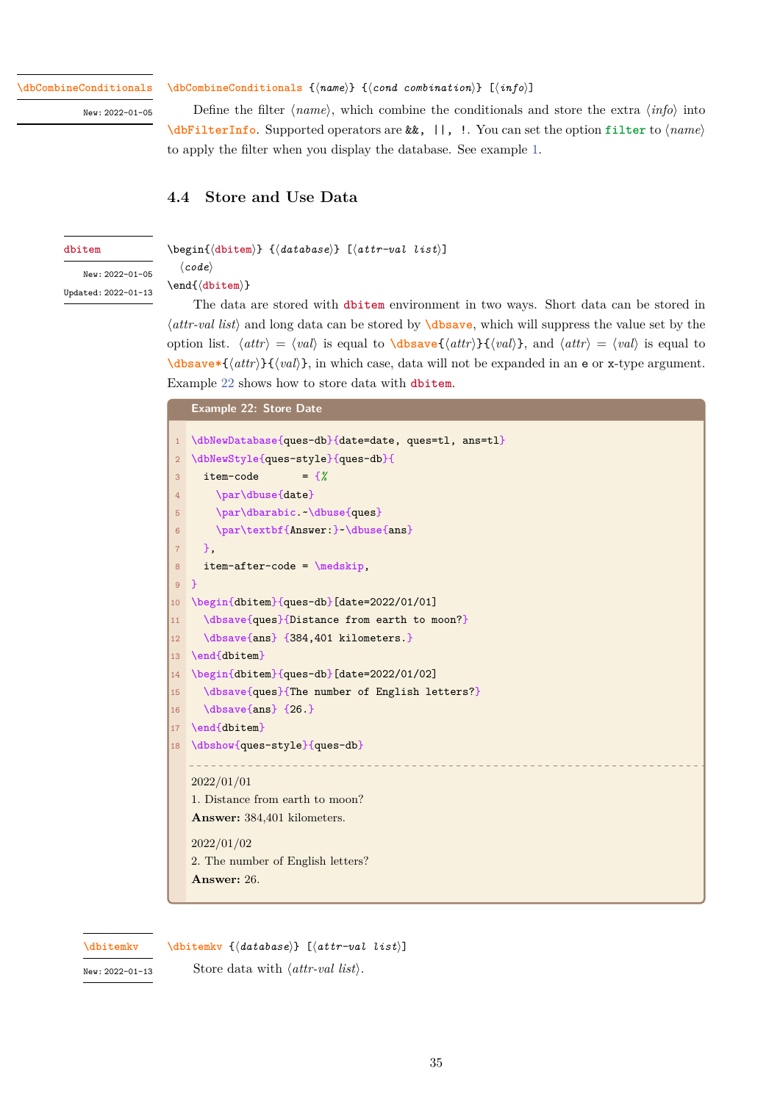<span id="page-34-1"></span>**\dbCombineConditionals**

New: 2022-01-05

#### **\dbCombineConditionals** {*⟨name⟩*} {*⟨cond combination⟩*} [*⟨info⟩*]

Define the filter *⟨name⟩*, which combine the conditionals and store the extra *⟨info⟩* into **\dbFilterInfo**. Supported operators are &&, ||, !. You can set the option **filter** to *⟨name⟩* [to apply the filter when](#page-34-1) you display the database. See example 1.

## **[4.4 Store a](#page-37-0)nd Use Data**

*⟨code⟩* \end{*⟨***dbitem***⟩*}

#### **dbitem**

<span id="page-34-0"></span>\begin{*⟨***dbitem***⟩*} {*⟨database⟩*} [*⟨attr-val list⟩*]

<span id="page-34-2"></span>New: 2022-01-05 Updated: 2022-01-13

Th[e data a](#page-34-2)re stored with **dbitem** environment in two ways. Short data can be stored in *⟨attr-val list⟩* and long data can be stored by **\dbsave**, which will suppress the value set by the optio[n list.](#page-34-2)  $\langle \text{attr} \rangle = \langle \text{val} \rangle$  is equal to  $\langle \text{dbsave}(\langle \text{attr} \rangle) \cdot \langle \text{val} \rangle$ , and  $\langle \text{attr} \rangle = \langle \text{val} \rangle$  is equal to **\dbsave\***{*⟨attr⟩*}{*⟨val⟩*}, in w[hich case](#page-34-2), data will not be expanded in an e or x-type argument. Example 22 shows how to store data with **d[bitem](#page-35-3)**.

#### **Example 22: Store Date**

<span id="page-34-3"></span>

| $\mathbf{1}$   | \dbNewDatabase{ques-db}{date=date, ques=tl, ans=tl} |
|----------------|-----------------------------------------------------|
| $\overline{2}$ | \dbNewStyle{ques-style}{ques-db}{                   |
| 3              | item-code<br>$=$ {%                                 |
| 4              | \par\dbuse{date}                                    |
| 5              | \par\dbarabic \dbuse{ques}                          |
| 6              | \par\textbf{Answer:} \dbuse{ans}                    |
| $\overline{7}$ | −.                                                  |
| 8              | $item–after-code = \medspace$ = \medskip,           |
| 9              | $\mathcal{F}$                                       |
| 10             | \begin{dbitem}{ques-db}[date=2022/01/01]            |
| 11             | \dbsave{ques}{Distance from earth to moon?}         |
| 12             | \dbsave{ans} {384,401 kilometers.}                  |
| 13             | \end{dbitem}                                        |
| 14             | \begin{dbitem}{ques-db}[date=2022/01/02]            |
| 15             | \dbsave{ques}{The number of English letters?}       |
| 16             | $\displaystyle \left\{ \text{ans} \right\}$ {26.}   |
| 17             | \end{dbitem}                                        |
| 18             | \dbshow{ques-style}{ques-db}                        |
|                |                                                     |
|                | 2022/01/01                                          |
|                | 1. Distance from earth to moon?                     |
|                | <b>Answer:</b> 384,401 kilometers.                  |
|                | 2022/01/02                                          |
|                | 2. The number of English letters?                   |
|                | Answer: 26.                                         |
|                |                                                     |

**\dbitemkv**

**\dbitemkv** {*⟨database⟩*} [*⟨attr-val list⟩*]

New: 2022-01-13

Store data with *⟨attr-val list⟩*.

35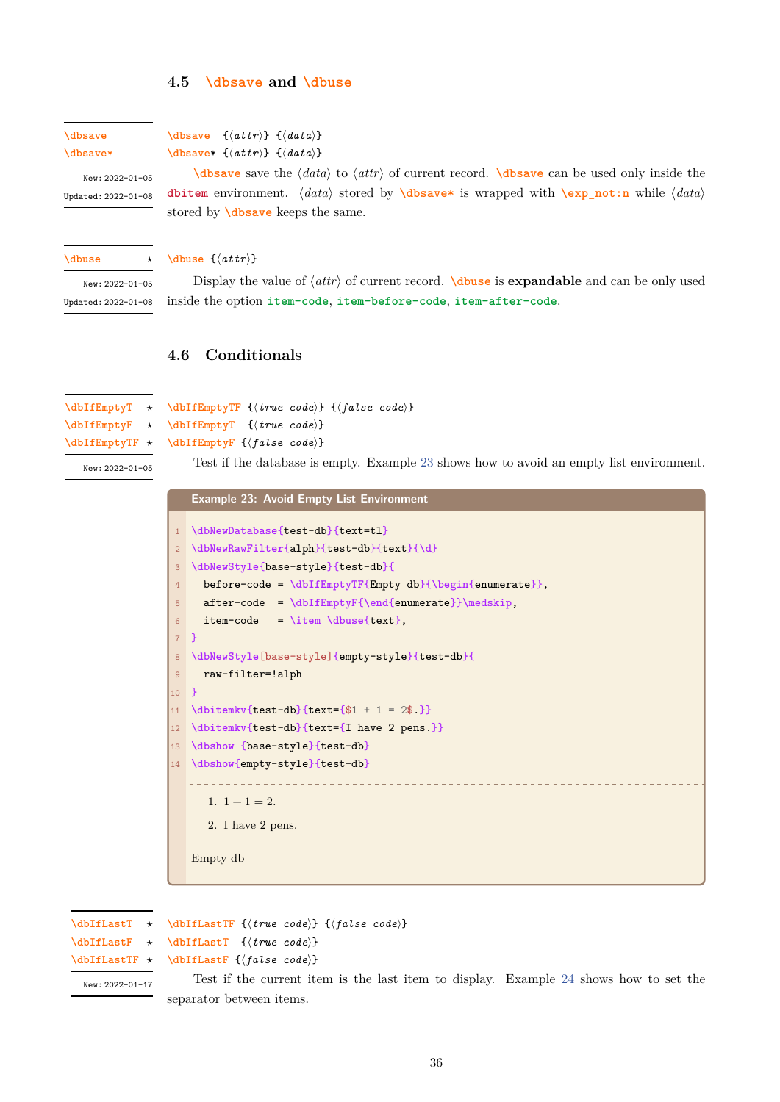#### **4.5 \dbsave and \dbuse**

# **\dbsave**

**\dbsave\***

<span id="page-35-0"></span>**\dbsave** {*⟨attr⟩*} {*⟨data⟩*} **\dbsave**\* {*⟨[attr](#page-35-3)⟩*} {*⟨da[ta](#page-35-2)⟩*}

<span id="page-35-3"></span>New: 2022-01-05 Updated: 2022-01-08

**\dbsave** save the *⟨data⟩* to *⟨attr⟩* of current record. **\dbsave** can be used only inside the **[dbitem](#page-35-3)** environment. *⟨data⟩* stored by **\dbsave\*** is wrapped with **\exp\_not:n** while *⟨data⟩* [stored b](#page-35-3)y **\dbsave** keeps the same.

**\dbuse** *⋆*

## **[\dbuse](#page-34-2)** {*⟨attr⟩*}

<span id="page-35-2"></span>New: 2022-01-05 Updated: 2022-01-08

Displ[ay the va](#page-35-3)lue of *⟨attr⟩* of current record. **\dbuse** is **expandable** and can be only used inside the option **item-code**, **item-before-code**, **item-after-code**.

## **4.6 Conditi[onals](#page-24-0)**

```
\dbIfEmptyTF {⟨true code⟩} {⟨false code⟩}
                \dbIfEmptyT {⟨true code⟩}
\dbIfEmptyT ⋆
\dbIfEmptyF ⋆
\dbIfEmptyTF ⋆
```
<span id="page-35-1"></span>**\dbIfEmptyF** {*⟨false code⟩*}

```
New: 2022-01-05
```
[Test if th](#page-35-4)e database is empty. Example 23 shows how to avoid an empty list environment.

**[Example](#page-35-4) 23: Avoid Empty List Environment**

| $\mathbf{1}$    | \dbNewDatabase{test-db}{text=tl}                                |
|-----------------|-----------------------------------------------------------------|
| $\overline{2}$  | \dbNewRawFilter{alph}{test-db}{text}{\d}                        |
| 3               | \dbNewStyle{base-style}{test-db}{                               |
| $\overline{4}$  | before-code = $\d{bIfEmptyTF{Empty db}{\begin{enumerate}} \}$ , |
| 5               | $after-code = \dbIfEmptyF{\end{enumerate}}\medskip;$            |
| 6               | item-code = \item \dbuse{text},                                 |
| $7$ }           |                                                                 |
| 8               | \dbNewStyle[base-style]{empty-style}{test-db}{                  |
| $\overline{9}$  | raw-filter=!alph                                                |
| 10 <sup>°</sup> | - 7                                                             |
| 11              | $\dot{\text{test-db}}_{text={$1 + 1 = 2$}}$                     |
| 12              | \dbitemkv{test-db}{text={I have 2 pens.}}                       |
| 13              | \dbshow {base-style}{test-db}                                   |
| 14              | \dbshow{empty-style}{test-db}                                   |
|                 |                                                                 |
|                 | 1. $1+1=2$ .                                                    |
|                 | 2. I have 2 pens.                                               |
|                 |                                                                 |
|                 | Empty db                                                        |
|                 |                                                                 |
|                 |                                                                 |

**\dbIfLastT** *⋆* **\dbIfLastF** *⋆*

```
\dbIfLastTF {⟨true code⟩} {⟨false code⟩}
```
**\dbIfLastF** {*⟨false code⟩*}

```
\dbIfLastT {⟨true code⟩}
```

```
\dbIfLastTF ⋆
```
New: 2022-01-17

Test if the current item is the last item to display. Example 24 shows how to set the [separator be](#page-35-5)tween items.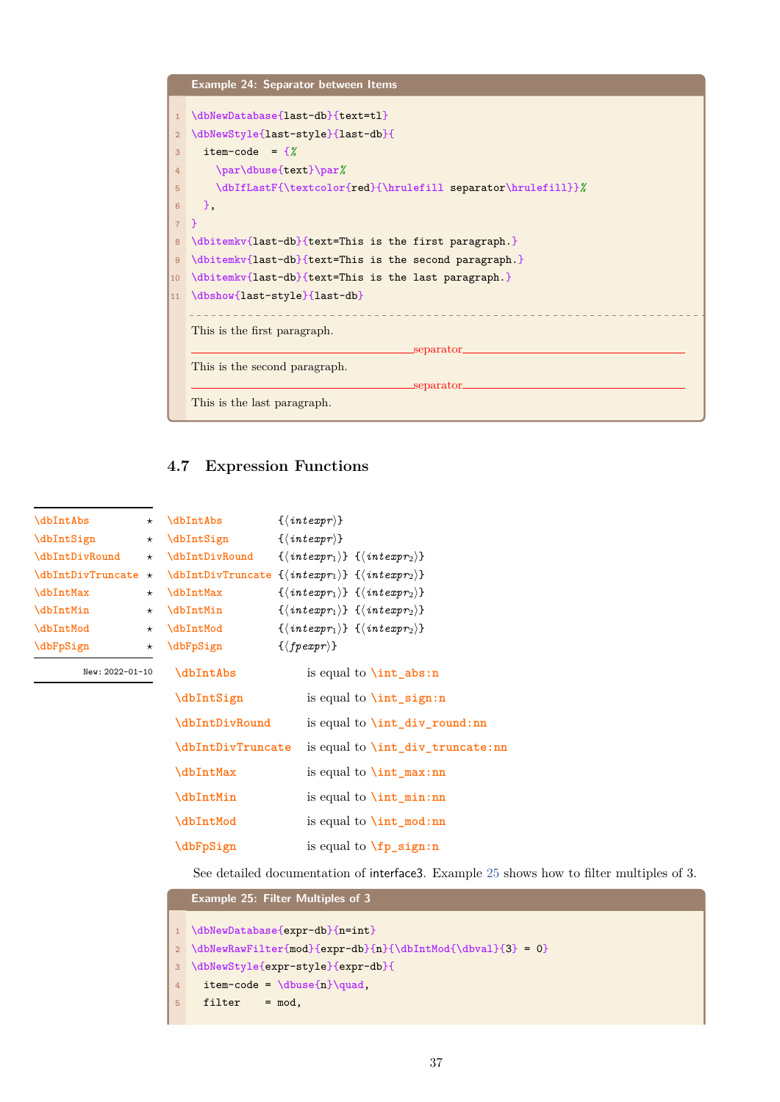<span id="page-36-2"></span>

# **4.7 Expression Functions**

**\dbIntAbs** {*⟨intexpr⟩*}

<span id="page-36-0"></span>

| <b>\dbIntAbs</b>         | $^\star$ |
|--------------------------|----------|
| \dbIntSign               | $^\star$ |
| \dbIntDivRound           | $^\star$ |
| <b>\dbIntDivTruncate</b> | $\star$  |
| \dbIntMax                | $^\star$ |
| <b>\dbIntMin</b>         | $^\star$ |
| \dbIntMod                | $^\star$ |
| \dbFpSign                | $^\star$ |
|                          |          |

| New: 2022-01-10 |  |
|-----------------|--|
|                 |  |

| $\{\langle\, \mathit{intexpr}\rangle\}$                                       |                                         |
|-------------------------------------------------------------------------------|-----------------------------------------|
| $\{\langle \text{intexpr}_1 \rangle\} \ \{\langle \text{intexpr}_2 \rangle\}$ |                                         |
| $\{\langle \text{intexpr}_1 \rangle\} \ \{\langle \text{intexpr}_2 \rangle\}$ |                                         |
| $\{\langle\,interpr_1\rangle\} \ \{\langle\,interpr_2\rangle\}$               |                                         |
| $\{\langle\,intercal\right) \} \ \{\langle\,intercal\right)$                  |                                         |
| $\{\langle \text{intexpr}_1 \rangle\} \ \{\langle \text{intexpr}_2 \rangle\}$ |                                         |
| $\{\langle \text{fpear} \rangle\}$                                            |                                         |
|                                                                               | is equal to $\int$ int abs:n            |
|                                                                               | is equal to $\int$ int sign:n           |
|                                                                               | is equal to $\int_{div\_round:nn}$      |
|                                                                               | is equal to <b>\int_div_truncate:nn</b> |
|                                                                               | is equal to $\int_{\text{max:nn}}$      |
|                                                                               | is equal to $\int$ int min:nn           |
|                                                                               | is equal to $\int_{\text{mod}:nn}$      |
|                                                                               | is equal to $\text{fp}$ sign:n          |
|                                                                               | \dbIntDivTruncate                       |

[See deta](#page-36-0)iled documentation of interface3. Example 25 shows how to filter multiples of 3.

```
Example 25: Filter Multiples of 3
1 \dbNewDatabase{expr-db}{n=int}
2 \dbNewRawFilter{mod}{expr-db}{n}{\dbIntMod{\dbval}{3} = 0}
3 \dbNewStyle{expr-style}{expr-db}{
4 item-code = \dbuse{n}\quad,
5 filter = mod,
```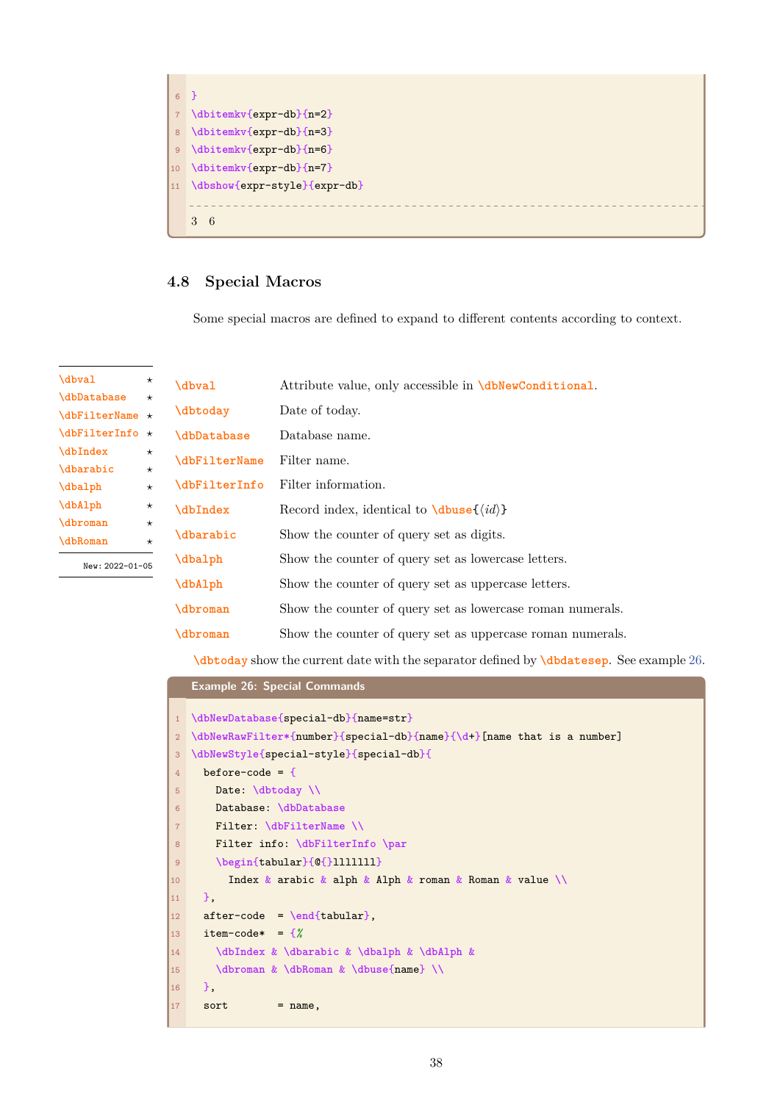<span id="page-37-1"></span>

# **4.8 Special Macros**

Some special macros are defined to expand to different contents according to context.

<span id="page-37-0"></span>

| \dbval            | $^{\star}$ | \dbval                    | Attribute value, only accessible in <b>\dbNewConditional</b> . |
|-------------------|------------|---------------------------|----------------------------------------------------------------|
| <i>dbDatabase</i> | $^{\star}$ |                           |                                                                |
| $\dbFilterName *$ |            | \dbtoday                  | Date of today.                                                 |
| $\delta \star$    |            | <i><b>\dbDatabase</b></i> | Database name.                                                 |
| \dbIndex          | $^\star$   | \dbFilterName             | Filter name.                                                   |
| \dbarabic         | $\star$    |                           |                                                                |
| \dbalph           | $\star$    | <b>\dbFilterInfo</b>      | Filter information.                                            |
| \dbAlph           | $^\star$   | \dbIndex                  | Record index, identical to $\dagger \dagger \dagger \dagger$   |
| dbroman           | $^\star$   |                           |                                                                |
| \dbRoman          | $\star$    | \dbarabic                 | Show the counter of query set as digits.                       |
| New: 2022-01-05   |            | \dbalph                   | Show the counter of query set as lowercase letters.            |
|                   |            | \dbAlph                   | Show the counter of query set as uppercase letters.            |
|                   |            | \dbroman                  | Show the counter of query set as lowercase roman numerals.     |
|                   |            | dbroman                   | Show the counter of query set as uppercase roman numerals.     |

**[\dbtod](#page-37-0)ay** show the current date with the separator defined by **\dbdatesep**. See example 26.

## **[Exampl](#page-37-0)e 26: Special Commands**

```
1 \dbNewDatabase{special-db}{name=str}
2 \dbNewRawFilter*{number}{special-db}{name}{\d+}[name that is a number]
3 \dbNewStyle{special-style}{special-db}{
4 before-code = {
5 Date: \dbtoday \\
6 Database: \dbDatabase
7 Filter: \dbFilterName \\
8 Filter info: \dbFilterInfo \par
9 \begin{tabular}{@{}lllllll}
10 Index & arabic & alph & Alph & roman & Roman & value \\
11 \quad \frac{1}{2},
12 after-code = \end{tabular},
13 item-code* = {%
14 \dbIndex & \dbarabic & \dbalph & \dbAlph &
15 \dbroman & \dbRoman & \dbuse{name} \\
16 },
17 sort = name,
```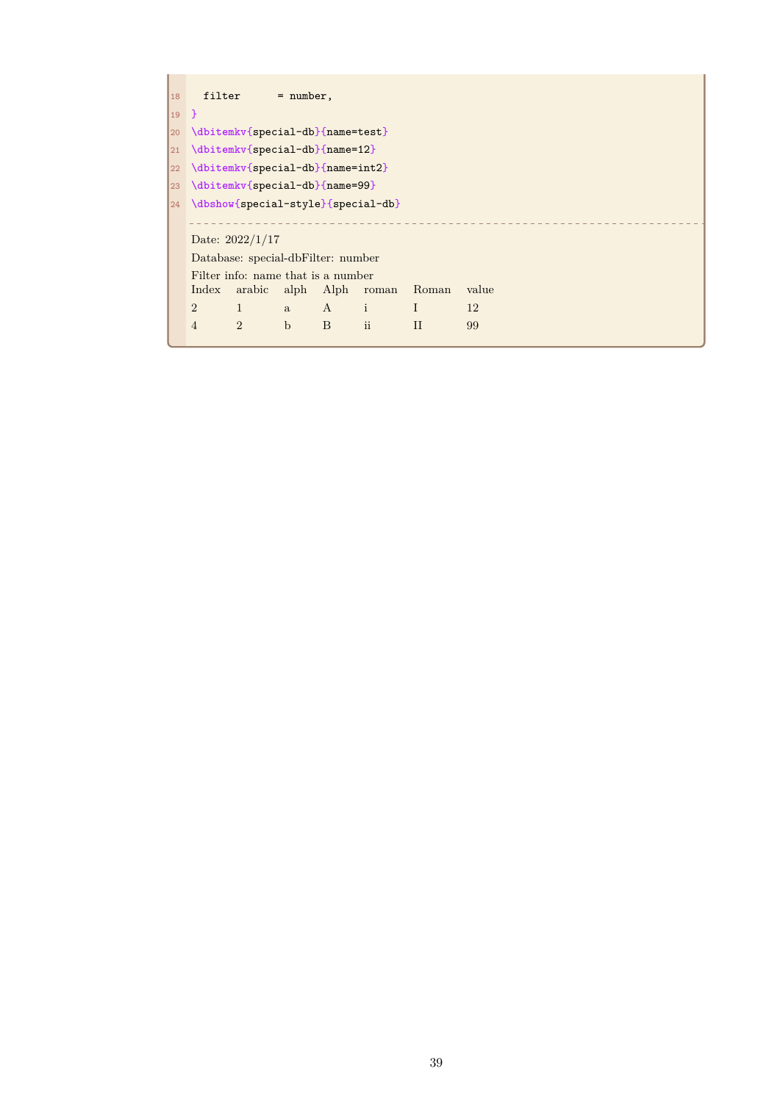| 18           |                | filter                                  | $=$ number, |     |                          |             |       |  |  |  |
|--------------|----------------|-----------------------------------------|-------------|-----|--------------------------|-------------|-------|--|--|--|
| $19$ }       |                |                                         |             |     |                          |             |       |  |  |  |
| $ 20\rangle$ |                | \dbitemkv{special-db}{name=test}        |             |     |                          |             |       |  |  |  |
| $ 21\rangle$ |                | $\ldots$ \dbitemkv{special-db}{name=12} |             |     |                          |             |       |  |  |  |
|              |                | 22 \dbitemkv{special-db}{name=int2}     |             |     |                          |             |       |  |  |  |
|              |                | 23 \dbitemkv{special-db}{name=99}       |             |     |                          |             |       |  |  |  |
|              |                | 24 \dbshow{special-style}{special-db}   |             |     |                          |             |       |  |  |  |
|              |                |                                         |             |     |                          |             |       |  |  |  |
|              |                | Date: $2022/1/17$                       |             |     |                          |             |       |  |  |  |
|              |                | Database: special-dbFilter: number      |             |     |                          |             |       |  |  |  |
|              |                | Filter info: name that is a number      |             |     |                          |             |       |  |  |  |
|              | Index          |                                         |             |     | arabic alph Alph roman   | Roman       | value |  |  |  |
|              | $\overline{2}$ | $\mathbf{1}$                            | a           | A i |                          | $\mathbf I$ | 12    |  |  |  |
|              | $\overline{4}$ | $\overline{2}$                          | $\mathbf b$ | B   | $\overline{\mathbf{ii}}$ | $\rm II$    | 99    |  |  |  |
|              |                |                                         |             |     |                          |             |       |  |  |  |

<span id="page-38-0"></span> $\mathbf{r}$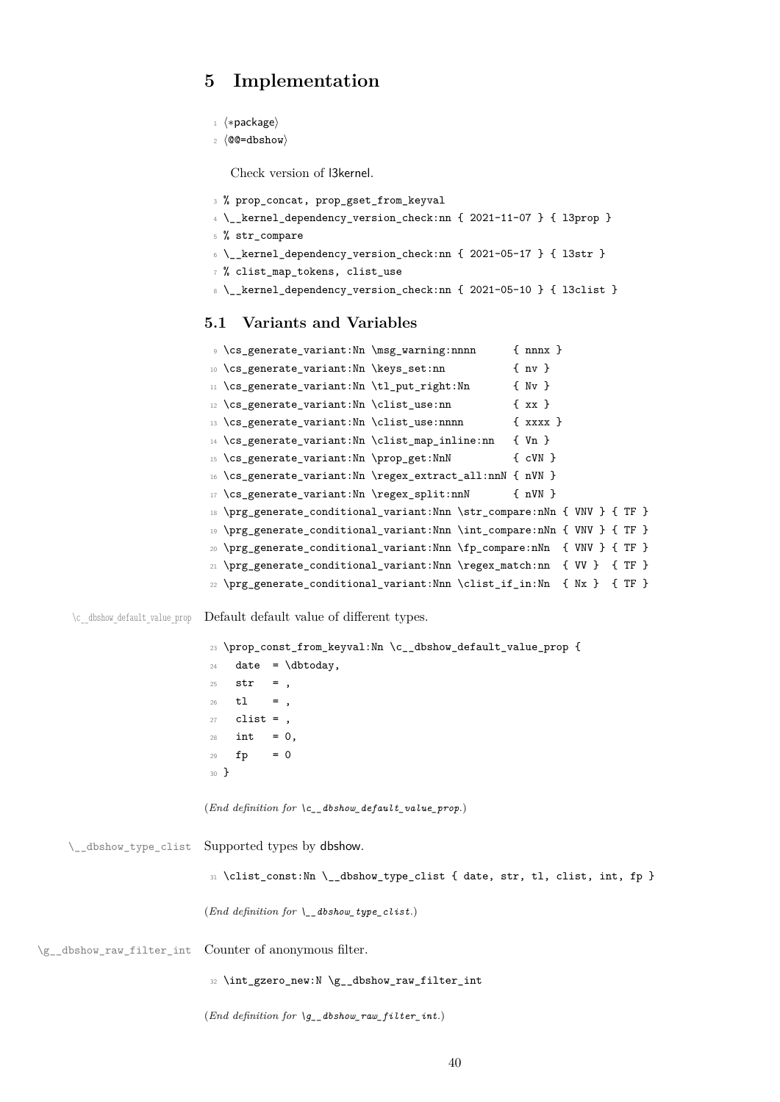# <span id="page-39-0"></span>**5 Implementation**

```
1 ⟨∗package⟩
```
<sup>2</sup> *⟨*@@=dbshow*⟩*

Check version of l3kernel.

```
3 % prop_concat, prop_gset_from_keyval
```

```
4 \__kernel_dependency_version_check:nn { 2021-11-07 } { l3prop }
```

```
5 % str_compare
```

```
6 \__kernel_dependency_version_check:nn { 2021-05-17 } { l3str }
```

```
7 % clist_map_tokens, clist_use
```
8 \\_\_kernel\_dependency\_version\_check:nn { 2021-05-10 } { l3clist }

## **5.1 Variants and Variables**

```
9 \cs_generate_variant:Nn \msg_warning:nnnn { nnnx }
10 \cs_generate_variant:Nn \keys_set:nn { nv }
11 \cs_generate_variant:Nn \tl_put_right:Nn { Nv }
12 \cs_generate_variant:Nn \clist_use:nn { xx }
13 \cs_generate_variant:Nn \clist_use:nnnn { xxxx }
14 \cs_generate_variant:Nn \clist_map_inline:nn { Vn }
15 \cs_generate_variant:Nn \prop_get:NnN { cVN }
16 \cs_generate_variant:Nn \regex_extract_all:nnN { nVN }
17 \cs_generate_variant:Nn \regex_split:nnN { nVN }
18 \prg_generate_conditional_variant:Nnn \str_compare:nNn { VNV } { TF }
19 \prg_generate_conditional_variant:Nnn \int_compare:nNn { VNV } { TF }
20 \prg_generate_conditional_variant:Nnn \fp_compare:nNn { VNV } { TF }
21 \prg_generate_conditional_variant:Nnn \regex_match:nn { VV } { TF }
22 \prg_generate_conditional_variant:Nnn \clist_if_in:Nn { Nx } { TF }
```
\c dbshow default value prop Default default value of different types.

```
23 \prop_const_from_keyval:Nn \c__dbshow_default_value_prop {
24 date = \dbtoday,
25 str =,
26 tl = ,
27 clist = ,
28 int = 0,
29 fp = 030 }
(End definition for \c__dbshow_default_value_prop.)
```

```
\__dbshow_type_clist Supported types by dbshow.
                             31 \clist_const:Nn \__dbshow_type_clist { date, str, tl, clist, int, fp }
                            (End definition for \__dbshow_type_clist.)
\g__dbshow_raw_filter_int Counter of anonymous filter.
                             32 \int_gzero_new:N \g__dbshow_raw_filter_int
                            (End definition for \g__dbshow_raw_filter_int.)
```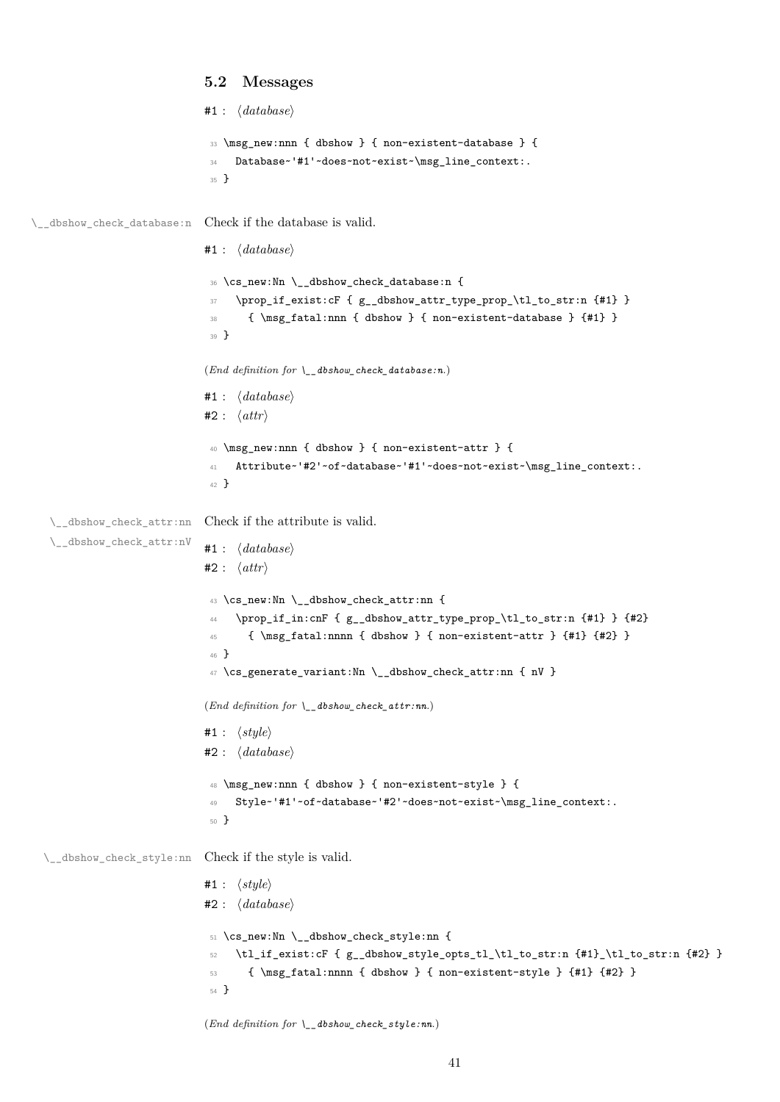```
5.2 Messages
                                   #1 : ⟨database⟩
                                    33 \msg_new:nnn { dbshow } { non-existent-database } {
                                    34 Database~'#1'~does~not~exist~\msg_line_context:.
                                    35 }
\__dbshow_check_database:n Check if the database is valid.
                                   #1 : ⟨database⟩
                                     36 \cs_new:Nn \__dbshow_check_database:n {
                                    37 \prop_if_exist:cF { g__dbshow_attr_type_prop_\tl_to_str:n {#1} }
                                    38 { \msg_fatal:nnn { dbshow } { non-existent-database } {#1} }
                                    39 }
                                   (End definition for \__dbshow_check_database:n.)
                                   #1 : ⟨database⟩
                                   #2 : ⟨attr⟩
                                    40 \msg_new:nnn { dbshow } { non-existent-attr } {
                                    41 Attribute~'#2'~of~database~'#1'~does~not~exist~\msg_line_context:.
                                    42 }
   \__dbshow_check_attr:nn
Check if the attribute is valid.
   \__dbshow_check_attr:nV
                                   #1 : ⟨database⟩
                                   #2 : ⟨attr⟩
                                    ^{43} \cs_new:Nn \__dbshow_check_attr:nn {
                                    44 \prop_if_in:cnF { g__dbshow_attr_type_prop_\tl_to_str:n {#1} } {#2}
                                    45 { \msg_fatal:nnnn { dbshow } { non-existent-attr } {#1} {#2} }
                                    46 }
                                    47 \text{ } \text{c}s_generate_variant:Nn \_dbshow_check_attr:nn { nV }
                                   (End definition for \__dbshow_check_attr:nn.)
                                   #1 : ⟨style⟩
                                   #2 : ⟨database⟩
                                    48 \msg_new:nnn { dbshow } { non-existent-style } {
                                    49 Style~'#1'~of~database~'#2'~does~not~exist~\msg_line_context:.
                                    50 }
  \__dbshow_check_style:nn Check if the style is valid.
                                   #1 : ⟨style⟩
                                   #2 : ⟨database⟩
                                    51 \cs_new:Nn \__dbshow_check_style:nn {
                                    52 \tl_if_exist:cF { g_dbshow_style_opts_tl_\tl_to_str:n {#1}_\tl_to_str:n {#2} }
                                    \{ \mspace{1em} \mspace{1em} \{ \mspace{1em} \mspace{1em} \mspace{1em} \mspace{1em} \mspace{1em} \mspace{1em} \mspace{1em} \mspace{1em} \mspace{1em} \mspace{1em} \mspace{1em} \mspace{1em} \mspace{1em} \mspace{1em} \mspace{1em} \mspace{1em} \mspace{1em} \mspace{1em} \mspace{1em} \mspace{1em} \mspace{1em} \mspace{1em} \mspace{1em} \mspace{1em} \mspace{1em} \mspace{1em} \mspace{1em} \mspace{1em} \mspace54 }
```
(*End definition for \\_\_dbshow\_check\_style:nn.*)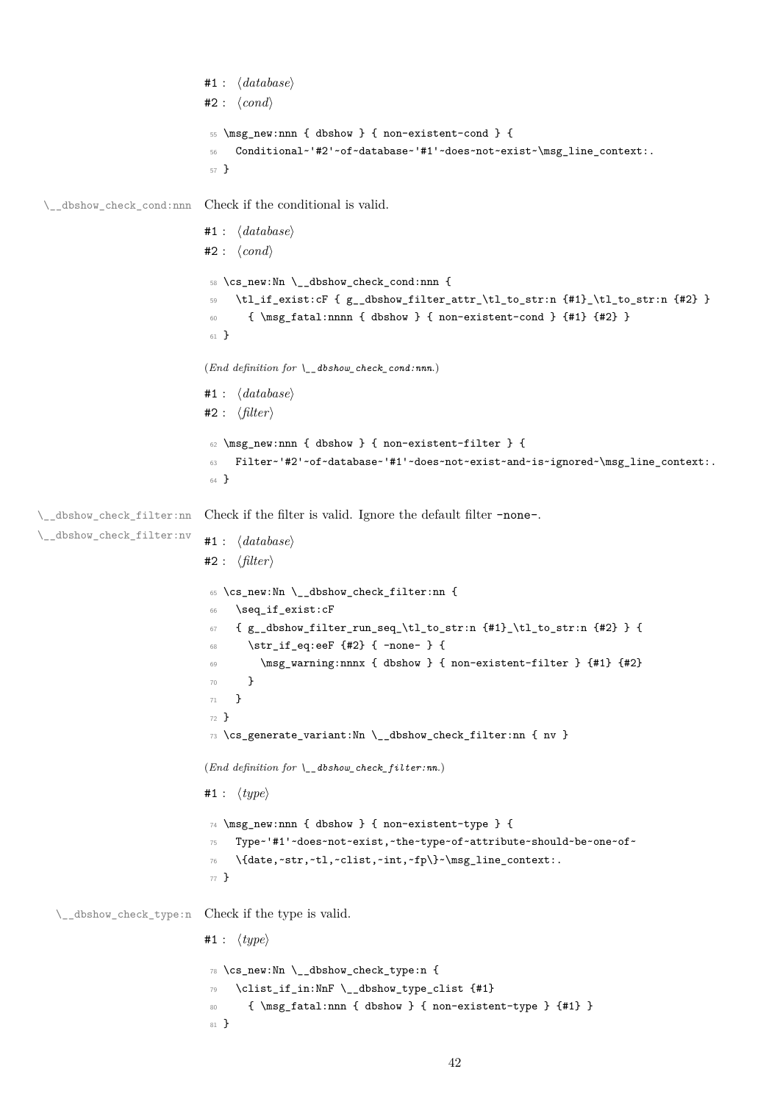```
#1 : ⟨database⟩
                            #2 : ⟨cond⟩
                             55 \msg_new:nnn { dbshow } { non-existent-cond } {
                             56 Conditional~'#2'~of~database~'#1'~does~not~exist~\msg_line_context:.
                             57 }
 \__dbshow_check_cond:nnn Check if the conditional is valid.
                            #1 : ⟨database⟩
                            #2 : ⟨cond⟩
                             58 \cs_new:Nn \__dbshow_check_cond:nnn {
                             59 \tl_if_exist:cF { g__dbshow_filter_attr_\tl_to_str:n {#1}_\tl_to_str:n {#2} }
                             60 { \msg_fatal:nnnn { dbshow } { non-existent-cond } {#1} {#2} }
                             61 }
                            (End definition for \__dbshow_check_cond:nnn.)
                            #1 : ⟨database⟩
                            #2 : ⟨filter⟩
                             62 \msg_new:nnn { dbshow } { non-existent-filter } {
                             63 Filter~'#2'~of~database~'#1'~does~not~exist~and~is~ignored~\msg_line_context:.
                             64 }
\__dbshow_check_filter:nn
\__dbshow_check_filter:nv
                            Check if the filter is valid. Ignore the default filter -none-.
                            #1 : ⟨database⟩
                            #2 : ⟨filter⟩
                             65 \cs_new:Nn \__dbshow_check_filter:nn {
                             66 \seq_if_exist:cF
                             67 { g__dbshow_filter_run_seq_\tl_to_str:n {#1}_\tl_to_str:n {#2} } {
                                   \strut\text{str\_if\_eq:eeF} {#2} { -none- } {
                             69 \msg_warning:nnnx { dbshow } { non-existent-filter } {#1} {#2}
                             70 \qquad \qquad }
                             71 }
                             72 }
                             73 \cs_generate_variant:Nn \__dbshow_check_filter:nn { nv }
                            (End definition for \__dbshow_check_filter:nn.)
                            #1 : ⟨type⟩
                             74 \msg_new:nnn { dbshow } { non-existent-type } {
                             75 Type~'#1'~does~not~exist,~the~type~of~attribute~should~be~one~of~
                             76 \{date,~str,~tl,~clist,~int,~fp\}~\msg_line_context:.
                             77 }
   \__dbshow_check_type:n Check if the type is valid.
                            #1 : ⟨type⟩
                             78 \cs_new:Nn \__dbshow_check_type:n {
                             79 \clist_if_in:NnF \__dbshow_type_clist {#1}
                             80 { \msg_fatal:nnn { dbshow } { non-existent-type } {#1} }
                             81 }
```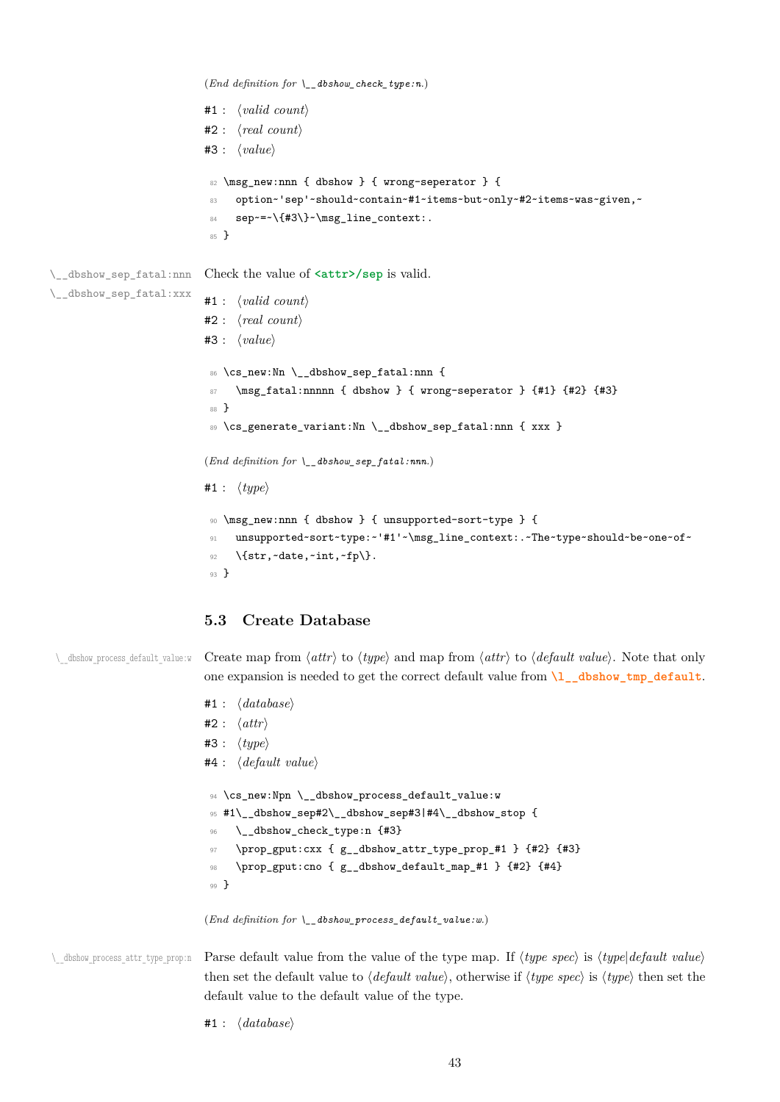```
(End definition for \__dbshow_check_type:n.)
                          #1 : ⟨valid count⟩
                          #2 : ⟨real count⟩
                          #3 : ⟨value⟩
                           82 \msg_new:nnn { dbshow } { wrong-seperator } {
                           83 option~'sep'~should~contain~#1~items~but~only~#2~items~was~given,~
                           84 sep~=~\{#3\}~\msg_line_context:.
                           85 }
\__dbshow_sep_fatal:nnn
\__dbshow_sep_fatal:xxx
                          Check the value of <attr>/sep is valid.
                          #1 : ⟨valid count⟩
                          #2 : ⟨real count⟩
                          #3 : ⟨value⟩
                           86 \cs_new:Nn \__dbshow_sep_fatal:nnn {
                           87 \msg_fatal:nnnnn { dbshow } { wrong-seperator } {#1} {#2} {#3}
                           88 }
                           89 \cs_generate_variant:Nn \__dbshow_sep_fatal:nnn { xxx }
                          (End definition for \__dbshow_sep_fatal:nnn.)
                          #1 : ⟨type⟩
                           90 \msg_new:nnn { dbshow } { unsupported-sort-type } {
                               unsupported~sort~type:~'#1'~\msg_line_context:.~The~type~should~be~one~of~
                           92 \{str,~date,~int,~fp\}.
                           93 }
```
#### **5.3 Create Database**

\\_\_dbshow\_process\_default\_value:w Create map from *⟨attr⟩* to *⟨type⟩* and map from *⟨attr⟩* to *⟨default value⟩*. Note that only one expansion is needed to get the correct default value from **\l\_\_dbshow\_tmp\_default**.

```
#1 : ⟨database⟩
#2 : ⟨attr⟩
#3 : ⟨type⟩
#4 : ⟨default value⟩
94 \cs_new:Npn \__dbshow_process_default_value:w
95 #1\__dbshow_sep#2\__dbshow_sep#3|#4\__dbshow_stop {
     \__dbshow_check_type:n {#3}
97 \prop_gput:cxx { g__dbshow_attr_type_prop_#1 } {#2} {#3}
98 \prop_gput:cno { g__dbshow_default_map_#1 } {#2} {#4}
99 }
```
(*End definition for \\_\_dbshow\_process\_default\_value:w.*)

\\_\_dbshow\_process\_attr\_type\_prop:n Parse default value from the value of the type map. If *⟨type spec⟩* is *⟨type*|*default value⟩* then set the default value to *⟨default value⟩*, otherwise if *⟨type spec⟩* is *⟨type⟩* then set the default value to the default value of the type.

#1 : *⟨database⟩*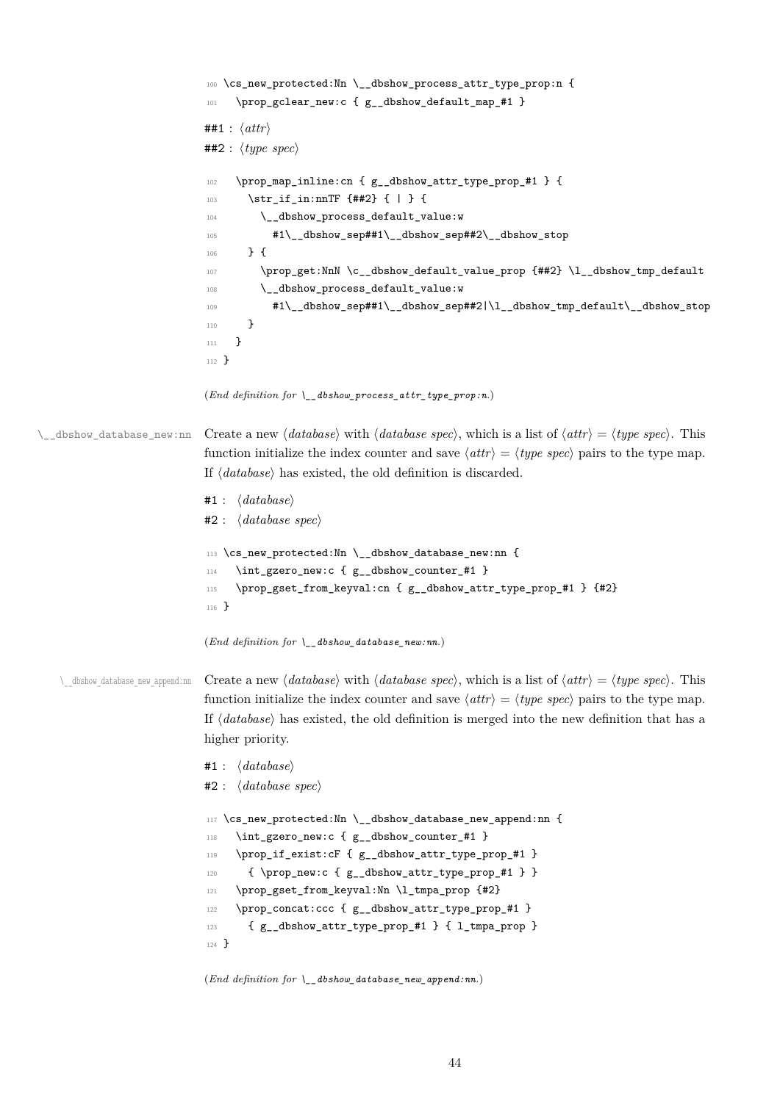```
100 \cs_new_protected:Nn \__dbshow_process_attr_type_prop:n {
                             101 \prop_gclear_new:c { g__dbshow_default_map_#1 }
                             ##1 : ⟨attr⟩
                             ##2 : ⟨type spec⟩
                             102 \prop_map_inline:cn { g_dbshow_attr_type_prop_#1 } {
                             103 \str if in:nnTF {##2} { | } {
                             104 \_dbshow_process_default_value:w
                             105 #1\__dbshow_sep##1\__dbshow_sep##2\__dbshow_stop
                             106 } {
                             107 \prop_get:NnN \c_dbshow_default_value_prop {##2} \l_dbshow_tmp_default
                             108 \__dbshow_process_default_value:w
                             109 #1\__dbshow_sep##1\__dbshow_sep##2|\l__dbshow_tmp_default\__dbshow_stop
                             110 }
                             111 - \lambda112 }
                             (End definition for \__dbshow_process_attr_type_prop:n.)
\__dbshow_database_new:nn Create a new ⟨database⟩ with ⟨database spec⟩, which is a list of ⟨attr⟩ = ⟨type spec⟩. This
                             function initialize the index counter and save \langle \text{attr} \rangle = \langle \text{type spec} \rangle pairs to the type map.
                             If ⟨database⟩ has existed, the old definition is discarded.
                             #1 : ⟨database⟩
                             #2 : ⟨database spec⟩
                             113 \cs_new_protected:Nn \__dbshow_database_new:nn {
                             114 \int_gzero_new:c { g__dbshow_counter_#1 }
                             115 \prop_gset_from_keyval:cn { g__dbshow_attr_type_prop_#1 } {#2}
                             116 }
                             (End definition for \__dbshow_database_new:nn.)
   \__dbshow_database_new_append:nn Create a new ⟨database⟩ with ⟨database spec⟩, which is a list of ⟨attr⟩ = ⟨type spec⟩. This
                             function initialize the index counter and save \langle \textit{attr} \rangle = \langle \textit{type spec} \rangle pairs to the type map.
                             If ⟨database⟩ has existed, the old definition is merged into the new definition that has a
                             higher priority.
                             #1 : ⟨database⟩
                             #2 : ⟨database spec⟩
                             117 \cs_new_protected:Nn \__dbshow_database_new_append:nn {
                             118 \int_gzero_new:c { g__dbshow_counter_#1 }
                             119 \prop_if_exist:cF { g__dbshow_attr_type_prop_#1 }
                             120 { \prop_new:c { g__dbshow_attr_type_prop_#1 } }
                             121 \prop_gset_from_keyval:Nn \l_tmpa_prop {#2}
                             122 \prop_concat:ccc { g__dbshow_attr_type_prop_#1 }
                             123 { g_dbshow_attr_type_prop_#1 } { l_tmpa_prop }
                             124 }
```
(*End definition for \\_\_dbshow\_database\_new\_append:nn.*)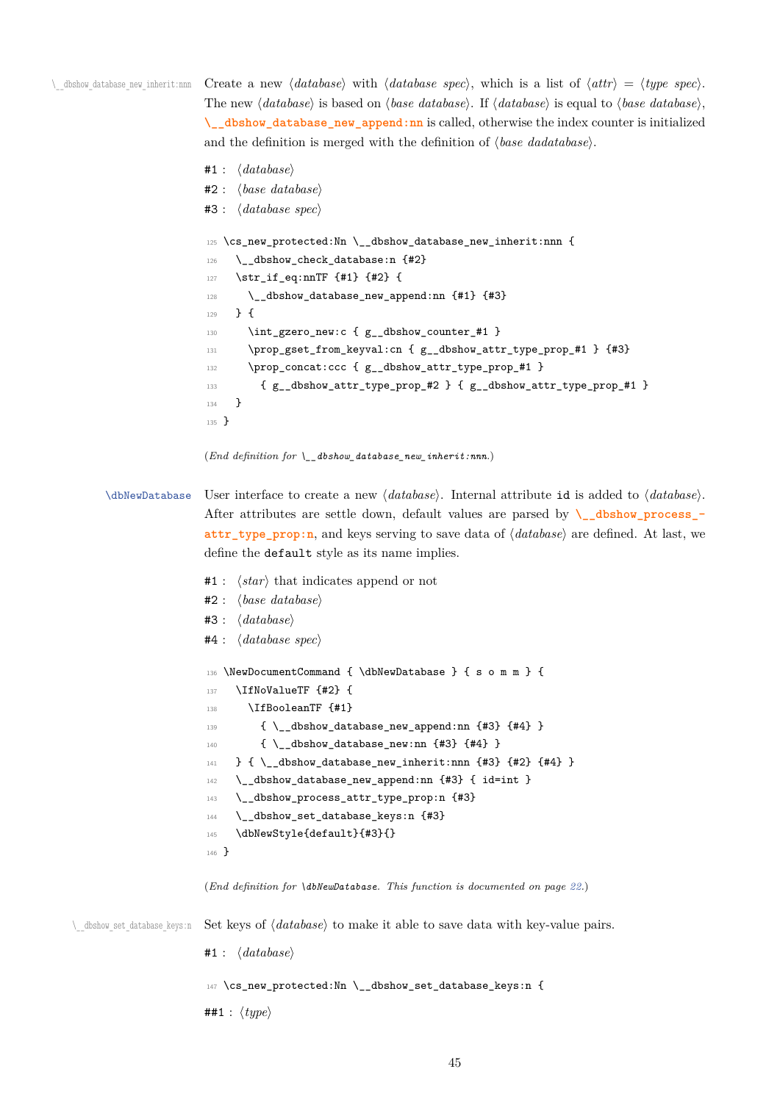\\_\_dbshow\_database\_new\_inherit:nnn Create a new *⟨database⟩* with *⟨database spec⟩*, which is a list of *⟨attr⟩* = *⟨type spec⟩*. The new *⟨database⟩* is based on *⟨base database⟩*. If *⟨database⟩* is equal to *⟨base database⟩*, **\\_\_dbshow\_database\_new\_append:nn** is called, otherwise the index counter is initialized and the definition is merged with the definition of *⟨base dadatabase⟩*.

```
#1 : ⟨database⟩
#2 : ⟨base database⟩
#3 : ⟨database spec⟩
125 \cs_new_protected:Nn \__dbshow_database_new_inherit:nnn {
126 \__dbshow_check_database:n {#2}
127 \str_if_eq:nnTF {#1} {#2} {
128 \__dbshow_database_new_append:nn {#1} {#3}
129 } {
130 \int_gzero_new:c { g__dbshow_counter_#1 }
131 \prop_gset_from_keyval:cn { g__dbshow_attr_type_prop_#1 } {#3}
132 \prop_concat:ccc { g__dbshow_attr_type_prop_#1 }
133 { g__dbshow_attr_type_prop_#2 } { g__dbshow_attr_type_prop_#1 }
134 }
135 }
```

```
(End definition for \__dbshow_database_new_inherit:nnn.)
```
\dbNewDatabase User interface to create a new *⟨database⟩*. Internal attribute id is added to *⟨database⟩*. After attributes are settle down, default values are parsed by **\\_\_dbshow\_process\_ attr\_type\_prop:n**, and keys serving to save data of *⟨database⟩* are defined. At last, we define the default style as its name implies.

- #1 : *⟨star⟩* that indicates append or not
- #2 : *⟨base database⟩*
- #3 : *⟨database⟩*
- #4 : *⟨database spec⟩*

```
136 \NewDocumentCommand { \dbNewDatabase } { s o m m } {
137 \IfNoValueTF {#2} {
138 \IfBooleanTF {#1}
139 \{\ \setminus\_\_dbshow\_database\_new\_append:nn \ \{\#3\} \ \{\#4\} \ \}140 \{ \ \_dbshow_database_new:nn \ \{ #3\} \ \{ #4\} \ \}_{141} } { \__dbshow_database_new_inherit:nnn {#3} {#2} {#4} }
142 \__dbshow_database_new_append:nn {#3} { id=int }
143 \__dbshow_process_attr_type_prop:n {#3}
144 \__dbshow_set_database_keys:n {#3}
145 \dbNewStyle{default}{#3}{}
146 }
```

```
(End definition for \dbNewDatabase. This function is documented on page 22.)
```
\\_\_dbshow\_set\_database\_keys:n Set keys of *⟨database⟩* to make it able to save data with key-value pairs.

```
#1 : ⟨database⟩
```

```
147 \cs_new_protected:Nn \__dbshow_set_database_keys:n {
```

```
##1 : ⟨type⟩
```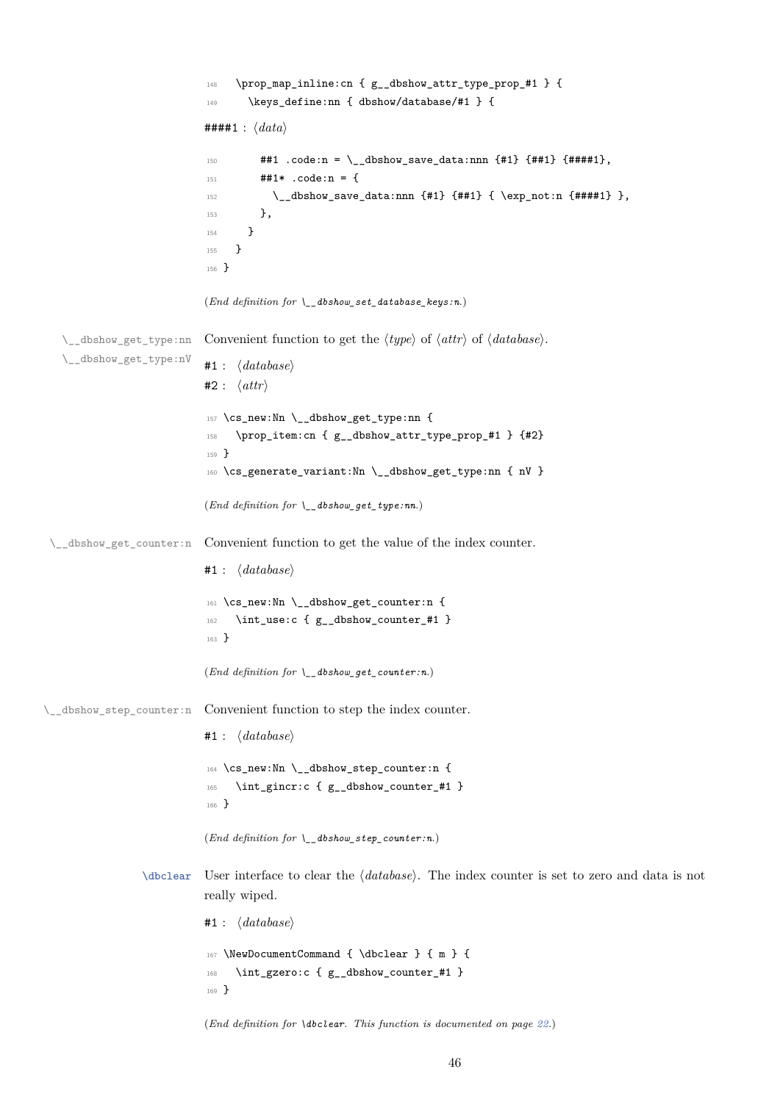```
148 \prop_map_inline:cn { g__dbshow_attr_type_prop_#1 } {
                            149 \qquad \texttt{\texttt{dbshow/databases/#1} } \{####1 : ⟨data⟩
                            150 \##1 \cdot code:n = \_{dbshow\_save\_data:nnn \{#1\} \{##1\},151 ##1* .code:n = {
                            152 \_{\_dbshow\_save\_data:nnn {#1} {##1} { \exp_not:n {####1} },
                            153 },
                            154 }
                            155 }
                            156 }
                           (End definition for \__dbshow_set_database_keys:n.)
   \__dbshow_get_type:nn
   \__dbshow_get_type:nV
                          Convenient function to get the ⟨type⟩ of ⟨attr⟩ of ⟨database⟩.
                           #1 : ⟨database⟩
                           #2 : ⟨attr⟩
                            157 \cs_new:Nn \__dbshow_get_type:nn {
                            158 \prop_item:cn { g__dbshow_attr_type_prop_#1 } {#2}
                            159 }
                            160 \cs_generate_variant:Nn \__dbshow_get_type:nn { nV }
                           (End definition for \__dbshow_get_type:nn.)
 \__dbshow_get_counter:n Convenient function to get the value of the index counter.
                           #1 : ⟨database⟩
                            161 \cs_new:Nn \__dbshow_get_counter:n {
                            162 \int_use:c { g__dbshow_counter_#1 }
                            163 }
                           (End definition for \__dbshow_get_counter:n.)
\__dbshow_step_counter:n Convenient function to step the index counter.
                           #1 : ⟨database⟩
                            164 \cs_new:Nn \__dbshow_step_counter:n {
                            165 \int_gincr:c { g__dbshow_counter_#1 }
                            166 }
                           (End definition for \__dbshow_step_counter:n.)
                 \dbclear User interface to clear the ⟨database⟩. The index counter is set to zero and data is not
                           really wiped.
                           #1 : ⟨database⟩
                            167 \NewDocumentCommand { \dbclear } { m } {
                            168 \int_gzero:c { g__dbshow_counter_#1 }
                            169 }
                           (End definition for \dbclear. This function is documented on page 22.)
```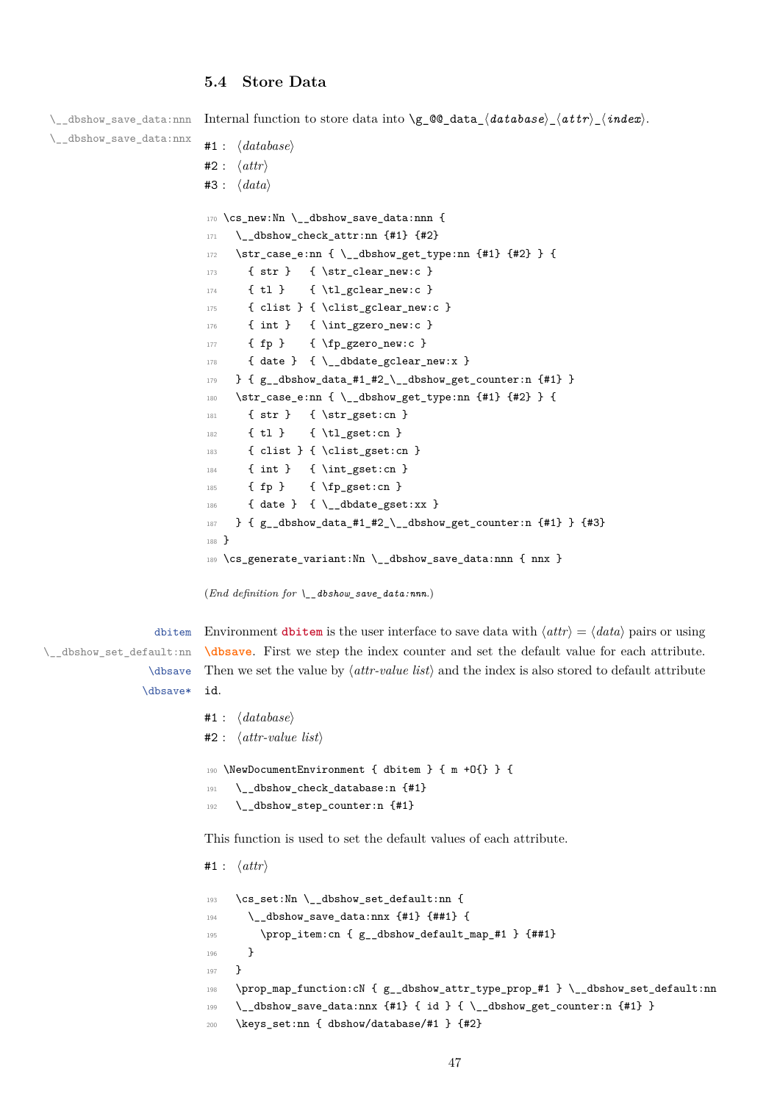#### <span id="page-46-0"></span>**5.4 Store Data**

\\_\_dbshow\_save\_data:nnn \\_\_dbshow\_save\_data:nnx Internal function to store data into \g\_@@\_data\_*⟨database⟩*\_*⟨attr⟩*\_*⟨index⟩*. #1 : *⟨database⟩* #2 : *⟨attr⟩* #3 : *⟨data⟩* 170 \cs\_new:Nn \\_\_dbshow\_save\_data:nnn {  $171$  \\_dbshow\_check\_attr:nn {#1} {#2} 172 \str\_case\_e:nn { \\_\_dbshow\_get\_type:nn {#1} {#2} } { 173 { str } { \str\_clear\_new:c } 174 { tl } { \tl\_gclear\_new:c } 175 { clist } { \clist\_gclear\_new:c }

```
176 { int } { \int_gzero_new:c }
177 { fp } { \fp_gzero_new:c }
178 { date } { \__dbdate_gclear_new:x }
179 } { g_{adbshow_data#1#2\_\ddot} dbshow_get_counter:n {#1} }
180 \str_case_e:nn { \__dbshow_get_type:nn {#1} {#2} } {
181 { str } { \str_gset:cn }
182 { tl } { \tl_gset:cn }
183 { clist } { \clist_gset:cn }
184 { int } { \int_gset:cn }
185 { fp } { \fp_gset:cn }
186 { date } { \__dbdate_gset:xx }
187 } { g__dbshow_data_#1_#2_\__dbshow_get_counter:n {#1} } {#3}
188 }
189 \cs_generate_variant:Nn \__dbshow_save_data:nnn { nnx }
```

```
(End definition for \__dbshow_save_data:nnn.)
```
dbitem \\_\_dbshow\_set\_default:nn \dbsave \d[bsave\\*](#page-34-0)

Environment **dbitem** is the user interface to save data with  $\langle \text{attr} \rangle = \langle \text{data} \rangle$  pairs or using **\dbsave**. First we step the index counter and set the default value for each attribute. Then we set the value by *⟨attr-value list⟩* and the index is also stored to default attribute id.

```
#1 : ⟨database⟩
#2 : ⟨attr-value list⟩
190 \NewDocumentEnvironment { dbitem } { m +O{} } {
191 \__dbshow_check_database:n {#1}
192 \__dbshow_step_counter:n {#1}
```
This function is used to set the default values of each attribute.

```
#1 : ⟨attr⟩
193 \cs_set:Nn \__dbshow_set_default:nn {
194 \__dbshow_save_data:nnx {#1} {##1} {
195 \prop_item:cn { g__dbshow_default_map_#1 } {##1}
196 }
197 }
198 \prop_map_function:cN { g__dbshow_attr_type_prop_#1 } \__dbshow_set_default:nn
199 \__dbshow_save_data:nnx {#1} { id } { \__dbshow_get_counter:n {#1} }
200 \keys_set:nn { dbshow/database/#1 } {#2}
```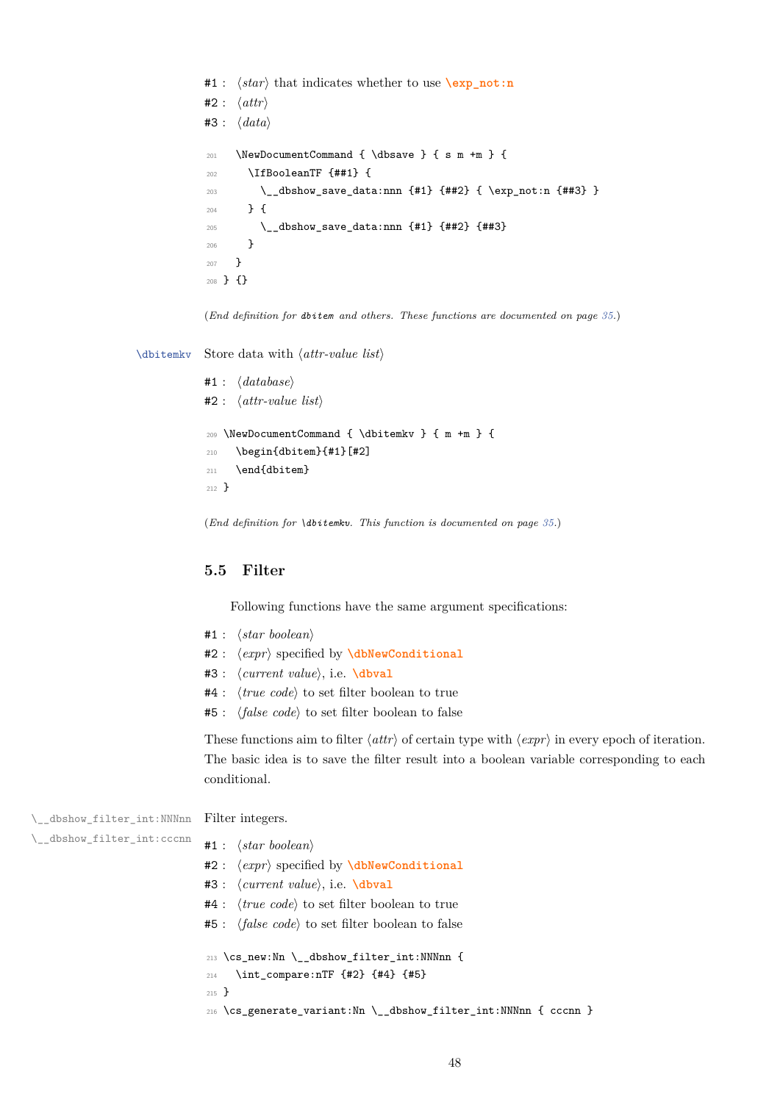```
#1 : ⟨star⟩ that indicates whether to use \exp_not:n
#2 : ⟨attr⟩
#3 : ⟨data⟩
201 \NewDocumentCommand { \dbsave } { s m +m } {
202 \IfBooleanTF {##1} {
203 \__dbshow_save_data:nnn {#1} {##2} { \exp_not:n {##3} }
204 } {
205 \__dbshow_save_data:nnn {#1} {##2} {##3}
206 }
207 }
208 } {}
```
(*End definition for dbitem and others. These functions are documented on page 35.*)

\dbitemkv Store data with *⟨attr-value list⟩*

```
#1 : ⟨database⟩
#2 : ⟨attr-value list⟩
209 \NewDocumentCommand { \dbitemkv } { m +m } {
210 \begin{dbitem}{#1}[#2]
211 \end{dbitem}
212 }
```
(*End definition for \dbitemkv. This function is documented on page 35.*)

#### **5.5 Filter**

Following functions have the same argument specifications:

- #1 : *⟨star boolean⟩*
- #2 : *⟨expr⟩* specified by **\dbNewConditional**
- #3 : *⟨current value⟩*, i.e. **\dbval**
- #4 : *⟨true code⟩* to set filter boolean to true
- #5 : *⟨false code⟩* to set [filter boolean to false](#page-31-0)

These functions aim to filter *⟨[attr](#page-37-0)⟩* of certain type with *⟨expr⟩* in every epoch of iteration. The basic idea is to save the filter result into a boolean variable corresponding to each conditional.

\\_\_dbshow\_filter\_int:NNNnn Filter integers.

```
\__dbshow_filter_int:cccnn
```
- #1 : *⟨star boolean⟩*
- #2 : *⟨expr⟩* specified by **\dbNewConditional**
- #3 : *⟨current value⟩*, i.e. **\dbval**
- #4 : *⟨true code⟩* to set filter boolean to true
- #5 : *⟨false code⟩* to set [filter boolean to false](#page-31-0)

```
^{213}_filter_int:NNNnn {
214 \int_compare:nTF {#2} {#4} {#5}
215 }
216 \cs_generate_variant:Nn \__dbshow_filter_int:NNNnn { cccnn }
```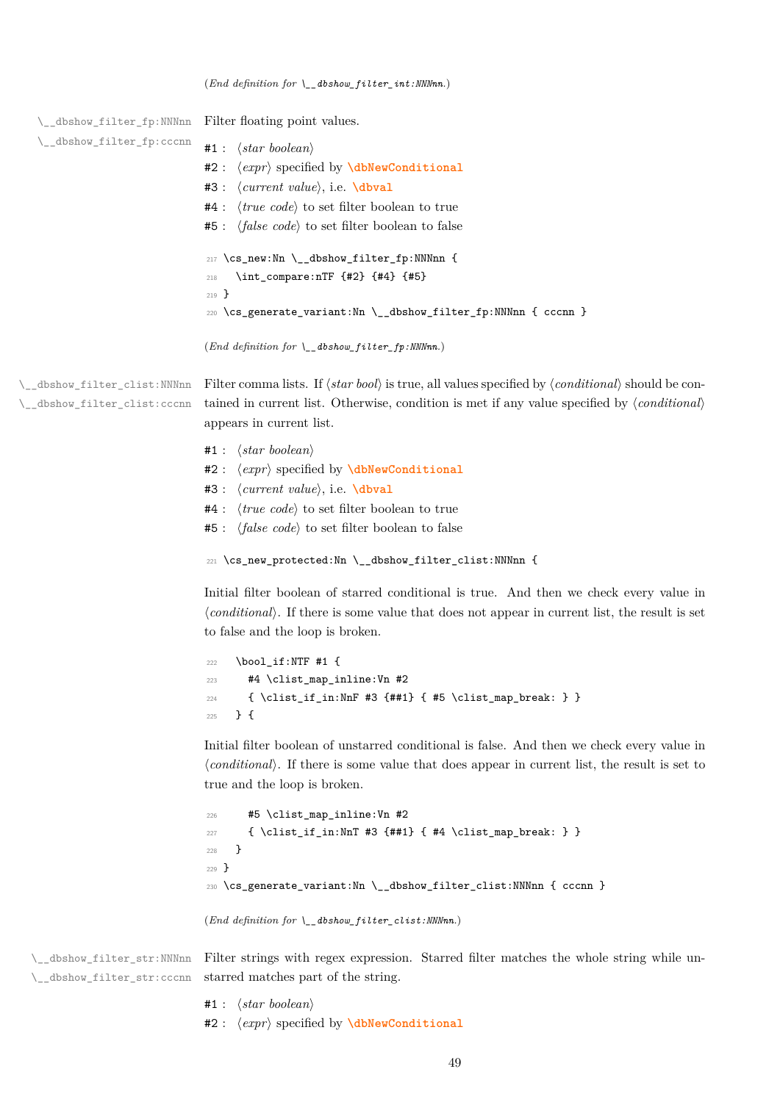(*End definition for \\_\_dbshow\_filter\_int:NNNnn.*)

\\_\_dbshow\_filter\_fp:NNNnn \\_\_dbshow\_filter\_fp:cccnn Filter floating point values. #1 : *⟨star boolean⟩* #2 : *⟨expr⟩* specified by **\dbNewConditional** #3 : *⟨current value⟩*, i.e. **\dbval** #4 : *⟨true code⟩* to set filter boolean to true #5 : *⟨false code⟩* to set [filter boolean to false](#page-31-0) 217 \cs\_new:Nn \\_\_dbshow[\\_filter\\_](#page-37-0)fp:NNNnn { <sup>218</sup> \int\_compare:nTF {#2} {#4} {#5} <sup>219</sup> } 220 \cs\_generate\_variant:Nn \\_\_dbshow\_filter\_fp:NNNnn { cccnn } (*End definition for \\_\_dbshow\_filter\_fp:NNNnn.*) \\_\_dbshow\_filter\_clist:NNNnn \\_\_dbshow\_filter\_clist:cccnn Filter comma lists. If *⟨star bool⟩* is true, all values specified by *⟨conditional⟩* should be contained in current list. Otherwise, condition is met if any value specified by *⟨conditional⟩* appears in current list. #1 : *⟨star boolean⟩* #2 : *⟨expr⟩* specified by **\dbNewConditional** #3 : *⟨current value⟩*, i.e. **\dbval** #4 : *⟨true code⟩* to set filter boolean to true #5 : *⟨false code⟩* to set [filter boolean to false](#page-31-0) <sup>221</sup> \cs\_new\_protected:Nn [\\\_\\_dbsh](#page-37-0)ow\_filter\_clist:NNNnn { Initial filter boolean of starred conditional is true. And then we check every value in *⟨conditional⟩*. If there is some value that does not appear in current list, the result is set to false and the loop is broken. <sup>222</sup> \bool\_if:NTF #1 { <sup>223</sup> #4 \clist\_map\_inline:Vn #2 <sup>224</sup> { \clist\_if\_in:NnF #3 {##1} { #5 \clist\_map\_break: } } <sup>225</sup> } { Initial filter boolean of unstarred conditional is false. And then we check every value in *⟨conditional⟩*. If there is some value that does appear in current list, the result is set to true and the loop is broken. <sup>226</sup> #5 \clist\_map\_inline:Vn #2 <sup>227</sup> { \clist\_if\_in:NnT #3 {##1} { #4 \clist\_map\_break: } } <sup>228</sup> } <sup>229</sup> }  $230 \text{ \& general}$  ariant:Nn \\_\_dbshow\_filter\_clist:NNNnn { cccnn } (*End definition for \\_\_dbshow\_filter\_clist:NNNnn.*) \\_\_dbshow\_filter\_str:NNNnn Filter strings with regex expression. Starred filter matches the whole string while un-\\_\_dbshow\_filter\_str:cccnn starred matches part of the string.

- #1 : *⟨star boolean⟩*
- #2 : *⟨expr⟩* specified by **\dbNewConditional**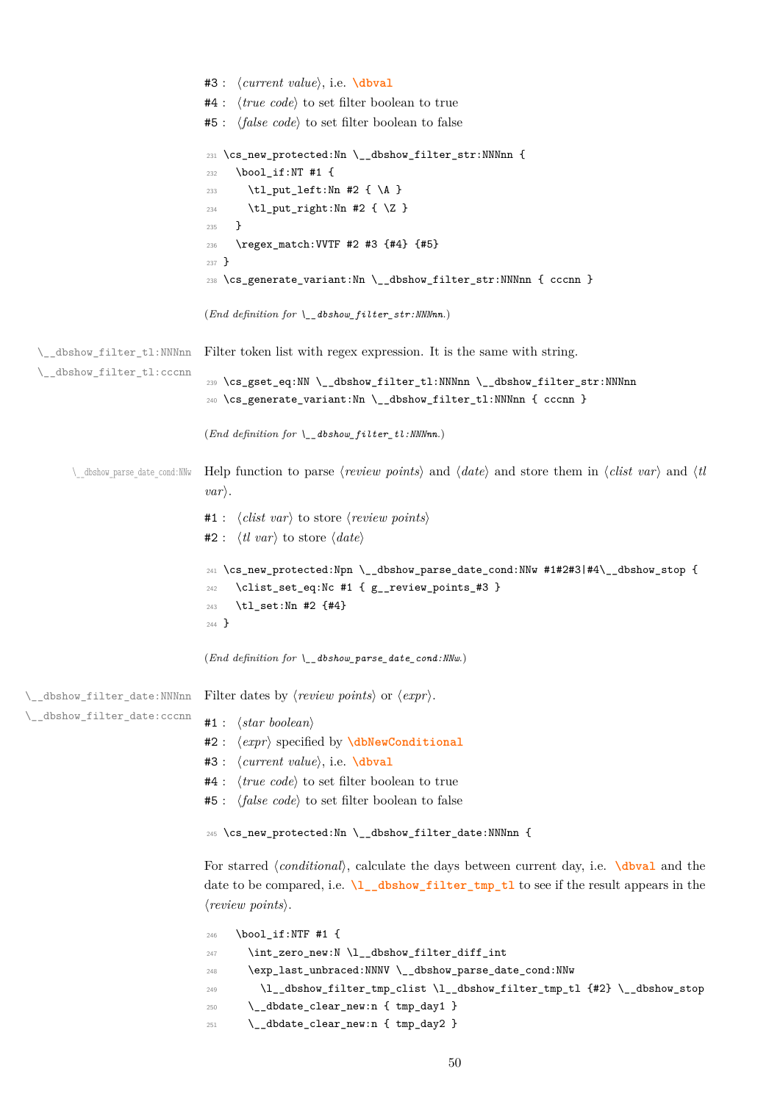```
#4 : ⟨true code⟩ to set filter boolean to true
                              #5 : ⟨false code⟩ to set filter boolean to false
                               \__dbshow_filter_str:NNNnn {
                              232 \bool_if:NT #1 {
                              233 \tl_put_left:Nn #2 { \A }
                              234 \tl_put_right:Nn #2 { \Z }
                              235 }
                              236 \regex_match:VVTF #2 #3 {#4} {#5}
                              237 }
                              238 \cs_generate_variant:Nn \__dbshow_filter_str:NNNnn { cccnn }
                              (End definition for \__dbshow_filter_str:NNNnn.)
  \__dbshow_filter_tl:NNNnn
  \__dbshow_filter_tl:cccnn
                             Filter token list with regex expression. It is the same with string.
                              239 \cs_gset_eq:NN \__dbshow_filter_tl:NNNnn \__dbshow_filter_str:NNNnn
                              240 \cs_generate_variant:Nn \__dbshow_filter_tl:NNNnn { cccnn }
                              (End definition for \__dbshow_filter_tl:NNNnn.)
       \__dbshow_parse_date_cond:NNw Help function to parse ⟨review points⟩ and ⟨date⟩ and store them in ⟨clist var⟩ and ⟨tl
                              var⟩.
                              #1 : ⟨clist var⟩ to store ⟨review points⟩
                              #2 : ⟨tl var⟩ to store ⟨date⟩
                              241 \cs_new_protected:Npn \__dbshow_parse_date_cond:NNw #1#2#3|#4\__dbshow_stop {
                                   \clist_set_eq:Nc #1 { g__review_points_#3 }
                              243 \tl_set:Nn #2 {#4}
                              244 }
                              (End definition for \__dbshow_parse_date_cond:NNw.)
\__dbshow_filter_date:NNNnn
\_dbshow_filter_date:cccnn
                             Filter dates by ⟨review points⟩ or ⟨expr⟩.
                              #1 : ⟨star boolean⟩
                              #2 : ⟨expr⟩ specified by \dbNewConditional
                              #3 : ⟨current value⟩, i.e. \dbval
                              #4 : ⟨true code⟩ to set filter boolean to true
                              #5 : ⟨false code⟩ to set filter boolean to false
                              245 \cs_new_protected:Nn \__dbshow_filter_date:NNNnn {
                              For starred ⟨conditional⟩, calculate the days between current day, i.e. \dbval and the
                              date to be compared, i.e. \l__dbshow_filter_tmp_tl to see if the result appears in the
                              ⟨review points⟩.
                              246 \bool_if:NTF #1 {
                              247 \int_zero_new:N \l__dbshow_filter_diff_int
                              248 \exp_last_unbraced:NNNV \__dbshow_parse_date_cond:NNw
                              249 \l__dbshow_filter_tmp_clist \l__dbshow_filter_tmp_tl {#2} \__dbshow_stop
                              250 \__dbdate_clear_new:n { tmp_day1 }
                              251 \__dbdate_clear_new:n { tmp_day2 }
```
#3 : *⟨current value⟩*, i.e. **\dbval**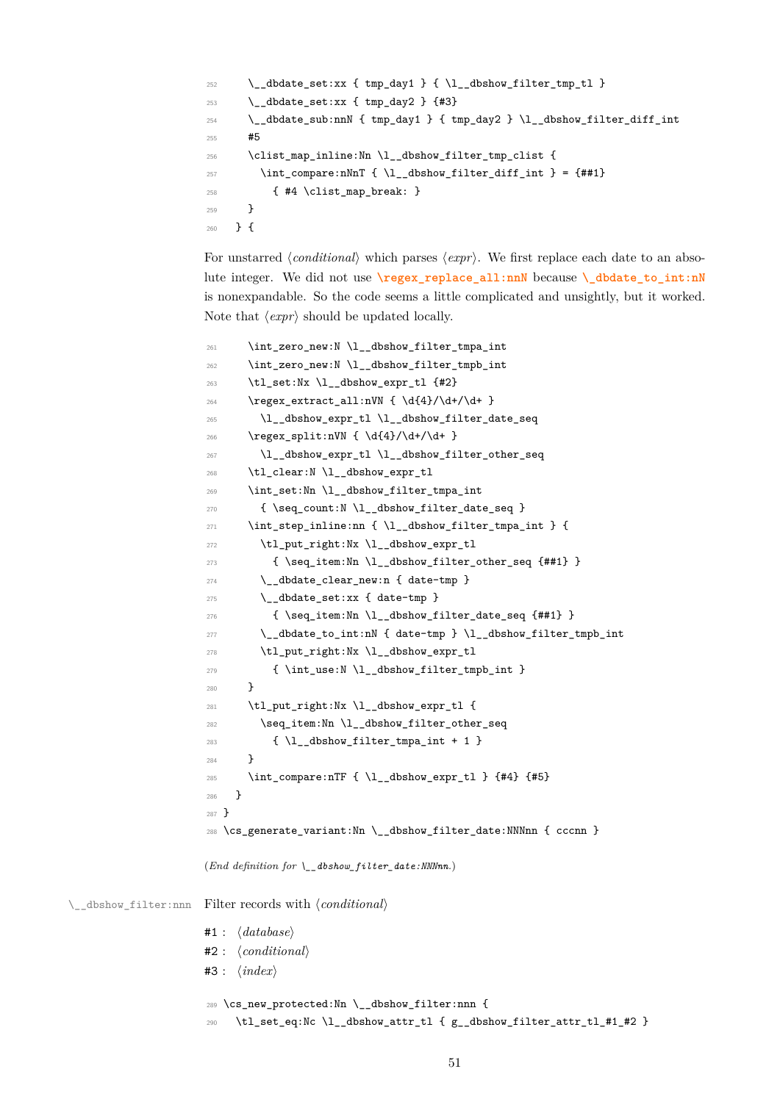```
252 \_dbdate_set:xx { tmp_day1 } { \l__dbshow_filter_tmp_tl }
253 \__dbdate_set:xx { tmp_day2 } {#3}
\sum_{254} \__dbdate_sub:nnN { tmp_day1 } { tmp_day2 } \l__dbshow_filter_diff_int
255 #5
256 \clist_map_inline:Nn \l__dbshow_filter_tmp_clist {
257 \int_compare:nNnT { \l_dbshow_filter_diff_int } = {##1}
258 { #4 \clist_map_break: }
259 }
260 } {
```
For unstarred *⟨conditional⟩* which parses *⟨expr⟩*. We first replace each date to an absolute integer. We did not use **\regex\_replace\_all:nnN** because **\\_dbdate\_to\_int:nN** is nonexpandable. So the code seems a little complicated and unsightly, but it worked. Note that *⟨expr⟩* should be updated locally.

```
\verb|261| \verb|| \int_zero_new:N \l_dbshow_fitter\_tmpa_int262 \int_zero_new:N \l__dbshow_filter_tmpb_int
                     263 \tl_set:Nx \l_dbshow_expr_tl {#2}
                     264 \regex_extract_all:nVN { \d{4}/\d+/\d+ }
                     265 \l__dbshow_expr_tl \l__dbshow_filter_date_seq
                     266 \regex_split:nVN { \d{4}/\d+/\d+ }
                     267 \l__dbshow_expr_tl \l__dbshow_filter_other_seq
                     268 \tl_clear:N \l__dbshow_expr_tl
                     269 \int_set:Nn \l__dbshow_filter_tmpa_int
                     270 { \seq_count:N \l__dbshow_filter_date_seq }
                     271 \int_2 \int_step_inline:nn { \l__dbshow_filter_tmpa_int } {
                     272 \tl_put_right:Nx \l__dbshow_expr_tl
                     273 { \seq_item:Nn \l__dbshow_filter_other_seq {##1} }
                     274 \__dbdate_clear_new:n { date-tmp }
                     275 \_dbdate_set:xx { date-tmp }
                     276 { \seq_item:Nn \l__dbshow_filter_date_seq {##1} }
                     277 \__dbdate_to_int:nN { date-tmp } \l__dbshow_filter_tmpb_int
                     278 \tl_put_right:Nx \l__dbshow_expr_tl
                     279 { \int_use:N \l__dbshow_filter_tmpb_int }
                     280 }
                     281 \tl_put_right:Nx \l_dbshow_expr_tl {
                     282 \seq_item:Nn \l__dbshow_filter_other_seq
                     283 \{ \lceil \lambda \rceil \leq d \bmod{1} \}284 }
                     285 \int_compare:nTF { \l__dbshow_expr_tl } {#4} {#5}
                     286 }
                     287 }
                     288 \cs_generate_variant:Nn \__dbshow_filter_date:NNNnn { cccnn }
                     (End definition for \__dbshow_filter_date:NNNnn.)
\__dbshow_filter:nnn Filter records with ⟨conditional⟩
                     #1 : ⟨database⟩
                     #2 : ⟨conditional⟩
                     #3 : ⟨index⟩
                     289 \cs_new_protected:Nn \__dbshow_filter:nnn {
```

```
290 \tl_set_eq:Nc \l__dbshow_attr_tl { g__dbshow_filter_attr_tl_#1_#2 }
```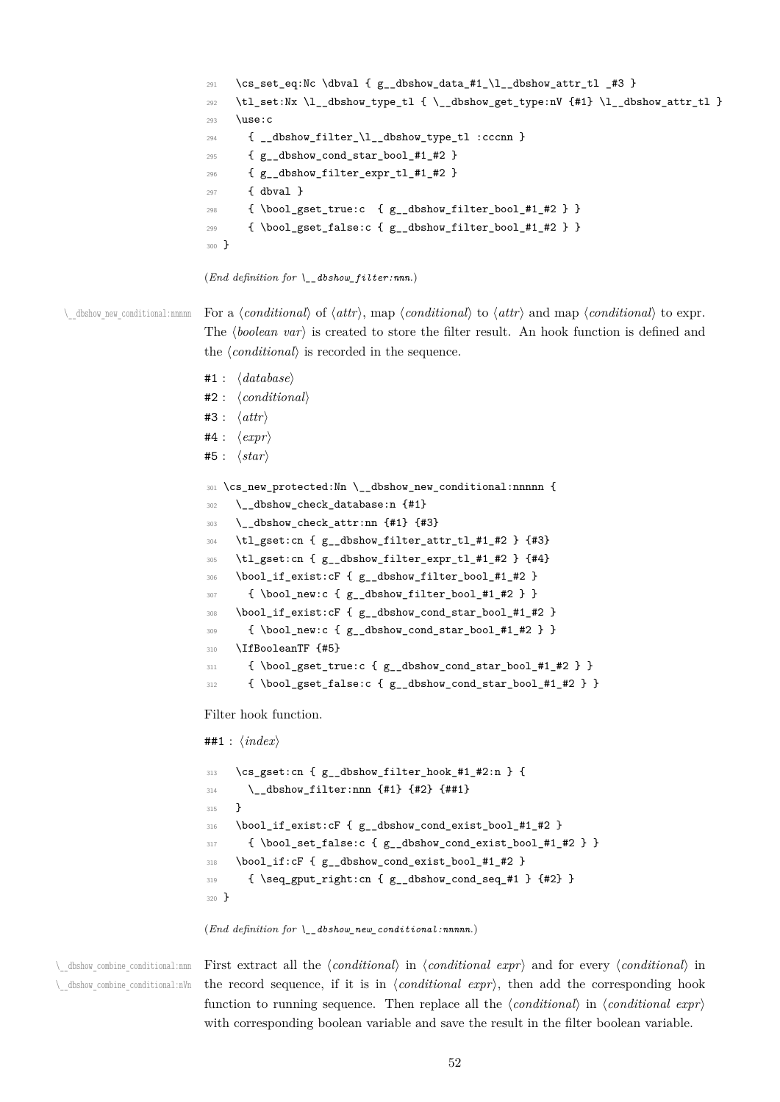```
291 \cs_set_eq:Nc \dbval { g_dbshow_data_#1_\l__dbshow_attr_tl _#3 }
                         292 \tl_set:Nx \l__dbshow_type_tl { \__dbshow_get_type:nV {#1} \l__dbshow_attr_tl }
                         293 \use:c
                         294 { __dbshow_filter_\l__dbshow_type_tl :cccnn }
                         295 { g__dbshow_cond_star_bool_#1_#2 }
                         296 { g__dbshow_filter_expr_tl_#1_#2 }
                         297 { dbval }
                         298 \{ \boldsymbol{\delta} \in \mathbb{Z} \} { \{ \boldsymbol{\delta} \in \mathbb{Z} \} } }
                         299 { \bool_gset_false:c { g__dbshow_filter_bool_#1_#2 } }
                         300 }
                         (End definition for \__dbshow_filter:nnn.)
\setminus dbshow new conditional:nnnnn For a (conditional) of \langle attr), map \langle conditional) to \langle and map \langle conditional) to expr.
                         The \langle boolean var \rangle is created to store the filter result. An hook function is defined and
                         the ⟨conditional⟩ is recorded in the sequence.
                         #1 : ⟨database⟩
                         #2 : ⟨conditional⟩
                         #3 : ⟨attr⟩
                         #4 : ⟨expr⟩
                         #5 : ⟨star⟩
                         301 \cs_new_protected:Nn \__dbshow_new_conditional:nnnnn {
                         302 \__dbshow_check_database:n {#1}
                         303 \_dbshow_check_attr:nn {#1} {#3}
                         304 \tl_gset:cn { g__dbshow_filter_attr_tl_#1_#2 } {#3}
```

```
305 \tl_gset:cn { g__dbshow_filter_expr_tl_#1_#2 } {#4}
```

```
306 \bool_if_exist:cF { g__dbshow_filter_bool_#1_#2 }
```

```
\{ \b{}308 \bool_if_exist:cF { g__dbshow_cond_star_bool_#1_#2 }
```

```
309 { \bool_new:c { g__dbshow_cond_star_bool_#1_#2 } }
```

```
310 \IfBooleanTF {#5}
```

```
311 { \bool_gset_true:c { g__dbshow_cond_star_bool_#1_#2 } }
```

```
312 { \bool_gset_false:c { g__dbshow_cond_star_bool_#1_#2 } }
```
Filter hook function.

```
##1 : ⟨index⟩
```

```
313 \cs_gset:cn { g__dbshow_filter_hook_#1_#2:n } {
314 \__dbshow_filter:nnn {#1} {#2} {##1}
315 }
316 \bool_if_exist:cF { g__dbshow_cond_exist_bool_#1_#2 }
317 { \bool_set_false:c { g_dbshow_cond_exist_bool_#1_#2 } }
318 \bool_if:cF { g__dbshow_cond_exist_bool_#1_#2 }
319 { \seq_gput_right:cn { g__dbshow_cond_seq_#1 } {#2} }
320 }
```

```
(End definition for \__dbshow_new_conditional:nnnnn.)
```
\\_\_dbshow\_combine\_conditional:nnn \\_\_dbshow\_combine\_conditional:nVn

First extract all the *⟨conditional⟩* in *⟨conditional expr⟩* and for every *⟨conditional⟩* in the record sequence, if it is in *⟨conditional expr⟩*, then add the corresponding hook function to running sequence. Then replace all the *⟨conditional⟩* in *⟨conditional expr⟩* with corresponding boolean variable and save the result in the filter boolean variable.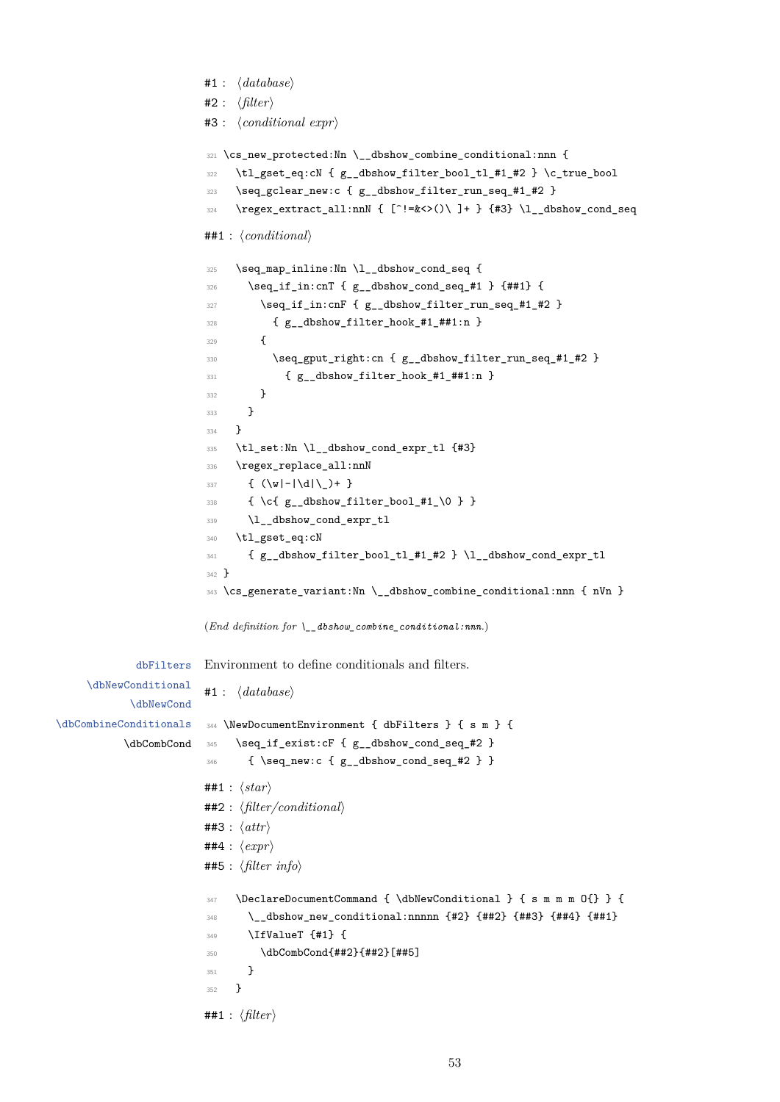```
#1 : ⟨database⟩
#2 : ⟨filter⟩
#3 : ⟨conditional expr⟩
321 \cs_new_protected:Nn \__dbshow_combine_conditional:nnn {
322 \tl_gset_eq:cN { g__dbshow_filter_bool_tl_#1_#2 } \c_true_bool
323 \seq_gclear_new:c { g__dbshow_filter_run_seq_#1_#2 }
324 \qquad \  \  \, \text{e.g. } \quad \  \, \text{e.g. } \quad \  \, \text{f. } \quad \  \, \text{f. } \quad \  \, \text{f. } \quad \  \, \text{f. } \quad \  \, \text{f. } \quad \  \, \text{f. } \quad \  \, \text{f. } \quad \  \, \text{f. } \quad \  \, \text{f. } \quad \  \, \text{f. } \quad \  \, \text{f. } \quad \  \, \text{f. } \quad \  \, \text{f. } \quad \  \, \text{f. } \quad \  \, \text{f. } \quad \  \, \text##1 : ⟨conditional⟩
325 \seq_map_inline:Nn \l__dbshow_cond_seq {
326 \seq_if_in:cnT { g__dbshow_cond_seq_#1 } {##1} {
327 \seq_if_in:cnF { g__dbshow_filter_run_seq_#1_#2 }
328 { g__dbshow_filter_hook_#1_##1:n }
329 {
330 \seq_gput_right:cn { g__dbshow_filter_run_seq_#1_#2 }
331 { g__dbshow_filter_hook_#1_##1:n }
332 }
333 }
334 }
335 \tl_set:Nn \l__dbshow_cond_expr_tl {#3}
336 \regex_replace_all:nnN
337 \{ (\wedge \wedge) - (\dedge) + \}338 { \c{ g__dbshow_filter_bool_#1_\0 } }
339 \l__dbshow_cond_expr_tl
340 \tl_gset_eq:cN
341 { g__dbshow_filter_bool_tl_#1_#2 } \l__dbshow_cond_expr_tl
342 }
343 \cs_generate_variant:Nn \__dbshow_combine_conditional:nnn { nVn }
(End definition for \__dbshow_combine_conditional:nnn.)
Environment to define conditionals and filters.
#1 : ⟨database⟩
344 \NewDocumentEnvironment { dbFilters } { s m } {
345 \seq_if_exist:cF { g__dbshow_cond_seq_#2 }
346 { \seq_new:c { g__dbshow_cond_seq_#2 } }
##1 : ⟨star⟩
##2 : ⟨filter/conditional⟩
##3 : ⟨attr⟩
##4 : ⟨expr⟩
##5 : ⟨filter info⟩
347 \DeclareDocumentCommand { \dbNewConditional } { s m m m O{} } {
348 \__dbshow_new_conditional:nnnnn {#2} {##2} {##3} {##4} {##1}
349 \IfValueT {#1} {
350 \dbCombCond{##2}{##2}[##5]
351 }
352 }
##1 : ⟨filter⟩
```
dbFilters

\dbNewCond

[\dbCombCond](#page-31-0)

\dbNewConditional

\dbCombineCon[ditionals](#page-30-0)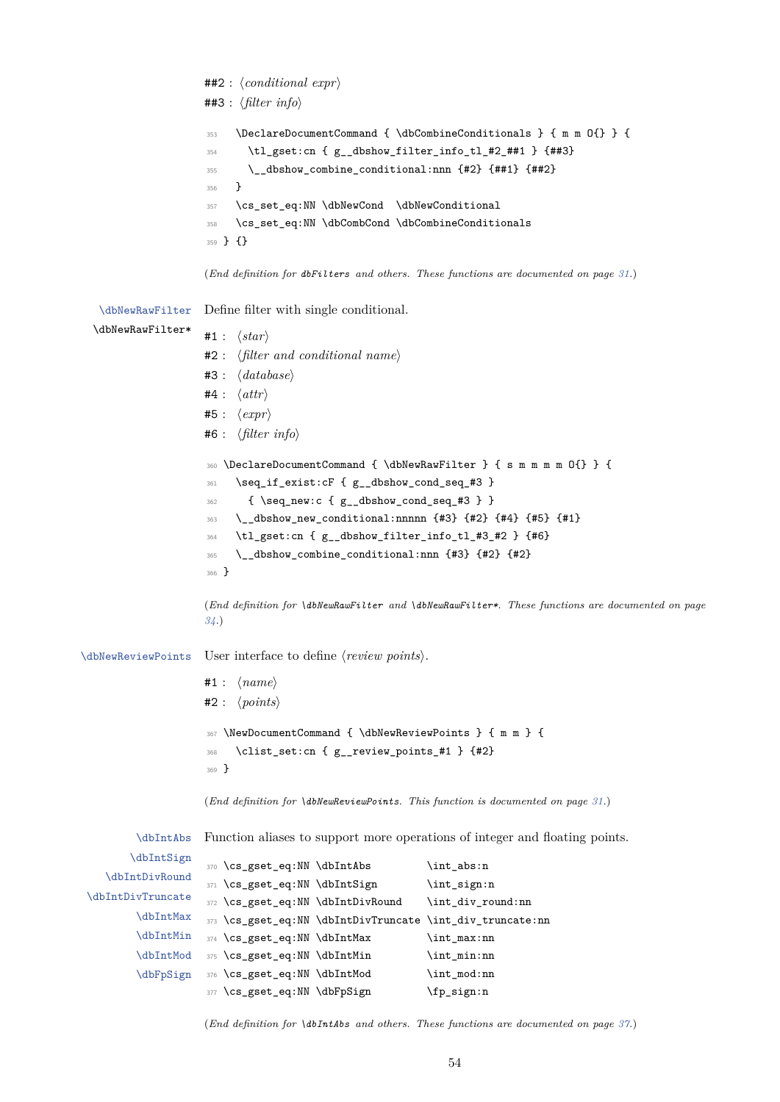##2 : *⟨conditional expr⟩* ##3 : *⟨filter info⟩* <sup>353</sup> \DeclareDocumentCommand { \dbCombineConditionals } { m m O{} } { <sup>354</sup> \tl\_gset:cn { g\_\_dbshow\_filter\_info\_tl\_#2\_##1 } {##3} <sup>355</sup> \\_\_dbshow\_combine\_conditional:nnn {#2} {##1} {##2} <sup>356</sup> } <sup>357</sup> \cs\_set\_eq:NN \dbNewCond \dbNewConditional <sup>358</sup> \cs\_set\_eq:NN \dbCombCond \dbCombineConditionals <sup>359</sup> } {} (*End definition for dbFilters and others. These functions are documented on page 31.*) \dbNewRawFilter Define filter with single conditional. \dbNewRawFilter\* #1 : *⟨star⟩* #2 : *⟨filter and conditional name⟩* #3 : *⟨database⟩* #4 : *⟨attr⟩* #5 : *⟨expr⟩* #6 : *⟨filter info⟩* <sup>360</sup> \DeclareDocumentCommand { \dbNewRawFilter } { s m m m m O{} } { <sup>361</sup> \seq\_if\_exist:cF { g\_\_dbshow\_cond\_seq\_#3 }  $362$  { \seq\_new:c {  $g$ \_\_dbshow\_cond\_seq\_#3 } } <sup>363</sup> \\_\_dbshow\_new\_conditional:nnnnn {#3} {#2} {#4} {#5} {#1} <sup>364</sup> \tl\_gset:cn { g\_\_dbshow\_filter\_info\_tl\_#3\_#2 } {#6} 365 \\_\_dbshow\_combine\_conditional:nnn {#3} {#2} {#2} <sup>366</sup> } (*End definition for \dbNewRawFilter and \dbNewRawFilter\*. These functions are documented on page 34.*) \dbNewReviewPoints User interface to define *⟨review points⟩*. [#1](#page-33-0) : *⟨name⟩* #2 : *⟨points⟩* <sup>367</sup> \NewDocumentCommand { \dbNewReviewPoints } { m m } { <sup>368</sup> \clist\_set:cn { g\_\_review\_points\_#1 } {#2} <sup>369</sup> } (*End definition for \dbNewReviewPoints. This function is documented on page 31.*) \dbIntAbs \dbIntSign \dbIntDivRound \dbIntDi[vTruncate](#page-36-0) [\dbIntMax](#page-36-0) [\dbIntMin](#page-36-0) [\dbIntMod](#page-36-0) [\dbFpSign](#page-36-0) Function aliases to support more operations of integer and floating points. 370 \cs\_gset\_eq:NN \dbIntAbs \int\_abs:n 371 \cs\_gset\_eq:NN \dbIntSign \int\_sign:n 372 \cs\_gset\_eq:NN \dbIntDivRound \int\_div\_round:nn <sup>373</sup> \cs\_gset\_eq:NN \dbIntDivTruncate \int\_div\_truncate:nn <sup>374</sup> \cs\_gset\_eq:NN \dbIntMax \int\_max:nn <sup>375</sup> \cs\_gset\_eq:NN \dbIntMin \int\_min:nn 376 \cs\_gset\_eq:NN \dbIntMod \int\_mod:nn 377 \cs\_gset\_eq:NN \dbFpSign \fp\_sign:n

(*End definition for \dbIntAbs and others. These functions are documented on page 37.*)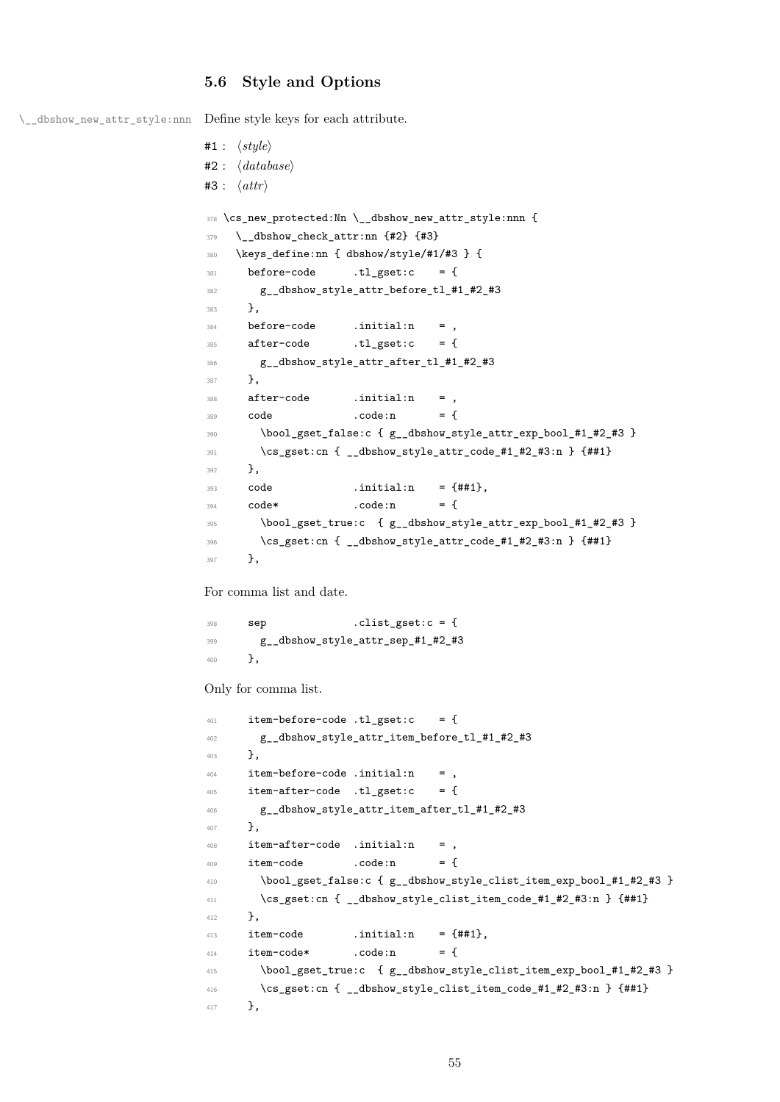# **5.6 Style and Options**

\\_\_dbshow\_new\_attr\_style:nnn Define style keys for each attribute.

```
#1 : ⟨style⟩
#2 : ⟨database⟩
#3 : ⟨attr⟩
378 \cs_new_protected:Nn \__dbshow_new_attr_style:nnn {
379 \_dbshow_check_attr:nn {#2} {#3}
380 \keys_define:nn { dbshow/style/#1/#3 } {
381 before-code .tl_gset:c = {
382 g__dbshow_style_attr_before_tl_#1_#2_#3
383 },
384 before-code .initial:n = ,
385 after-code .tl_gset:c = {
386 g__dbshow_style_attr_after_tl_#1_#2_#3
387 },
388 after-code .initial:n = ,
389 code .code:n = {
390 \bool_gset_false:c { g_dbshow_style_attr_exp_bool_#1_#2_#3 }
391 \cs_gset:cn { __dbshow_style_attr_code_#1_#2_#3:n } {##1}
392 },
393 code .initial:n = {##1},
394 code* .code:n = {
395 \bool_gset_true:c { g__dbshow_style_attr_exp_bool_#1_#2_#3 }
396 \cs_gset:cn { __dbshow_style_attr_code_#1_#2_#3:n } {##1}
397 },
```
For comma list and date.

 sep .clist\_gset:c = { g\_\_dbshow\_style\_attr\_sep\_#1\_#2\_#3 },

Only for comma list.

```
401 item-before-code .tl_gset:c = {
402 g__dbshow_style_attr_item_before_tl_#1_#2_#3
403 },
404 item-before-code .initial:n = ,
405 item-after-code .tl_gset:c = {
406 g__dbshow_style_attr_item_after_tl_#1_#2_#3
407 },
408 item-after-code .initial:n = ,
409 item-code .code:n = {
410 \bool_gset_false:c { g__dbshow_style_clist_item_exp_bool_#1_#2_#3 }
\{\cos\theta\} \cs_gset:cn { __dbshow_style_clist_item_code_#1_#2_#3:n } {##1}
412 },
413 item-code .initial:n = {4\#1},
414 item-code* .code:n = {
415 \bool_gset_true:c { g__dbshow_style_clist_item_exp_bool_#1_#2_#3 }
416 \cs_gset:cn { __dbshow_style_clist_item_code_#1_#2_#3:n } {##1}
417 },
```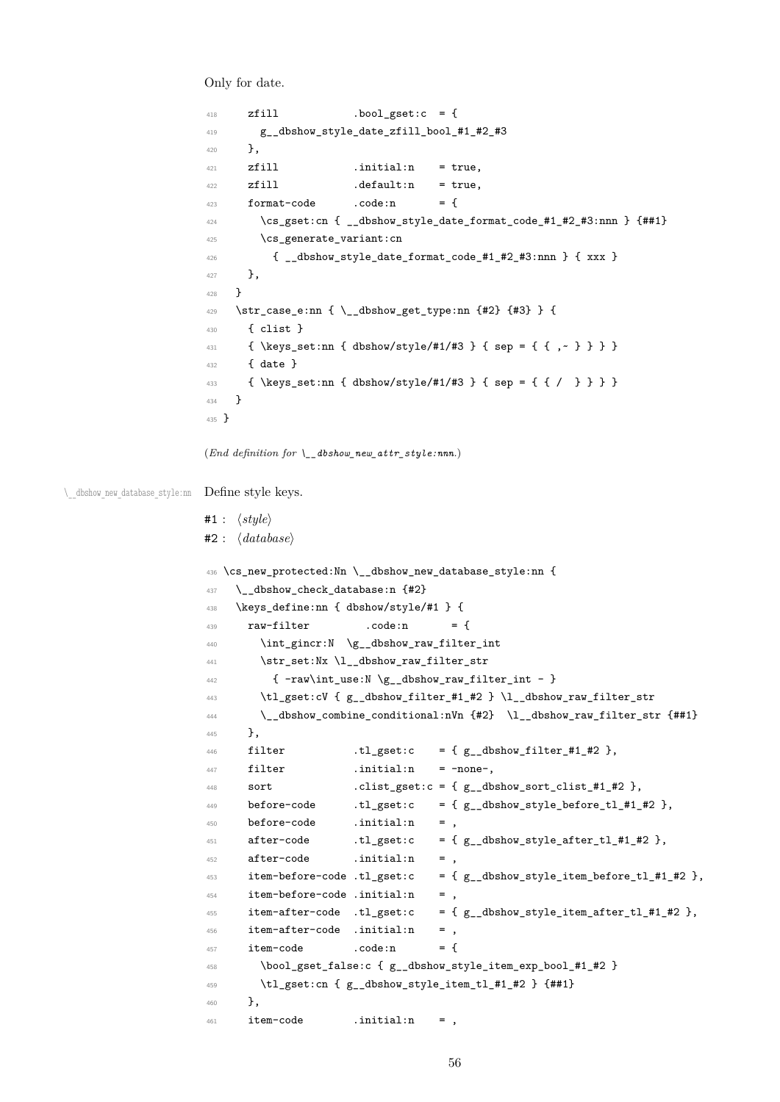Only for date.

```
418 zfill .bool_gset:c = {
                    419 g__dbshow_style_date_zfill_bool_#1_#2_#3
                    420 },
                    421 zfill .initial:n = true,
                    422 zfill .default:n = true.
                    423 format-code .code:n = {
                    424 \cs_gset:cn { __dbshow_style_date_format_code_#1_#2_#3:nnn } {##1}
                    425 \cs generate variant:cn
                    426 { __dbshow_style_date_format_code_#1_#2_#3:nnn } { xxx }
                    427 },
                    428 }
                    429 \str_case_e:nn { \__dbshow_get_type:nn {#2} {#3} } {
                    430 \{ clist \}431 { \keys_set:nn { dbshow/style/#1/#3 } { sep = { { ,~ } } } }
                    432 { date }
                    433 { \keys_set:nn { dbshow/style/#1/#3 } { sep = { { / } } } }
                    434 }
                    435 }
                   (End definition for \__dbshow_new_attr_style:nnn.)
\ dbshow new database style:nn  Define style keys.
                   #1 : ⟨style⟩
                   #2 : ⟨database⟩
                    436 \cs_new_protected:Nn \__dbshow_new_database_style:nn {
                    437 \__dbshow_check_database:n {#2}
                    438 \keys_define:nn { dbshow/style/#1 } {
                    439 raw-filter .code:n = {
                    440 \int_{440} \int gincr:N \g dbshow raw filter int
                    441 \str_set:Nx \l__dbshow_raw_filter_str
                    442 { -raw\int_0 -raw \{g_d\}\443 \tl_gset:cV { g__dbshow_filter_#1_#2 } \l__dbshow_raw_filter_str
                    444 \__dbshow_combine_conditional:nVn {#2} \l__dbshow_raw_filter_str {##1}
                    445 },
                    446 filter .tl_gset:c = { g___dbshow_filter_#1_#2 },
                    447 filter .initial:n = -none-.
                    448 sort .clist_gset:c = { g_dbshow_sort_clist_#1_#2 },
                    449 before-code .tl_gset:c = {g_dbshow_style_before_tl_#1_#2 },
                    450 before-code .initial:n = ,
                    451 after-code .tl_gset:c = {g_dbshow_style_after_tl_#1_#2 },
                    452 after-code .initial:n = ,
                    453 item-before-code .tl_gset:c = {g_dbshow_style_item_before_tl_#1_#2 },
                    454 item-before-code .initial:n = ,
                    455 item-after-code .tl_gset:c = { g_dbshow_style_item_after_tl_#1_#2 },
                    456 item-after-code .initial:n = ,
                    457 item-code .code:n = {
                    458 \bool_gset_false:c { g__dbshow_style_item_exp_bool_#1_#2 }
                    459 \tl_gset:cn { g__dbshow_style_item_tl_#1_#2 } {##1}
                    460 },
                    461 item-code .initial:n = ,
```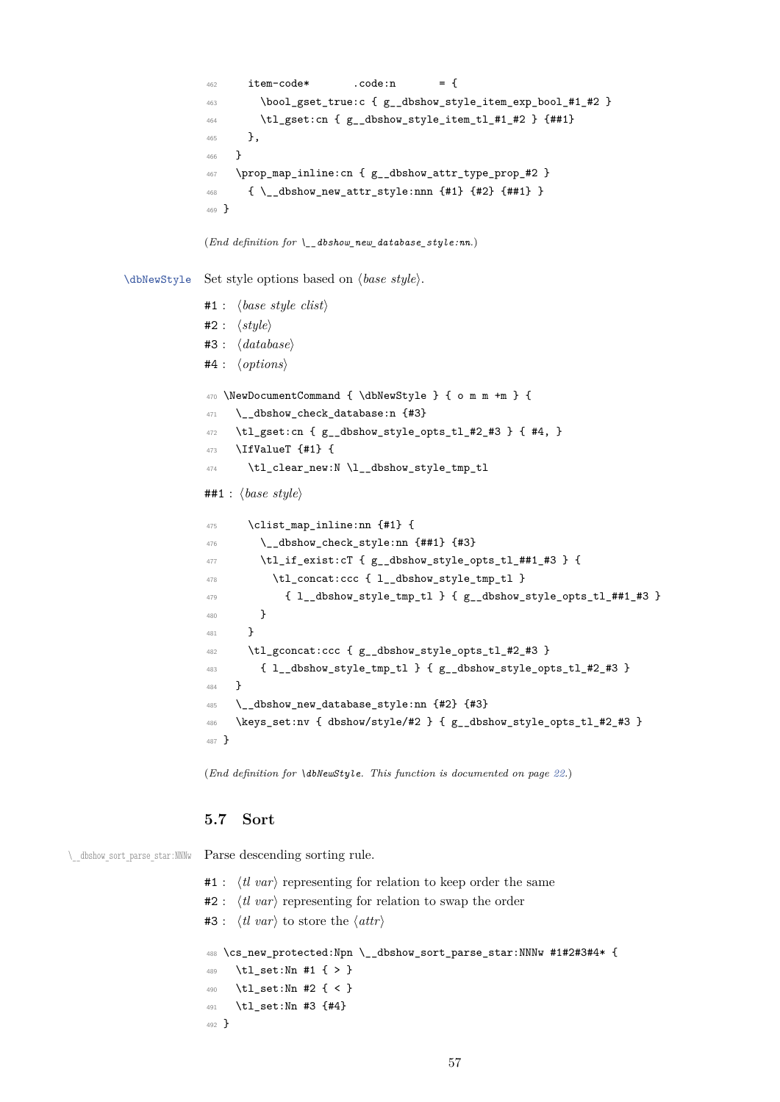```
462 item-code* .code:n = {
             463 \bool_gset_true:c { g__dbshow_style_item_exp_bool_#1_#2 }
             464 \tl_gset:cn { g__dbshow_style_item_tl_#1_#2 } {##1}
             465 },
             466 }
             467 \prop_map_inline:cn { g__dbshow_attr_type_prop_#2 }
             468 { \__dbshow_new_attr_style:nnn {#1} {#2} {##1} }
             469 }
            (End definition for \__dbshow_new_database_style:nn.)
\dbNewStyle Set style options based on ⟨base style⟩.
            #1 : ⟨base style clist⟩
            #2 : ⟨style⟩
            #3 : ⟨database⟩
            #4 : ⟨options⟩
             470 \NewDocumentCommand { \dbNewStyle } { o m m +m } {
             471 \__dbshow_check_database:n {#3}
             472 \tl_gset:cn { g__dbshow_style_opts_tl_#2_#3 } { #4, }
             473 \IfValueT {#1} {
             474 \tl_clear_new:N \l__dbshow_style_tmp_tl
            ##1 : ⟨base style⟩
             475 \clist_map_inline:nn {#1} {
             476 \ dbshow_check_style:nn {##1} {#3}
             477 \tl_if_exist:cT { g__dbshow_style_opts_tl_##1_#3 } {
             478 \tl_concat:ccc { l__dbshow_style_tmp_tl }
             \{ 1\_dbshow\_style\_tmp\_tl } \{ g\_dbshow\_style\_opts\_tl\_##1\_#3 } \}480 }
             481 }
             482 \tl_gconcat:ccc { g__dbshow_style_opts_tl_#2_#3 }
             483 { l__dbshow_style_tmp_tl } { g__dbshow_style_opts_tl_#2_#3 }
             484 }
             485 \__dbshow_new_database_style:nn {#2} {#3}
             486 \keys_set:nv { dbshow/style/#2 } { g__dbshow_style_opts_tl_#2_#3 }
             487 }
            (End definition for \dbNewStyle. This function is documented on page 22.)
```
#### **5.7 Sort**

\ dbshow sort parse star:NNNw Parse descending sorting rule.

```
#1 : ⟨tl var⟩ representing for relation to keep order the same
#2 : ⟨tl var⟩ representing for relation to swap the order
#3 : ⟨tl var⟩ to store the ⟨attr⟩
488 \cs_new_protected:Npn \__dbshow_sort_parse_star:NNNw #1#2#3#4* {
489 \tl_set:Nn #1 { > }
490 \tl_set:Nn #2 { < }
491 \tl_set:Nn #3 {#4}
492 }
```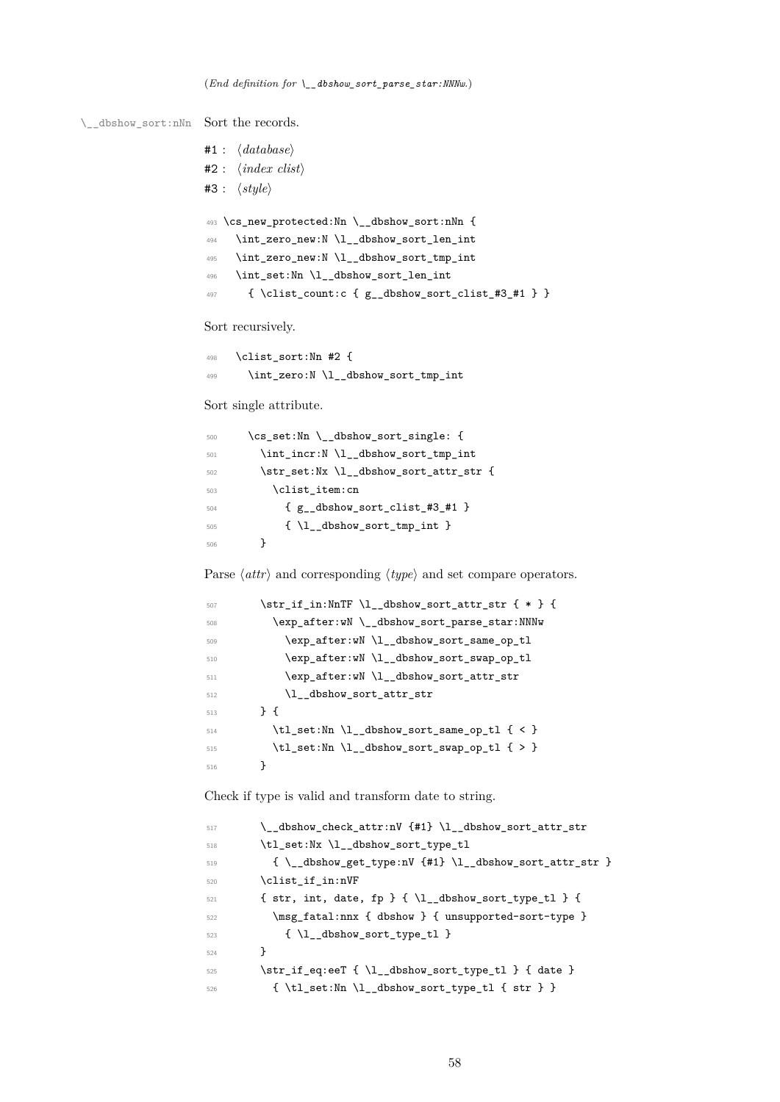```
\_dbshow_sort:nNn Sort the records.
```

|     | #1 : $\langle database \rangle$                                      |
|-----|----------------------------------------------------------------------|
|     | $#2: \langle index \text{ } clist \rangle$                           |
|     | #3 : $\langle style \rangle$                                         |
|     |                                                                      |
|     | $493$ \cs_new_protected:Nn \_dbshow_sort:nNn {                       |
| 494 | \int_zero_new:N\l__dbshow_sort_len_int                               |
| 495 | \int_zero_new:N \l_dbshow_sort_tmp_int                               |
| 496 | \int_set:Nn \l__dbshow_sort_len_int                                  |
| 497 | $\{\ \cdot\ \text{count}: c \{ g \_ dbshow.sort \_ clist #3 #1 } \}$ |
|     |                                                                      |

Sort recursively.

```
498 \clist_sort:Nn #2 {
499 \int_zero:N \l__dbshow_sort_tmp_int
```
Sort single attribute.

| 500 | \cs_set:Nn \_dbshow_sort_single: {     |
|-----|----------------------------------------|
| 501 | \int_incr:N \l__dbshow_sort_tmp_int    |
| 502 | \str_set:Nx \l__dbshow_sort_attr_str { |
| 503 | \clist item:cn                         |
| 504 | ${g$ dbshow sort clist #3 #1 }         |
| 505 | $\{ \lceil \log_{\text{1}} \rceil \}$  |
| 506 |                                        |

Parse *⟨attr⟩* and corresponding *⟨type⟩* and set compare operators.

```
507 \dotr_if_in:NnTF \l__dbshow_sort_attr_str { * } {
_{508} \verb|\exp_after:wN \_{dbshow_sort\_parse_star:NNNw}\verb|sup_after: wN \l1_dbshow_sort\_same_op_t1|510 \exp_after:wN \l__dbshow_sort_swap_op_tl
$511 $\tt \&p_after:wN \l_A_dbshow_sort\_attr\_str512 \l__dbshow_sort_attr_str
513 } {
514 \tl_set:Nn \l__dbshow_sort_same_op_tl { < }
515 \lt l\_set:Nn \ l\_dbshow\_sort\_swap\_op_tl { > }
516 }
```
Check if type is valid and transform date to string.

| 517 | \_dbshow_check_attr:nV {#1} \l_dbshow_sort_attr_str                        |
|-----|----------------------------------------------------------------------------|
| 518 | \tl_set:Nx \l_dbshow_sort_type_tl                                          |
| 519 | {\__dbshow_get_type:nV {#1} \l__dbshow_sort_attr_str }                     |
| 520 | \clist_if_in:nVF                                                           |
| 521 | { str, int, date, fp } { $\lceil \cdot \rceil$ \l__dbshow_sort_type_tl } { |
| 522 | \msg_fatal:nnx { dbshow } { unsupported-sort-type }                        |
| 523 | $\{ \lceil \log n \rceil \}$                                               |
| 524 | ł                                                                          |
| 525 | \str_if_eq:eeT {\l_dbshow_sort_type_tl } { date }                          |
| 526 | {\tl_set:Nn\l__dbshow_sort_type_tl { str } }                               |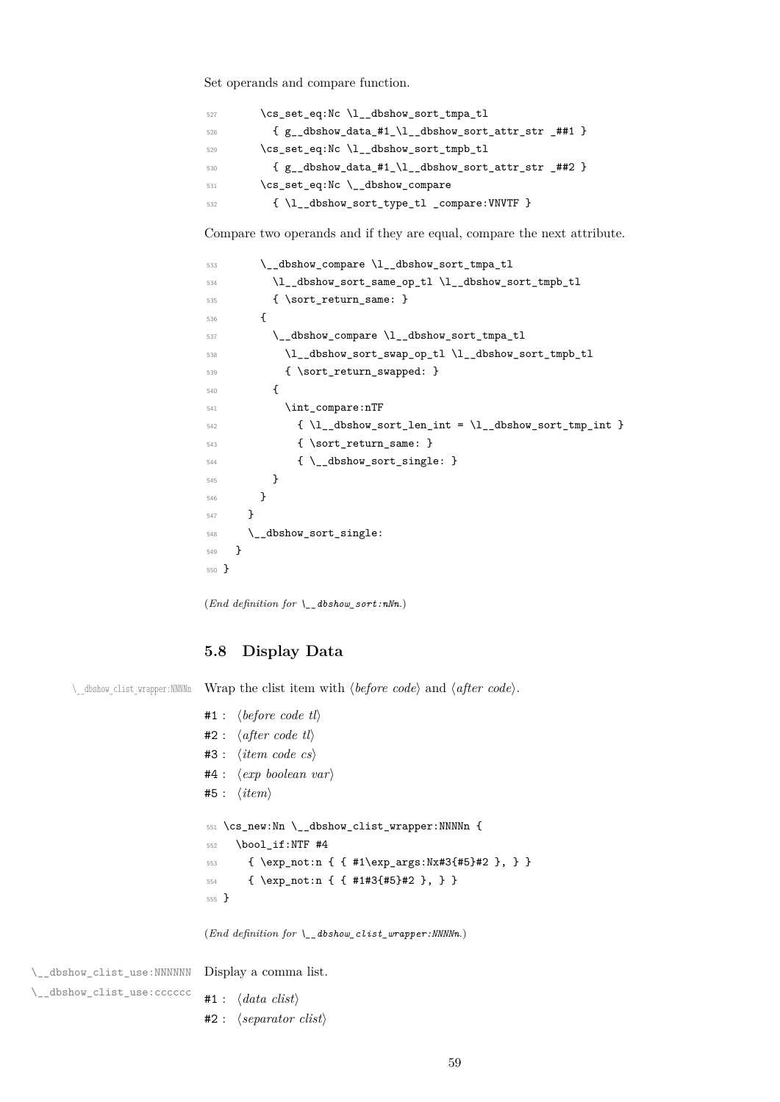Set operands and compare function.

| 527 | \cs_set_eq:Nc \l__dbshow_sort_tmpa_tl                    |
|-----|----------------------------------------------------------|
| 528 | ${g_dbshow_data_t1_l_l_dbshow_sort_attr_str_t#1}$        |
| 529 | \cs_set_eq:Nc \l__dbshow_sort_tmpb_tl                    |
| 530 | ${g_{-}dbshow_data_{+1}\1_{-}dbshow_sort_attr_str_{+2}}$ |
| 531 | \cs_set_eq:Nc \_dbshow_compare                           |
| 532 | {\l__dbshow_sort_type_tl _compare:VNVTF }                |

Compare two operands and if they are equal, compare the next attribute.

```
533 \__dbshow_compare \l__dbshow_sort_tmpa_tl
534 \l__dbshow_sort_same_op_tl \l__dbshow_sort_tmpb_tl
535 { \sort_return_same: }
536 {
$\verb|\_dbshowj<math display="inline">\verb|\_dbshow_sort\_tmpa_t1|538 \l__dbshow_sort_swap_op_tl \l__dbshow_sort_tmpb_tl
539 { \sort_return_swapped: }
540 {
541 \int_compare:nTF
_{542} { \l__dbshow_sort_len_int = \l__dbshow_sort_tmp_int }
543 { \sort_return_same: }
544 { \{\ \mathcal{L}_\text{dbshow\_sort\_single: } \ \}545 }
546 }
547 }
548 \__dbshow_sort_single:
549 }
550 }
```
(*End definition for \\_\_dbshow\_sort:nNn.*)

# **5.8 Display Data**

\\_\_dbshow\_clist\_wrapper:NNNNn Wrap the clist item with *⟨before code⟩* and *⟨after code⟩*.

|                  |                            | #1: $\langle before\ code\ tl\rangle$          |
|------------------|----------------------------|------------------------------------------------|
|                  |                            | #2: $\langle after \ code \ tl \rangle$        |
|                  |                            | $#3: \langle item \ code \ cs \rangle$         |
|                  |                            | $#4: \langle exp\ boolean\ var\rangle$         |
|                  | #5: $\langle item \rangle$ |                                                |
|                  |                            |                                                |
|                  |                            | 551 \cs_new:Nn \__dbshow_clist_wrapper:NNNNn { |
| 552              |                            | \bool if:NTF #4                                |
| 553              |                            | { \exp_not:n { { #1\exp_args:Nx#3{#5}#2 }, } } |
|                  |                            | $554$ { \exp_not:n { { #1#3{#5}#2 }, } }       |
| $555$ $\uparrow$ |                            |                                                |
|                  |                            |                                                |

(*End definition for \\_\_dbshow\_clist\_wrapper:NNNNn.*)

\\_\_dbshow\_clist\_use:NNNNNN Display a comma list. \\_\_dbshow\_clist\_use:cccccc #1 : *⟨data clist⟩* #2 : *⟨separator clist⟩*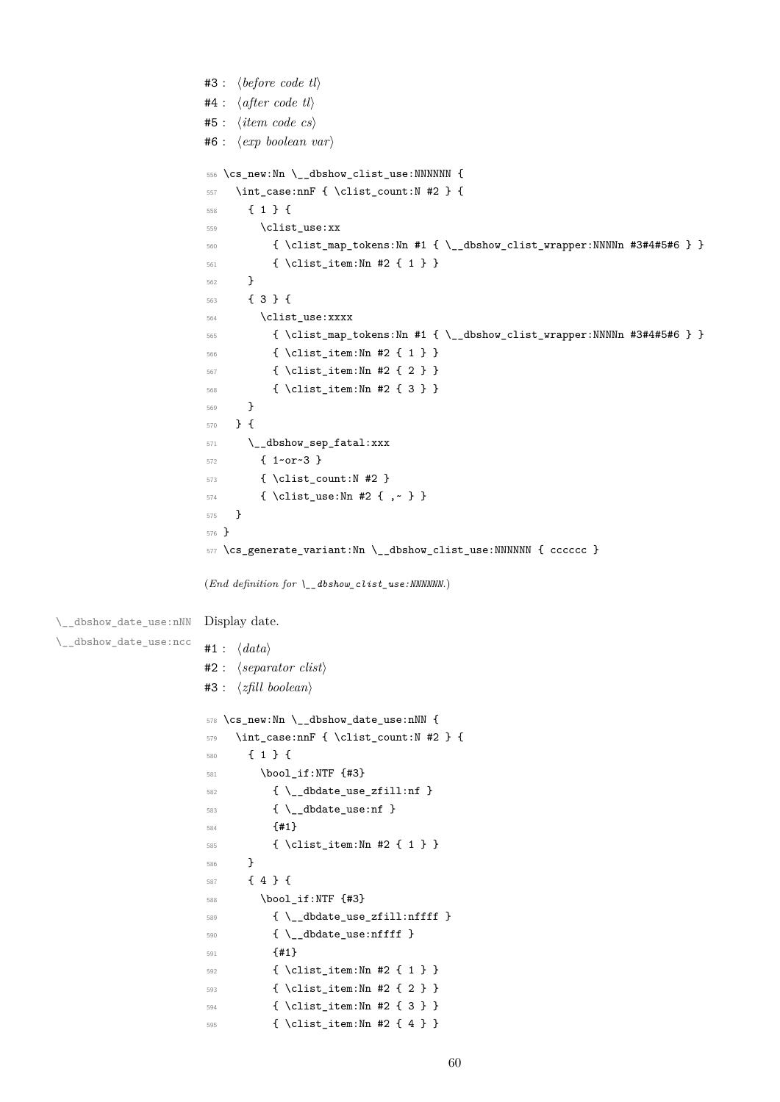```
#3 : ⟨before code tl⟩
                      #4 : ⟨after code tl⟩
                      #5 : ⟨item code cs⟩
                      #6 : ⟨exp boolean var⟩
                       556 \cs_new:Nn \__dbshow_clist_use:NNNNNN {
                       557 \int_case:nnF { \clist_count:N #2 } {
                       558 { 1 } {
                       559 \clist_use:xx
                       560 { \clist_map_tokens:Nn #1 { \__dbshow_clist_wrapper:NNNNn #3#4#5#6 } }
                       561 { \clist_item:Nn #2 { 1 } }
                       562 }
                       563 { 3 } {
                       564 \clist_use:xxxx
                       565 { \clist_map_tokens:Nn #1 { \__dbshow_clist_wrapper:NNNNn #3#4#5#6 } }
                       566 \{ \text{clist item}: \text{Nn } #2 \{ 1 \} \}567 { \clist_item:Nn #2 { 2 } }
                       568 { \clist_item:Nn #2 { 3 } }
                       569 }
                       570 } {
                       571 \__dbshow_sep_fatal:xxx
                       572 { 1~or~3 }
                       573 { \clist_count:N #2 }
                       574 { \clist_use:Nn #2 { ,~ } }
                       575 }
                       576 }
                       577 \cs_generate_variant:Nn \__dbshow_clist_use:NNNNNN { cccccc }
                      (End definition for \__dbshow_clist_use:NNNNNN.)
\__dbshow_date_use:nNN
Display date.
\__dbshow_date_use:ncc
                      #1 : ⟨data⟩
                      #2 : ⟨separator clist⟩
                      #3 : ⟨zfill boolean⟩
                       578 \cs_new:Nn \__dbshow_date_use:nNN {
                       579 \int_case:nnF { \clist_count:N #2 } {
                       580 { 1 } {
                       581 \bool_if:NTF {#3}
                       582 \{ \ \mathcal{L}_= dbdate\_use\_zfill:nf \ \}583 { \__dbdate_use:nf }
                       584 {#1}
                       585 { \clist_item:Nn #2 { 1 } }
                       586 }
                       587 { 4 } {
                       588 \bool_if:NTF {#3}
                       589 { \__dbdate_use_zfill:nffff }
                       590 \{\ \mathcal{N}_\text{addate\_use:infff} \ \}591 {#1}
                       592 { \clist_item:Nn #2 { 1 } }
                       593 { \clist_item:Nn #2 { 2 } }
                       594 { \clist_item:Nn #2 { 3 } }
                       595 { \clist_item:Nn #2 { 4 } }
```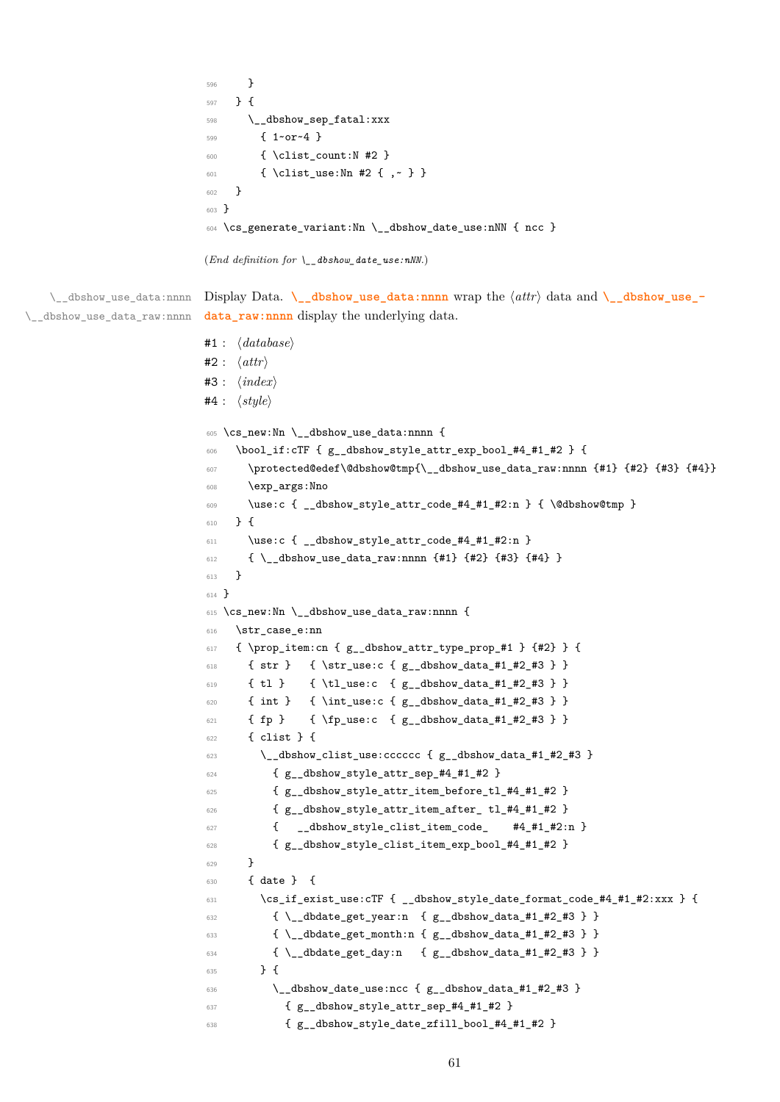```
596 }
597 } {
598 \__dbshow_sep_fatal:xxx
599 { 1~or~4 }
600 { \clist count:N #2 }
601 { \clist use:Nn #2 { ,~ } }
602 }
603 }
604 \cs_generate_variant:Nn \__dbshow_date_use:nNN { ncc }
```

```
(End definition for \__dbshow_date_use:nNN.)
```
\\_\_dbshow\_use\_data:nnnn Display Data. **\\_\_dbshow\_use\_data:nnnn** wrap the *⟨attr⟩* data and **\\_\_dbshow\_use\_-** \\_\_dbshow\_use\_data\_raw:nnnn data raw:nnnn display the underlying data.

```
#1 : ⟨database⟩
#2 : ⟨attr⟩
#3 : ⟨index⟩
#4 : ⟨style⟩
605 \cs_new:Nn \__dbshow_use_data:nnnn {
606 \bool_if:cTF { g__dbshow_style_attr_exp_bool_#4_#1_#2 } {
607 \protected@edef\@dbshow@tmp{\__dbshow_use_data_raw:nnnn {#1} {#2} {#3} {#4}}
608 \exp_args:Nno
609 \use:c \{ _dbshow_style_attr_code #4_#1_#2:n } \{ \@dbshow@tmp }
610 } {
\text{611} \use:c { __dbshow_style_attr_code_#4_#1_#2:n }
612 { \_dbshow_use_data_raw:nnnn {#1} {#2} {#3} {#4} }
613 }
614 }
615 \cs_new:Nn \__dbshow_use_data_raw:nnnn {
616 \str_case_e:nn
617 { \prop_item:cn { g__dbshow_attr_type_prop_#1 } {#2} } {
618 { str } { \str_use:c { g__dbshow_data_#1_#2_#3 } }
619 { tl } { \tl_use:c { g__dbshow_data_#1_#2_#3 } }
620 { int } { \int_use:c { g_dbshow_data_#1_#2_#3 } }
621 { fp } { \fp_use:c { g__dbshow_data_#1_#2_#3 } }
622 { clist } {
\frac{623}{20} \_dbshow_clist_use:cccccc { g_dbshow_data_#1_#2_#3 }
624 { g__dbshow_style_attr_sep_#4_#1_#2 }
625 { g__dbshow_style_attr_item_before_tl_#4_#1_#2 }
626 { g__dbshow_style_attr_item_after_ tl_#4_#1_#2 }
627 { __dbshow_style_clist_item_code_ #4_#1_#2:n }
628 { g__dbshow_style_clist_item_exp_bool_#4_#1_#2 }
629 }
630 { date } {
\frac{631}{12} \cs_if_exist_use:cTF { __dbshow_style_date_format_code_#4_#1_#2:xxx } {
632 { \__dbdate_get_year:n { g__dbshow_data_#1_#2_#3 } }
633 { \__dbdate_get_month:n { g__dbshow_data_#1_#2_#3 } }
634 { \__dbdate_get_day:n { g__dbshow_data_#1_#2_#3 } }
635 } {
\frac{636}{200} \__dbshow_date_use:ncc { g__dbshow_data_#1_#2_#3 }
637 { g__dbshow_style_attr_sep_#4_#1_#2 }
638 { g__dbshow_style_date_zfill_bool_#4_#1_#2 }
```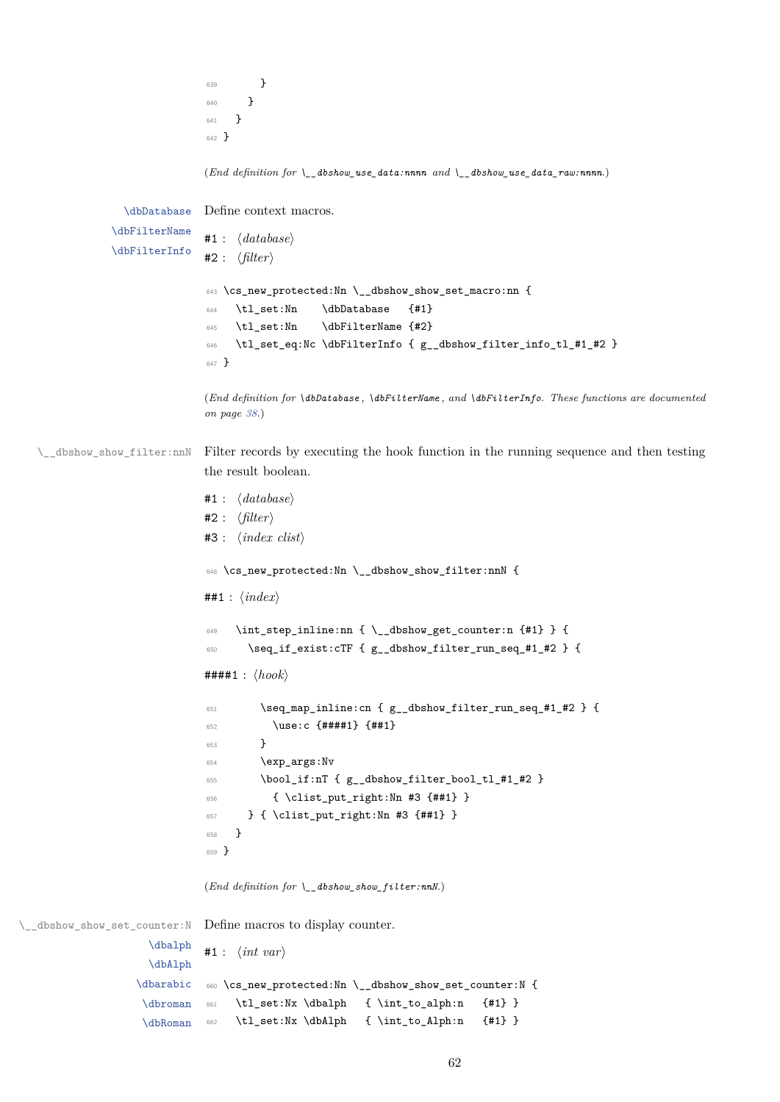<sup>639</sup> } <sup>640</sup> } <sup>641</sup> } <sup>642</sup> }

(*End definition for \\_\_dbshow\_use\_data:nnnn and \\_\_dbshow\_use\_data\_raw:nnnn.*)

\dbDatabase \dbFilterName \dbFilterInfo Define context macros. #1 : *⟨database⟩* #2 : *⟨filter⟩* <sup>643</sup> \cs\_new\_protected:Nn \\_\_dbshow\_show\_set\_macro:nn { <sup>644</sup> \tl\_set:Nn \dbDatabase {#1} <sup>645</sup> \tl\_set:Nn \dbFilterName {#2} <sup>646</sup> \tl\_set\_eq:Nc \dbFilterInfo { g\_\_dbshow\_filter\_info\_tl\_#1\_#2 } <sup>647</sup> }

> (*End definition for \dbDatabase , \dbFilterName , and \dbFilterInfo. These functions are documented on page 38.*)

\\_\_dbshow\_show\_filter:nnN Filter records by executing the hook function in the running sequence and then testing the res[ult](#page-37-0) boolean.

```
#1 : ⟨database⟩
                             #2 : ⟨filter⟩
                             #3 : ⟨index clist⟩
                             648 \cs_new_protected:Nn \__dbshow_show_filter:nnN {
                             ##1 : ⟨index⟩
                             649 \int_step_inline:nn { \__dbshow_get_counter:n {#1} } {
                             650 \seq_if_exist:cTF { g__dbshow_filter_run_seq_#1_#2 } {
                             ####1 : ⟨hook⟩
                             651 \seq_map_inline:cn { g__dbshow_filter_run_seq_#1_#2 } {
                             652 \use:c {###1} {##1}653 }
                             654 \exp_args:Nv
                             655 \bool_if:nT { g__dbshow_filter_bool_tl_#1_#2 }
                             656 { \clist_put_right:Nn #3 {##1} }
                             657 } { \clist_put_right:Nn #3 {##1} }
                             658 }
                             659 }
                             (End definition for \__dbshow_show_filter:nnN.)
\__dbshow_show_set_counter:N
                    \dbalph
                    \dbAlph
                  \dbarabic
                   \dbroman
                   \dbRoman
                            Define macros to display counter.
                            #1 : ⟨int var⟩
                             660 \cs_new_protected:Nn \__dbshow_show_set_counter:N {
                            661 \tl_set:Nx \dbalph { \int_to_alph:n {#1} }
                            662 \tl_set:Nx \dbAlph { \int_to_Alph:n {#1} }
```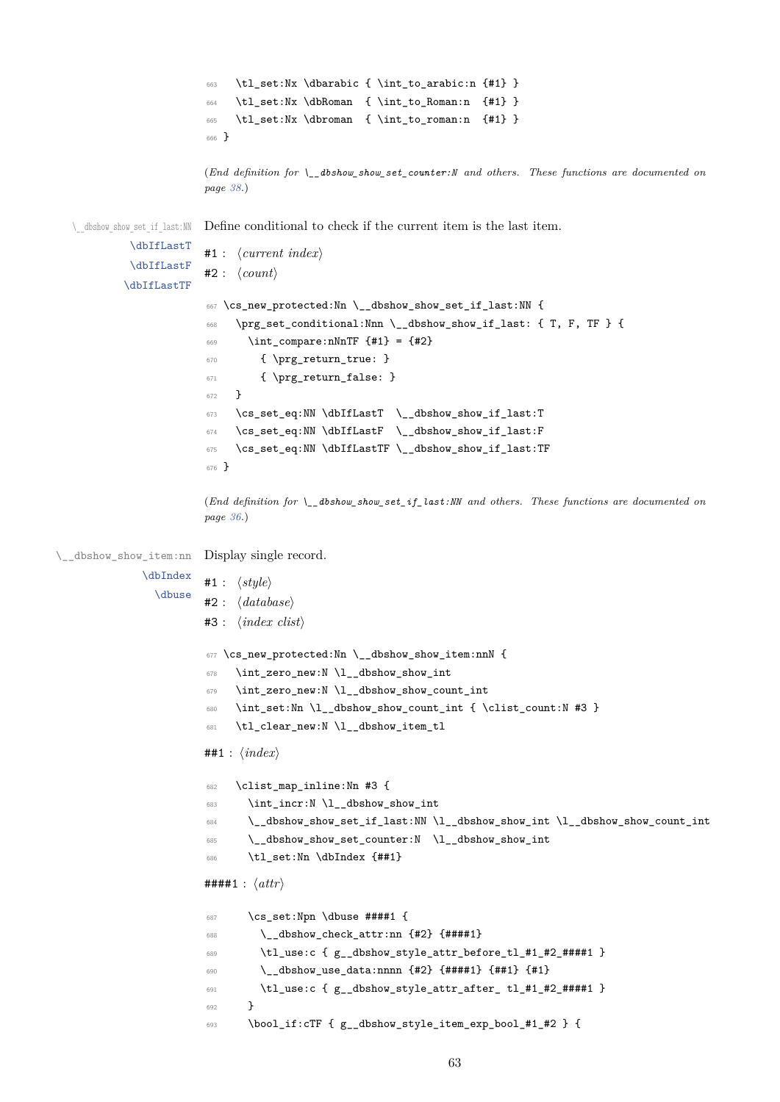```
663 \tl_set:Nx \dbarabic { \int_to_arabic:n {#1} }
                        664 \tl_set:Nx \dbRoman { \int_to_Roman:n {#1} }
                        665 \tl_set:Nx \dbroman { \int_to_roman:n {#1} }
                        666 }
                        (End definition for \__dbshow_show_set_counter:N and others. These functions are documented on
                        page 38.)
  \__dbshow_show_set_if_last:NN
           \dbIfLastT
           \dbIfLastF
          \dbIfLastTF
                       Define conditional to check if the current item is the last item.
                        #1 : ⟨current index⟩
                        #2 : ⟨count⟩
                        667 \cs_new_protected:Nn \__dbshow_show_set_if_last:NN {
                        668 \prg_set_conditional:Nnn \__dbshow_show_if_last: { T, F, TF } {
                        669 \int_compare:nNnTF {#1} = {#2}670 { \prg_return_true: }
                        671 { \prg_return_false: }
                        672 }
                        673 \cs_set_eq:NN \dbIfLastT \__dbshow_show_if_last:T
                        674 \cs_set_eq:NN \dbIfLastF \__dbshow_show_if_last:F
                        675 \cs_set_eq:NN \dbIfLastTF \__dbshow_show_if_last:TF
                        676 }
                        (End definition for \__dbshow_show_set_if_last:NN and others. These functions are documented on
                        page 36.)
\__dbshow_show_item:nn
Display single record.
             \dbIndex
               \dbuse
                       #1 : ⟨style⟩
                       #2 : ⟨database⟩
                        #3 : ⟨index clist⟩
                        677 \cs_new_protected:Nn \__dbshow_show_item:nnN {
                        678 \int_zero_new:N \l__dbshow_show_int
                        679 \int_zero_new:N \l__dbshow_show_count_int
                        680 \int_set:Nn \l__dbshow_show_count_int { \clist_count:N #3 }
                        681 \tl_clear_new:N \l__dbshow_item_tl
                        ##1 : ⟨index⟩
                        682 \clist_map_inline:Nn #3 {
                        683 \int_incr:N \l__dbshow_show_int
                        684 \__dbshow_show_set_if_last:NN \l__dbshow_show_int \l__dbshow_show_count_int
                        685 \__dbshow_show_set_counter:N \l__dbshow_show_int
                        686 \tl_set:Nn \dbIndex {##1}
                        ####1 : ⟨attr⟩
                        687 \cs_set:Npn \dbuse ####1 {
                        688 \__dbshow_check_attr:nn {#2} {####1}
                        689 \tl_use:c { g__dbshow_style_attr_before_tl_#1_#2_####1 }
                        690 \__dbshow_use_data:nnnn {#2} {####1} {##1} {#1}
                        691 \tl_use:c { g__dbshow_style_attr_after_ tl_#1_#2_####1 }
                        692 }
                        693 \bool_if:cTF { g__dbshow_style_item_exp_bool_#1_#2 } {
```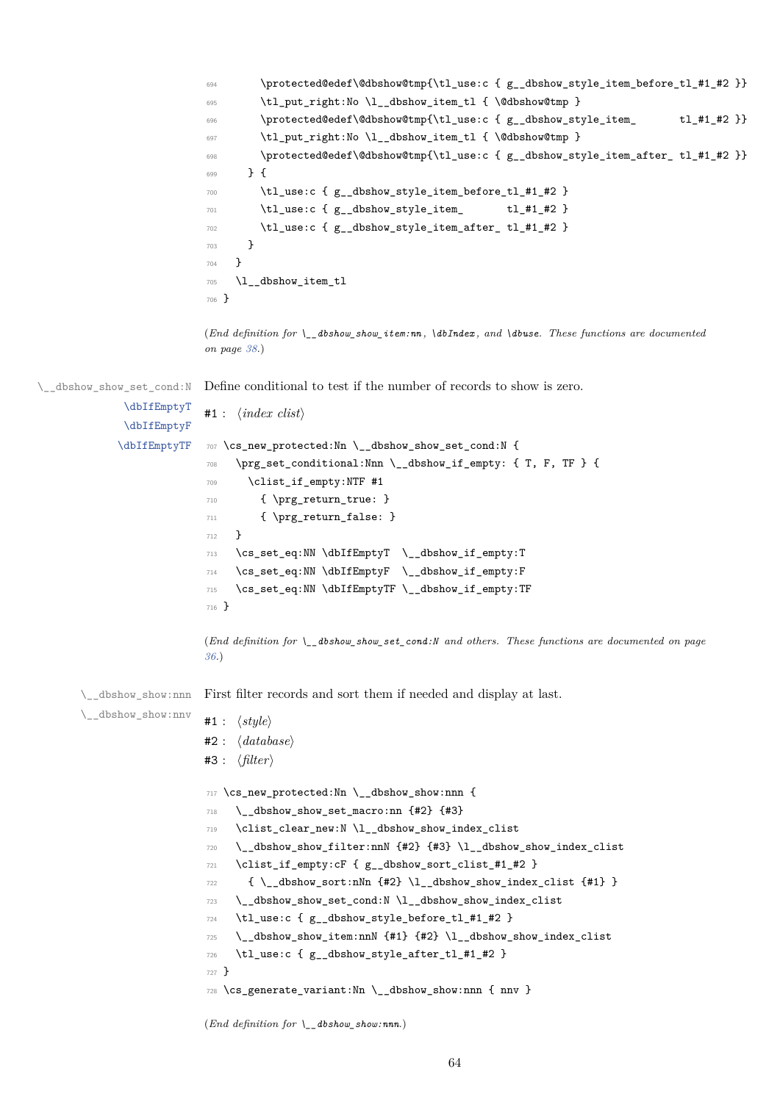```
694 \protected@edef\@dbshow@tmp{\tl_use:c { g__dbshow_style_item_before_tl_#1_#2 }}
695 \tl_put_right:No \l__dbshow_item_tl { \@dbshow@tmp }
        \protected@edef\@dbshow@tmp{\tl_use:c { g__dbshow_style_item_ tl_#1_#2 }}
697 \tl_put_right:No \l__dbshow_item_tl { \@dbshow@tmp }
698 \protected@edef\@dbshow@tmp{\tl_use:c { g__dbshow_style_item_after_ tl_#1_#2 }}
699 } {
700 \tl_use:c { g__dbshow_style_item_before_tl_#1_#2 }
701 \tl_use:c { g__dbshow_style_item_ tl_#1_#2 }
702 \tl_use:c { g__dbshow_style_item_after_ tl_#1_#2 }
703 }
704 }
705 \l__dbshow_item_tl
706 }
```
(*End definition for \\_\_dbshow\_show\_item:nn , \dbIndex , and \dbuse. These functions are documented on page 38.*)

\\_\_dbshow\_show\_set\_cond:N Define conditional to test if the number of records to show is zero.

```
\dbIfEmptyT
       \dbIfEmptyF
      \dbIfEmptyTF
                    #1 : ⟨index clist⟩
                    707 \cs_new_protected:Nn \__dbshow_show_set_cond:N {
                    708 \prg_set_conditional:Nnn \__dbshow_if_empty: { T, F, TF } {
                    709 \clist_if_empty:NTF #1
                    710 { \prg_return_true: }
                    711 { \prg_return_false: }
                    712 }
                    713 \cs_set_eq:NN \dbIfEmptyT \__dbshow_if_empty:T
                    714 \cs_set_eq:NN \dbIfEmptyF \__dbshow_if_empty:F
                    715 \cs_set_eq:NN \dbIfEmptyTF \__dbshow_if_empty:TF
                    716 }
                    (End definition for \__dbshow_show_set_cond:N and others. These functions are documented on page
                    36.)
\__dbshow_show:nnn
\__dbshow_show:nnv
                   First filter records and sort them if needed and display at last.
                    #1 : ⟨style⟩
                    #2 : ⟨database⟩
                    #3 : ⟨filter⟩
                    717 \cs_new_protected:Nn \__dbshow_show:nnn {
                    718 \__dbshow_show_set_macro:nn {#2} {#3}
                    719 \clist_clear_new:N \l__dbshow_show_index_clist
                    720 \__dbshow_show_filter:nnN {#2} {#3} \l__dbshow_show_index_clist
                    721 \clist_if_empty:cF { g__dbshow_sort_clist_#1_#2 }
                    722 { \__dbshow_sort:nNn {#2} \l__dbshow_show_index_clist {#1} }
                    723 \__dbshow_show_set_cond:N \l__dbshow_show_index_clist
                    724 \tl_use:c { g__dbshow_style_before_tl_#1_#2 }
                    725 \__dbshow_show_item:nnN {#1} {#2} \l__dbshow_show_index_clist
                    726 \tl_use:c { g__dbshow_style_after_tl_#1_#2 }
                    727728 \cs_generate_variant:Nn \__dbshow_show:nnn { nnv }
```
(*End definition for \\_\_dbshow\_show:nnn.*)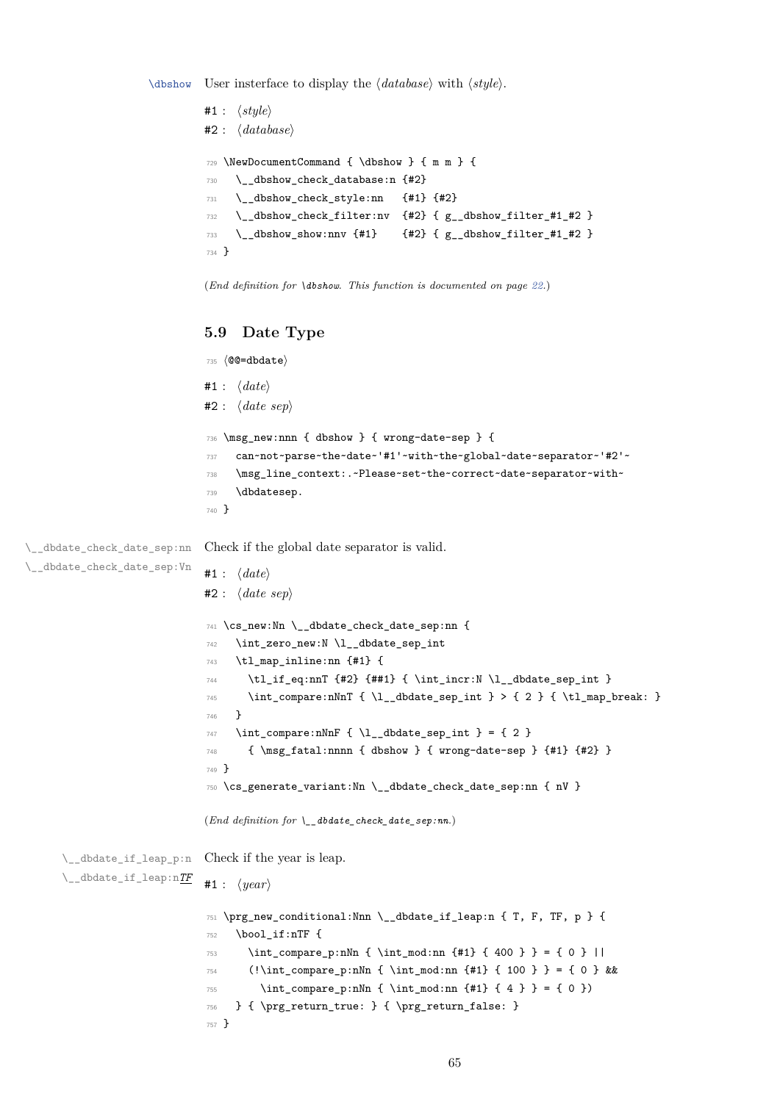\dbshow User insterface to display the *⟨database⟩* with *⟨style⟩*.

```
#1 : ⟨style⟩
#2 : ⟨database⟩
729 \NewDocumentCommand { \dbshow } { m m } {
730 \__dbshow_check_database:n {#2}
731 \__dbshow_check_style:nn {#1} {#2}
732 \__dbshow_check_filter:nv {#2} { g__dbshow_filter_#1_#2 }
733 \__dbshow_show:nnv {#1} {#2} { g__dbshow_filter_#1_#2 }
734 }
```
(*End definition for \dbshow. This function is documented on page 22.*)

#### **5.9 Date Type**

```
735 ⟨@@=dbdate⟩
                             #1 : ⟨date⟩
                             #2 : ⟨date sep⟩
                              736 \msg_new:nnn { dbshow } { wrong-date-sep } {
                              737 can~not~parse~the~date~'#1'~with~the~global~date~separator~'#2'~
                              738 \msg_line_context:.~Please~set~the~correct~date~separator~with~
                              739 \dbdatesep.
                              740 }
\__dbdate_check_date_sep:nn
\__dbdate_check_date_sep:Vn
                             Check if the global date separator is valid.
                             #1 : ⟨date⟩
                             #2 : ⟨date sep⟩
                              741 \cs_new:Nn \__dbdate_check_date_sep:nn {
                              742 \int_zero_new:N \l__dbdate_sep_int
                              743 \tl_map_inline:nn {#1} {
                              744 \tl_if_eq:nnT {#2} {##1} { \int_incr:N \l__dbdate_sep_int }
                              \verb|745| \int\_compare:nNnT { \l_dbdate\_sep\_int } > { 2 } { \l_map\_break: }746 }
                              747 \int_compare:nNnF { \l__dbdate_sep_int } = { 2 }
                              748 { \msg_fatal:nnnn { dbshow } { wrong-date-sep } {#1} {#2} }
                              749 }
                              750 \cs_generate_variant:Nn \__dbdate_check_date_sep:nn { nV }
                             (End definition for \__dbdate_check_date_sep:nn.)
      \__dbdate_if_leap_p:n
Check if the year is leap.
      \__dbdate_if_leap:nTF
                             #1 : ⟨year⟩
                              751 \prg_new_conditional:Nnn \__dbdate_if_leap:n { T, F, TF, p } {
                              752 \bool_if:nTF {
                              753 \int_compare_p:nNn { \int_mod:nn {#1} { 400 } } = { 0 } ||
                              754 (!\int_compare_p:nNn { \int_mod:nn {#1} { 100 } } = { 0 } &&
                              755 \int_compare_p:nNn { \int_mod:nn {#1} { 4 } } = { 0 })
                              756 } { \prg_return_true: } { \prg_return_false: }
                              757 }
```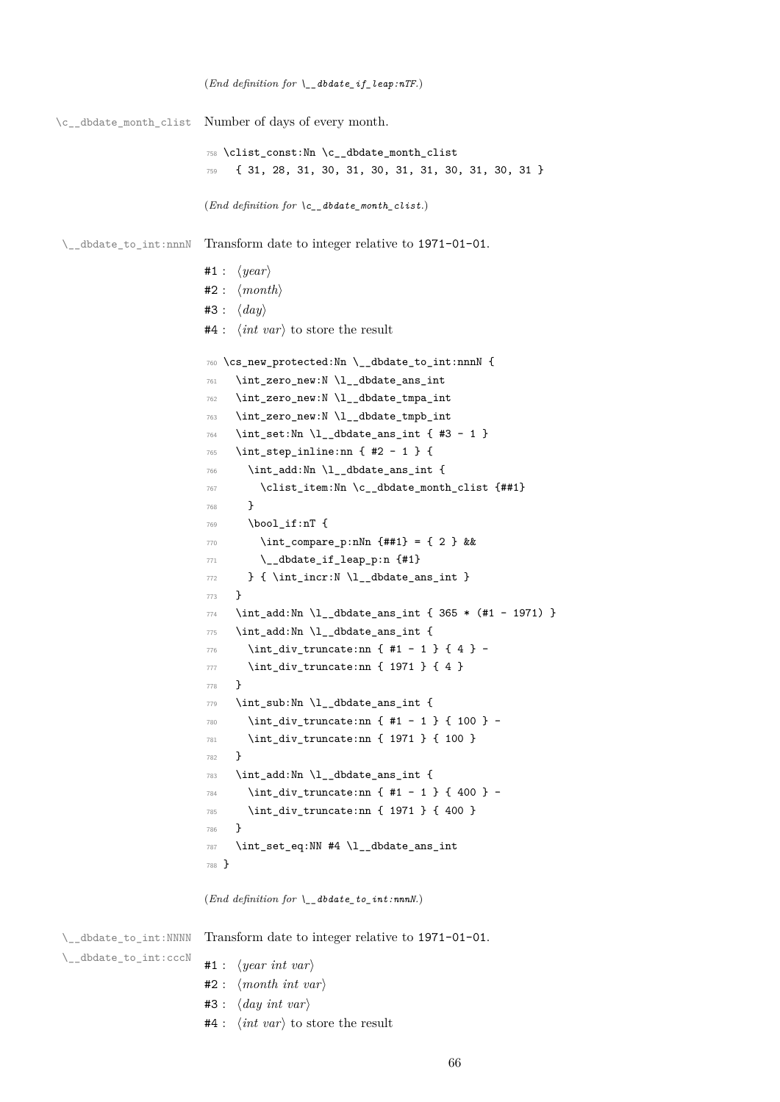```
\verb|\c_dddate_month_clist| Number of days of every month.758 \clist_const:Nn \c__dbdate_month_clist
                                759 { 31, 28, 31, 30, 31, 30, 31, 31, 30, 31, 30, 31 }
                                (End definition for \c__dbdate_month_clist.)
 \_dbdate_to_int:nnnN Transform date to integer relative to 1971-01-01.
                               #1 : ⟨year⟩
                               #2 : ⟨month⟩
                               #3 : ⟨day⟩
                               #4 : ⟨int var⟩ to store the result
                                760 \cs_new_protected:Nn \__dbdate_to_int:nnnN {
                                761 \int_zero_new:N \l__dbdate_ans_int
                                762 \int_zero_new:N \l__dbdate_tmpa_int
                                763 \int_zero_new:N \l__dbdate_tmpb_int
                                764 \int_set:Nn \l__dbdate_ans_int { #3 - 1 }
                                765 \int_step_inline:nn { #2 - 1 } {
                                766 \int_add:Nn \l__dbdate_ans_int {
                                767 \clist_item:Nn \c__dbdate_month_clist {##1}
                                768 }
                                769 \bool_if:nT {
                                770 \int_compare_p:nNn {##1} = { 2 } &&
                                771 \__dbdate_if_leap_p:n {#1}
                                \begin{minipage}[c]{0.9\linewidth} \begin{minipage}[c]{0.9\linewidth} \begin{minipage}[c]{0.9\linewidth} \end{minipage}[c]{0.9\linewidth} \begin{minipage}[c]{0.9\linewidth} \begin{minipage}[c]{0.9\linewidth} \end{minipage}[c]{0.9\linewidth} \end{minipage}[c]{0.9\linewidth} \begin{minipage}[c]{0.9\linewidth} \begin{minipage}[c]{0.9\linewidth} \end{minipage}[c]{0.9\linewidth} \end{minipage}[c]{0.9\linewidth} \end{minipage}[c]{0.9\linewidth} \begin{minipage}[c]{0.9\linewidth} \begin{minipage}[c]{0773 }
                                774 \int_add:Nn \l__dbdate_ans_int { 365 * (#1 - 1971) }
                                775 \int_add:Nn \l__dbdate_ans_int {
                                776 \int_div_truncate:nn { #1 - 1 } { 4 } -
                                777 \int_div_truncate:nn { 1971 } { 4 }
                                778 }
                                779 \int_sub:Nn \l__dbdate_ans_int {
                                780 \int_div_truncate:nn { #1 - 1 } { 100 } -
                                781 \int_div_truncate:nn { 1971 } { 100 }
                                782 }
                                783 \int_add:Nn \l__dbdate_ans_int {
                                784 \int_div_truncate:nn { #1 - 1 } { 400 } -
                                785 \int_div_truncate:nn { 1971 } { 400 }
                                786 }
                                787 \int_set_eq:NN #4 \l__dbdate_ans_int
                                788 }
                               (End definition for \__dbdate_to_int:nnnN.)
```
(*End definition for \\_\_dbdate\_if\_leap:nTF.*)

\\_\_dbdate\_to\_int:NNNN

Transform date to integer relative to 1971-01-01.

\\_\_dbdate\_to\_int:cccN

#1 : *⟨year int var⟩*

- #2 : *⟨month int var⟩*
- #3 : *⟨day int var⟩*
- #4 : *⟨int var⟩* to store the result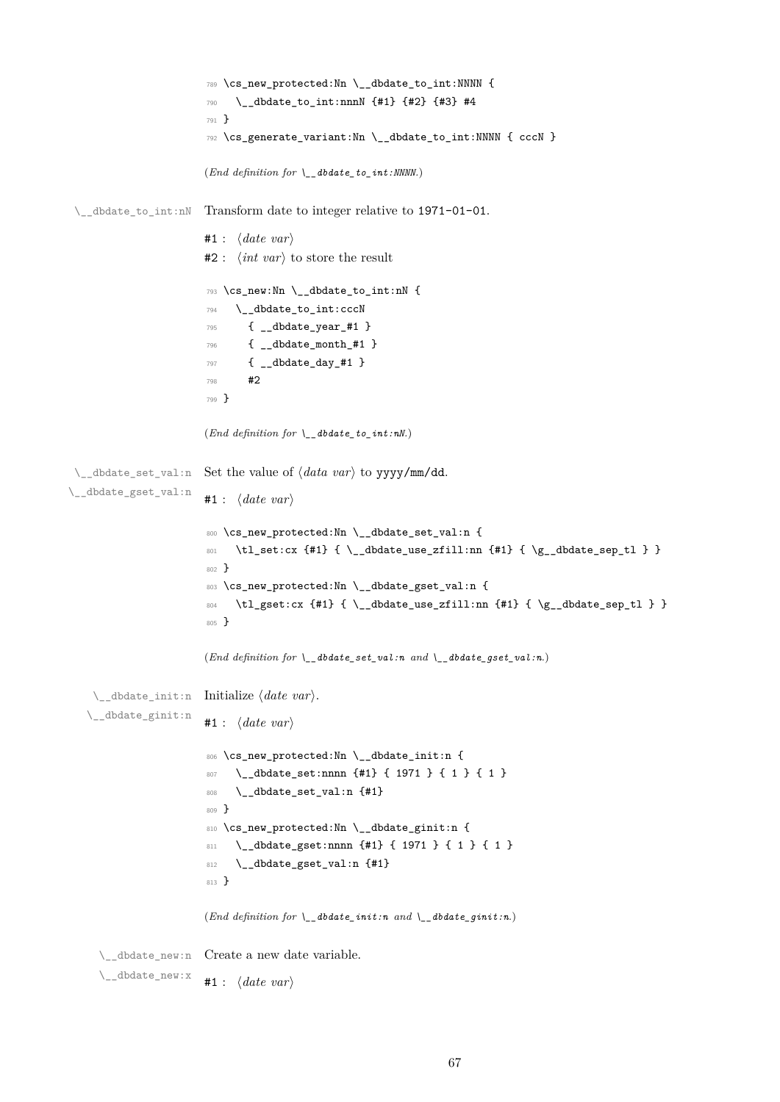```
789 \cs_new_protected:Nn \__dbdate_to_int:NNNN {
                       790 \__dbdate_to_int:nnnN {#1} {#2} {#3} #4
                       791 }
                       792 \cs_generate_variant:Nn \__dbdate_to_int:NNNN { cccN }
                       (End definition for \__dbdate_to_int:NNNN.)
 \__dbdate_to_int:nN Transform date to integer relative to 1971-01-01.
                      #1 : ⟨date var⟩
                      #2 : ⟨int var⟩ to store the result
                       793 \cs_new:Nn \__dbdate_to_int:nN {
                       794 \__dbdate_to_int:cccN
                       795 { __dbdate_year_#1 }
                       796 { __dbdate_month_#1 }
                       797 { __dbdate_day_#1 }
                       798 #2
                       799 }
                      (End definition for \setminus dbdate to int:nN.)
 \__dbdate_set_val:n
Set the value of ⟨data var⟩ to yyyy/mm/dd.
\__dbdate_gset_val:n
                      #1 : ⟨date var⟩
                       800 \cs_new_protected:Nn \__dbdate_set_val:n {
                       801 \tl_set:cx {#1} { \__dbdate_use_zfill:nn {#1} { \g__dbdate_sep_tl } }
                       802 }
                       803 \cs_new_protected:Nn \__dbdate_gset_val:n {
                       804 \tl_gset:cx {#1} { \__dbdate_use_zfill:nn {#1} { \g__dbdate_sep_tl } }
                       805 }
                       (End definition for \__dbdate_set_val:n and \__dbdate_gset_val:n.)
    \__dbdate_init:n
Initialize ⟨date var⟩.
   \__dbdate_ginit:n
                      #1 : ⟨date var⟩
                       806 \cs_new_protected:Nn \__dbdate_init:n {
                       807 \__dbdate_set:nnnn {#1} { 1971 } { 1 } { 1 }
                       808 \__dbdate_set_val:n {#1}
                       809 }
                       810 \cs_new_protected:Nn \__dbdate_ginit:n {
                       811 \__dbdate_gset:nnnn {#1} { 1971 } { 1 } { 1 }
                       812 \__dbdate_gset_val:n {#1}
                       813 }
                      (End definition for \__dbdate_init:n and \__dbdate_ginit:n.)
     \__dbdate_new:n
Create a new date variable.
     \__dbdate_new:x
                      #1 : ⟨date var⟩
```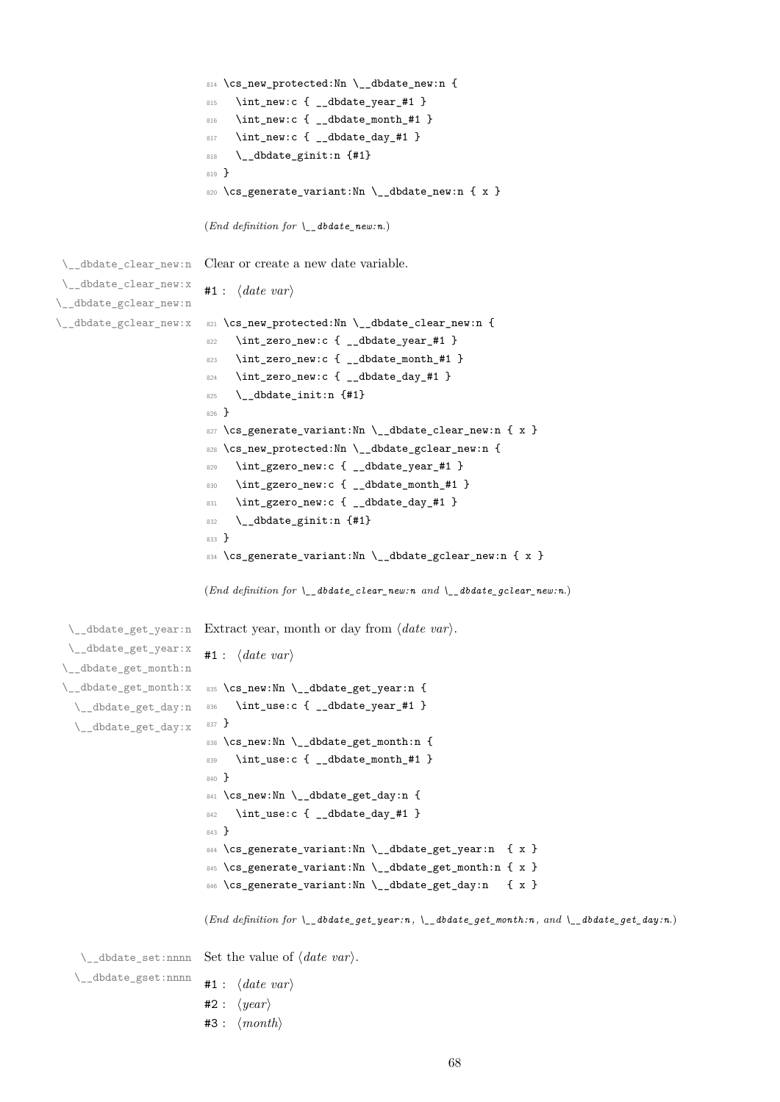```
814 \cs_new_protected:Nn \__dbdate_new:n {
                         815 \int_new:c { __dbdate_year_#1 }
                         816 \int_new:c { __dbdate_month_#1 }
                         817 \int_new:c { __dbdate_day_#1 }
                         818 \__dbdate_ginit:n {#1}
                         819 }
                         820 \cs_generate_variant:Nn \__dbdate_new:n { x }
                        (End definition for \__dbdate_new:n.)
\__dbdate_clear_new:n
\__dbdate_clear_new:x
\__dbdate_gclear_new:n
\__dbdate_gclear_new:x
                        Clear or create a new date variable.
                        #1 : ⟨date var⟩
                        821 \cs_new_protected:Nn \__dbdate_clear_new:n {
                         822 \int_zero_new:c { __dbdate_year_#1 }
                         823 \int_zero_new:c { __dbdate_month_#1 }
                         824 \int_zero_new:c { __dbdate_day_#1 }
                         825 \__dbdate_init:n {#1}826 }
                         827 \cs_generate_variant:Nn \_dbdate_clear_new:n { x }
                         828 \cs_new_protected:Nn \__dbdate_gclear_new:n {
                         829 \int_gzero_new:c { __dbdate_year_#1 }
                         830 \int_gzero_new:c { __dbdate_month_#1 }
                         831 \int_gzero_new:c { __dbdate_day_#1 }
                         832 \__dbdate_ginit:n {#1}
                         833 }
                         834 \cs_generate_variant:Nn \__dbdate_gclear_new:n { x }
                        (End definition for \__dbdate_clear_new:n and \__dbdate_gclear_new:n.)
  \__dbdate_get_year:n
Extract year, month or day from ⟨date var⟩.
 \__dbdate_get_year:x
 \__dbdate_get_month:n
 \__dbdate_get_month:x 835 \cs_new:Nn \__dbdate_get_year:n {
  \__dbdate_get_day:n 836
  \__dbdate_get_day:x
                        #1 : ⟨date var⟩
                             \int_use:c { __dbdate_year_#1 }
                         837 }
                         838 \cs_new:Nn \_dbdate_get_month:n {
                         839 \int_use:c { __dbdate_month_#1 }
                         840 }
                         841 \cs_new:Nn \__dbdate_get_day:n {
                         842 \int_use:c \{ -dbdate\_day\_#1 \}843 }
                         844 \cs_generate_variant:Nn \__dbdate_get_year:n { x }
                         845 \cs_generate_variant:Nn \_dbdate_get_month:n { x }
                         846 \cs_generate_variant:Nn \__dbdate_get_day:n { x }
                        (End definition for \__dbdate_get_year:n , \__dbdate_get_month:n , and \__dbdate_get_day:n.)
    \__dbdate_set:nnnn
Set the value of ⟨date var⟩.
   \__dbdate_gset:nnnn
                        #1 : ⟨date var⟩
                        #2 : ⟨year⟩
                        #3 : ⟨month⟩
```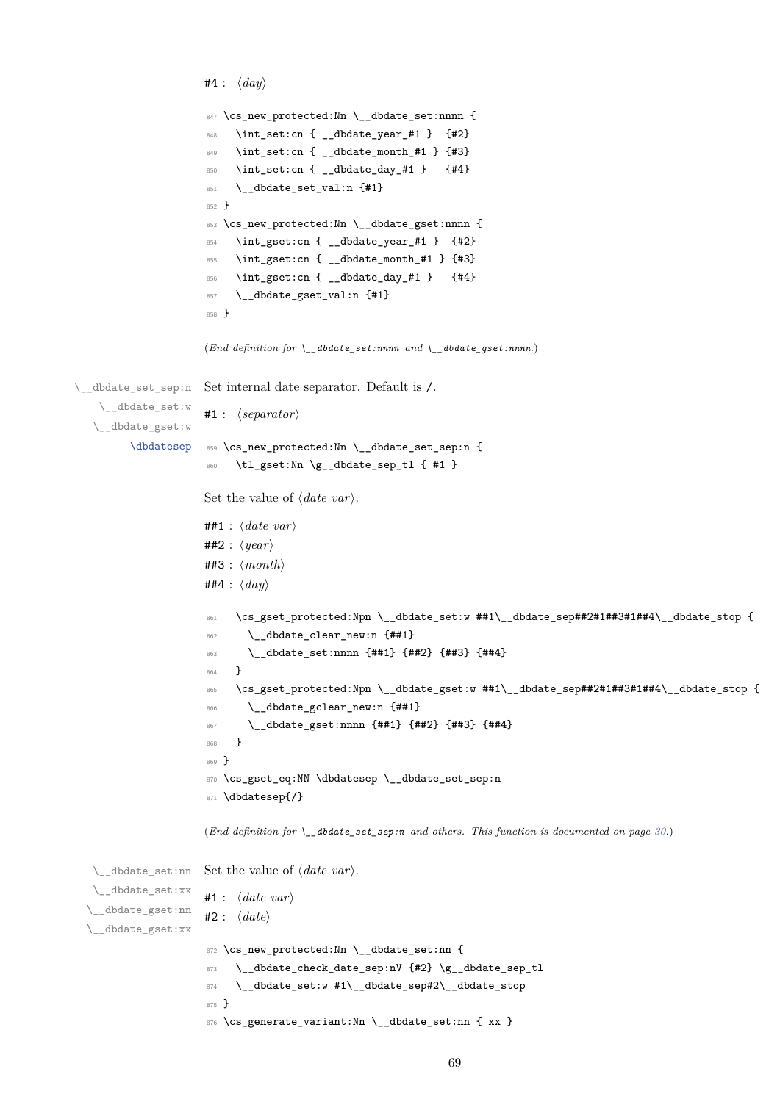```
#4 : ⟨day⟩
                     847 \cs_new_protected:Nn \__dbdate_set:nnnn {
                     848 \int_set:cn { __dbdate_year_#1 } {#2}849 \int_set:cn { __dbdate_month_#1 } {#3}
                     850 \int_set:cn { __dbdate_day_#1 } {#4}
                     851 \__dbdate_set_val:n {#1}
                     852 }
                     853 \cs_new_protected:Nn \__dbdate_gset:nnnn {
                     854 \int_gset:cn { __dbdate_year_#1 } {#2}
                     855 \int_gset:cn { __dbdate_month_#1 } {#3}
                     856 \int_gset:cn { __dbdate_day_#1 } {#4}
                     857 \__dbdate_gset_val:n {#1}
                     858 }
                     (End definition for \__dbdate_set:nnnn and \__dbdate_gset:nnnn.)
\__dbdate_set_sep:n
   \__dbdate_set:w
  \__dbdate_gset:w
         \dbdatesep
                     Set internal date separator. Default is /.
                     #1 : ⟨separator⟩
                     859 \cs_new_protected:Nn \__dbdate_set_sep:n {
                     860 \tl_gset:Nn \g__dbdate_sep_tl { #1 }
                     Set the value of ⟨date var⟩.
                     ##1 : ⟨date var⟩
                     ##2 : ⟨year⟩
                     ##3 : ⟨month⟩
                     ##4 : ⟨day⟩
                     861 \cs_gset_protected:Npn \__dbdate_set:w ##1\__dbdate_sep##2#1##3#1##4\__dbdate_stop {
                     862 \__dbdate_clear_new:n {##1}
                     863 \ dbdate set:nnnn {##1} {##2} {##3} {##4}
                     864 }
                     865 \cs_gset_protected:Npn \__dbdate_gset:w ##1\__dbdate_sep##2#1##3#1##4\__dbdate_stop {
                     866 \__dbdate_gclear_new:n {##1}
                     867 \__dbdate_gset:nnnn {##1} {##2} {##3} {##4}
                     868 }
                     869 }
                     870 \cs_gset_eq:NN \dbdatesep \__dbdate_set_sep:n
                     871 \dbdatesep{/}
                     (End definition for \__dbdate_set_sep:n and others. This function is documented on page 30.)
   \__dbdate_set:nn
Set the value of ⟨date var⟩.
  \__dbdate_set:xx
  \__dbdate_gset:nn
 \__dbdate_gset:xx
                     #1 : ⟨date var⟩
                     #2 : ⟨date⟩
                     872 \cs_new_protected:Nn \__dbdate_set:nn {
                     873 \__dbdate_check_date_sep:nV {#2} \g__dbdate_sep_tl
                     874 \__dbdate_set:w #1\__dbdate_sep#2\__dbdate_stop
                     875 }
                     876 \cs_generate_variant:Nn \__dbdate_set:nn { xx }
```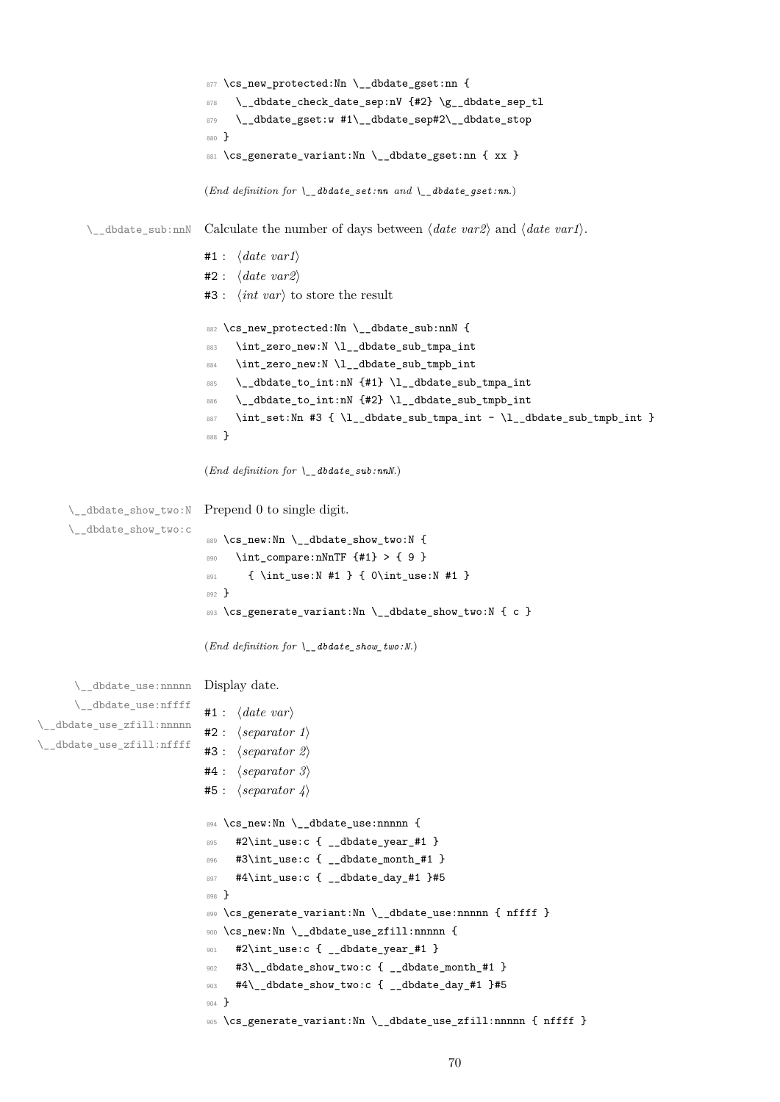```
877 \cs_new_protected:Nn \__dbdate_gset:nn {
                                 \_{edbate\_check\_date\_sep:nV \{#2\} \gtrsim_d bdate\_sep\_tl879 \__dbdate_gset:w #1\__dbdate_sep#2\__dbdate_stop
                            880 }
                            881 \cs_generate_variant:Nn \__dbdate_gset:nn { xx }
                            (End definition for \__dbdate_set:nn and \__dbdate_gset:nn.)
        \__dbdate_sub:nnN Calculate the number of days between ⟨date var2⟩ and ⟨date var1⟩.
                           #1 : ⟨date var1⟩
                           #2 : ⟨date var2⟩
                           #3 : ⟨int var⟩ to store the result
                            882 \cs_new_protected:Nn \__dbdate_sub:nnN {
                            883 \int_zero_new:N \l__dbdate_sub_tmpa_int
                            884 \int_zero_new:N \l__dbdate_sub_tmpb_int
                            885 \__dbdate_to_int:nN {#1} \l__dbdate_sub_tmpa_int
                            886 \__dbdate_to_int:nN {#2} \l__dbdate_sub_tmpb_int
                            887 \int_set:Nn #3 { \l__dbdate_sub_tmpa_int - \l__dbdate_sub_tmpb_int }
                            888 }
                           (End definition for \__dbdate_sub:nnN.)
     \__dbdate_show_two:N
Prepend 0 to single digit.
     \__dbdate_show_two:c
                            889 \cs_new:Nn \__dbdate_show_two:N {
                                 \int_compare:nNnTF {#1} > { 9 }
                            891 { \int_use:N #1 } { 0\int_use:N #1 }
                            892 }
                            893 \cs_generate_variant:Nn \__dbdate_show_two:N { c }
                            (End definition for \__dbdate_show_two:N.)
      \__dbdate_use:nnnnn
Display date.
      \__dbdate_use:nffff
\__dbdate_use_zfill:nnnnn
\__dbdate_use_zfill:nffff
                           #1 : ⟨date var⟩
                           #2 : ⟨separator 1⟩
                           #3 : ⟨separator 2⟩
                           #4 : ⟨separator 3⟩
                           #5 : ⟨separator 4⟩
                            894 \cs_new:Nn \__dbdate_use:nnnnn {
                            895 #2\int_use:c { dbdate_year #1 }
                            896 #3\int_use:c { __dbdate_month_#1 }
                            897 #4\int_use:c { __dbdate_day_#1 }#5
                            898 }
                            899 \cs_generate_variant:Nn \_dbdate_use:nnnnn { nffff }
                            900 \cs_new:Nn \__dbdate_use_zfill:nnnnn {
                            901 #2\int_use:c { __dbdate_year_#1 }
                            902 #3\__dbdate_show_two:c { __dbdate_month_#1 }
                            903 #4\_dbdate_show_two:c { _dbdate_day_#1 }#5
                            904 }
                            905 \cs_generate_variant:Nn \__dbdate_use_zfill:nnnnn { nffff }
```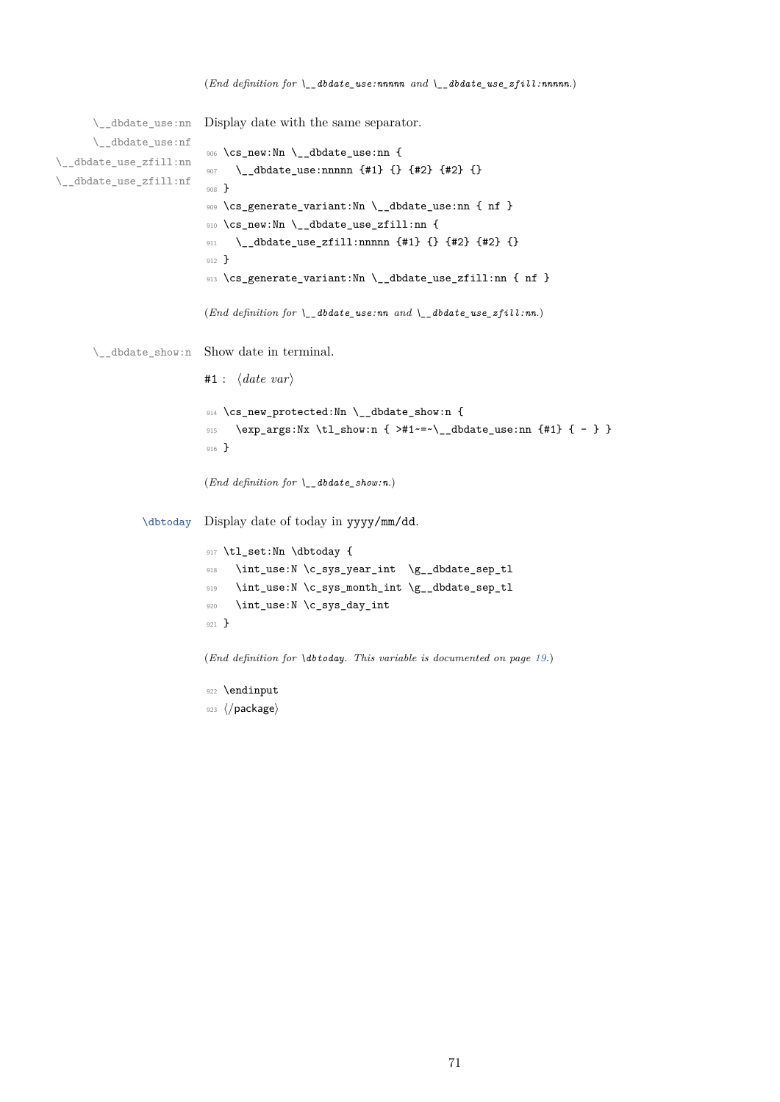```
\__dbdate_use:nn
         \__dbdate_use:nf
\__dbdate_use_zfill:nn
\__dbdate_use_zfill:nf
                                   Display date with the same separator.
                                     906 \cs_new:Nn \__dbdate_use:nn {
                                     907 \__dbdate_use:nnnnn {#1} {} {#2} {#2} {}
                                     908 }
                                     909 \cs_generate_variant:Nn \__dbdate_use:nn { nf }
                                     910 \cs_new:Nn \__dbdate_use_zfill:nn {
                                     \hbox{\begin{minipage}[c]{0.9\linewidth} 911 \end{minipage}} \begin{minipage}[c]{0.9\linewidth} 0.14 \end{minipage}} \begin{minipage}[c]{0.9\linewidth} 0.14 \end{minipage}} \begin{minipage}[c]{0.9\linewidth} 0.14 \end{minipage}} \begin{minipage}[c]{0.9\linewidth} 0.14 \end{minipage}} \begin{minipage}[c]{0.9\linewidth} 0.14 \end{minipage}} \begin{minipage}[c]{0.9\linewidth} 0.14 \end{minipage}} \begin{minipage}[c]{0.9\linewidth} 0.14 \end{minipage}} \begin912 }
                                     913 \cs_generate_variant:Nn \__dbdate_use_zfill:nn { nf }
                                    (End definition for \__dbdate_use:nn and \__dbdate_use_zfill:nn.)
         \__dbdate_show:n Show date in terminal.
                                    #1 : ⟨date var⟩
                                     914 \cs_new_protected:Nn \__dbdate_show:n {
                                     915 \exp_args:Nx \tl_show:n { >#1~=~\__dbdate_use:nn {#1} { - } }
                                     916 }
                                    (End definition for \__dbdate_show:n.)
                     \dbtoday Display date of today in yyyy/mm/dd.
                                    917 \tl_set:Nn \dbtoday {
                                     918 \int_use:N \c_sys_year_int \g__dbdate_sep_tl
                                     919 \int_use:N\c_sys_month_int \g__dbdate_sep_tl
                                     920 \int_use:N \c_sys_day_int
                                     921 }
```
(*End definition for \dbtoday. This variable is documented on page 19.*)

922 **\endinput** <sup>923</sup> *⟨/*package*⟩*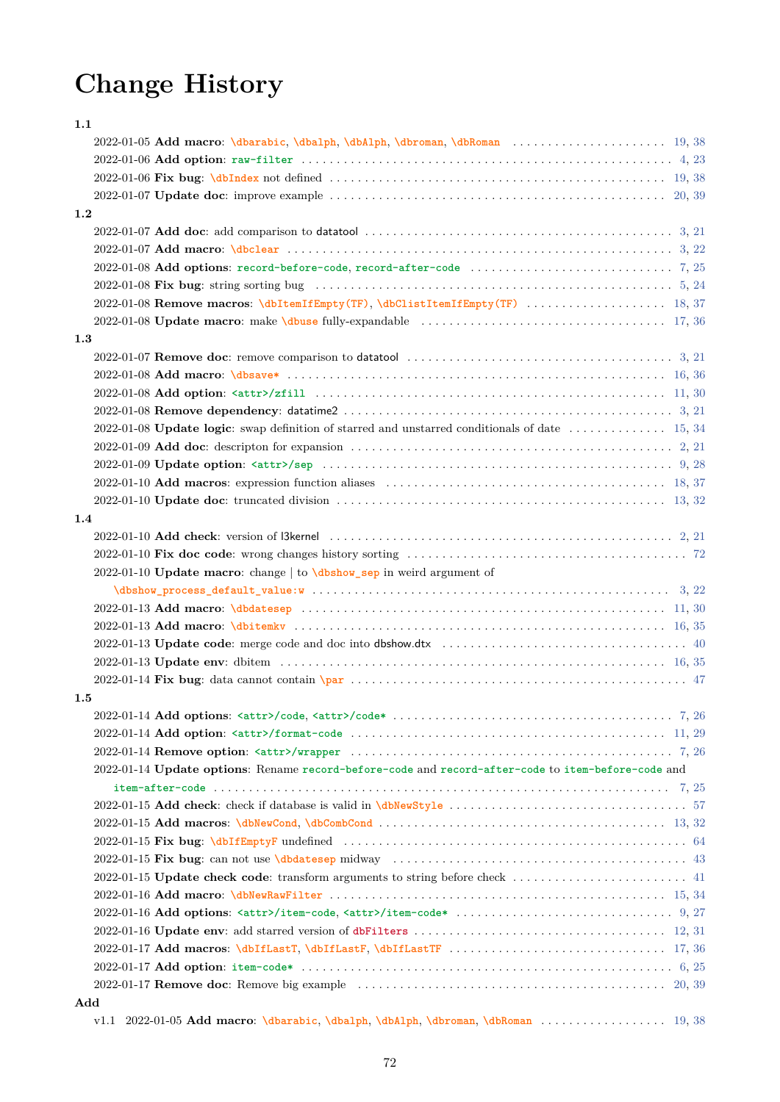# **Change History**

<span id="page-71-0"></span>

| 1.1     |                                                                                                                                                             |
|---------|-------------------------------------------------------------------------------------------------------------------------------------------------------------|
|         | 2022-01-05 Add macro: \dbarabic, \dbalph, \dbAlph, \dbroman, \dbRoman  19, 38                                                                               |
|         |                                                                                                                                                             |
|         |                                                                                                                                                             |
|         |                                                                                                                                                             |
| 1.2     |                                                                                                                                                             |
|         |                                                                                                                                                             |
|         |                                                                                                                                                             |
|         |                                                                                                                                                             |
|         |                                                                                                                                                             |
|         |                                                                                                                                                             |
|         |                                                                                                                                                             |
| 1.3     |                                                                                                                                                             |
|         | 2022-01-07 <b>Remove doc</b> : remove comparison to datatool $\ldots \ldots \ldots \ldots \ldots \ldots \ldots \ldots \ldots \ldots \ldots$ 3, 21           |
|         |                                                                                                                                                             |
|         |                                                                                                                                                             |
|         |                                                                                                                                                             |
|         |                                                                                                                                                             |
|         |                                                                                                                                                             |
|         |                                                                                                                                                             |
|         |                                                                                                                                                             |
|         |                                                                                                                                                             |
| 1.4     |                                                                                                                                                             |
|         |                                                                                                                                                             |
|         |                                                                                                                                                             |
|         | 2022-01-10 Update macro: change   to \dbshow_sep in weird argument of                                                                                       |
|         |                                                                                                                                                             |
|         |                                                                                                                                                             |
|         |                                                                                                                                                             |
|         |                                                                                                                                                             |
|         |                                                                                                                                                             |
|         |                                                                                                                                                             |
| $1.5\,$ |                                                                                                                                                             |
|         |                                                                                                                                                             |
|         |                                                                                                                                                             |
|         |                                                                                                                                                             |
|         | 2022-01-14 Update options: Rename record-before-code and record-after-code to item-before-code and                                                          |
|         |                                                                                                                                                             |
|         |                                                                                                                                                             |
|         |                                                                                                                                                             |
|         |                                                                                                                                                             |
|         |                                                                                                                                                             |
|         |                                                                                                                                                             |
|         |                                                                                                                                                             |
|         |                                                                                                                                                             |
|         | 2022-01-16 Update env: add starred version of dbFilters $\ldots \ldots \ldots \ldots \ldots \ldots \ldots \ldots \ldots \ldots \ldots \ldots \ldots$ 12, 31 |
|         |                                                                                                                                                             |
|         |                                                                                                                                                             |
|         |                                                                                                                                                             |
|         |                                                                                                                                                             |
| Add     | v1.1 2022-01-05 Add macro: \dbarabic, \dbalph, \dbAlph, \dbroman, \dbRoman  19, 38                                                                          |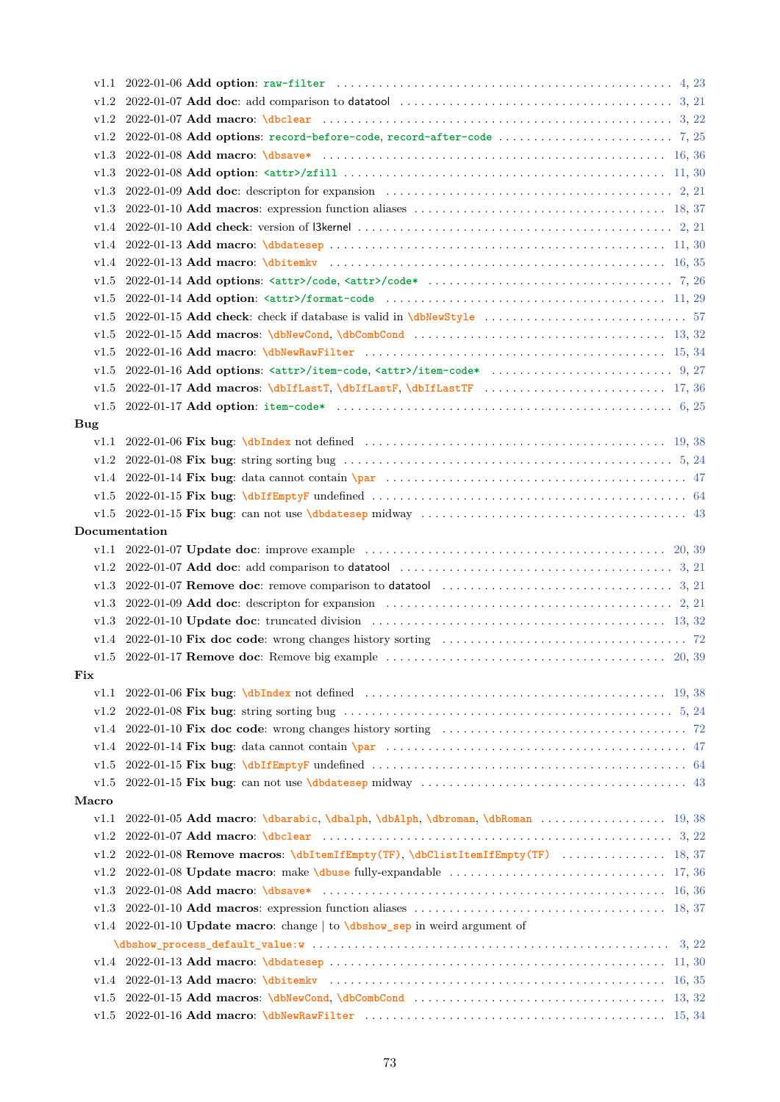<span id="page-72-0"></span>

| v1.2       |                                                                                                                                     |
|------------|-------------------------------------------------------------------------------------------------------------------------------------|
| v1.2       |                                                                                                                                     |
| v1.3       |                                                                                                                                     |
| v1.3       |                                                                                                                                     |
| v1.3       | 2022-01-09 Add doc: descripton for expansion $\ldots \ldots \ldots \ldots \ldots \ldots \ldots \ldots \ldots \ldots \ldots$ 2, 21   |
| v1.3       |                                                                                                                                     |
| v1.4       |                                                                                                                                     |
| v1.4       |                                                                                                                                     |
| v1.4       |                                                                                                                                     |
| v1.5       |                                                                                                                                     |
| v1.5       |                                                                                                                                     |
| v1.5       |                                                                                                                                     |
| v1.5       |                                                                                                                                     |
| v1.5       |                                                                                                                                     |
| v1.5       |                                                                                                                                     |
| v1.5       |                                                                                                                                     |
| v1.5       |                                                                                                                                     |
| <b>Bug</b> |                                                                                                                                     |
| v1.1       |                                                                                                                                     |
| v1.2       |                                                                                                                                     |
| v1.4       |                                                                                                                                     |
| v1.5       |                                                                                                                                     |
|            | v1.5 2022-01-15 Fix bug: can not use \dbdatesep midway $\ldots \ldots \ldots \ldots \ldots \ldots \ldots \ldots \ldots \ldots$      |
|            | Documentation                                                                                                                       |
|            |                                                                                                                                     |
| v1.2       | 2022-01-07 Add doc: add comparison to datatool $\ldots \ldots \ldots \ldots \ldots \ldots \ldots \ldots \ldots \ldots \ldots$ 3, 21 |
| v1.3       | 2022-01-07 Remove doc: remove comparison to datatool $\ldots \ldots \ldots \ldots \ldots \ldots \ldots \ldots \ldots$ 3, 21         |
| v1.3       | 2022-01-09 Add doc: descripton for expansion $\ldots \ldots \ldots \ldots \ldots \ldots \ldots \ldots \ldots \ldots \ldots$ 2, 21   |
| v1.3       |                                                                                                                                     |
| v1.4       |                                                                                                                                     |
| v1.5       |                                                                                                                                     |
| Fix        |                                                                                                                                     |
| v1.1       |                                                                                                                                     |
| v1.2       | 2022-01-08 Fix bug: string sorting bug $\ldots \ldots \ldots \ldots \ldots \ldots \ldots \ldots \ldots \ldots \ldots \ldots$ 5, 24  |
| v1.4       |                                                                                                                                     |
| v1.4       |                                                                                                                                     |
| v1.5       |                                                                                                                                     |
| v1.5       |                                                                                                                                     |
| Macro      |                                                                                                                                     |
| v1.1       |                                                                                                                                     |
| v1.2       |                                                                                                                                     |
| v1.2       | 2022-01-08 Remove macros: \dbItemIfEmpty(TF), \dbClistItemIfEmpty(TF)  18, 37                                                       |
| v1.2       |                                                                                                                                     |
| v1.3       |                                                                                                                                     |
| v1.3       |                                                                                                                                     |
|            | v1.4 2022-01-10 Update macro: change to \dbshow_sep in weird argument of                                                            |
|            |                                                                                                                                     |
| v1.4       |                                                                                                                                     |
| v1.4       |                                                                                                                                     |
| v1.5       |                                                                                                                                     |
| v1.5       |                                                                                                                                     |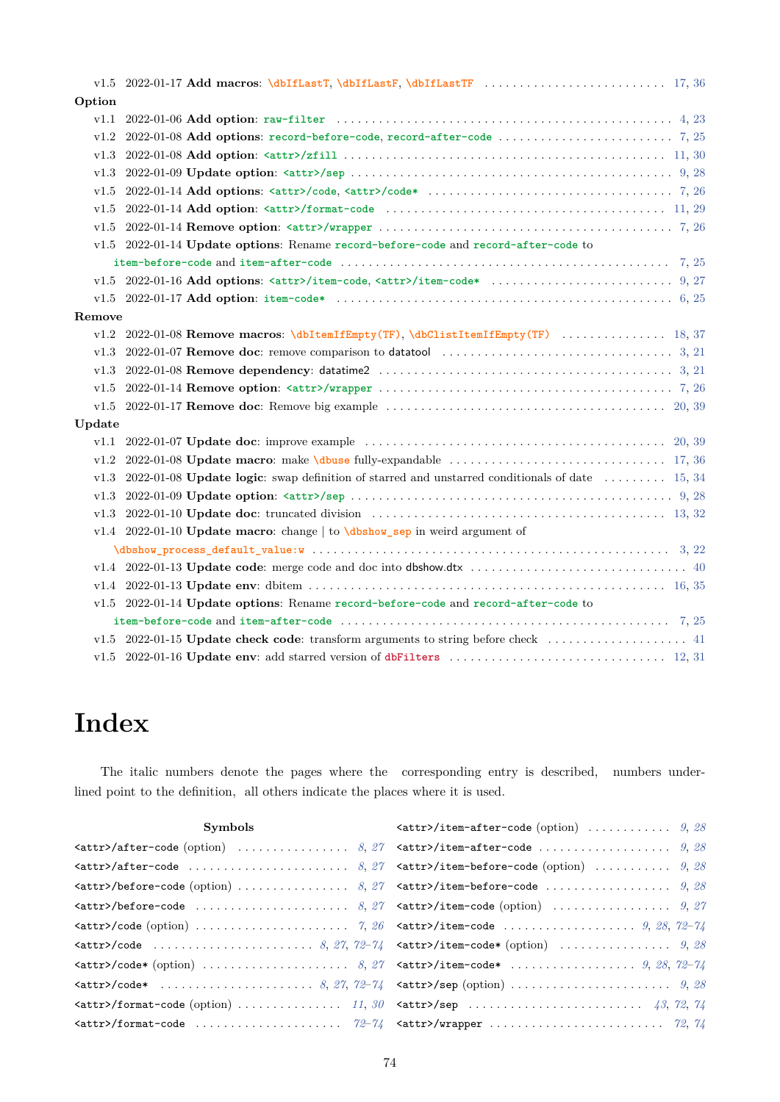<span id="page-73-0"></span>

| Option |                                                                                                                              |
|--------|------------------------------------------------------------------------------------------------------------------------------|
| v1.1   |                                                                                                                              |
| v1.2   |                                                                                                                              |
| v1.3   |                                                                                                                              |
| v1.3   |                                                                                                                              |
| v1.5   |                                                                                                                              |
| v1.5   |                                                                                                                              |
| v1.5   |                                                                                                                              |
| v1.5   | 2022-01-14 Update options: Rename record-before-code and record-after-code to                                                |
|        | item-before-code and item-after-code $\dots\dots\dots\dots\dots\dots\dots\dots\dots\dots\dots\dots\dots\dots\dots\dots\dots$ |
|        |                                                                                                                              |
| v1.5   |                                                                                                                              |
| Remove |                                                                                                                              |
| v1.2   | 2022-01-08 Remove macros: \dbItemIfEmpty(TF), \dbClistItemIfEmpty(TF)  18, 37                                                |
| v1.3   | 2022-01-07 Remove doc: remove comparison to datatool $\ldots \ldots \ldots \ldots \ldots \ldots \ldots \ldots \ldots$ 3, 21  |
| v1.3   |                                                                                                                              |
| v1.5   |                                                                                                                              |
| v1.5   |                                                                                                                              |
| Update |                                                                                                                              |
| v1.1   |                                                                                                                              |
| v1.2   |                                                                                                                              |
| v1.3   | 2022-01-08 Update logic: swap definition of starred and unstarred conditionals of date $\dots \dots \dots \dots$ 15, 34      |
| v1.3   |                                                                                                                              |
| v1.3   |                                                                                                                              |
|        | v1.4 2022-01-10 Update macro: change   to \dbshow_sep in weird argument of                                                   |
|        |                                                                                                                              |
|        |                                                                                                                              |
|        |                                                                                                                              |
|        | v1.5 2022-01-14 Update options: Rename record-before-code and record-after-code to                                           |
|        | item-before-code and item-after-code $\dots\dots\dots\dots\dots\dots\dots\dots\dots\dots\dots\dots\dots\dots\dots\dots\dots$ |
|        | v1.5 2022-01-15 Update check code: transform arguments to string before check $\dots\dots\dots\dots\dots\dots$               |
| v1.5   |                                                                                                                              |

# **Index**

The italic numbers denote the pages where the corresponding entry is described, numbers underlined point to the definition, all others indicate the places where it is used.

| <b>Symbols</b>                                                                                                                                                                                                                                                                                                                            | $\texttt{[}}/item\texttt{-after-code}$ (option)  9, 28 |
|-------------------------------------------------------------------------------------------------------------------------------------------------------------------------------------------------------------------------------------------------------------------------------------------------------------------------------------------|--------------------------------------------------------|
| $\texttt{[}}\$ $\texttt{[}}\$                                                                                                                                                                                                                                                                                                             |                                                        |
|                                                                                                                                                                                                                                                                                                                                           |                                                        |
| $\texttt{[0]}$ $\texttt{[0]}$ $\texttt{[0]}$ $\texttt{[0]}$ $\texttt{[0]}$ $\texttt{[0]}$ $\texttt{[0]}$ $\texttt{[0]}$ $\texttt{[0]}$ $\texttt{[0]}$ $\texttt{[0]}$ $\texttt{[0]}$ $\texttt{[0]}$ $\texttt{[1]}$ $\texttt{[1]}$ $\texttt{[1]}$ $\texttt{[1]}$ $\texttt{[1]}$ $\texttt{[1]}$ $\texttt{[0]}$ $\texttt{[1]}$ $\texttt{[0]}$ |                                                        |
|                                                                                                                                                                                                                                                                                                                                           |                                                        |
|                                                                                                                                                                                                                                                                                                                                           |                                                        |
|                                                                                                                                                                                                                                                                                                                                           |                                                        |
|                                                                                                                                                                                                                                                                                                                                           |                                                        |
|                                                                                                                                                                                                                                                                                                                                           |                                                        |
|                                                                                                                                                                                                                                                                                                                                           |                                                        |
|                                                                                                                                                                                                                                                                                                                                           |                                                        |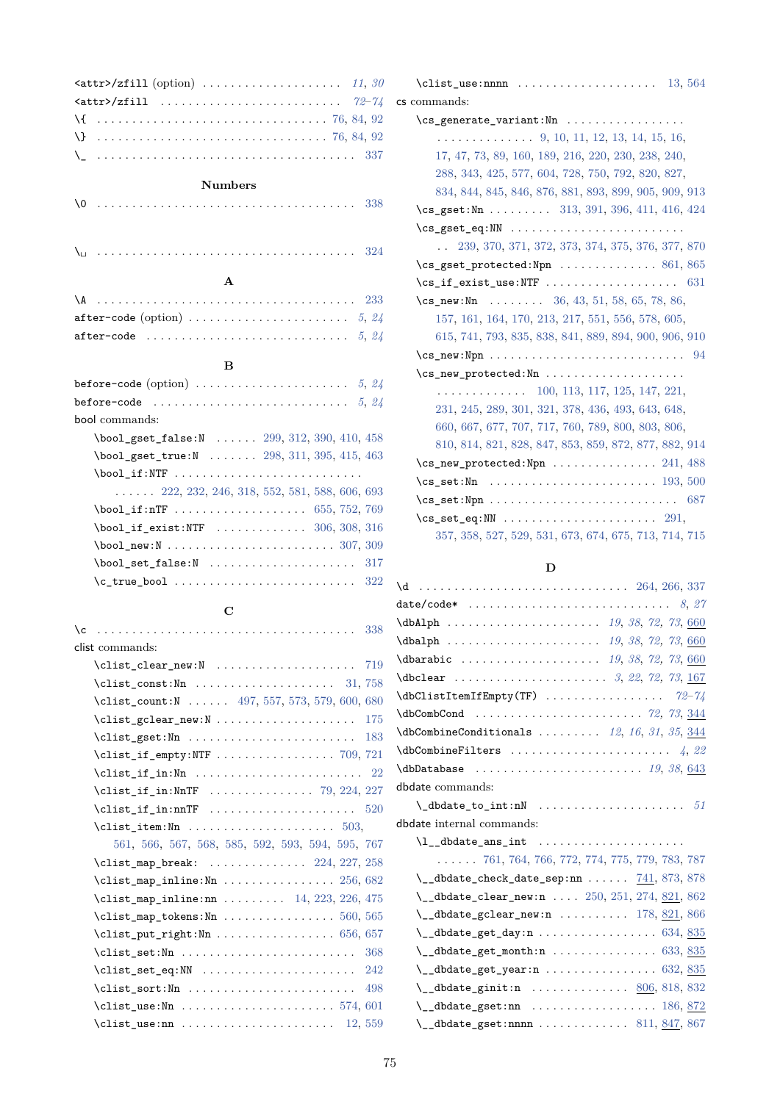| $\text{72-74}$ |  |
|----------------|--|
|                |  |
|                |  |
|                |  |

#### **Numbers**

## **A**

|  | after-code (option) $\ldots \ldots \ldots \ldots \ldots \ldots \ldots$ 5, 24 |  |  |  |  |  |  |  |  |  |
|--|------------------------------------------------------------------------------|--|--|--|--|--|--|--|--|--|
|  |                                                                              |  |  |  |  |  |  |  |  |  |

## **B**

| before-code (option) $\ldots \ldots \ldots \ldots \ldots \ldots \ldots 5, 24$                          |
|--------------------------------------------------------------------------------------------------------|
|                                                                                                        |
| bool commands:                                                                                         |
| $\text{bool}_\text{gset}_\text{false:N}$ 299, 312, 390, 410, 458                                       |
| $\boldsymbol{\lambda}$ bool_gset_true:N  298, 311, 395, 415, 463                                       |
| \bool_if:NTF                                                                                           |
| $\ldots$ 222, 232, 246, 318, 552, 581, 588, 606, 693                                                   |
|                                                                                                        |
|                                                                                                        |
| $\text{bool\_new:} \ \text{ } \ \ldots \ \ldots \ \ldots \ \ldots \ \ldots \ \ldots \ \text{307, 309}$ |
|                                                                                                        |
| $\c$ _true_bool  322                                                                                   |

## **C**

| clist commands:                                                    |  |
|--------------------------------------------------------------------|--|
|                                                                    |  |
|                                                                    |  |
| \clist_count:N  497, 557, 573, 579, 600, 680                       |  |
| $\clist_gclear_new: N \ldots \ldots \ldots \ldots 175$             |  |
| $\clust_g$ set:Nn  183                                             |  |
|                                                                    |  |
|                                                                    |  |
| $\text{Clist}_if_in:\text{NnTF}$ 79, 224, 227                      |  |
|                                                                    |  |
|                                                                    |  |
| 561, 566, 567, 568, 585, 592, 593, 594, 595, 767                   |  |
| \clist_map_break: $\ldots \ldots \ldots \ldots 224, 227, 258$      |  |
| $\texttt{Clist_map\_inline:Nn} \dots \dots \dots \dots \ 256, 682$ |  |
| \clist_map_inline:nn $\ldots$ 14, 223, 226, 475                    |  |
| $\text{Clist_map_tokens:Nn}$ 560, 565                              |  |
| $\clust_put_right:$ Nn  656, 657                                   |  |
| $\clust_set: Nn$ 368                                               |  |
| $\clust_set_eq: NN$ 242                                            |  |
|                                                                    |  |
|                                                                    |  |
| \clist use:nn  12,559                                              |  |
|                                                                    |  |

| $\clust_$ use:nnnn  13,564                                         |
|--------------------------------------------------------------------|
| cs commands:                                                       |
| \cs_generate_variant:Nn                                            |
| $\ldots \ldots \ldots \ldots \quad 9, 10, 11, 12, 13, 14, 15, 16,$ |
| 17, 47, 73, 89, 160, 189, 216, 220, 230, 238, 240,                 |
| 288, 343, 425, 577, 604, 728, 750, 792, 820, 827,                  |
| 834, 844, 845, 846, 876, 881, 893, 899, 905, 909, 913              |
| $\cs{cs\_gset:}$ Mn  313, 391, 396, 411, 416, 424                  |
| $\csc_2$ gset_eq:NN                                                |
| . . 239, 370, 371, 372, 373, 374, 375, 376, 377, 870               |
| $\csc gset_protected: Npn$ 861, 865                                |
|                                                                    |
| $\csc \text{new}:\text{Nn}$ 36, 43, 51, 58, 65, 78, 86,            |
| 157, 161, 164, 170, 213, 217, 551, 556, 578, 605,                  |
| 615, 741, 793, 835, 838, 841, 889, 894, 900, 906, 910              |
|                                                                    |
|                                                                    |
| $\ldots \ldots \ldots \ldots 100, 113, 117, 125, 147, 221,$        |
| 231, 245, 289, 301, 321, 378, 436, 493, 643, 648,                  |
| 660, 667, 677, 707, 717, 760, 789, 800, 803, 806,                  |
| 810, 814, 821, 828, 847, 853, 859, 872, 877, 882, 914              |
| $\csc_1$ new_protected:Npn  241, 488                               |
|                                                                    |
|                                                                    |
| $\csc$ set eq:NN  291,                                             |
| 357, 358, 527, 529, 531, 673, 674, 675, 713, 714, 715              |

## **D**

| $\delta$ \dbCombineConditionals  12, 16, 31, 35, 344 |
|------------------------------------------------------|
|                                                      |
|                                                      |
| dbdate commands:                                     |
| $\lambda$ _dbdate_to_int:nN  51                      |

dbdate internal commands:

\l\_\_dbdate\_ans\_int . . . . . . . . . . . . . . . . [. .](#page-18-0) [. .](#page-37-1) .

| $\ldots$ . 761, 764, 766, 772, 774, 775, 779, 783, 787                         |
|--------------------------------------------------------------------------------|
| $\lceil \cdot \rfloor$ dbdate_check_date_sep:nn $741,873,878$                  |
| $\lceil \cdot \rfloor$ dbdate_clear_new:n  250, 251, 274, 821, 862             |
| $\lceil \cdot \rfloor$ dbdate_gclear_new:n  178, 821, 866                      |
| $\lvert \$ _dbdate_get_day:n 634, 835                                          |
| $\{\_\_dbdate\_\get\_\text{month:n}\ \ldots \ldots \ldots \ldots \ 633, 835\}$ |
| $\{\_d$ dbdate_get_year:n  632, 835                                            |
| \__dbdate_ginit:n  806, 818, 832                                               |
|                                                                                |
| $\lceil \cdot \rfloor$ dbdate_gset:nnnn  811, 847, 867                         |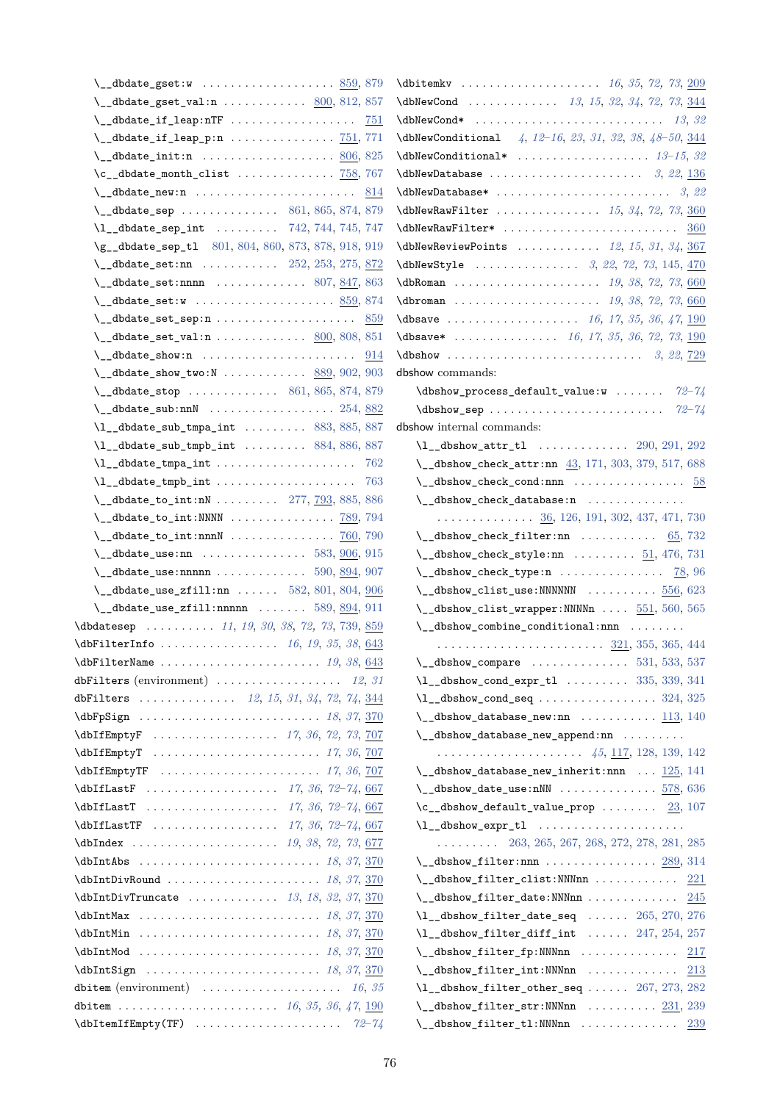| \__dbdate_gset:w  859,879                                                                                                                                                  |
|----------------------------------------------------------------------------------------------------------------------------------------------------------------------------|
| $\lvert \$ _dbdate_gset_val:n  800, 812, 857                                                                                                                               |
|                                                                                                                                                                            |
|                                                                                                                                                                            |
| $\lvert \cdot \rvert$ dbdate_init:n  806, 825                                                                                                                              |
| $\c$ __dbdate_month_clist $758, 767$                                                                                                                                       |
|                                                                                                                                                                            |
| $\mathcal{N}_{\text{1}}$ dbdate_sep  861, 865, 874, 879                                                                                                                    |
| \1__dbdate_sep_int  742, 744, 745, 747                                                                                                                                     |
| \g__dbdate_sep_t1 801, 804, 860, 873, 878, 918, 919                                                                                                                        |
| \_dbdate_set:nn  252, 253, 275, 872                                                                                                                                        |
| $\lvert \$ _dbdate_set:nnnn $\ldots \ldots \ldots \ldots 807, 847, 863$                                                                                                    |
|                                                                                                                                                                            |
| $\setminus$ _dbdate_set_sep:n  859                                                                                                                                         |
| $\_{\_dbdate\_set\_val:n$ 800, 808, 851                                                                                                                                    |
|                                                                                                                                                                            |
| $\mathcal{L}_\text{1}$ dbdate_show_two:N  889, 902, 903                                                                                                                    |
| $\mathcal{L}_\text{d}\text{bdate\_stop}$ 861, 865, 874, 879                                                                                                                |
| $\lvert \$ _dbdate_sub:nnN  254, 882                                                                                                                                       |
| $\lceil \frac{1}{3}, \frac{885}{887} \rceil$                                                                                                                               |
| $\lceil \frac{1}{366}, \frac{1}{366}, \frac{1}{366} \rceil \rceil$ 884, 886, 887                                                                                           |
| $\lceil \frac{1}{2} \cdot 5 \rceil \rceil$ and $\lceil \frac{1}{2} \rceil$ and $\lceil \frac{1}{2} \rceil$ and $\lceil \frac{1}{2} \rceil$ and $\lceil \frac{1}{2} \rceil$ |
|                                                                                                                                                                            |
| $\mathcal{N}_{\text{1}}$ dbdate_to_int:nN  277, 793, 885, 886                                                                                                              |
|                                                                                                                                                                            |
| $\lvert \cdot \rvert$ dbdate_to_int:nnnN  760, 790                                                                                                                         |
| $\setminus$ _dbdate_use:nn  583, $906, 915$                                                                                                                                |
| $\mathcal{L}_{\mathcal{L}}$ dbdate_use:nnnnn  590, 894, 907                                                                                                                |
| \__dbdate_use_zfill:nn  582, 801, 804, 906                                                                                                                                 |
| $\mathcal{L}_\text{d}\text{bdate\_use\_zfill:nnnnn}$ 589, 894, 911                                                                                                         |
| \dbdatesep  11, 19, 30, 38, 72, 73, 739, 859                                                                                                                               |
|                                                                                                                                                                            |
| dbFilters (environment) $\ldots \ldots \ldots \ldots \ldots \ldots$ 12, 31                                                                                                 |
| dbFilters $12, 15, 31, 34, 72, 74, \frac{344}{9}$                                                                                                                          |
| \dbFpSign  18, 37, 370                                                                                                                                                     |
| \dbIfEmptyF  17, 36, 72, 73, 707                                                                                                                                           |
| \dbIfEmptyT  17, 36, 707                                                                                                                                                   |
|                                                                                                                                                                            |
|                                                                                                                                                                            |
|                                                                                                                                                                            |
|                                                                                                                                                                            |
|                                                                                                                                                                            |
|                                                                                                                                                                            |
|                                                                                                                                                                            |
| $\delta$ \dbIntDivTruncate  13, 18, 32, 37, 370                                                                                                                            |
|                                                                                                                                                                            |
|                                                                                                                                                                            |
|                                                                                                                                                                            |
|                                                                                                                                                                            |
| dbitem (environment) $\ldots \ldots \ldots \ldots \ldots \ldots \ldots \ldots$ 16, 35                                                                                      |
|                                                                                                                                                                            |
|                                                                                                                                                                            |
|                                                                                                                                                                            |

| $\delta$ \dbNewCond  13, 15, 32, 34, 72, 73, 344                                                                                                                                                                                                                                                                                             |
|----------------------------------------------------------------------------------------------------------------------------------------------------------------------------------------------------------------------------------------------------------------------------------------------------------------------------------------------|
|                                                                                                                                                                                                                                                                                                                                              |
| $\Delta b$ NewConditional 4, 12-16, 23, 31, 32, 38, 48-50, $\frac{344}{8}$                                                                                                                                                                                                                                                                   |
|                                                                                                                                                                                                                                                                                                                                              |
|                                                                                                                                                                                                                                                                                                                                              |
|                                                                                                                                                                                                                                                                                                                                              |
| \dbNewRawFilter $15, 34, 72, 73, 360$                                                                                                                                                                                                                                                                                                        |
| $\d{dbNewRawFilter*$ 360                                                                                                                                                                                                                                                                                                                     |
| $\delta$ \dbNewReviewPoints  12, 15, 31, 34, 367                                                                                                                                                                                                                                                                                             |
| \dbNewStyle  3, 22, 72, 73, 145, 470                                                                                                                                                                                                                                                                                                         |
| $\delta$ 0. $\delta$ 0. $\delta$ 0. $\delta$ 0. $\delta$ 0. $\delta$ 0. $\delta$ 0. $\delta$ 0. $\delta$ 0. $\delta$ 0. $\delta$ 0. $\delta$ 0. $\delta$ 0. $\delta$ 0. $\delta$ 0. $\delta$ 0. $\delta$ 0. $\delta$ 0. $\delta$ 0. $\delta$ 0. $\delta$ 0. $\delta$ 0. $\delta$ 0. $\delta$ 0. $\delta$ 0. $\delta$ 0. $\delta$ 0. $\delta$ |
| $\delta$ 72, 73, 660                                                                                                                                                                                                                                                                                                                         |
| \dbsave  16, 17, 35, 36, 47, 190                                                                                                                                                                                                                                                                                                             |
| \dbsave*  16, 17, 35, 36, 72, 73, 190                                                                                                                                                                                                                                                                                                        |
|                                                                                                                                                                                                                                                                                                                                              |
| dbshow commands:                                                                                                                                                                                                                                                                                                                             |
| $\label{thm:1} $$\dbshow-process_default_value:w   72-74$                                                                                                                                                                                                                                                                                    |
|                                                                                                                                                                                                                                                                                                                                              |
| dbshow internal commands:                                                                                                                                                                                                                                                                                                                    |
| $\lvert \mathbf{L}_{-}$ dbshow_attr_tl  290, 291, 292                                                                                                                                                                                                                                                                                        |
| \_dbshow_check_attr:nn 43, 171, 303, 379, 517, 688                                                                                                                                                                                                                                                                                           |
| $\setminus$ _dbshow_check_cond:nnn  58                                                                                                                                                                                                                                                                                                       |
| \__dbshow_check_database:n                                                                                                                                                                                                                                                                                                                   |
| $\ldots \ldots \ldots \ldots \frac{36}{126}$ , 126, 191, 302, 437, 471, 730                                                                                                                                                                                                                                                                  |
| $\setminus$ _dbshow_check_filter:nn  65,732                                                                                                                                                                                                                                                                                                  |
| $\mathcal{N}_{\text{adbshow\_check\_style}}$ :nn  51, 476, 731                                                                                                                                                                                                                                                                               |
| $\setminus$ _dbshow_check_type:n $78,96$                                                                                                                                                                                                                                                                                                     |
| $\mathcal{N}_{\text{--}}$ dbshow_clist_use:NNNNNN  556, 623                                                                                                                                                                                                                                                                                  |
| $\mathcal{L}_{\text{adbshow\_clist\_wrapper:NNNNn}} \ldots 551, 560, 565$                                                                                                                                                                                                                                                                    |
| $\_{d\text{abshow\_combine\_conditional:nnn}} \ldots \ldots$                                                                                                                                                                                                                                                                                 |
|                                                                                                                                                                                                                                                                                                                                              |
| (dbshow compare $531, 533, 537$                                                                                                                                                                                                                                                                                                              |
| $\lceil \frac{1}{335}, \frac{339}{341} \rceil$                                                                                                                                                                                                                                                                                               |
| $\Upsilon_{\text{1\_dbshow\_cond\_seq}} \ldots \ldots \ldots \ldots \ldots 324, 325$                                                                                                                                                                                                                                                         |
| $\mathcal{L}_\text{1}$ dbshow_database_new:nn $\ldots \ldots \ldots \frac{113}{113}$ , 140                                                                                                                                                                                                                                                   |
| $\_{d\text{-}dbshow_database_new\_append:nn$                                                                                                                                                                                                                                                                                                 |
|                                                                                                                                                                                                                                                                                                                                              |
| $\mathcal{N}_{\text{--}}$ dbshow_database_new_inherit:nnn $125, 141$                                                                                                                                                                                                                                                                         |
| $\mathcal{N}_{\text{--}}$ dbshow_date_use:nNN 578,636                                                                                                                                                                                                                                                                                        |
| $\c$ __dbshow_default_value_prop $23, 107$                                                                                                                                                                                                                                                                                                   |
| \1__dbshow_expr_tl                                                                                                                                                                                                                                                                                                                           |
| $\ldots \ldots \ldots$ 263, 265, 267, 268, 272, 278, 281, 285                                                                                                                                                                                                                                                                                |
| $\setminus$ _dbshow_filter:nnn  289, 314                                                                                                                                                                                                                                                                                                     |
| $\setminus$ _dbshow_filter_clist:NNNnn<br>221                                                                                                                                                                                                                                                                                                |
| $\_{\_dbshow_fitter_data:NNNnn$<br>245                                                                                                                                                                                                                                                                                                       |
| $\lceil \frac{1}{2} \cdot 270, 276 \rceil \rceil$ date_seq  265, 270, 276                                                                                                                                                                                                                                                                    |
| $\lvert \$ _dbshow_filter_diff_int  247, 254, 257                                                                                                                                                                                                                                                                                            |
| $\setminus$ _dbshow_filter_fp:NNNnn  217                                                                                                                                                                                                                                                                                                     |
| $\setminus$ _dbshow_filter_int:NNNnn<br><u>213</u>                                                                                                                                                                                                                                                                                           |
| $\Upsilon$ __dbshow_filter_other_seq $267, 273, 282$                                                                                                                                                                                                                                                                                         |
| $\setminus$ _dbshow_filter_str:NNNnn $231, 239$                                                                                                                                                                                                                                                                                              |
| $\setminus$ _dbshow_filter_tl:NNNnn  239                                                                                                                                                                                                                                                                                                     |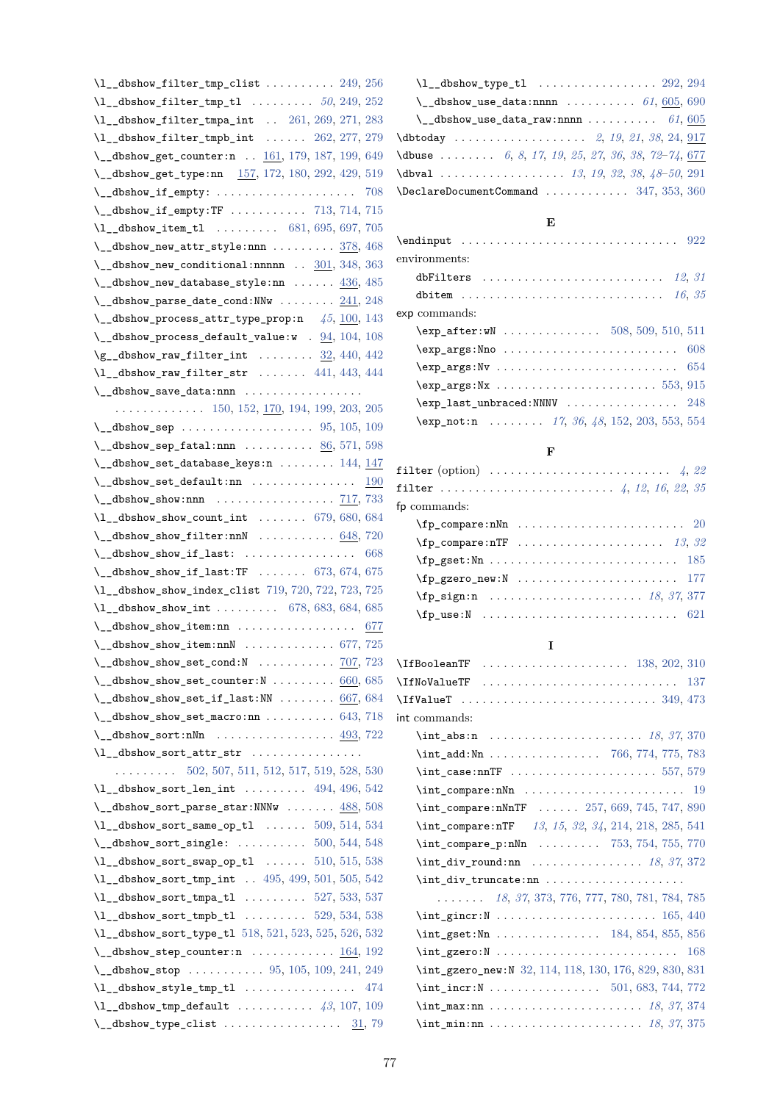| $\lvert \$ _dbshow_filter_tmp_clist  249, 256                                                                                                                                                                                                                                                                                                                                                                                                              |     |
|------------------------------------------------------------------------------------------------------------------------------------------------------------------------------------------------------------------------------------------------------------------------------------------------------------------------------------------------------------------------------------------------------------------------------------------------------------|-----|
|                                                                                                                                                                                                                                                                                                                                                                                                                                                            |     |
| $\lceil \text{u}_\text{269}, 271, 283 \rceil \rceil$                                                                                                                                                                                                                                                                                                                                                                                                       |     |
| $\lvert \$ _dbshow_filter_tmpb_int  262, 277, 279                                                                                                                                                                                                                                                                                                                                                                                                          |     |
| \_dbshow_get_counter:n  161, 179, 187, 199, 649                                                                                                                                                                                                                                                                                                                                                                                                            |     |
| \__dbshow_get_type:nn 157, 172, 180, 292, 429, 519                                                                                                                                                                                                                                                                                                                                                                                                         |     |
| \__dbshow_if_empty:  708                                                                                                                                                                                                                                                                                                                                                                                                                                   |     |
| $\verb \\_dbshow_if_empty:TF   \ldots   \ldots   \ldots   \ldots   \ldots   \ldots   \ldots   \ldots  $                                                                                                                                                                                                                                                                                                                                                    |     |
| $\lceil \frac{1 - \text{dbshow\_item\_tl}}{1 - \dots} \rceil$ 681, 695, 697, 705                                                                                                                                                                                                                                                                                                                                                                           |     |
| \__dbshow_new_attr_style:nnn  378, 468                                                                                                                                                                                                                                                                                                                                                                                                                     |     |
| $\mathcal{L}_\text{dbshow_new\_conditional:nnnnn$ $301, 348, 363$                                                                                                                                                                                                                                                                                                                                                                                          |     |
| $\lvert \$ _dbshow_new_database_style:nn $\ldots$ . $436, 485$                                                                                                                                                                                                                                                                                                                                                                                             |     |
| $\mathcal{N}_\text{1}$ dbshow_parse_date_cond:NNw $241, 248$                                                                                                                                                                                                                                                                                                                                                                                               |     |
| $\mathcal{N}_{\text{--}}$ dbshow_process_attr_type_prop:n $45, 100, 143$                                                                                                                                                                                                                                                                                                                                                                                   |     |
| $\mathcal{L}_\text{1}$ dbshow_process_default_value:w . $94, 104, 108$                                                                                                                                                                                                                                                                                                                                                                                     |     |
| $\g$ _dbshow_raw_filter_int $\underline{32}$ , 440, 442                                                                                                                                                                                                                                                                                                                                                                                                    |     |
| $\lvert \$ _dbshow_raw_filter_str  441, 443, 444                                                                                                                                                                                                                                                                                                                                                                                                           |     |
|                                                                                                                                                                                                                                                                                                                                                                                                                                                            |     |
|                                                                                                                                                                                                                                                                                                                                                                                                                                                            |     |
|                                                                                                                                                                                                                                                                                                                                                                                                                                                            |     |
| $\mathcal{L}_\text{dbshow\_sep\_fatal:nnn$ 86, 571, 598                                                                                                                                                                                                                                                                                                                                                                                                    |     |
| $\mathcal{N}_{\texttt{--}}$ dbshow_set_database_keys:n  144, 147                                                                                                                                                                                                                                                                                                                                                                                           |     |
|                                                                                                                                                                                                                                                                                                                                                                                                                                                            |     |
|                                                                                                                                                                                                                                                                                                                                                                                                                                                            |     |
| $\lvert \$ _dbshow_show_count_int  679, 680, 684                                                                                                                                                                                                                                                                                                                                                                                                           |     |
| $\setminus$ _dbshow_show_filter:nnN  648, 720                                                                                                                                                                                                                                                                                                                                                                                                              |     |
| $\_{\_dbshow\_show\_if\_last:$                                                                                                                                                                                                                                                                                                                                                                                                                             | 668 |
| $\verb \\_dbshow_show_if_last:TF  $ 673, 674, 675                                                                                                                                                                                                                                                                                                                                                                                                          |     |
| \1__dbshow_show_index_clist 719, 720, 722, 723, 725                                                                                                                                                                                                                                                                                                                                                                                                        |     |
| $\lceil 1 \rceil$ dbshow_show_int  678, 683, 684, 685                                                                                                                                                                                                                                                                                                                                                                                                      |     |
| \__dbshow_show_item:nn  677                                                                                                                                                                                                                                                                                                                                                                                                                                |     |
| $\verb ~~dbshow.show_time:nnN$ 677, 725                                                                                                                                                                                                                                                                                                                                                                                                                    |     |
| \ _ dbshow_show_set_cond:N $\ldots \ldots \ldots \ldots$ 707, 723                                                                                                                                                                                                                                                                                                                                                                                          |     |
| $\lvert \$ _dbshow_show_set_counter:N  660, 685                                                                                                                                                                                                                                                                                                                                                                                                            |     |
| $\mathcal{L}_\text{dbshow\_show\_set\_if\_last:NN}$ 667, 684                                                                                                                                                                                                                                                                                                                                                                                               |     |
| $\mathcal{L}_{\text{labshow\_show\_set\_macro:nn}$ 643, 718                                                                                                                                                                                                                                                                                                                                                                                                |     |
| $\{\_\_dbshow\_sort: nNn \dots \dots \dots \dots \dots \frac{493}{722}\}$                                                                                                                                                                                                                                                                                                                                                                                  |     |
| $\lceil \frac{1}{2} \cdot \frac{1}{2} \cdot \frac{1}{2} \cdot \frac{1}{2} \cdot \frac{1}{2} \cdot \frac{1}{2} \cdot \frac{1}{2} \cdot \frac{1}{2} \cdot \frac{1}{2} \cdot \frac{1}{2} \cdot \frac{1}{2} \cdot \frac{1}{2} \cdot \frac{1}{2} \cdot \frac{1}{2} \cdot \frac{1}{2} \cdot \frac{1}{2} \cdot \frac{1}{2} \cdot \frac{1}{2} \cdot \frac{1}{2} \cdot \frac{1}{2} \cdot \frac{1}{2} \cdot \frac{1}{2} \cdot \frac{1}{2} \cdot \frac{1}{2} \cdot \$ |     |
| $\ldots \ldots \ldots 502, 507, 511, 512, 517, 519, 528, 530$                                                                                                                                                                                                                                                                                                                                                                                              |     |
| $\lceil \frac{1-4b\text{show}_\text{sort}$ len_int  494, 496, 542                                                                                                                                                                                                                                                                                                                                                                                          |     |
| $\mathcal{N}_{\text{--}}$ dbshow_sort_parse_star:NNNw $488,508$                                                                                                                                                                                                                                                                                                                                                                                            |     |
| $\U1$ _dbshow_sort_same_op_tl  509, 514, 534                                                                                                                                                                                                                                                                                                                                                                                                               |     |
| $\mathcal{L}_\text{1}$ dbshow_sort_single:  500, 544, 548                                                                                                                                                                                                                                                                                                                                                                                                  |     |
| $\lceil \frac{1 - \text{dbshow_score} - \text{swap_op_t1}}{1 - \dots 510, 515, 538} \rceil$                                                                                                                                                                                                                                                                                                                                                                |     |
| \1__dbshow_sort_tmp_int  495, 499, 501, 505, 542                                                                                                                                                                                                                                                                                                                                                                                                           |     |
| $\lceil \frac{1}{33}, \frac{537}{33} \rceil$                                                                                                                                                                                                                                                                                                                                                                                                               |     |
| $\lceil \frac{1}{334}, \frac{538}{12}\rceil$                                                                                                                                                                                                                                                                                                                                                                                                               |     |
| \1__dbshow_sort_type_tl 518, 521, 523, 525, 526, 532                                                                                                                                                                                                                                                                                                                                                                                                       |     |
| $\mathcal{L}_\text{1}$ dbshow_step_counter:n <u>164</u> , 192                                                                                                                                                                                                                                                                                                                                                                                              |     |
| $\{\_\_dbshow\_stop \dots \dots \dots \ 95, 105, 109, 241, 249\}$                                                                                                                                                                                                                                                                                                                                                                                          |     |
|                                                                                                                                                                                                                                                                                                                                                                                                                                                            |     |
| $\lceil \frac{1}{3}, \frac{107}{109} \rceil$ default  43, 107, 109                                                                                                                                                                                                                                                                                                                                                                                         |     |
| $\{\_\_dbshow_type_clist \dots \dots \dots \dots \dots \frac{31}{79}\}$                                                                                                                                                                                                                                                                                                                                                                                    |     |

| $\lceil \frac{1}{2} \cdot 292, 294 \rceil$                    |  |
|---------------------------------------------------------------|--|
| \ _ dbshow_use_data:nnnn $\ldots \ldots \ldots$ 61, 605, 690  |  |
| \ _ dbshow_use_data_raw:nnnn $61,605$                         |  |
|                                                               |  |
| <b>\dbuse</b> 6, 8, 17, 19, 25, 27, 36, 38, 72-74, <u>677</u> |  |
| \dbval  13, 19, 32, 38, 48-50, 291                            |  |
| $\Delta$ DeclareDocumentCommand  347, 353, 360                |  |
|                                                               |  |

# **[E](#page-18-0)**

| environments:                                      |  |
|----------------------------------------------------|--|
| dbFilters $12, 31$                                 |  |
|                                                    |  |
| exp commands:                                      |  |
| $\text{key_after:wN}$ 508, 509, 510, 511           |  |
| $\exp_2$ args:Nno  608                             |  |
|                                                    |  |
|                                                    |  |
| $\exp_1$ ast_unbraced:NNNV  248                    |  |
| $\text{exp\_not:n}$ 17, 36, 48, 152, 203, 553, 554 |  |

## **F**

| filter (option) $\ldots \ldots \ldots \ldots \ldots \ldots \ldots \ldots$ 4, 22             |  |
|---------------------------------------------------------------------------------------------|--|
|                                                                                             |  |
| fp commands:                                                                                |  |
|                                                                                             |  |
| $\text{Yfp\_compare:nTF}$ 13, 32                                                            |  |
|                                                                                             |  |
| $\tp_{\texttt{gzero\_new}}: \texttt{N} \dots \dots \dots \dots \dots \dots \dots \quad 177$ |  |
| \fp_sign:n  18, 37, 377                                                                     |  |
|                                                                                             |  |

## **I**

| int commands:                                                                                                                                                                  |
|--------------------------------------------------------------------------------------------------------------------------------------------------------------------------------|
| $\int_0^2 37, 370$                                                                                                                                                             |
| $\int_{\text{add}: \text{Nn} \dots \dots \dots \dots \ 766, 774, 775, 783}$                                                                                                    |
| $\int_{\text{case:nnTF}} \ldots \ldots \ldots \ldots \ldots \ldots 557, 579$                                                                                                   |
|                                                                                                                                                                                |
| $\int \int \text{compare:} \text{mMF} \dots \dots \quad 257, 669, 745, 747, 890$                                                                                               |
| \int_compare:nTF 13, 15, 32, 34, 214, 218, 285, 541                                                                                                                            |
| $\int \int \frac{1}{10} \cdot \frac{1}{10} \cdot \frac{1}{10} \cdot \ldots \cdot 753, 754, 755, 770$                                                                           |
| $\int_{\text{div\_round:nn}}$ 18, 37, 372                                                                                                                                      |
|                                                                                                                                                                                |
| $\ldots \ldots \hspace{1mm} 18, \hspace{1mm} 37, \hspace{1mm} 373, \hspace{1mm} 776, \hspace{1mm} 777, \hspace{1mm} 780, \hspace{1mm} 781, \hspace{1mm} 784, \hspace{1mm} 785$ |
|                                                                                                                                                                                |
| $\int \int gset: Nn$ 184, 854, 855, 856                                                                                                                                        |
|                                                                                                                                                                                |
| \int_gzero_new:N 32, 114, 118, 130, 176, 829, 830, 831                                                                                                                         |
|                                                                                                                                                                                |
| $\int \int \frac{\text{max:nn}{1000} \cdot \frac{18}{37}}{374}$                                                                                                                |
| $\int_{\text{min:nn}} \ldots \ldots \ldots \ldots \ldots \ldots \ldots \ldots \ldots$                                                                                          |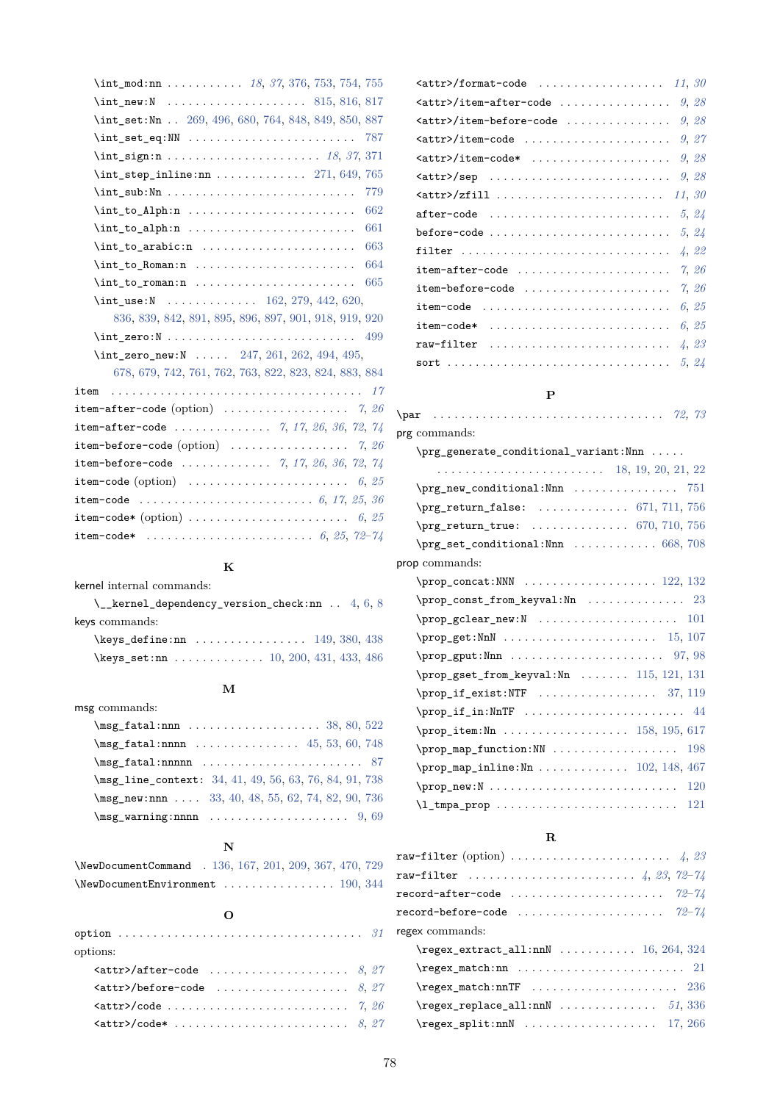| \int new:N  815, 816, 817                                                                                              |
|------------------------------------------------------------------------------------------------------------------------|
| \int_set:Nn  269, 496, 680, 764, 848, 849, 850, 887                                                                    |
| 787                                                                                                                    |
|                                                                                                                        |
|                                                                                                                        |
| 779<br>$\int \int \text{sub}: \text{Nn} \ldots \ldots \ldots \ldots \ldots$                                            |
| 662                                                                                                                    |
| 661                                                                                                                    |
| 663<br>$\int_{\text{tot}}$ to arabic:n                                                                                 |
| 664                                                                                                                    |
| 665                                                                                                                    |
| $\int_2$ use:N  162, 279, 442, 620,                                                                                    |
| 836, 839, 842, 891, 895, 896, 897, 901, 918, 919, 920                                                                  |
| $\int \mathbf{zero}: \mathbb{N} \dots \dots \dots \dots \dots \dots \dots \dots \dots \dots \dots \dots \dots$         |
| \int_zero_new:N  247, 261, 262, 494, 495,                                                                              |
| 678, 679, 742, 761, 762, 763, 822, 823, 824, 883, 884                                                                  |
| item                                                                                                                   |
| <b>item-after-code</b> (option) $\ldots \ldots \ldots \ldots \ldots \ldots$ 7, 26                                      |
| <b>item-after-code</b> 7, 17, 26, 36, 72, 74                                                                           |
| item-before-code (option) $\ldots \ldots \ldots \ldots \ldots \ldots$ 7, 26                                            |
| <b>item-before-code</b> 7, 17, 26, 36, 72, 74                                                                          |
| <b>item-code</b> (option) $\ldots \ldots \ldots \ldots \ldots \ldots \ldots \ldots \ldots \ldots \ldots \ldots$        |
|                                                                                                                        |
| ${\tt item\text{-}code*}$ (option) $\ldots \ldots \ldots \ldots \ldots \ldots \ldots \ldots \ldots \ldots \; 6, \, 25$ |
| <b>item-code*</b> 6, 25, 72-74                                                                                         |

#### **K**

kernel internal commands:

| $\setminus$ kernel dependency version check:nn . 4, 6, 8 |  |  |
|----------------------------------------------------------|--|--|
| keys commands:                                           |  |  |
| \keys define:nn  149, 380, 438                           |  |  |
| \keys_set:nn  10, 200, 431, 433, 486                     |  |  |

## **M**

| msg commands:                                                                                        |  |  |
|------------------------------------------------------------------------------------------------------|--|--|
|                                                                                                      |  |  |
| $\text{msg\_fatal:nnnn    45, 53, 60, 748}$                                                          |  |  |
| $\text{msg}$ fatal:nnnnn  87                                                                         |  |  |
| \msg_line_context: 34, 41, 49, 56, 63, 76, 84, 91, 738                                               |  |  |
| $\text{msg_new:nnn}$ 33, 40, 48, 55, 62, 74, 82, 90, 736                                             |  |  |
| $\{\text{msg\_warming:nnnn} \dots \dots \dots \dots \dots \dots \dots \dots \dots \dots \dots \dots$ |  |  |

#### **[N](#page-40-11)**

| NewDocumentCommand . 136, 167, 201, 209, 367, 470, 729 |  |  |  |  |
|--------------------------------------------------------|--|--|--|--|
|                                                        |  |  |  |  |

| options:                           |  |
|------------------------------------|--|
| $\text{Cattr}$ /after-code  8, 27  |  |
| $\text{Cattr}$ /before-code  8, 27 |  |
| $\texttt{[}}7, 26$                 |  |
| $\texttt{[}}8, 27$                 |  |

| item-after-code $7, 26$  |
|--------------------------|
| item-before-code $7, 26$ |
| item-code<br>6, 25       |
| item-code* $6, 25$       |
|                          |
|                          |
|                          |

#### **P**

## \par . . . . . . . . . . . . . . . . . . . . . . . . . . . . . . . . . *7[2,](#page-3-2) [73](#page-22-2)* prg commands: \prg\_generate\_conditional\_variant:Nnn . . . . . . . . . . . . . . . . . . . . . . . . . . . . . 18, 19, 20, [21](#page-71-0), [22](#page-72-0) \prg\_new\_conditional:Nnn . . . . . . . . . . . . . . 751 \prg\_return\_false: . . . . . . . . . . . . . 671, 711, 756 \prg\_return\_true: . . . . . . . . . . . . [. .](#page-39-21) [67](#page-39-16)0, [7](#page-39-15)1[0,](#page-39-22) [756](#page-39-2) \prg\_set\_conditional:Nnn ............ 668, [708](#page-64-21) prop commands: \prop\_concat:NNN . . . . . . . . . . . . . . . . [. . .](#page-62-24) [122](#page-63-22), [132](#page-64-22) \prop\_const\_from\_keyval:Nn ............... [23](#page-63-11) \prop\_gclear\_new:N ..................... 101 \prop\_get:NnN . . . . . . . . . . . . . . . . . . . . . . [15](#page-43-12), [107](#page-44-19) \prop\_gput:Nnn . . . . . . . . . . . . . . . . . . . . . . 97, [98](#page-39-23) \prop\_gset\_from\_keyval:Nn . . . . . . . 115, 121, [131](#page-43-13) \prop\_if\_exist:NTF . . . . . . . . . . . . . . . . . [37](#page-39-9), [119](#page-43-5) \prop\_if\_in:NnTF .......................... [44](#page-42-14) \prop\_item:Nn . . . . . . . . . . . . . . . . . [158,](#page-43-14) [195](#page-43-15), [617](#page-44-20) \prop\_map\_function:NN .................... [198](#page-43-16) \prop\_map\_inline:Nn . . . . . . . . . . . . 102, 148, [467](#page-40-16) \prop\_new:N . . . . . . . . . . . . . . . . . . . . . [. . .](#page-45-14) [. . .](#page-46-22) [120](#page-60-18) \l\_tmpa\_prop . . . . . . . . . . . . . . . . . . . . . . . . . . [121](#page-46-23)

#### **R**

| $\texttt{raw-filter}\ \text{(option)}\ \dots \dots \dots \dots \dots \dots \dots \quad \textit{4, 23}$ |  |
|--------------------------------------------------------------------------------------------------------|--|
|                                                                                                        |  |
|                                                                                                        |  |
|                                                                                                        |  |
| regex commands:                                                                                        |  |
| $\text{regex\_extract\_all:nnN}$ 16, 264, 324                                                          |  |
|                                                                                                        |  |
| $\text{regex\_match:nmTF}$ 236                                                                         |  |
| $\text{regex\_replace\_all:nmN}$ 51, 336                                                               |  |
| $\text{regex\_split:} \dots \dots \dots \dots \dots \quad 17,266$                                      |  |